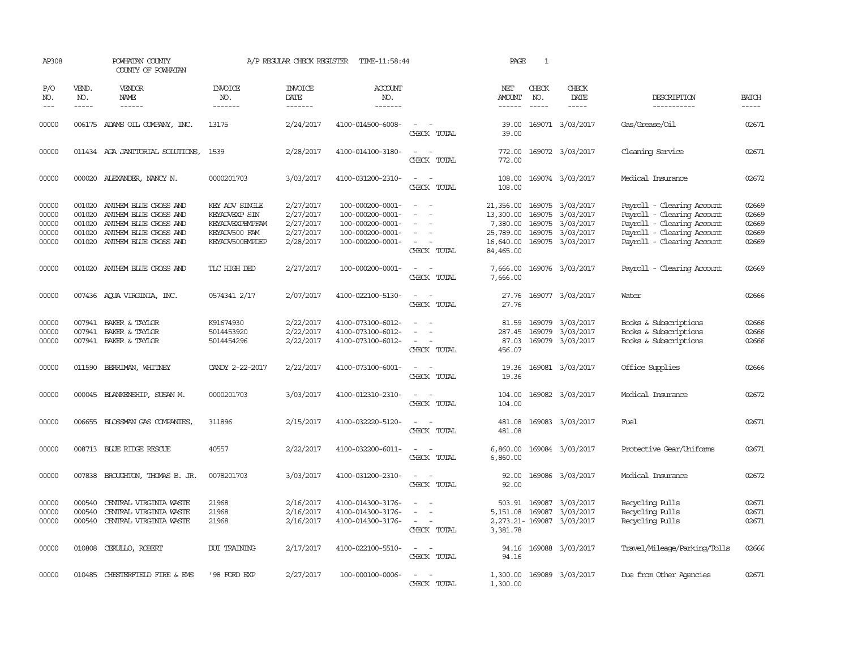| AP308                                     |                                                | POWHATAN COUNTY<br>COUNTY OF POWHATAN                                                                                     |                                                                                        | A/P REGULAR CHECK REGISTER                                    | TIME-11:58:44                                                                                    |                                                                                                                             | PAGE                                                                      | $\mathbf{1}$                |                                                                                                  |                                                                                                                                                    |                                           |
|-------------------------------------------|------------------------------------------------|---------------------------------------------------------------------------------------------------------------------------|----------------------------------------------------------------------------------------|---------------------------------------------------------------|--------------------------------------------------------------------------------------------------|-----------------------------------------------------------------------------------------------------------------------------|---------------------------------------------------------------------------|-----------------------------|--------------------------------------------------------------------------------------------------|----------------------------------------------------------------------------------------------------------------------------------------------------|-------------------------------------------|
| P/O<br>NO.<br>$---$                       | VEND.<br>NO.<br>$- - - - -$                    | VENDOR<br>NAME<br>------                                                                                                  | <b>INVOICE</b><br>NO.<br>-------                                                       | <b>INVOICE</b><br>DATE<br>-------                             | <b>ACCOUNT</b><br>NO.<br>-------                                                                 |                                                                                                                             | NET<br>AMOUNT<br>$- - - - - -$                                            | CHECK<br>NO.<br>$- - - - -$ | CHECK<br>DATE<br>-----                                                                           | DESCRIPTION<br>-----------                                                                                                                         | <b>BATCH</b><br>-----                     |
| 00000                                     |                                                | 006175 ADAMS OIL COMPANY, INC.                                                                                            | 13175                                                                                  | 2/24/2017                                                     | 4100-014500-6008-                                                                                | $\sim$ 10 $\,$<br>CHECK TOTAL                                                                                               | 39.00                                                                     |                             | 39.00 169071 3/03/2017                                                                           | Gas/Grease/Oil                                                                                                                                     | 02671                                     |
| 00000                                     |                                                | 011434 AGA JANITORIAL SOLUTIONS,                                                                                          | 1539                                                                                   | 2/28/2017                                                     | 4100-014100-3180-                                                                                | $ -$<br>CHECK TOTAL                                                                                                         | 772.00<br>772.00                                                          |                             | 169072 3/03/2017                                                                                 | Cleaning Service                                                                                                                                   | 02671                                     |
| 00000                                     |                                                | 000020 ALEXANDER, NANCY N.                                                                                                | 0000201703                                                                             | 3/03/2017                                                     | 4100-031200-2310-                                                                                | $\equiv$<br>$\sim$<br>CHECK TOTAL                                                                                           | 108.00<br>108.00                                                          |                             | 169074 3/03/2017                                                                                 | Medical Insurance                                                                                                                                  | 02672                                     |
| 00000<br>00000<br>00000<br>00000<br>00000 | 001020<br>001020<br>001020<br>001020<br>001020 | ANTHEM BLUE CROSS AND<br>ANTHEM BLUE CROSS AND<br>ANTHEM BLUE CROSS AND<br>ANTHEM BLUE CROSS AND<br>ANTHEM BLUE CROSS AND | KEY ADV SINGLE<br>KEYADVEXP SIN<br>KEYADVEXPEMPFAM<br>KEYADV500 FAM<br>KEYADV500EMPDEP | 2/27/2017<br>2/27/2017<br>2/27/2017<br>2/27/2017<br>2/28/2017 | 100-000200-0001-<br>100-000200-0001-<br>100-000200-0001-<br>100-000200-0001-<br>100-000200-0001- | $\equiv$<br>$\equiv$<br>CHECK TOTAL                                                                                         | 21,356.00<br>13,300.00<br>7,380.00<br>25,789.00<br>16,640.00<br>84,465.00 |                             | 169075 3/03/2017<br>169075 3/03/2017<br>169075 3/03/2017<br>169075 3/03/2017<br>169075 3/03/2017 | Payroll - Clearing Account<br>Payroll - Clearing Account<br>Payroll - Clearing Account<br>Payroll - Clearing Account<br>Payroll - Clearing Account | 02669<br>02669<br>02669<br>02669<br>02669 |
| 00000                                     |                                                | 001020 ANTHEM BLUE CROSS AND                                                                                              | TLC HIGH DED                                                                           | 2/27/2017                                                     | 100-000200-0001-                                                                                 | $\sim$ $ \sim$<br>CHECK TOTAL                                                                                               | 7,666.00<br>7,666.00                                                      |                             | 169076 3/03/2017                                                                                 | Payroll - Clearing Account                                                                                                                         | 02669                                     |
| 00000                                     |                                                | 007436 AQUA VIRGINIA, INC.                                                                                                | 0574341 2/17                                                                           | 2/07/2017                                                     | 4100-022100-5130-                                                                                | $\sim$<br>$\sim$<br>CHECK TOTAL                                                                                             | 27.76<br>27.76                                                            |                             | 169077 3/03/2017                                                                                 | Water                                                                                                                                              | 02666                                     |
| 00000<br>00000<br>00000                   | 007941<br>007941                               | BAKER & TAYLOR<br>BAKER & TAYLOR<br>007941 BAKER & TAYLOR                                                                 | K91674930<br>5014453920<br>5014454296                                                  | 2/22/2017<br>2/22/2017<br>2/22/2017                           | 4100-073100-6012-<br>4100-073100-6012-<br>4100-073100-6012-                                      | $\equiv$<br>$\equiv$<br>CHECK TOTAL                                                                                         | 81.59<br>287.45<br>87.03<br>456.07                                        |                             | 169079 3/03/2017<br>169079 3/03/2017<br>169079 3/03/2017                                         | Books & Subscriptions<br>Books & Subscriptions<br>Books & Subscriptions                                                                            | 02666<br>02666<br>02666                   |
| 00000                                     |                                                | 011590 BERRIMAN, WHITNEY                                                                                                  | CANDY 2-22-2017                                                                        | 2/22/2017                                                     | 4100-073100-6001-                                                                                | CHECK TOTAL                                                                                                                 | 19.36<br>19.36                                                            |                             | 169081 3/03/2017                                                                                 | Office Supplies                                                                                                                                    | 02666                                     |
| 00000                                     |                                                | 000045 BLANKENSHIP, SUSAN M.                                                                                              | 0000201703                                                                             | 3/03/2017                                                     | 4100-012310-2310-                                                                                | $\sim$<br>CHECK TOTAL                                                                                                       | 104.00<br>104.00                                                          |                             | 169082 3/03/2017                                                                                 | Medical Insurance                                                                                                                                  | 02672                                     |
| 00000                                     |                                                | 006655 BLOSSMAN GAS COMPANIES,                                                                                            | 311896                                                                                 | 2/15/2017                                                     | 4100-032220-5120-                                                                                | CHECK TOTAL                                                                                                                 | 481.08<br>481.08                                                          |                             | 169083 3/03/2017                                                                                 | Fuel                                                                                                                                               | 02671                                     |
| 00000                                     |                                                | 008713 BLUE RIDGE RESCUE                                                                                                  | 40557                                                                                  | 2/22/2017                                                     | 4100-032200-6011-                                                                                | CHECK TOTAL                                                                                                                 | 6,860.00<br>6,860.00                                                      |                             | 169084 3/03/2017                                                                                 | Protective Gear/Uniforms                                                                                                                           | 02671                                     |
| 00000                                     |                                                | 007838 BROUGHTON, THOMAS B. JR.                                                                                           | 0078201703                                                                             | 3/03/2017                                                     | 4100-031200-2310-                                                                                | CHECK TOTAL                                                                                                                 | 92.00<br>92.00                                                            |                             | 169086 3/03/2017                                                                                 | Medical Insurance                                                                                                                                  | 02672                                     |
| 00000<br>00000<br>00000                   | 000540<br>000540<br>000540                     | CENTRAL VIRGINIA WASTE<br>CENTRAL VIRGINIA WASTE<br>CENTRAL VIRGINIA WASTE                                                | 21968<br>21968<br>21968                                                                | 2/16/2017<br>2/16/2017<br>2/16/2017                           | 4100-014300-3176-<br>4100-014300-3176-<br>4100-014300-3176-                                      | $\sim$<br>$\overline{\phantom{0}}$<br>$\sim$ $ \sim$<br>CHECK TOTAL                                                         | 503.91<br>5,151.08<br>3,381.78                                            | 169087                      | 169087 3/03/2017<br>3/03/2017<br>2, 273.21 - 169087 3/03/2017                                    | Recycling Pulls<br>Recycling Pulls<br>Recycling Pulls                                                                                              | 02671<br>02671<br>02671                   |
| 00000                                     |                                                | 010808 CERULLO, ROBERT                                                                                                    | <b>DUI TRAINING</b>                                                                    | 2/17/2017                                                     | 4100-022100-5510-                                                                                | $\frac{1}{2} \left( \frac{1}{2} \right) \left( \frac{1}{2} \right) = \frac{1}{2} \left( \frac{1}{2} \right)$<br>CHECK TOTAL | 94.16<br>94.16                                                            |                             | 169088 3/03/2017                                                                                 | Travel/Mileage/Parking/Tolls                                                                                                                       | 02666                                     |
| 00000                                     | 010485                                         | CHESTERFIELD FIRE & EMS                                                                                                   | '98 FORD EXP                                                                           | 2/27/2017                                                     | 100-000100-0006-                                                                                 | $ -$<br>CHECK TOTAL                                                                                                         | 1,300.00<br>1,300.00                                                      |                             | 169089 3/03/2017                                                                                 | Due from Other Agencies                                                                                                                            | 02671                                     |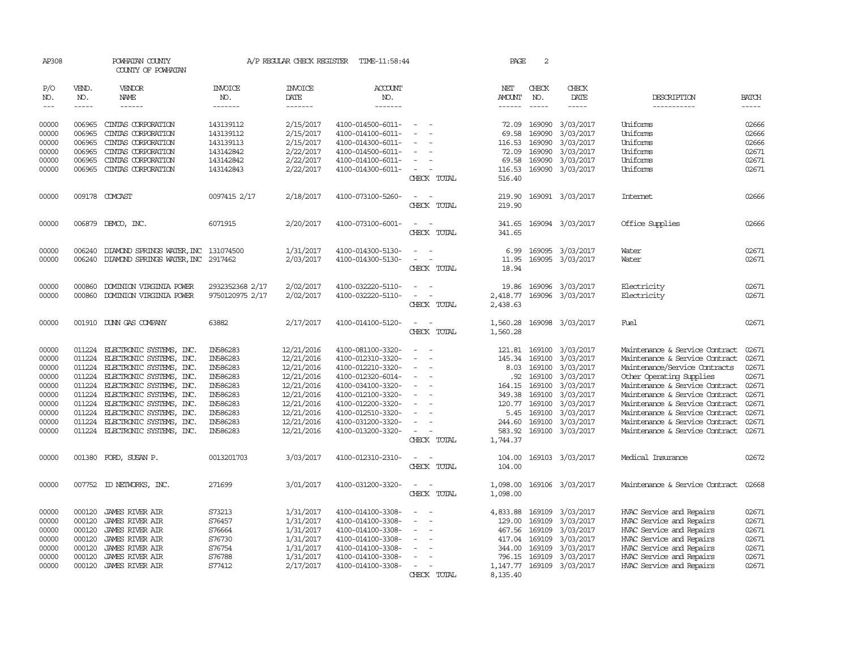| AP308          |                  | POWHATAN COUNTY<br>COUNTY OF POWHATAN                |                       | A/P REGULAR CHECK REGISTER | TIME-11:58:44                          |                                                   | PAGE                 | 2                |                        |                                                                  |                |
|----------------|------------------|------------------------------------------------------|-----------------------|----------------------------|----------------------------------------|---------------------------------------------------|----------------------|------------------|------------------------|------------------------------------------------------------------|----------------|
| P/O<br>NO.     | VEND.<br>NO.     | VENDOR<br>NAME                                       | <b>INVOICE</b><br>NO. | <b>INVOICE</b><br>DATE     | ACCOUNT<br>NO.                         |                                                   | NET<br><b>AMOUNT</b> | CHECK<br>NO.     | CHECK<br>DATE          | DESCRIPTION                                                      | <b>BATCH</b>   |
| $---$          | $- - - - -$      | $- - - - - -$                                        | -------               | -------                    | -------                                |                                                   |                      | $\frac{1}{2}$    | $- - - - -$            | -----------                                                      | $- - - - -$    |
| 00000          | 006965           | CINTAS CORPORATION                                   | 143139112             | 2/15/2017                  | 4100-014500-6011-                      |                                                   | 72.09                | 169090           | 3/03/2017              | Uniforms                                                         | 02666          |
| 00000          | 006965           | CINIAS CORPORATION                                   | 143139112             | 2/15/2017                  | 4100-014100-6011-                      |                                                   | 69.58                | 169090           | 3/03/2017              | Uniforms                                                         | 02666          |
| 00000          | 006965           | CINIAS CORPORATION                                   | 143139113             | 2/15/2017                  | 4100-014300-6011-                      |                                                   | 116.53               | 169090           | 3/03/2017              | Uniforms                                                         | 02666          |
| 00000          | 006965           | CINIAS CORPORATION                                   | 143142842             | 2/22/2017                  | 4100-014500-6011-                      | $\overline{\phantom{a}}$                          | 72.09                | 169090           | 3/03/2017              | Uniforms                                                         | 02671          |
| 00000          | 006965           | CINIAS CORPORATION                                   | 143142842             | 2/22/2017                  | 4100-014100-6011-                      |                                                   | 69.58                | 169090           | 3/03/2017              | Uniforms                                                         | 02671          |
| 00000          | 006965           | CINIAS CORPORATION                                   | 143142843             | 2/22/2017                  | 4100-014300-6011-                      | $\sim$                                            | 116.53               | 169090           | 3/03/2017              | Uniforms                                                         | 02671          |
|                |                  |                                                      |                       |                            |                                        | CHECK TOTAL                                       | 516.40               |                  |                        |                                                                  |                |
| 00000          |                  | 009178 COMCAST                                       | 0097415 2/17          | 2/18/2017                  | 4100-073100-5260-                      | CHECK TOTAL                                       | 219.90<br>219.90     |                  | 169091 3/03/2017       | Internet.                                                        | 02666          |
| 00000          | 006879           | DEMCO, INC.                                          | 6071915               | 2/20/2017                  | 4100-073100-6001-                      |                                                   | 341.65               |                  | 169094 3/03/2017       | Office Supplies                                                  | 02666          |
|                |                  |                                                      |                       |                            |                                        | CHECK TOTAL                                       | 341.65               |                  |                        |                                                                  |                |
| 00000          | 006240           | DIAMOND SPRINGS WATER, INC                           | 131074500             | 1/31/2017                  | 4100-014300-5130-                      | $\overline{\phantom{a}}$<br>$\sim$                | 6.99                 | 169095           | 3/03/2017              | Water                                                            | 02671          |
| 00000          | 006240           | DIAMOND SPRINGS WATER, INC 2917462                   |                       | 2/03/2017                  | 4100-014300-5130-                      | $\overline{\phantom{a}}$                          | 11.95                |                  | 169095 3/03/2017       | Water                                                            | 02671          |
|                |                  |                                                      |                       |                            |                                        | CHECK TOTAL                                       | 18.94                |                  |                        |                                                                  |                |
| 00000          | 000860           | DOMINION VIRGINIA POWER                              | 2932352368 2/17       | 2/02/2017                  | 4100-032220-5110-                      |                                                   | 19.86                | 169096           | 3/03/2017              | Electricity                                                      | 02671          |
| 00000          | 000860           | DOMINION VIRGINIA POWER                              | 9750120975 2/17       | 2/02/2017                  | 4100-032220-5110-                      |                                                   | 2,418.77             | 169096           | 3/03/2017              | Electricity                                                      | 02671          |
|                |                  |                                                      |                       |                            |                                        | CHECK TOTAL                                       | 2,438.63             |                  |                        |                                                                  |                |
| 00000          |                  | 001910 DUNN GAS COMPANY                              | 63882                 | 2/17/2017                  | 4100-014100-5120-                      | CHECK TOTAL                                       | 1,560.28<br>1,560.28 | 169098           | 3/03/2017              | Fuel                                                             | 02671          |
| 00000          | 011224           | ELECTRONIC SYSTEMS, INC.                             | IN586283              | 12/21/2016                 | 4100-081100-3320-                      |                                                   | 121.81               | 169100           | 3/03/2017              | Maintenance & Service Contract                                   | 02671          |
| 00000          | 011224           | ELECTRONIC SYSTEMS, INC.                             | IN586283              | 12/21/2016                 | 4100-012310-3320-                      |                                                   | 145.34               | 169100           | 3/03/2017              | Maintenance & Service Contract                                   | 02671          |
| 00000          | 011224           | ELECTRONIC SYSTEMS, INC.                             | IN586283              | 12/21/2016                 | 4100-012210-3320-                      | $\sim$                                            | 8.03                 | 169100           | 3/03/2017              | Maintenance/Service Contracts                                    | 02671          |
| 00000          |                  | 011224 ELECTRONIC SYSTEMS, INC.                      | IN586283              | 12/21/2016                 | 4100-012320-6014-                      |                                                   | . 92                 | 169100           | 3/03/2017              | Other Operating Supplies                                         | 02671          |
| 00000          | 011224           | ELECTRONIC SYSTEMS, INC.                             | IN586283              | 12/21/2016                 | 4100-034100-3320-                      |                                                   | 164.15               | 169100           | 3/03/2017              | Maintenance & Service Contract                                   | 02671          |
| 00000<br>00000 | 011224<br>011224 | ELECTRONIC SYSTEMS, INC.<br>ELECTRONIC SYSTEMS, INC. | IN586283<br>IN586283  | 12/21/2016                 | 4100-012100-3320-<br>4100-012200-3320- |                                                   | 349.38<br>120.77     | 169100<br>169100 | 3/03/2017<br>3/03/2017 | Maintenance & Service Contract<br>Maintenance & Service Contract | 02671<br>02671 |
| 00000          | 011224           | ELECTRONIC SYSTEMS, INC.                             | IN586283              | 12/21/2016<br>12/21/2016   | 4100-012510-3320-                      |                                                   | 5.45                 | 169100           | 3/03/2017              | Maintenance & Service Contract                                   | 02671          |
| 00000          | 011224           | ELECTRONIC SYSTEMS, INC.                             | IN586283              | 12/21/2016                 | 4100-031200-3320-                      |                                                   | 244.60               | 169100           | 3/03/2017              | Maintenance & Service Contract                                   | 02671          |
| 00000          |                  | 011224 ELECTRONIC SYSTEMS, INC.                      | IN586283              | 12/21/2016                 | 4100-013200-3320-                      | $\sim$                                            | 583.92               | 169100           | 3/03/2017              | Maintenance & Service Contract                                   | 02671          |
|                |                  |                                                      |                       |                            |                                        | CHECK TOTAL                                       | 1,744.37             |                  |                        |                                                                  |                |
| 00000          |                  | 001380 FORD, SUSAN P.                                | 0013201703            | 3/03/2017                  | 4100-012310-2310-                      | $\overline{\phantom{a}}$<br>$\sim$<br>CHECK TOTAL | 104.00<br>104.00     |                  | 169103 3/03/2017       | Medical Insurance                                                | 02672          |
|                |                  |                                                      |                       |                            |                                        |                                                   |                      |                  |                        |                                                                  |                |
| 00000          |                  | 007752 ID NEIWORKS, INC.                             | 271699                | 3/01/2017                  | 4100-031200-3320-                      | CHECK TOTAL                                       | 1,098.00<br>1,098.00 |                  | 169106 3/03/2017       | Maintenance & Service Contract                                   | 02668          |
| 00000          | 000120           | <b>JAMES RIVER AIR</b>                               | S73213                | 1/31/2017                  | 4100-014100-3308-                      |                                                   | 4,833.88             | 169109           | 3/03/2017              | HVAC Service and Repairs                                         | 02671          |
| 00000          | 000120           | <b>JAMES RIVER AIR</b>                               | S76457                | 1/31/2017                  | 4100-014100-3308-                      |                                                   | 129.00               | 169109           | 3/03/2017              | HVAC Service and Repairs                                         | 02671          |
| 00000          | 000120           | JAMES RIVER AIR                                      | S76664                | 1/31/2017                  | 4100-014100-3308-                      | $\overline{\phantom{a}}$                          | 467.56               | 169109           | 3/03/2017              | HVAC Service and Repairs                                         | 02671          |
| 00000          | 000120           | JAMES RIVER AIR                                      | S76730                | 1/31/2017                  | 4100-014100-3308-                      |                                                   | 417.04               | 169109           | 3/03/2017              | HVAC Service and Repairs                                         | 02671          |
| 00000          | 000120           | <b>JAMES RIVER AIR</b>                               | S76754                | 1/31/2017                  | 4100-014100-3308-                      |                                                   | 344.00               | 169109           | 3/03/2017              | HVAC Service and Repairs                                         | 02671          |
| 00000          | 000120           | <b>JAMES RIVER AIR</b>                               | S76788                | 1/31/2017                  | 4100-014100-3308-                      |                                                   | 796.15               | 169109           | 3/03/2017              | HVAC Service and Repairs                                         | 02671          |
| 00000          | 000120           | <b>JAMES RIVER AIR</b>                               | S77412                | 2/17/2017                  | 4100-014100-3308-                      | $\sim$                                            | 1,147.77             | 169109           | 3/03/2017              | HVAC Service and Repairs                                         | 02671          |
|                |                  |                                                      |                       |                            |                                        | CHECK TOTAL                                       | 8,135.40             |                  |                        |                                                                  |                |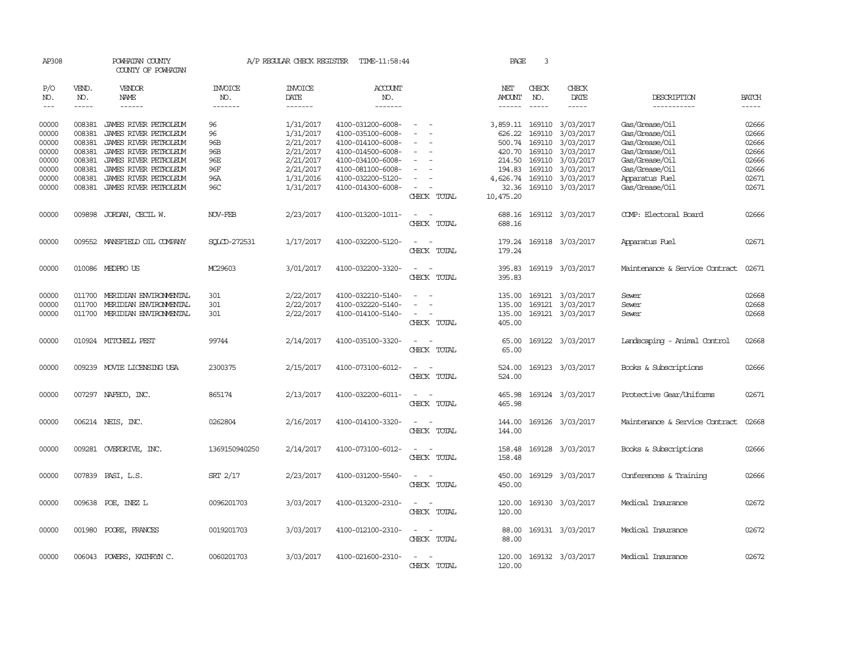| AP308          |                  | POWHATAN COUNTY<br>COUNTY OF POWHATAN          |                       | A/P REGULAR CHECK REGISTER | TIME-11:58:44                          |                                                   | PAGE                      | 3             |                        |                                  |                |
|----------------|------------------|------------------------------------------------|-----------------------|----------------------------|----------------------------------------|---------------------------------------------------|---------------------------|---------------|------------------------|----------------------------------|----------------|
| P/O<br>NO.     | VEND.<br>NO.     | <b>VENDOR</b><br>NAME                          | <b>INVOICE</b><br>NO. | <b>INVOICE</b><br>DATE     | <b>ACCOUNT</b><br>NO.                  |                                                   | NET<br>AMOUNT             | CHECK<br>NO.  | CHECK<br>DATE          | DESCRIPTION                      | <b>BATCH</b>   |
| $\frac{1}{2}$  |                  | ------                                         | -------               | -------                    | -------                                |                                                   | $- - - - - -$             | $- - - - -$   | -----                  | -----------                      |                |
| 00000<br>00000 | 008381<br>008381 | JAMES RIVER PETROLEUM<br>JAMES RIVER PEIROLEUM | 96<br>96              | 1/31/2017<br>1/31/2017     | 4100-031200-6008-<br>4100-035100-6008- | $\sim$                                            | 3,859.11 169110<br>626.22 | 169110        | 3/03/2017<br>3/03/2017 | Gas/Grease/Oil<br>Gas/Grease/Oil | 02666<br>02666 |
| 00000          | 008381           | JAMES RIVER PETROLEUM                          | 96B                   | 2/21/2017                  | 4100-014100-6008-                      | $\equiv$                                          | 500.74                    | 169110        | 3/03/2017              | Gas/Grease/Oil                   | 02666          |
| 00000          | 008381           | JAMES RIVER PEIROLEUM                          | 96B                   | 2/21/2017                  | 4100-014500-6008-                      | $\overline{\phantom{a}}$                          | 420.70                    | 169110        | 3/03/2017              | Gas/Grease/Oil                   | 02666          |
| 00000          |                  | 008381 JAMES RIVER PETROLEUM                   | 96E                   | 2/21/2017                  | 4100-034100-6008-                      |                                                   |                           | 214.50 169110 | 3/03/2017              | Gas/Grease/Oil                   | 02666          |
| 00000          | 008381           | JAMES RIVER PETROLEUM                          | 96F                   | 2/21/2017                  | 4100-081100-6008-                      | $\sim$                                            | 194.83                    | 169110        | 3/03/2017              | Gas/Grease/Oil                   | 02666          |
| 00000          | 008381           | JAMES RIVER PETROLEUM                          | 96A                   | 1/31/2016                  | 4100-032200-5120-                      | $\overline{\phantom{a}}$                          | 4,626.74                  | 169110        | 3/03/2017              | Apparatus Fuel                   | 02671          |
| 00000          |                  | 008381 JAMES RIVER PETROLEUM                   | 96C                   | 1/31/2017                  | 4100-014300-6008-                      | $\sim$<br>CHECK TOTAL                             | 10,475.20                 |               | 32.36 169110 3/03/2017 | Gas/Grease/Oil                   | 02671          |
| 00000          |                  | 009898 JORDAN, CECIL W.                        | NOV-FEB               | 2/23/2017                  | 4100-013200-1011-                      | $\sim$<br>CHECK TOTAL                             | 688.16<br>688.16          |               | 169112 3/03/2017       | COMP: Electoral Board            | 02666          |
| 00000          |                  | 009552 MANSFIELD OIL COMPANY                   | SOLCD-272531          | 1/17/2017                  | 4100-032200-5120-                      | CHECK TOTAL                                       | 179.24<br>179.24          |               | 169118 3/03/2017       | Apparatus Fuel                   | 02671          |
| 00000          |                  | 010086 MEDPRO US                               | MC29603               | 3/01/2017                  | 4100-032200-3320-                      | $\sim$<br>$\sim$<br>CHECK TOTAL                   | 395.83<br>395.83          |               | 169119 3/03/2017       | Maintenance & Service Contract   | 02671          |
| 00000          | 011700           | MERIDIAN ENVIRONMENTAL                         | 301                   | 2/22/2017                  | 4100-032210-5140-                      | $\overline{a}$<br>$\sim$                          | 135.00                    |               | 169121 3/03/2017       | Sewer                            | 02668          |
| 00000          | 011700           | MERIDIAN ENVIRONMENTAL                         | 301                   | 2/22/2017                  | 4100-032220-5140-                      |                                                   | 135.00                    |               | 169121 3/03/2017       | Sewer                            | 02668          |
| 00000          |                  | 011700 MERIDIAN ENVIRONMENTAL                  | 301                   | 2/22/2017                  | 4100-014100-5140-                      | $\sim$<br>$\overline{\phantom{a}}$<br>CHECK TOTAL | 135.00<br>405.00          |               | 169121 3/03/2017       | Sewer                            | 02668          |
| 00000          |                  | 010924 MITCHELL PEST                           | 99744                 | 2/14/2017                  | 4100-035100-3320-                      | CHECK TOTAL                                       | 65.00<br>65.00            |               | 169122 3/03/2017       | Landscaping - Animal Control     | 02668          |
| 00000          |                  | 009239 MOVIE LICENSING USA                     | 2300375               | 2/15/2017                  | 4100-073100-6012-                      | $\sim$<br>CHECK TOTAL                             | 524.00<br>524.00          |               | 169123 3/03/2017       | Books & Subscriptions            | 02666          |
| 00000          |                  | 007297 NAFECO, INC.                            | 865174                | 2/13/2017                  | 4100-032200-6011-                      | $\sim$<br>$\sim$<br>CHECK TOTAL                   | 465.98<br>465.98          |               | 169124 3/03/2017       | Protective Gear/Uniforms         | 02671          |
| 00000          |                  | 006214 NEIS, INC.                              | 0262804               | 2/16/2017                  | 4100-014100-3320-                      | $\overline{a}$<br>$\sim$<br>CHECK TOTAL           | 144.00<br>144.00          |               | 169126 3/03/2017       | Maintenance & Service Contract   | 02668          |
| 00000          |                  | 009281 OVERDRIVE, INC.                         | 1369150940250         | 2/14/2017                  | 4100-073100-6012-                      | $\sim$<br>CHECK TOTAL                             | 158.48<br>158.48          |               | 169128 3/03/2017       | Books & Subscriptions            | 02666          |
| 00000          |                  | 007839 PASI, L.S.                              | SRT 2/17              | 2/23/2017                  | 4100-031200-5540-                      | $\sim$<br>CHECK TOTAL                             | 450.00<br>450.00          |               | 169129 3/03/2017       | Conferences & Training           | 02666          |
| 00000          |                  | 009638 POE, INEZ L                             | 0096201703            | 3/03/2017                  | 4100-013200-2310-                      | $\sim$<br>CHECK TOTAL                             | 120.00<br>120.00          |               | 169130 3/03/2017       | Medical Insurance                | 02672          |
| 00000          |                  | 001980 POORE, FRANCES                          | 0019201703            | 3/03/2017                  | 4100-012100-2310-                      | $\sim$<br>CHECK TOTAL                             | 88.00<br>88.00            |               | 169131 3/03/2017       | Medical Insurance                | 02672          |
| 00000          |                  | 006043 POWERS, KATHRYN C.                      | 0060201703            | 3/03/2017                  | 4100-021600-2310-                      | CHECK<br>TOTAL                                    | 120.00<br>120.00          |               | 169132 3/03/2017       | Medical Insurance                | 02672          |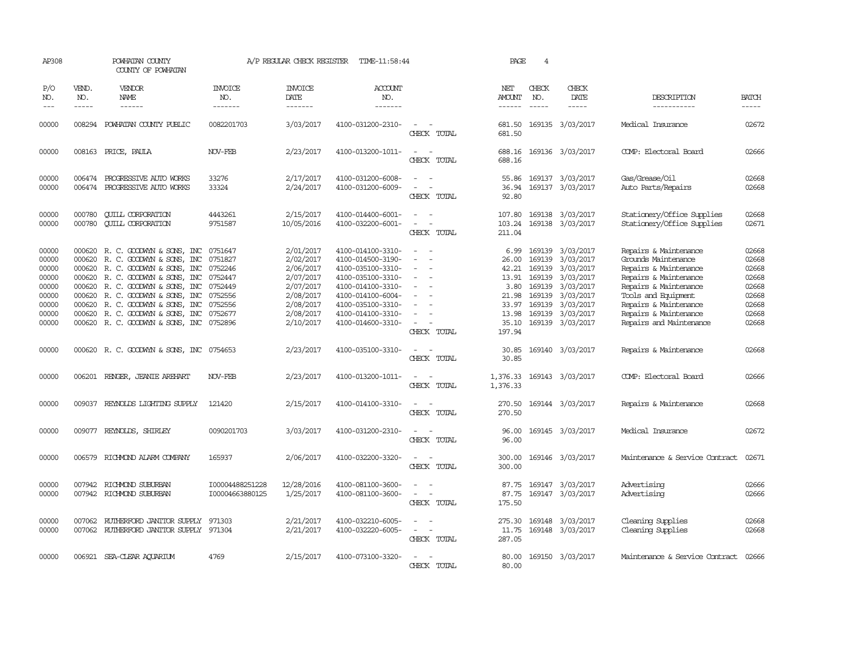| AP308                                                                         |                                                | POWHATAN COUNTY<br>COUNTY OF POWHATAN                                                                                                                                                                                                                                                                 |                                                                                      | A/P REGULAR CHECK REGISTER                                                                                        | TIME-11:58:44                                                                                                                                                                             |                                                                                                                                                                             | PAGE                                                                                  | 4                                                                  |                                                                                                                                 |                                                                                                                                                                                                                             |                                                                               |
|-------------------------------------------------------------------------------|------------------------------------------------|-------------------------------------------------------------------------------------------------------------------------------------------------------------------------------------------------------------------------------------------------------------------------------------------------------|--------------------------------------------------------------------------------------|-------------------------------------------------------------------------------------------------------------------|-------------------------------------------------------------------------------------------------------------------------------------------------------------------------------------------|-----------------------------------------------------------------------------------------------------------------------------------------------------------------------------|---------------------------------------------------------------------------------------|--------------------------------------------------------------------|---------------------------------------------------------------------------------------------------------------------------------|-----------------------------------------------------------------------------------------------------------------------------------------------------------------------------------------------------------------------------|-------------------------------------------------------------------------------|
| P/O<br>NO.<br>$- - -$                                                         | VEND.<br>NO.<br>$\frac{1}{2}$                  | VENDOR<br>NAME<br>$- - - - - -$                                                                                                                                                                                                                                                                       | INVOICE<br>NO.<br>--------                                                           | <b>INVOICE</b><br>DATE<br>$- - - - - - -$                                                                         | <b>ACCOUNT</b><br>NO.<br>-------                                                                                                                                                          |                                                                                                                                                                             | NET<br><b>AMOUNT</b><br>$- - - - - -$                                                 | CHECK<br>NO.<br>$\frac{1}{2}$                                      | CHECK<br>DATE<br>$- - - - -$                                                                                                    | DESCRIPTION<br>-----------                                                                                                                                                                                                  | <b>BATCH</b><br>$\frac{1}{2}$                                                 |
| 00000                                                                         | 008294                                         | POWHATAN COUNTY PUBLIC                                                                                                                                                                                                                                                                                | 0082201703                                                                           | 3/03/2017                                                                                                         | 4100-031200-2310-                                                                                                                                                                         | CHECK TOTAL                                                                                                                                                                 | 681.50<br>681.50                                                                      |                                                                    | 169135 3/03/2017                                                                                                                | Medical Insurance                                                                                                                                                                                                           | 02672                                                                         |
| 00000                                                                         | 008163                                         | PRICE, PAULA                                                                                                                                                                                                                                                                                          | NOV-FEB                                                                              | 2/23/2017                                                                                                         | 4100-013200-1011-                                                                                                                                                                         | CHECK TOTAL                                                                                                                                                                 | 688.16<br>688.16                                                                      |                                                                    | 169136 3/03/2017                                                                                                                | COMP: Electoral Board                                                                                                                                                                                                       | 02666                                                                         |
| 00000<br>00000                                                                | 006474<br>006474                               | PROGRESSIVE AUTO WORKS<br>PROGRESSIVE AUTO WORKS                                                                                                                                                                                                                                                      | 33276<br>33324                                                                       | 2/17/2017<br>2/24/2017                                                                                            | 4100-031200-6008-<br>4100-031200-6009-                                                                                                                                                    | CHECK TOTAL                                                                                                                                                                 | 55.86<br>36.94<br>92.80                                                               |                                                                    | 169137 3/03/2017<br>169137 3/03/2017                                                                                            | Gas/Grease/Oil<br>Auto Parts/Repairs                                                                                                                                                                                        | 02668<br>02668                                                                |
| 00000<br>00000                                                                | 000780<br>000780                               | <b>CUILL CORPORATION</b><br><b>QUILL CORPORATION</b>                                                                                                                                                                                                                                                  | 4443261<br>9751587                                                                   | 2/15/2017<br>10/05/2016                                                                                           | 4100-014400-6001-<br>4100-032200-6001-                                                                                                                                                    | CHECK TOTAL                                                                                                                                                                 | 107.80<br>103.24<br>211.04                                                            |                                                                    | 169138 3/03/2017<br>169138 3/03/2017                                                                                            | Stationery/Office Supplies<br>Stationery/Office Supplies                                                                                                                                                                    | 02668<br>02671                                                                |
| 00000<br>00000<br>00000<br>00000<br>00000<br>00000<br>00000<br>00000<br>00000 | 000620<br>000620<br>000620<br>000620<br>000620 | 000620 R. C. GOODWYN & SONS, INC<br>R. C. GOODWYN & SONS, INC<br>000620 R. C. GOODWYN & SONS, INC<br>R. C. GOODWYN & SONS, INC<br>R. C. GOODWYN & SONS, INC<br>000620 R. C. GOODWYN & SONS, INC<br>R. C. GOODWYN & SONS, INC<br>R. C. GOODWYN & SONS, INC<br>000620 R. C. GOODWYN & SONS, INC 0752896 | 0751647<br>0751827<br>0752246<br>0752447<br>0752449<br>0752556<br>0752556<br>0752677 | 2/01/2017<br>2/02/2017<br>2/06/2017<br>2/07/2017<br>2/07/2017<br>2/08/2017<br>2/08/2017<br>2/08/2017<br>2/10/2017 | 4100-014100-3310-<br>4100-014500-3190-<br>4100-035100-3310-<br>4100-035100-3310-<br>4100-014100-3310-<br>4100-014100-6004-<br>4100-035100-3310-<br>4100-014100-3310-<br>4100-014600-3310- | $\overline{\phantom{a}}$<br>$\overline{\phantom{a}}$<br>$\sim$<br>$\overline{\phantom{a}}$<br>$\sim$<br>$\overline{\phantom{a}}$<br>$\overline{\phantom{a}}$<br>CHECK TOTAL | 6.99<br>26.00<br>42.21<br>13.91<br>3.80<br>21.98<br>33.97<br>13.98<br>35.10<br>197.94 | 169139<br>169139<br>169139<br>169139<br>169139<br>169139<br>169139 | 169139 3/03/2017<br>3/03/2017<br>3/03/2017<br>3/03/2017<br>3/03/2017<br>3/03/2017<br>3/03/2017<br>3/03/2017<br>169139 3/03/2017 | Repairs & Maintenance<br>Grounds Maintenance<br>Repairs & Maintenance<br>Repairs & Maintenance<br>Repairs & Maintenance<br>Tools and Equipment<br>Repairs & Maintenance<br>Repairs & Maintenance<br>Repairs and Maintenance | 02668<br>02668<br>02668<br>02668<br>02668<br>02668<br>02668<br>02668<br>02668 |
| 00000                                                                         |                                                | 000620 R. C. GOODWYN & SONS, INC 0754653                                                                                                                                                                                                                                                              |                                                                                      | 2/23/2017                                                                                                         | 4100-035100-3310-                                                                                                                                                                         | $\overline{\phantom{a}}$<br>$\sim$<br>CHECK TOTAL                                                                                                                           | 30.85<br>30.85                                                                        |                                                                    | 169140 3/03/2017                                                                                                                | Repairs & Maintenance                                                                                                                                                                                                       | 02668                                                                         |
| 00000                                                                         |                                                | 006201 RENGER, JEANIE AREHART                                                                                                                                                                                                                                                                         | NOV-FEB                                                                              | 2/23/2017                                                                                                         | 4100-013200-1011-                                                                                                                                                                         | CHECK TOTAL                                                                                                                                                                 | 1,376.33<br>1,376.33                                                                  |                                                                    | 169143 3/03/2017                                                                                                                | COMP: Electoral Board                                                                                                                                                                                                       | 02666                                                                         |
| 00000                                                                         |                                                | 009037 REYNOLDS LIGHTING SUPPLY                                                                                                                                                                                                                                                                       | 121420                                                                               | 2/15/2017                                                                                                         | 4100-014100-3310-                                                                                                                                                                         | $\sim$<br>CHECK TOTAL                                                                                                                                                       | 270.50<br>270.50                                                                      |                                                                    | 169144 3/03/2017                                                                                                                | Repairs & Maintenance                                                                                                                                                                                                       | 02668                                                                         |
| 00000                                                                         |                                                | 009077 REYNOLDS, SHIRLEY                                                                                                                                                                                                                                                                              | 0090201703                                                                           | 3/03/2017                                                                                                         | 4100-031200-2310-                                                                                                                                                                         | CHECK TOTAL                                                                                                                                                                 | 96.00<br>96.00                                                                        |                                                                    | 169145 3/03/2017                                                                                                                | Medical Insurance                                                                                                                                                                                                           | 02672                                                                         |
| 00000                                                                         |                                                | 006579 RICHMOND ALARM COMPANY                                                                                                                                                                                                                                                                         | 165937                                                                               | 2/06/2017                                                                                                         | 4100-032200-3320-                                                                                                                                                                         | CHECK TOTAL                                                                                                                                                                 | 300.00<br>300.00                                                                      |                                                                    | 169146 3/03/2017                                                                                                                | Maintenance & Service Contract                                                                                                                                                                                              | 02671                                                                         |
| 00000<br>00000                                                                | 007942<br>007942                               | RICHMOND SUBURBAN<br>RICHMOND SUBURBAN                                                                                                                                                                                                                                                                | I00004488251228<br>I00004663880125                                                   | 12/28/2016<br>1/25/2017                                                                                           | 4100-081100-3600-<br>4100-081100-3600-                                                                                                                                                    | $\overline{\phantom{a}}$<br>CHECK TOTAL                                                                                                                                     | 87.75<br>87.75<br>175.50                                                              |                                                                    | 169147 3/03/2017<br>169147 3/03/2017                                                                                            | Advertising<br>Advertising                                                                                                                                                                                                  | 02666<br>02666                                                                |
| 00000<br>00000                                                                | 007062                                         | RUTHERFORD JANITOR SUPPLY<br>007062 RUIHERFORD JANITOR SUPPLY 971304                                                                                                                                                                                                                                  | 971303                                                                               | 2/21/2017<br>2/21/2017                                                                                            | 4100-032210-6005-<br>4100-032220-6005-                                                                                                                                                    | $\sim$ 10 $\,$<br>$\sim$<br>CHECK TOTAL                                                                                                                                     | 275.30<br>11.75<br>287.05                                                             |                                                                    | 169148 3/03/2017<br>169148 3/03/2017                                                                                            | Cleaning Supplies<br>Cleaning Supplies                                                                                                                                                                                      | 02668<br>02668                                                                |
| 00000                                                                         |                                                | 006921 SEA-CLEAR AQUARIUM                                                                                                                                                                                                                                                                             | 4769                                                                                 | 2/15/2017                                                                                                         | 4100-073100-3320-                                                                                                                                                                         | CHECK<br>TOTAL                                                                                                                                                              | 80.00<br>80.00                                                                        |                                                                    | 169150 3/03/2017                                                                                                                | Maintenance & Service Contract                                                                                                                                                                                              | 02666                                                                         |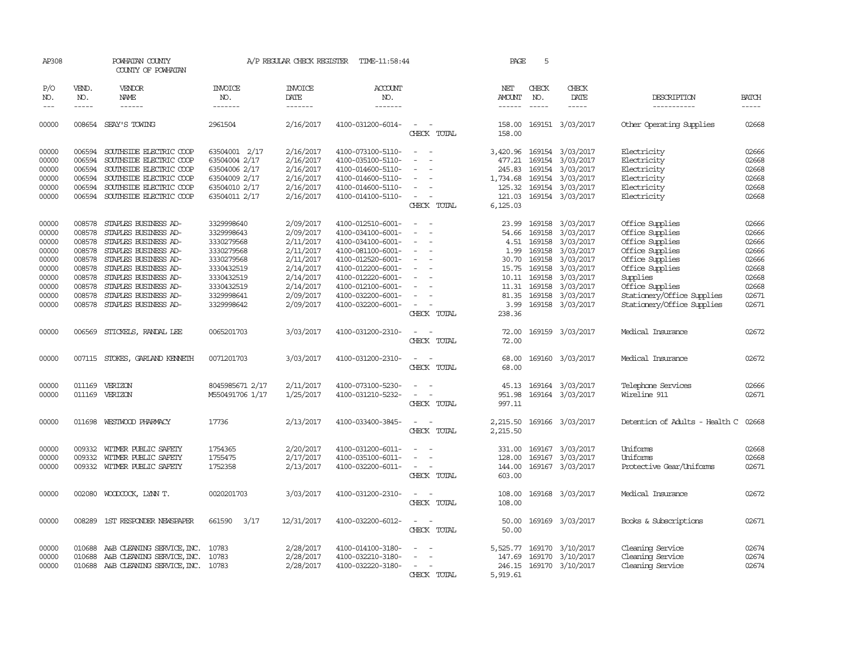| AP308               |                             | POWHATAN COUNTY<br>COUNTY OF POWHATAN   |                                  | A/P REGULAR CHECK REGISTER        | TIME-11:58:44                    |                                                                                                                             | PAGE                                  | 5                           |                         |                                |                             |
|---------------------|-----------------------------|-----------------------------------------|----------------------------------|-----------------------------------|----------------------------------|-----------------------------------------------------------------------------------------------------------------------------|---------------------------------------|-----------------------------|-------------------------|--------------------------------|-----------------------------|
| P/O<br>NO.<br>$---$ | VEND.<br>NO.<br>$- - - - -$ | VENDOR<br><b>NAME</b><br>$- - - - - -$  | <b>INVOICE</b><br>NO.<br>------- | <b>INVOICE</b><br>DATE<br>------- | <b>ACCOUNT</b><br>NO.<br>------- |                                                                                                                             | NET<br><b>AMOUNT</b><br>$- - - - - -$ | CHECK<br>NO.<br>$- - - - -$ | CHECK<br>DATE<br>-----  | DESCRIPTION<br>-----------     | <b>BATCH</b><br>$- - - - -$ |
|                     |                             |                                         |                                  |                                   |                                  |                                                                                                                             |                                       |                             |                         |                                |                             |
| 00000               |                             | 008654 SEAY'S TOWING                    | 2961504                          | 2/16/2017                         | 4100-031200-6014-                | $\frac{1}{2} \left( \frac{1}{2} \right) \left( \frac{1}{2} \right) = \frac{1}{2} \left( \frac{1}{2} \right)$<br>CHECK TOTAL | 158.00                                |                             | 158.00 169151 3/03/2017 | Other Operating Supplies       | 02668                       |
| 00000               | 006594                      | SOUTHSIDE ELECTRIC COOP                 | 63504001 2/17                    | 2/16/2017                         | 4100-073100-5110-                | $\sim$<br>$\sim$                                                                                                            | 3,420.96                              |                             | 169154 3/03/2017        | Electricity                    | 02666                       |
| 00000               | 006594                      | SOUTHSIDE ELECTRIC COOP                 | 63504004 2/17                    | 2/16/2017                         | 4100-035100-5110-                | $\overline{\phantom{a}}$<br>$\overline{\phantom{0}}$                                                                        | 477.21                                |                             | 169154 3/03/2017        | Electricity                    | 02668                       |
| 00000               | 006594                      | SOUTHSIDE ELECTRIC COOP                 | 63504006 2/17                    | 2/16/2017                         | 4100-014600-5110-                |                                                                                                                             | 245.83                                | 169154                      | 3/03/2017               | Electricity                    | 02668                       |
| 00000               | 006594                      | SOUTHSIDE ELECTRIC COOP                 | 63504009 2/17                    | 2/16/2017                         | 4100-014600-5110-                |                                                                                                                             | 1,734.68                              |                             | 169154 3/03/2017        | Electricity                    | 02668                       |
| 00000               | 006594                      | SOUTHSIDE ELECTRIC COOP                 | 63504010 2/17                    | 2/16/2017                         | 4100-014600-5110-                | $\sim$                                                                                                                      | 125.32                                |                             | 169154 3/03/2017        | Electricity                    | 02668                       |
| 00000               |                             | 006594 SOUTHSIDE ELECTRIC COOP          | 63504011 2/17                    | 2/16/2017                         | 4100-014100-5110-                | $\sim$                                                                                                                      | 121.03                                |                             | 169154 3/03/2017        | Electricity                    | 02668                       |
|                     |                             |                                         |                                  |                                   |                                  | CHECK TOTAL                                                                                                                 | 6, 125.03                             |                             |                         |                                |                             |
| 00000               | 008578                      | STAPLES BUSINESS AD-                    | 3329998640                       | 2/09/2017                         | 4100-012510-6001-                | $\overline{\phantom{a}}$<br>$\sim$                                                                                          | 23.99                                 |                             | 169158 3/03/2017        | Office Supplies                | 02666                       |
| 00000               | 008578                      | STAPLES BUSINESS AD-                    | 3329998643                       | 2/09/2017                         | 4100-034100-6001-                |                                                                                                                             | 54.66                                 | 169158                      | 3/03/2017               | Office Supplies                | 02666                       |
| 00000               | 008578                      | STAPLES BUSINESS AD-                    | 3330279568                       | 2/11/2017                         | 4100-034100-6001-                |                                                                                                                             | 4.51                                  | 169158                      | 3/03/2017               | Office Supplies                | 02666                       |
| 00000               |                             | 008578 STAPLES BUSINESS AD-             | 3330279568                       | 2/11/2017                         | 4100-081100-6001-                | $\sim$<br>$\overline{\phantom{a}}$                                                                                          | 1.99                                  | 169158                      | 3/03/2017               | Office Supplies                | 02666                       |
| 00000               |                             | 008578 STAPLES BUSINESS AD-             | 3330279568                       | 2/11/2017                         | 4100-012520-6001-                |                                                                                                                             | 30.70                                 | 169158                      | 3/03/2017               | Office Supplies                | 02666                       |
| 00000               | 008578                      | STAPLES BUSINESS AD-                    | 3330432519                       | 2/14/2017                         | 4100-012200-6001-                |                                                                                                                             | 15.75                                 | 169158                      | 3/03/2017               | Office Supplies                | 02668                       |
| 00000               | 008578                      | STAPLES BUSINESS AD-                    | 3330432519                       | 2/14/2017                         | 4100-012220-6001-                | $\overline{\phantom{a}}$                                                                                                    | 10.11                                 | 169158                      | 3/03/2017               | Supplies                       | 02668                       |
| 00000               | 008578                      | STAPLES BUSINESS AD-                    | 3330432519                       | 2/14/2017                         | 4100-012100-6001-                |                                                                                                                             | 11.31                                 | 169158                      | 3/03/2017               | Office Supplies                | 02668                       |
| 00000               | 008578                      | STAPLES BUSINESS AD-                    | 3329998641                       | 2/09/2017                         | 4100-032200-6001-                |                                                                                                                             | 81.35                                 | 169158                      | 3/03/2017               | Stationery/Office Supplies     | 02671                       |
| 00000               |                             | 008578 STAPLES BUSINESS AD-             | 3329998642                       | 2/09/2017                         | 4100-032200-6001-                | $\sim$ 100 $\mu$                                                                                                            | 3.99                                  |                             | 169158 3/03/2017        | Stationery/Office Supplies     | 02671                       |
|                     |                             |                                         |                                  |                                   |                                  | CHECK TOTAL                                                                                                                 | 238.36                                |                             |                         |                                |                             |
| 00000               | 006569                      | STICKELS, RANDAL LEE                    | 0065201703                       | 3/03/2017                         | 4100-031200-2310-                | $\sim$ $\sim$<br>CHECK TOTAL                                                                                                | 72.00<br>72.00                        |                             | 169159 3/03/2017        | Medical Insurance              | 02672                       |
| 00000               |                             | 007115 STOKES, GARLAND KENNETH          | 0071201703                       | 3/03/2017                         | 4100-031200-2310-                |                                                                                                                             | 68.00                                 |                             | 169160 3/03/2017        | Medical Insurance              | 02672                       |
|                     |                             |                                         |                                  |                                   |                                  | CHECK TOTAL                                                                                                                 | 68.00                                 |                             |                         |                                |                             |
| 00000               | 011169                      | VERIZON                                 | 8045985671 2/17                  | 2/11/2017                         | 4100-073100-5230-                |                                                                                                                             | 45.13                                 |                             | 169164 3/03/2017        | Telephone Services             | 02666                       |
| 00000               |                             | 011169 VERIZON                          | M550491706 1/17                  | 1/25/2017                         | 4100-031210-5232-                |                                                                                                                             | 951.98                                |                             | 169164 3/03/2017        | Wireline 911                   | 02671                       |
|                     |                             |                                         |                                  |                                   |                                  | CHECK TOTAL                                                                                                                 | 997.11                                |                             |                         |                                |                             |
| 00000               | 011698                      | WESTWOOD PHARMACY                       | 17736                            | 2/13/2017                         | 4100-033400-3845-                |                                                                                                                             | 2,215.50                              |                             | 169166 3/03/2017        | Detention of Adults - Health C | 02668                       |
|                     |                             |                                         |                                  |                                   |                                  | CHECK TOTAL                                                                                                                 | 2,215.50                              |                             |                         |                                |                             |
| 00000               |                             | 009332 WITMER PUBLIC SAFETY             | 1754365                          | 2/20/2017                         | 4100-031200-6011-                |                                                                                                                             | 331.00                                |                             | 169167 3/03/2017        | Uniforms                       | 02668                       |
| 00000               | 009332                      | WITMER PUBLIC SAFETY                    | 1755475                          | 2/17/2017                         | 4100-035100-6011-                |                                                                                                                             | 128.00                                |                             | 169167 3/03/2017        | Uniforms                       | 02668                       |
| 00000               |                             | 009332 WITMER PUBLIC SAFETY             | 1752358                          | 2/13/2017                         | 4100-032200-6011-                | $\sim$                                                                                                                      | 144.00                                |                             | 169167 3/03/2017        | Protective Gear/Uniforms       | 02671                       |
|                     |                             |                                         |                                  |                                   |                                  | CHECK TOTAL                                                                                                                 | 603.00                                |                             |                         |                                |                             |
| 00000               |                             | 002080 WOODCOCK, LYNN T.                | 0020201703                       | 3/03/2017                         | 4100-031200-2310-                |                                                                                                                             | 108.00                                |                             | 169168 3/03/2017        | Medical Insurance              | 02672                       |
|                     |                             |                                         |                                  |                                   |                                  | CHECK TOTAL                                                                                                                 | 108.00                                |                             |                         |                                |                             |
|                     |                             |                                         |                                  |                                   |                                  |                                                                                                                             |                                       |                             |                         |                                |                             |
| 00000               | 008289                      | 1ST RESPONDER NEWSPAPER                 | 661590<br>3/17                   | 12/31/2017                        | 4100-032200-6012-                | CHECK TOTAL                                                                                                                 | 50.00<br>50.00                        |                             | 169169 3/03/2017        | Books & Subscriptions          | 02671                       |
|                     |                             |                                         |                                  |                                   |                                  |                                                                                                                             |                                       |                             |                         |                                |                             |
| 00000               | 010688                      | A&B CLEANING SERVICE, INC.              | 10783                            | 2/28/2017                         | 4100-014100-3180-                |                                                                                                                             | 5,525.77                              |                             | 169170 3/10/2017        | Cleaning Service               | 02674                       |
| 00000               | 010688                      | A&B CLEANING SERVICE, INC.              | 10783                            | 2/28/2017                         | 4100-032210-3180-                |                                                                                                                             | 147.69                                |                             | 169170 3/10/2017        | Cleaning Service               | 02674                       |
| 00000               |                             | 010688 A&B CLEANING SERVICE, INC. 10783 |                                  | 2/28/2017                         | 4100-032220-3180-                | $\sim$                                                                                                                      |                                       |                             | 246.15 169170 3/10/2017 | Cleaning Service               | 02674                       |
|                     |                             |                                         |                                  |                                   |                                  | CHECK TOTAL                                                                                                                 | 5,919.61                              |                             |                         |                                |                             |
|                     |                             |                                         |                                  |                                   |                                  |                                                                                                                             |                                       |                             |                         |                                |                             |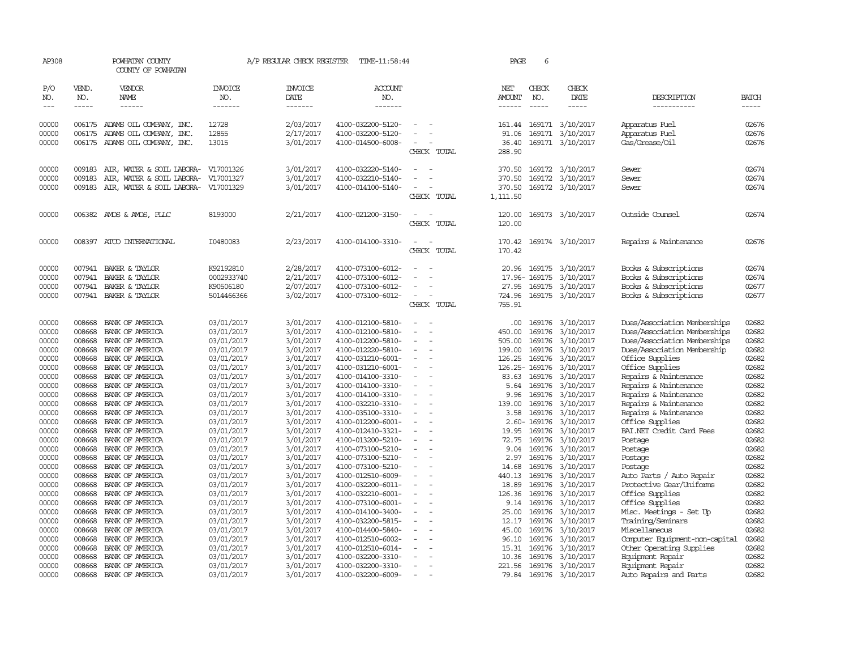| AP308                       |                             | POWHATAN COUNTY<br>COUNTY OF POWHATAN      |                           | A/P REGULAR CHECK REGISTER        | TIME-11:58:44                          |                          | PAGE                           | 6                           |                        |                                                |                             |
|-----------------------------|-----------------------------|--------------------------------------------|---------------------------|-----------------------------------|----------------------------------------|--------------------------|--------------------------------|-----------------------------|------------------------|------------------------------------------------|-----------------------------|
| P/O<br>NO.<br>$\frac{1}{2}$ | VEND.<br>NO.<br>$- - - - -$ | VENDOR<br><b>NAME</b><br>------            | INVOICE<br>NO.<br>------- | <b>INVOICE</b><br>DATE<br>------- | ACCOUNT<br>NO.<br>-------              |                          | NET<br>AMOUNT<br>$- - - - - -$ | CHECK<br>NO.<br>$- - - - -$ | CHECK<br>DATE<br>----- | DESCRIPTION<br>-----------                     | <b>BATCH</b><br>$- - - - -$ |
|                             |                             |                                            |                           |                                   |                                        |                          |                                |                             |                        |                                                |                             |
| 00000                       | 006175                      | ADAMS OIL COMPANY, INC.                    | 12728                     | 2/03/2017                         | 4100-032200-5120-                      | $\overline{\phantom{a}}$ | 161.44                         |                             | 169171 3/10/2017       | Apparatus Fuel                                 | 02676                       |
| 00000                       | 006175                      | ADAMS OIL COMPANY, INC.                    | 12855                     | 2/17/2017                         | 4100-032200-5120-                      |                          | 91.06                          |                             | 169171 3/10/2017       | Apparatus Fuel                                 | 02676                       |
| 00000                       | 006175                      | ADAMS OIL COMPANY, INC.                    | 13015                     | 3/01/2017                         | 4100-014500-6008-                      |                          | 36.40                          |                             | 169171 3/10/2017       | Gas/Grease/Oil                                 | 02676                       |
|                             |                             |                                            |                           |                                   |                                        | CHECK TOTAL              | 288.90                         |                             |                        |                                                |                             |
| 00000                       | 009183                      | AIR, WATER & SOIL LABORA-                  | V17001326                 | 3/01/2017                         | 4100-032220-5140-                      |                          | 370.50                         |                             | 169172 3/10/2017       | Sewer                                          | 02674                       |
| 00000                       | 009183                      | AIR, WATER & SOIL LABORA-                  | V17001327                 | 3/01/2017                         | 4100-032210-5140-                      |                          | 370.50                         |                             | 169172 3/10/2017       | Sewer                                          | 02674                       |
| 00000                       |                             | 009183 AIR, WATER & SOIL LABORA- V17001329 |                           | 3/01/2017                         | 4100-014100-5140-                      |                          | 370.50                         |                             | 169172 3/10/2017       | Sewer                                          | 02674                       |
|                             |                             |                                            |                           |                                   |                                        | CHECK TOTAL              | 1,111.50                       |                             |                        |                                                |                             |
| 00000                       |                             | 006382 AMOS & AMOS, PLLC                   | 8193000                   | 2/21/2017                         | 4100-021200-3150-                      |                          | 120.00                         |                             | 169173 3/10/2017       | Outside Counsel                                | 02674                       |
|                             |                             |                                            |                           |                                   |                                        | CHECK TOTAL              | 120.00                         |                             |                        |                                                |                             |
| 00000                       | 008397                      | ATCO INTERNATIONAL                         | I0480083                  | 2/23/2017                         | 4100-014100-3310-                      |                          | 170.42                         |                             | 169174 3/10/2017       | Repairs & Maintenance                          | 02676                       |
|                             |                             |                                            |                           |                                   |                                        | CHECK TOTAL              | 170.42                         |                             |                        |                                                |                             |
| 00000                       |                             | 007941 BAKER & TAYLOR                      | K92192810                 | 2/28/2017                         | 4100-073100-6012-                      |                          | 20.96                          |                             | 169175 3/10/2017       | Books & Subscriptions                          | 02674                       |
| 00000                       | 007941                      | BAKER & TAYLOR                             | 0002933740                | 2/21/2017                         | 4100-073100-6012-                      |                          |                                | 17.96- 169175               | 3/10/2017              | Books & Subscriptions                          | 02674                       |
| 00000                       | 007941                      | BAKER & TAYLOR                             | K90506180                 | 2/07/2017                         | 4100-073100-6012-                      | $\equiv$                 | 27.95                          |                             | 169175 3/10/2017       | Books & Subscriptions                          | 02677                       |
| 00000                       |                             | 007941 BAKER & TAYLOR                      | 5014466366                | 3/02/2017                         | 4100-073100-6012-                      |                          | 724.96                         |                             | 169175 3/10/2017       | Books & Subscriptions                          | 02677                       |
|                             |                             |                                            |                           |                                   |                                        | CHECK TOTAL              | 755.91                         |                             |                        |                                                |                             |
| 00000                       | 008668                      | BANK OF AMERICA                            | 03/01/2017                | 3/01/2017                         | 4100-012100-5810-                      | $\equiv$<br>- 11         | .00                            |                             | 169176 3/10/2017       | Dues/Association Memberships                   | 02682                       |
| 00000                       | 008668                      | BANK OF AMERICA                            | 03/01/2017                | 3/01/2017                         | 4100-012100-5810-                      |                          | 450.00                         | 169176                      | 3/10/2017              | Dues/Association Memberships                   | 02682                       |
| 00000                       | 008668                      | BANK OF AMERICA                            | 03/01/2017                | 3/01/2017                         | 4100-012200-5810-                      |                          | 505.00                         | 169176                      | 3/10/2017              | Dues/Association Memberships                   | 02682                       |
| 00000                       | 008668                      | BANK OF AMERICA                            | 03/01/2017                | 3/01/2017                         | 4100-012220-5810-                      | $\equiv$                 | 199.00                         | 169176                      | 3/10/2017              | Dues/Association Membership                    | 02682                       |
| 00000                       | 008668                      | BANK OF AMERICA                            | 03/01/2017                | 3/01/2017                         | 4100-031210-6001-                      |                          | 126.25                         | 169176                      | 3/10/2017              | Office Supplies                                | 02682                       |
| 00000                       | 008668                      | BANK OF AMERICA                            | 03/01/2017                | 3/01/2017                         | 4100-031210-6001-                      |                          |                                | 126.25-169176               | 3/10/2017              | Office Supplies                                | 02682                       |
| 00000                       | 008668                      | BANK OF AMERICA                            | 03/01/2017                | 3/01/2017                         | 4100-014100-3310-                      |                          | 83.63                          | 169176                      | 3/10/2017              | Repairs & Maintenance                          | 02682                       |
| 00000<br>00000              | 008668<br>008668            | BANK OF AMERICA                            | 03/01/2017                | 3/01/2017                         | 4100-014100-3310-<br>4100-014100-3310- | $\equiv$<br>$\sim$       | 5.64                           | 169176<br>169176            | 3/10/2017              | Repairs & Maintenance                          | 02682<br>02682              |
| 00000                       | 008668                      | BANK OF AMERICA<br>BANK OF AMERICA         | 03/01/2017<br>03/01/2017  | 3/01/2017<br>3/01/2017            | 4100-032210-3310-                      |                          | 9.96<br>139.00                 | 169176                      | 3/10/2017<br>3/10/2017 | Repairs & Maintenance<br>Repairs & Maintenance | 02682                       |
| 00000                       | 008668                      | BANK OF AMERICA                            | 03/01/2017                | 3/01/2017                         | 4100-035100-3310-                      | $\overline{\phantom{a}}$ | 3.58                           | 169176                      | 3/10/2017              | Repairs & Maintenance                          | 02682                       |
| 00000                       | 008668                      | BANK OF AMERICA                            | 03/01/2017                | 3/01/2017                         | 4100-012200-6001-                      | $\overline{\phantom{a}}$ |                                | 2.60-169176                 | 3/10/2017              | Office Supplies                                | 02682                       |
| 00000                       | 008668                      | BANK OF AMERICA                            | 03/01/2017                | 3/01/2017                         | 4100-012410-3321-                      |                          | 19.95                          | 169176                      | 3/10/2017              | BAI.NET Credit Card Fees                       | 02682                       |
| 00000                       | 008668                      | BANK OF AMERICA                            | 03/01/2017                | 3/01/2017                         | 4100-013200-5210-                      |                          | 72.75                          | 169176                      | 3/10/2017              | Postage                                        | 02682                       |
| 00000                       | 008668                      | BANK OF AMERICA                            | 03/01/2017                | 3/01/2017                         | 4100-073100-5210-                      | $\equiv$                 | 9.04                           |                             | 169176 3/10/2017       | Postage                                        | 02682                       |
| 00000                       | 008668                      | BANK OF AMERICA                            | 03/01/2017                | 3/01/2017                         | 4100-073100-5210-                      |                          | 2.97                           | 169176                      | 3/10/2017              | Postage                                        | 02682                       |
| 00000                       | 008668                      | BANK OF AMERICA                            | 03/01/2017                | 3/01/2017                         | 4100-073100-5210-                      |                          | 14.68                          | 169176                      | 3/10/2017              | Postage                                        | 02682                       |
| 00000                       | 008668                      | BANK OF AMERICA                            | 03/01/2017                | 3/01/2017                         | 4100-012510-6009-                      |                          | 440.13                         |                             | 169176 3/10/2017       | Auto Parts / Auto Repair                       | 02682                       |
| 00000                       | 008668                      | BANK OF AMERICA                            | 03/01/2017                | 3/01/2017                         | 4100-032200-6011-                      | $\overline{\phantom{a}}$ | 18.89                          | 169176                      | 3/10/2017              | Protective Gear/Uniforms                       | 02682                       |
| 00000                       | 008668                      | BANK OF AMERICA                            | 03/01/2017                | 3/01/2017                         | 4100-032210-6001-                      |                          | 126.36                         | 169176                      | 3/10/2017              | Office Supplies                                | 02682                       |
| 00000                       | 008668                      | BANK OF AMERICA                            | 03/01/2017                | 3/01/2017                         | 4100-073100-6001-                      |                          | 9.14                           | 169176                      | 3/10/2017              | Office Supplies                                | 02682                       |
| 00000                       | 008668                      | BANK OF AMERICA                            | 03/01/2017                | 3/01/2017                         | 4100-014100-3400-                      |                          | 25.00                          | 169176                      | 3/10/2017              | Misc. Meetings - Set Up                        | 02682                       |
| 00000                       | 008668                      | BANK OF AMERICA                            | 03/01/2017                | 3/01/2017                         | 4100-032200-5815-                      |                          | 12.17                          | 169176                      | 3/10/2017              | Training/Seminars                              | 02682                       |
| 00000                       | 008668                      | BANK OF AMERICA                            | 03/01/2017                | 3/01/2017                         | 4100-014400-5840-                      |                          | 45.00                          | 169176                      | 3/10/2017              | Miscellaneous                                  | 02682                       |
| 00000                       | 008668                      | BANK OF AMERICA                            | 03/01/2017                | 3/01/2017                         | 4100-012510-6002-                      |                          | 96.10                          | 169176                      | 3/10/2017              | Computer Equipment-non-capital                 | 02682                       |
| 00000                       | 008668                      | BANK OF AMERICA                            | 03/01/2017<br>03/01/2017  | 3/01/2017<br>3/01/2017            | 4100-012510-6014-                      | $\overline{\phantom{a}}$ | 15.31<br>10.36                 | 169176<br>169176            | 3/10/2017              | Other Operating Supplies<br>Equipment Repair   | 02682<br>02682              |
| 00000<br>00000              | 008668<br>008668            | BANK OF AMERICA<br>BANK OF AMERICA         | 03/01/2017                | 3/01/2017                         | 4100-032200-3310-<br>4100-032200-3310- |                          | 221.56                         | 169176                      | 3/10/2017<br>3/10/2017 | Equipment Repair                               | 02682                       |
| 00000                       |                             | 008668 BANK OF AMERICA                     | 03/01/2017                | 3/01/2017                         | 4100-032200-6009-                      | $\overline{\phantom{a}}$ | 79.84                          |                             | 169176 3/10/2017       | Auto Repairs and Parts                         | 02682                       |
|                             |                             |                                            |                           |                                   |                                        |                          |                                |                             |                        |                                                |                             |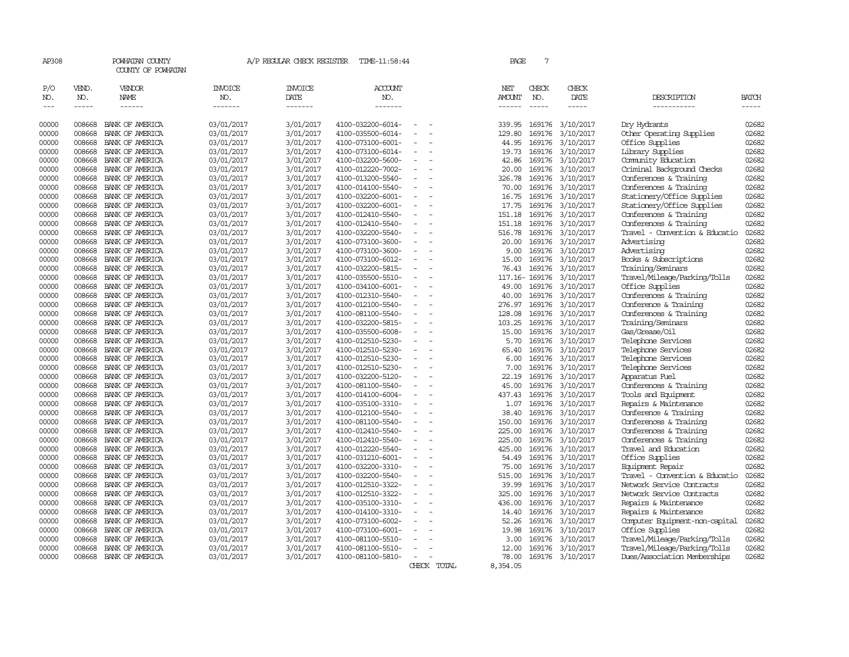| AP308                       |                       | POWHATAN COUNTY<br>COUNTY OF POWHATAN |                                  | A/P REGULAR CHECK REGISTER        | TIME-11:58:44                          |                          |             | PAGE                           | $\overline{7}$              |                              |                                                              |                       |
|-----------------------------|-----------------------|---------------------------------------|----------------------------------|-----------------------------------|----------------------------------------|--------------------------|-------------|--------------------------------|-----------------------------|------------------------------|--------------------------------------------------------------|-----------------------|
| P/O<br>NO.<br>$\frac{1}{2}$ | VEND.<br>NO.<br>----- | VENDOR<br><b>NAME</b>                 | <b>INVOICE</b><br>NO.<br>------- | <b>INVOICE</b><br>DATE<br>------- | <b>ACCOUNT</b><br>NO.<br>-------       |                          |             | NET<br><b>AMOUNT</b><br>------ | CHECK<br>NO.<br>$- - - - -$ | CHECK<br>DATE<br>$- - - - -$ | DESCRIPTION<br>-----------                                   | <b>BATCH</b><br>----- |
| 00000                       | 008668                | BANK OF AMERICA                       | 03/01/2017                       | 3/01/2017                         | 4100-032200-6014-                      |                          |             | 339.95                         |                             | 169176 3/10/2017             | Dry Hydrants                                                 | 02682                 |
| 00000                       | 008668                | BANK OF AMERICA                       | 03/01/2017                       | 3/01/2017                         | 4100-035500-6014-                      |                          |             | 129.80                         | 169176                      | 3/10/2017                    | Other Operating Supplies                                     | 02682                 |
| 00000                       | 008668                | BANK OF AMERICA                       | 03/01/2017                       | 3/01/2017                         | 4100-073100-6001-                      | $\sim$                   |             | 44.95                          | 169176                      | 3/10/2017                    | Office Supplies                                              | 02682                 |
| 00000                       | 008668                | BANK OF AMERICA                       | 03/01/2017                       | 3/01/2017                         | 4100-073100-6014-                      |                          |             | 19.73                          | 169176                      | 3/10/2017                    | Library Supplies                                             | 02682                 |
| 00000                       | 008668                | BANK OF AMERICA                       | 03/01/2017                       | 3/01/2017                         | 4100-032200-5600-                      |                          |             | 42.86                          | 169176                      | 3/10/2017                    | Community Education                                          | 02682                 |
| 00000                       | 008668                | BANK OF AMERICA                       | 03/01/2017                       | 3/01/2017                         | 4100-012220-7002-                      | $\equiv$                 |             | 20.00                          | 169176                      | 3/10/2017                    | Criminal Background Checks                                   | 02682                 |
| 00000                       | 008668                | BANK OF AMERICA                       | 03/01/2017                       | 3/01/2017                         | 4100-013200-5540-                      |                          |             | 326.78                         | 169176                      | 3/10/2017                    | Conferences & Training                                       | 02682                 |
| 00000                       | 008668                | BANK OF AMERICA                       | 03/01/2017                       | 3/01/2017                         | 4100-014100-5540-                      |                          |             | 70.00                          | 169176                      | 3/10/2017                    | Conferences & Training                                       | 02682                 |
| 00000                       | 008668                | BANK OF AMERICA                       | 03/01/2017                       | 3/01/2017                         | 4100-032200-6001-                      | $\equiv$                 |             | 16.75                          | 169176                      | 3/10/2017                    | Stationery/Office Supplies                                   | 02682                 |
| 00000                       | 008668                | BANK OF AMERICA                       | 03/01/2017                       | 3/01/2017                         | 4100-032200-6001-                      | $\equiv$                 |             | 17.75                          | 169176                      | 3/10/2017                    | Stationery/Office Supplies                                   | 02682                 |
| 00000                       | 008668                | BANK OF AMERICA                       | 03/01/2017                       | 3/01/2017                         | 4100-012410-5540-                      | $\overline{a}$           |             | 151.18                         | 169176                      | 3/10/2017                    | Conferences & Training                                       | 02682                 |
| 00000                       | 008668                | BANK OF AMERICA                       | 03/01/2017                       | 3/01/2017                         | 4100-012410-5540-                      | $\overline{\phantom{a}}$ |             | 151.18                         | 169176                      | 3/10/2017                    | Conferences & Training                                       | 02682                 |
| 00000                       | 008668                | BANK OF AMERICA                       | 03/01/2017                       | 3/01/2017                         | 4100-032200-5540-                      | $\sim$                   |             | 516.78                         | 169176                      | 3/10/2017                    | Travel - Convention & Educatio                               | 02682                 |
| 00000                       | 008668                | BANK OF AMERICA                       | 03/01/2017                       | 3/01/2017                         | 4100-073100-3600-                      |                          |             | 20.00                          | 169176                      | 3/10/2017                    | Advertising                                                  | 02682                 |
| 00000                       | 008668                | BANK OF AMERICA                       | 03/01/2017                       | 3/01/2017                         | 4100-073100-3600-                      |                          |             | 9.00                           | 169176                      | 3/10/2017                    | Advertising                                                  | 02682                 |
| 00000                       | 008668                | BANK OF AMERICA                       | 03/01/2017                       | 3/01/2017                         | 4100-073100-6012-                      | $\sim$                   |             | 15.00                          | 169176                      | 3/10/2017                    | Books & Subscriptions                                        | 02682                 |
| 00000                       | 008668                | BANK OF AMERICA                       | 03/01/2017                       | 3/01/2017                         | 4100-032200-5815-                      |                          |             | 76.43                          | 169176                      | 3/10/2017                    | Training/Seminars                                            | 02682                 |
| 00000<br>00000              | 008668<br>008668      | BANK OF AMERICA<br>BANK OF AMERICA    | 03/01/2017                       | 3/01/2017<br>3/01/2017            | 4100-035500-5510-<br>4100-034100-6001- | $\equiv$                 |             | 117.16-<br>49.00               | 169176<br>169176            | 3/10/2017<br>3/10/2017       | Travel/Mileage/Parking/Tolls<br>Office Supplies              | 02682<br>02682        |
| 00000                       | 008668                | BANK OF AMERICA                       | 03/01/2017<br>03/01/2017         | 3/01/2017                         | 4100-012310-5540-                      | $\equiv$                 |             | 40.00                          | 169176                      | 3/10/2017                    | Conferences & Training                                       | 02682                 |
| 00000                       | 008668                | BANK OF AMERICA                       | 03/01/2017                       | 3/01/2017                         | 4100-012100-5540-                      | $\equiv$                 |             | 276.97                         | 169176                      | 3/10/2017                    | Conference & Training                                        | 02682                 |
| 00000                       | 008668                | BANK OF AMERICA                       | 03/01/2017                       | 3/01/2017                         | 4100-081100-5540-                      | $\equiv$                 |             | 128.08                         | 169176                      | 3/10/2017                    | Conferences & Training                                       | 02682                 |
| 00000                       | 008668                | BANK OF AMERICA                       | 03/01/2017                       | 3/01/2017                         | 4100-032200-5815-                      | $\overline{\phantom{a}}$ |             | 103.25                         | 169176                      | 3/10/2017                    | Training/Seminars                                            | 02682                 |
| 00000                       | 008668                | BANK OF AMERICA                       | 03/01/2017                       | 3/01/2017                         | 4100-035500-6008-                      | $\equiv$                 |             | 15.00                          | 169176                      | 3/10/2017                    | Gas/Grease/Oil                                               | 02682                 |
| 00000                       | 008668                | BANK OF AMERICA                       | 03/01/2017                       | 3/01/2017                         | 4100-012510-5230-                      |                          |             | 5.70                           | 169176                      | 3/10/2017                    | Telephone Services                                           | 02682                 |
| 00000                       | 008668                | BANK OF AMERICA                       | 03/01/2017                       | 3/01/2017                         | 4100-012510-5230-                      | $\equiv$                 |             | 65.40                          |                             | 169176 3/10/2017             | Telephone Services                                           | 02682                 |
| 00000                       | 008668                | BANK OF AMERICA                       | 03/01/2017                       | 3/01/2017                         | 4100-012510-5230-                      | $\equiv$                 |             | 6.00                           | 169176                      | 3/10/2017                    | Telephone Services                                           | 02682                 |
| 00000                       | 008668                | BANK OF AMERICA                       | 03/01/2017                       | 3/01/2017                         | 4100-012510-5230-                      |                          |             | 7.00                           | 169176                      | 3/10/2017                    | Telephone Services                                           | 02682                 |
| 00000                       | 008668                | BANK OF AMERICA                       | 03/01/2017                       | 3/01/2017                         | 4100-032200-5120-                      | $\equiv$                 |             | 22.19                          | 169176                      | 3/10/2017                    | Apparatus Fuel                                               | 02682                 |
| 00000                       | 008668                | BANK OF AMERICA                       | 03/01/2017                       | 3/01/2017                         | 4100-081100-5540-                      | $\overline{\phantom{a}}$ |             | 45.00                          | 169176                      | 3/10/2017                    | Conferences & Training                                       | 02682                 |
| 00000                       | 008668                | BANK OF AMERICA                       | 03/01/2017                       | 3/01/2017                         | 4100-014100-6004-                      |                          |             | 437.43                         | 169176                      | 3/10/2017                    | Tools and Equipment                                          | 02682                 |
| 00000                       | 008668                | BANK OF AMERICA                       | 03/01/2017                       | 3/01/2017                         | 4100-035100-3310-                      | $\overline{\phantom{a}}$ |             | 1.07                           | 169176                      | 3/10/2017                    | Repairs & Maintenance                                        | 02682                 |
| 00000                       | 008668                | BANK OF AMERICA                       | 03/01/2017                       | 3/01/2017                         | 4100-012100-5540-                      |                          |             | 38.40                          | 169176                      | 3/10/2017                    | Conference & Training                                        | 02682                 |
| 00000                       | 008668                | BANK OF AMERICA                       | 03/01/2017                       | 3/01/2017                         | 4100-081100-5540-                      | $\overline{a}$           |             | 150.00                         | 169176                      | 3/10/2017                    | Conferences & Training                                       | 02682                 |
| 00000                       | 008668                | BANK OF AMERICA                       | 03/01/2017                       | 3/01/2017                         | 4100-012410-5540-                      | $\sim$                   |             | 225.00                         | 169176                      | 3/10/2017                    | Conferences & Training                                       | 02682                 |
| 00000                       | 008668                | BANK OF AMERICA                       | 03/01/2017                       | 3/01/2017                         | 4100-012410-5540-                      | $\equiv$                 |             | 225.00                         | 169176                      | 3/10/2017                    | Conferences & Training                                       | 02682                 |
| 00000                       | 008668                | BANK OF AMERICA                       | 03/01/2017                       | 3/01/2017                         | 4100-012220-5540-                      | $\sim$                   |             | 425.00                         | 169176                      | 3/10/2017                    | Travel and Education                                         | 02682                 |
| 00000                       | 008668                | BANK OF AMERICA                       | 03/01/2017                       | 3/01/2017                         | 4100-031210-6001-                      | $\equiv$                 |             | 54.49                          | 169176                      | 3/10/2017                    | Office Supplies                                              | 02682                 |
| 00000                       | 008668                | BANK OF AMERICA                       | 03/01/2017                       | 3/01/2017                         | 4100-032200-3310-                      | $\omega$                 |             | 75.00                          | 169176                      | 3/10/2017                    | Equipment Repair                                             | 02682                 |
| 00000                       | 008668                | BANK OF AMERICA                       | 03/01/2017                       | 3/01/2017                         | 4100-032200-5540-                      | $\overline{\phantom{a}}$ |             | 515.00                         | 169176                      | 3/10/2017                    | Travel - Convention & Educatio                               | 02682                 |
| 00000                       | 008668                | BANK OF AMERICA                       | 03/01/2017                       | 3/01/2017                         | 4100-012510-3322-                      |                          |             | 39.99                          | 169176                      | 3/10/2017                    | Network Service Contracts                                    | 02682                 |
| 00000                       | 008668                | BANK OF AMERICA                       | 03/01/2017                       | 3/01/2017                         | 4100-012510-3322-                      | $\sim$                   |             | 325.00                         | 169176                      | 3/10/2017                    | Network Service Contracts                                    | 02682                 |
| 00000                       | 008668                | BANK OF AMERICA                       | 03/01/2017                       | 3/01/2017                         | 4100-035100-3310-                      | $\equiv$                 |             | 436.00                         | 169176                      | 3/10/2017                    | Repairs & Maintenance                                        | 02682                 |
| 00000                       | 008668                | BANK OF AMERICA                       | 03/01/2017                       | 3/01/2017                         | 4100-014100-3310-                      |                          |             | 14.40                          | 169176                      | 3/10/2017                    | Repairs & Maintenance                                        | 02682                 |
| 00000                       | 008668                | BANK OF AMERICA                       | 03/01/2017                       | 3/01/2017                         | 4100-073100-6002-                      |                          |             | 52.26                          | 169176                      | 3/10/2017                    | Computer Equipment-non-capital                               | 02682<br>02682        |
| 00000<br>00000              | 008668<br>008668      | BANK OF AMERICA                       | 03/01/2017                       | 3/01/2017                         | 4100-073100-6001-                      | $\sim$                   |             | 19.98                          | 169176<br>169176            | 3/10/2017                    | Office Supplies                                              | 02682                 |
| 00000                       | 008668                | BANK OF AMERICA<br>BANK OF AMERICA    | 03/01/2017                       | 3/01/2017<br>3/01/2017            | 4100-081100-5510-                      |                          |             | 3.00<br>12.00                  | 169176                      | 3/10/2017<br>3/10/2017       | Travel/Mileage/Parking/Tolls<br>Travel/Mileage/Parking/Tolls | 02682                 |
| 00000                       | 008668                | BANK OF AMERICA                       | 03/01/2017<br>03/01/2017         | 3/01/2017                         | 4100-081100-5510-<br>4100-081100-5810- | $\equiv$                 |             | 78.00                          |                             | 169176 3/10/2017             | Dues/Association Memberships                                 | 02682                 |
|                             |                       |                                       |                                  |                                   |                                        |                          | CHECK TOTAL | 8,354.05                       |                             |                              |                                                              |                       |
|                             |                       |                                       |                                  |                                   |                                        |                          |             |                                |                             |                              |                                                              |                       |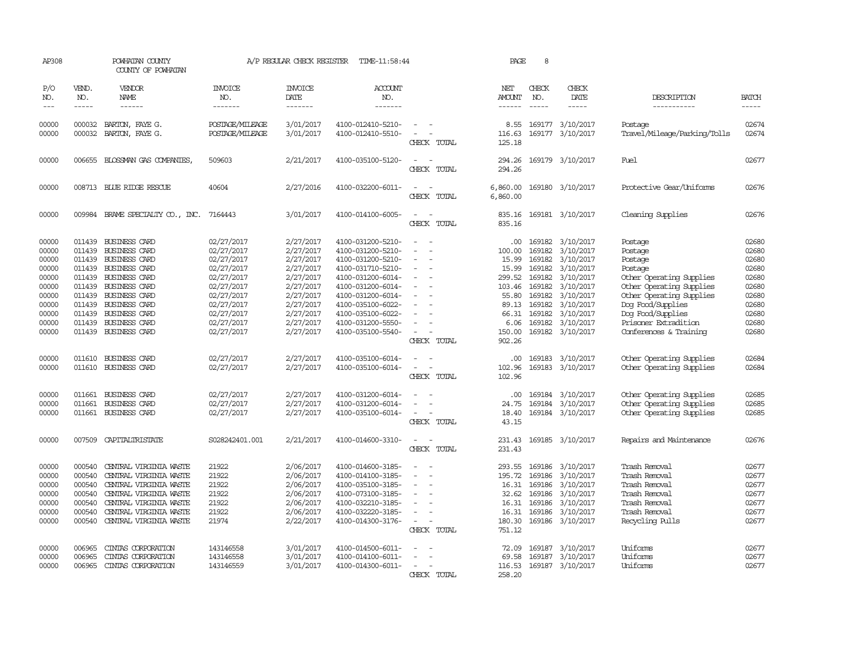| AP308                                                                                                                                                                                                                                                                                                                                                                                                      |                                                                    | POWHATAN COUNTY<br>COUNTY OF POWHATAN                                                                                                                                                                                                                         |                                                                                                                                                        | A/P REGULAR CHECK REGISTER                                                                                                                  | TIME-11:58:44                                                                                                                                                                                                                       |                                                                 | PAGE                                                                                                        | 8                                                                            |                                                                                                                                                                  |                                                                                                                                                                                                                          |                                                                                                 |
|------------------------------------------------------------------------------------------------------------------------------------------------------------------------------------------------------------------------------------------------------------------------------------------------------------------------------------------------------------------------------------------------------------|--------------------------------------------------------------------|---------------------------------------------------------------------------------------------------------------------------------------------------------------------------------------------------------------------------------------------------------------|--------------------------------------------------------------------------------------------------------------------------------------------------------|---------------------------------------------------------------------------------------------------------------------------------------------|-------------------------------------------------------------------------------------------------------------------------------------------------------------------------------------------------------------------------------------|-----------------------------------------------------------------|-------------------------------------------------------------------------------------------------------------|------------------------------------------------------------------------------|------------------------------------------------------------------------------------------------------------------------------------------------------------------|--------------------------------------------------------------------------------------------------------------------------------------------------------------------------------------------------------------------------|-------------------------------------------------------------------------------------------------|
| P/O<br>NO.<br>$\frac{1}{2} \frac{1}{2} \frac{1}{2} \frac{1}{2} \frac{1}{2} \frac{1}{2} \frac{1}{2} \frac{1}{2} \frac{1}{2} \frac{1}{2} \frac{1}{2} \frac{1}{2} \frac{1}{2} \frac{1}{2} \frac{1}{2} \frac{1}{2} \frac{1}{2} \frac{1}{2} \frac{1}{2} \frac{1}{2} \frac{1}{2} \frac{1}{2} \frac{1}{2} \frac{1}{2} \frac{1}{2} \frac{1}{2} \frac{1}{2} \frac{1}{2} \frac{1}{2} \frac{1}{2} \frac{1}{2} \frac{$ | VEND.<br>NO.<br>$- - - - -$                                        | VENDOR<br>NAME<br>$- - - - - -$                                                                                                                                                                                                                               | <b>INVOICE</b><br>NO.<br>--------                                                                                                                      | <b>INVOICE</b><br>DATE<br>--------                                                                                                          | ACCOUNT<br>NO.<br>-------                                                                                                                                                                                                           |                                                                 | NET<br>AMOUNT<br>------                                                                                     | CHECK<br>NO.<br>$- - - - -$                                                  | CHECK<br>DATE<br>$- - - - -$                                                                                                                                     | DESCRIPTION<br>-----------                                                                                                                                                                                               | <b>BATCH</b><br>-----                                                                           |
| 00000<br>00000                                                                                                                                                                                                                                                                                                                                                                                             |                                                                    | 000032 BARTON, FAYE G.<br>000032 BARTON, FAYE G.                                                                                                                                                                                                              | POSTAGE/MILEAGE<br>POSTAGE/MILEAGE                                                                                                                     | 3/01/2017<br>3/01/2017                                                                                                                      | 4100-012410-5210-<br>4100-012410-5510-                                                                                                                                                                                              | $\overline{\phantom{a}}$<br>CHECK TOTAL                         | 8.55<br>116.63<br>125.18                                                                                    | 169177                                                                       | 169177 3/10/2017<br>3/10/2017                                                                                                                                    | Postage<br>Travel/Mileage/Parking/Tolls                                                                                                                                                                                  | 02674<br>02674                                                                                  |
| 00000                                                                                                                                                                                                                                                                                                                                                                                                      | 006655                                                             | BLOSSMAN GAS COMPANIES,                                                                                                                                                                                                                                       | 509603                                                                                                                                                 | 2/21/2017                                                                                                                                   | 4100-035100-5120-                                                                                                                                                                                                                   | $\sim$<br>CHECK TOTAL                                           | 294.26<br>294.26                                                                                            |                                                                              | 169179 3/10/2017                                                                                                                                                 | Fuel                                                                                                                                                                                                                     | 02677                                                                                           |
| 00000                                                                                                                                                                                                                                                                                                                                                                                                      |                                                                    | 008713 BLUE RIDGE RESCUE                                                                                                                                                                                                                                      | 40604                                                                                                                                                  | 2/27/2016                                                                                                                                   | 4100-032200-6011-                                                                                                                                                                                                                   | CHECK TOTAL                                                     | 6,860.00<br>6,860.00                                                                                        |                                                                              | 169180 3/10/2017                                                                                                                                                 | Protective Gear/Uniforms                                                                                                                                                                                                 | 02676                                                                                           |
| 00000                                                                                                                                                                                                                                                                                                                                                                                                      |                                                                    | 009984 BRAME SPECIALTY CO., INC.                                                                                                                                                                                                                              | 7164443                                                                                                                                                | 3/01/2017                                                                                                                                   | 4100-014100-6005-                                                                                                                                                                                                                   | CHECK TOTAL                                                     | 835.16<br>835.16                                                                                            |                                                                              | 169181 3/10/2017                                                                                                                                                 | Cleaning Supplies                                                                                                                                                                                                        | 02676                                                                                           |
| 00000<br>00000<br>00000<br>00000<br>00000<br>00000<br>00000<br>00000<br>00000<br>00000<br>00000                                                                                                                                                                                                                                                                                                            | 011439<br>011439<br>011439<br>011439<br>011439<br>011439           | BUSINESS CARD<br>011439 BUSINESS CARD<br><b>BUSINESS CARD</b><br><b>BUSINESS CARD</b><br><b>BUSINESS CARD</b><br>011439 BUSINESS CARD<br>011439 BUSINESS CARD<br><b>BUSINESS CARD</b><br>011439 BUSINESS CARD<br><b>BUSINESS CARD</b><br>011439 BUSINESS CARD | 02/27/2017<br>02/27/2017<br>02/27/2017<br>02/27/2017<br>02/27/2017<br>02/27/2017<br>02/27/2017<br>02/27/2017<br>02/27/2017<br>02/27/2017<br>02/27/2017 | 2/27/2017<br>2/27/2017<br>2/27/2017<br>2/27/2017<br>2/27/2017<br>2/27/2017<br>2/27/2017<br>2/27/2017<br>2/27/2017<br>2/27/2017<br>2/27/2017 | 4100-031200-5210-<br>4100-031200-5210-<br>4100-031200-5210-<br>4100-031710-5210-<br>4100-031200-6014-<br>4100-031200-6014-<br>4100-031200-6014-<br>4100-035100-6022-<br>4100-035100-6022-<br>4100-031200-5550-<br>4100-035100-5540- | $\equiv$<br>$\overline{\phantom{a}}$<br>$\equiv$<br>CHECK TOTAL | .00.<br>100.00<br>15.99<br>15.99<br>299.52<br>103.46<br>55.80<br>89.13<br>66.31<br>6.06<br>150.00<br>902.26 | 169182<br>169182<br>169182<br>169182<br>169182<br>169182<br>169182<br>169182 | 169182 3/10/2017<br>169182 3/10/2017<br>3/10/2017<br>3/10/2017<br>3/10/2017<br>3/10/2017<br>3/10/2017<br>3/10/2017<br>3/10/2017<br>3/10/2017<br>169182 3/10/2017 | Postage<br>Postage<br>Postage<br>Postage<br>Other Operating Supplies<br>Other Operating Supplies<br>Other Operating Supplies<br>Dog Food/Supplies<br>Dog Food/Supplies<br>Prisoner Extradition<br>Conferences & Training | 02680<br>02680<br>02680<br>02680<br>02680<br>02680<br>02680<br>02680<br>02680<br>02680<br>02680 |
| 00000<br>00000                                                                                                                                                                                                                                                                                                                                                                                             | 011610<br>011610                                                   | BUSINESS CARD<br>BUSINESS CARD                                                                                                                                                                                                                                | 02/27/2017<br>02/27/2017                                                                                                                               | 2/27/2017<br>2/27/2017                                                                                                                      | 4100-035100-6014-<br>4100-035100-6014-                                                                                                                                                                                              | CHECK TOTAL                                                     | .00.<br>102.96<br>102.96                                                                                    |                                                                              | 169183 3/10/2017<br>169183 3/10/2017                                                                                                                             | Other Operating Supplies<br>Other Operating Supplies                                                                                                                                                                     | 02684<br>02684                                                                                  |
| 00000<br>00000<br>00000                                                                                                                                                                                                                                                                                                                                                                                    | 011661<br>011661                                                   | <b>BUSINESS CARD</b><br><b>BUSINESS CARD</b><br>011661 BUSINESS CARD                                                                                                                                                                                          | 02/27/2017<br>02/27/2017<br>02/27/2017                                                                                                                 | 2/27/2017<br>2/27/2017<br>2/27/2017                                                                                                         | 4100-031200-6014-<br>4100-031200-6014-<br>4100-035100-6014-                                                                                                                                                                         | $\sim$<br>CHECK TOTAL                                           | .00.<br>24.75<br>18.40<br>43.15                                                                             | 169184<br>169184                                                             | 3/10/2017<br>3/10/2017<br>169184 3/10/2017                                                                                                                       | Other Operating Supplies<br>Other Operating Supplies<br>Other Operating Supplies                                                                                                                                         | 02685<br>02685<br>02685                                                                         |
| 00000                                                                                                                                                                                                                                                                                                                                                                                                      |                                                                    | 007509 CAPITALIRISTATE                                                                                                                                                                                                                                        | S028242401.001                                                                                                                                         | 2/21/2017                                                                                                                                   | 4100-014600-3310-                                                                                                                                                                                                                   | $\sim$<br>CHECK TOTAL                                           | 231.43<br>231.43                                                                                            |                                                                              | 169185 3/10/2017                                                                                                                                                 | Repairs and Maintenance                                                                                                                                                                                                  | 02676                                                                                           |
| 00000<br>00000<br>00000<br>00000<br>00000<br>00000<br>00000                                                                                                                                                                                                                                                                                                                                                | 000540<br>000540<br>000540<br>000540<br>000540<br>000540<br>000540 | CENTRAL VIRGINIA WASTE<br>CENTRAL VIRGINIA WASTE<br>CENTRAL VIRGINIA WASTE<br>CENTRAL VIRGINIA WASTE<br>CENTRAL VIRGINIA WASTE<br>CENTRAL VIRGINIA WASTE<br>CENTRAL VIRGINIA WASTE                                                                            | 21922<br>21922<br>21922<br>21922<br>21922<br>21922<br>21974                                                                                            | 2/06/2017<br>2/06/2017<br>2/06/2017<br>2/06/2017<br>2/06/2017<br>2/06/2017<br>2/22/2017                                                     | 4100-014600-3185-<br>4100-014100-3185-<br>4100-035100-3185-<br>4100-073100-3185-<br>4100-032210-3185-<br>4100-032220-3185-<br>4100-014300-3176-                                                                                     | $\equiv$<br>$\equiv$<br>CHECK TOTAL                             | 293.55<br>195.72<br>16.31<br>32.62<br>16.31<br>16.31<br>180.30<br>751.12                                    | 169186<br>169186<br>169186<br>169186<br>169186<br>169186<br>169186           | 3/10/2017<br>3/10/2017<br>3/10/2017<br>3/10/2017<br>3/10/2017<br>3/10/2017<br>3/10/2017                                                                          | Trash Removal<br>Trash Removal<br>Trash Removal<br>Trash Removal<br>Trash Removal<br>Trash Removal<br>Recycling Pulls                                                                                                    | 02677<br>02677<br>02677<br>02677<br>02677<br>02677<br>02677                                     |
| 00000<br>00000<br>00000                                                                                                                                                                                                                                                                                                                                                                                    | 006965<br>006965<br>006965                                         | CINIAS CORPORATION<br>CINIAS CORPORATION<br>CINIAS CORPORATION                                                                                                                                                                                                | 143146558<br>143146558<br>143146559                                                                                                                    | 3/01/2017<br>3/01/2017<br>3/01/2017                                                                                                         | 4100-014500-6011-<br>4100-014100-6011-<br>4100-014300-6011-                                                                                                                                                                         | CHECK TOTAL                                                     | 72.09<br>69.58<br>116.53<br>258.20                                                                          | 169187<br>169187                                                             | 3/10/2017<br>3/10/2017<br>169187 3/10/2017                                                                                                                       | Uniforms<br>Uniforms<br>Uniforms                                                                                                                                                                                         | 02677<br>02677<br>02677                                                                         |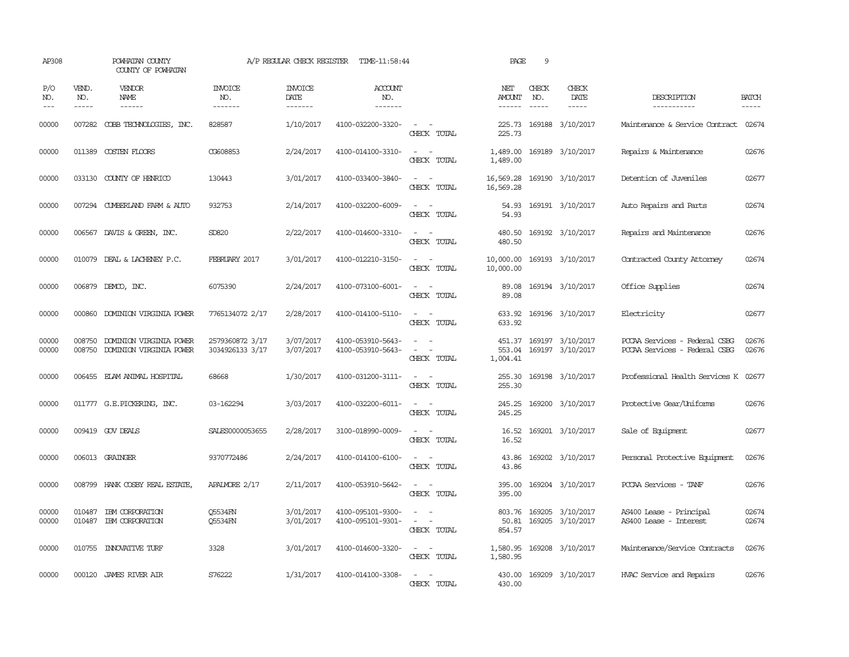| AP308              |                               | POWHATAN COUNTY<br>COUNTY OF POWHATAN                     |                                    | A/P REGULAR CHECK REGISTER        | TIME-11:58:44                          |                                                                                                                                          | PAGE                                  | 9                           |                                                    |                                                                |                             |
|--------------------|-------------------------------|-----------------------------------------------------------|------------------------------------|-----------------------------------|----------------------------------------|------------------------------------------------------------------------------------------------------------------------------------------|---------------------------------------|-----------------------------|----------------------------------------------------|----------------------------------------------------------------|-----------------------------|
| P/O<br>NO.<br>$ -$ | VEND.<br>NO.<br>$\frac{1}{2}$ | <b>VENDOR</b><br>NAME<br>$- - - - - -$                    | <b>INVOICE</b><br>NO.<br>-------   | <b>INVOICE</b><br>DATE<br>------- | <b>ACCOUNT</b><br>NO.<br>-------       |                                                                                                                                          | NET<br><b>AMOUNT</b><br>$- - - - - -$ | CHECK<br>NO.<br>$- - - - -$ | CHECK<br>DATE<br>$- - - - -$                       | DESCRIPTION<br>-----------                                     | <b>BATCH</b><br>$- - - - -$ |
|                    |                               |                                                           |                                    |                                   |                                        |                                                                                                                                          |                                       |                             |                                                    |                                                                |                             |
| 00000              |                               | 007282 COBB TECHNOLOGIES, INC.                            | 828587                             | 1/10/2017                         | 4100-032200-3320-                      | $\sim$ $\sim$<br>CHECK TOTAL                                                                                                             | 225.73                                |                             | 225.73 169188 3/10/2017                            | Maintenance & Service Contract 02674                           |                             |
| 00000              |                               | 011389 COSTEN FLOORS                                      | CG608853                           | 2/24/2017                         | 4100-014100-3310-                      | $\sim$ 100 $\sim$<br>CHECK TOTAL                                                                                                         | 1,489.00<br>1,489.00                  |                             | 169189 3/10/2017                                   | Repairs & Maintenance                                          | 02676                       |
| 00000              |                               | 033130 COUNTY OF HENRICO                                  | 130443                             | 3/01/2017                         | 4100-033400-3840-                      | $\frac{1}{2} \left( \frac{1}{2} \right) \left( \frac{1}{2} \right) = \frac{1}{2} \left( \frac{1}{2} \right)$<br>CHECK TOTAL              | 16,569.28<br>16,569.28                |                             | 169190 3/10/2017                                   | Detention of Juveniles                                         | 02677                       |
| 00000              |                               | 007294 CUMBERLAND FARM & AUTO                             | 932753                             | 2/14/2017                         | 4100-032200-6009-                      | $\overline{\phantom{a}}$<br>CHECK TOTAL                                                                                                  | 54.93<br>54.93                        |                             | 169191 3/10/2017                                   | Auto Repairs and Parts                                         | 02674                       |
| 00000              | 006567                        | DAVIS & GREEN, INC.                                       | SD820                              | 2/22/2017                         | 4100-014600-3310-                      | $\sim$<br>$\overline{\phantom{a}}$<br>CHECK TOTAL                                                                                        | 480.50<br>480.50                      |                             | 169192 3/10/2017                                   | Repairs and Maintenance                                        | 02676                       |
| 00000              | 010079                        | DEAL & LACHENEY P.C.                                      | FEBRUARY 2017                      | 3/01/2017                         | 4100-012210-3150-                      | $\sim$ 100 $\sim$<br>CHECK TOTAL                                                                                                         | 10,000.00<br>10,000.00                |                             | 169193 3/10/2017                                   | Contracted County Attomey                                      | 02674                       |
| 00000              |                               | 006879 DEMCO, INC.                                        | 6075390                            | 2/24/2017                         | 4100-073100-6001-                      | $\frac{1}{2} \left( \frac{1}{2} \right) \left( \frac{1}{2} \right) \left( \frac{1}{2} \right) \left( \frac{1}{2} \right)$<br>CHECK TOTAL | 89.08<br>89.08                        |                             | 169194 3/10/2017                                   | Office Supplies                                                | 02674                       |
| 00000              | 000860                        | DOMINION VIRGINIA POWER                                   | 7765134072 2/17                    | 2/28/2017                         | 4100-014100-5110-                      | $ -$<br>CHECK TOTAL                                                                                                                      | 633.92<br>633.92                      |                             | 169196 3/10/2017                                   | Electricity                                                    | 02677                       |
| 00000<br>00000     | 008750<br>008750              | <b>DOMINION VIRGINIA POWER</b><br>DOMINION VIRGINIA POWER | 2579360872 3/17<br>3034926133 3/17 | 3/07/2017<br>3/07/2017            | 4100-053910-5643-<br>4100-053910-5643- | $\sim$ 100 $\sim$<br>$\sim$ 100 $\sim$<br>CHECK TOTAL                                                                                    | 1,004.41                              |                             | 451.37 169197 3/10/2017<br>553.04 169197 3/10/2017 | PCCAA Services - Federal CSBG<br>PCCAA Services - Federal CSBG | 02676<br>02676              |
| 00000              |                               | 006455 ELAM ANIMAL HOSPITAL                               | 68668                              | 1/30/2017                         | 4100-031200-3111-                      | $\sim$ $ -$<br>CHECK TOTAL                                                                                                               | 255.30                                |                             | 255.30 169198 3/10/2017                            | Professional Health Services K 02677                           |                             |
| 00000              |                               | 011777 G.E.PICKERING, INC.                                | 03-162294                          | 3/03/2017                         | 4100-032200-6011-                      | CHECK TOTAL                                                                                                                              | 245.25<br>245.25                      |                             | 169200 3/10/2017                                   | Protective Gear/Uniforms                                       | 02676                       |
| 00000              |                               | 009419 GOV DEALS                                          | SALES0000053655                    | 2/28/2017                         | 3100-018990-0009-                      | $\sim$<br>CHECK TOTAL                                                                                                                    | 16.52<br>16.52                        |                             | 169201 3/10/2017                                   | Sale of Equipment                                              | 02677                       |
| 00000              |                               | 006013 GRAINGER                                           | 9370772486                         | 2/24/2017                         | 4100-014100-6100-                      | $\frac{1}{2} \left( \frac{1}{2} \right) \left( \frac{1}{2} \right) = \frac{1}{2} \left( \frac{1}{2} \right)$<br>CHECK TOTAL              | 43.86<br>43.86                        |                             | 169202 3/10/2017                                   | Personal Protective Equipment                                  | 02676                       |
| 00000              |                               | 008799 HANK COSBY REAL ESTATE                             | APALMORE 2/17                      | 2/11/2017                         | 4100-053910-5642-                      | $\frac{1}{2} \left( \frac{1}{2} \right) \left( \frac{1}{2} \right) \left( \frac{1}{2} \right) \left( \frac{1}{2} \right)$<br>CHECK TOTAL | 395.00<br>395.00                      |                             | 169204 3/10/2017                                   | PCCAA Services - TANF                                          | 02676                       |
| 00000<br>00000     | 010487<br>010487              | IBM CORPORATION<br>IBM CORPORATION                        | Q5534FN<br>Q5534FN                 | 3/01/2017<br>3/01/2017            | 4100-095101-9300-<br>4100-095101-9301- | $\sim$<br>$\omega_{\rm{max}}$ and $\omega_{\rm{max}}$<br>CHECK TOTAL                                                                     | 803.76<br>50.81<br>854.57             |                             | 169205 3/10/2017<br>169205 3/10/2017               | AS400 Lease - Principal<br>AS400 Lease - Interest              | 02674<br>02674              |
| 00000              |                               | 010755 INNOVATIVE TURF                                    | 3328                               | 3/01/2017                         | 4100-014600-3320-                      | $\sim$ $ \sim$<br>CHECK TOTAL                                                                                                            | 1,580.95<br>1,580.95                  |                             | 169208 3/10/2017                                   | Maintenance/Service Contracts                                  | 02676                       |
| 00000              |                               | 000120 JAMES RIVER AIR                                    | S76222                             | 1/31/2017                         | 4100-014100-3308-                      | $ -$<br>CHECK TOTAL                                                                                                                      | 430.00                                |                             | 430.00 169209 3/10/2017                            | HVAC Service and Repairs                                       | 02676                       |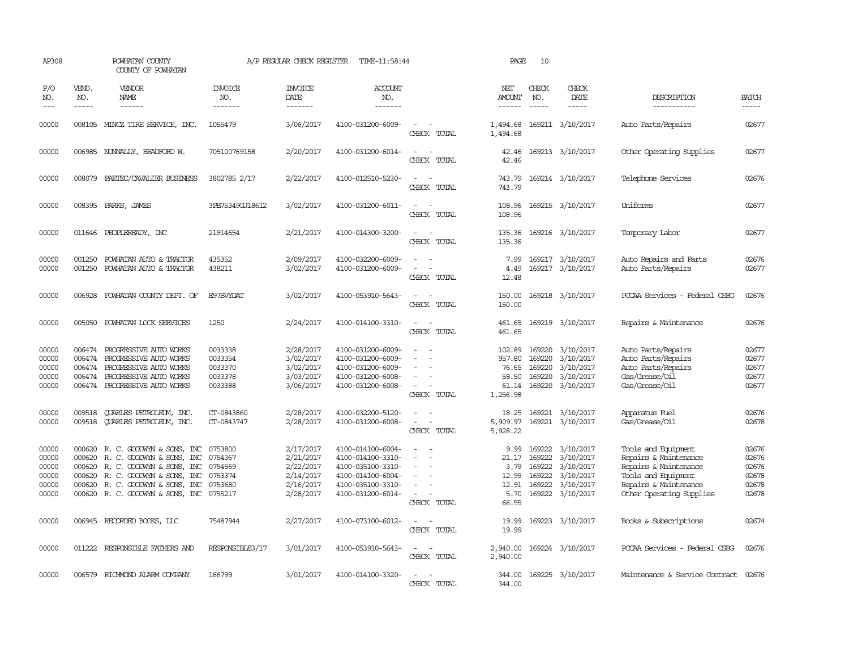| AP308                                              |                             | POWHATAN COUNTY<br>COUNTY OF POWHATAN                                                                                                                                                                                         |                                                     | A/P REGULAR CHECK REGISTER                                                 | TIME-11:58:44                                                                                                              |                                                                                                                       | PAGE                                                     | 10                            |                                                                                                               |                                                                                                                                                   |                                                    |
|----------------------------------------------------|-----------------------------|-------------------------------------------------------------------------------------------------------------------------------------------------------------------------------------------------------------------------------|-----------------------------------------------------|----------------------------------------------------------------------------|----------------------------------------------------------------------------------------------------------------------------|-----------------------------------------------------------------------------------------------------------------------|----------------------------------------------------------|-------------------------------|---------------------------------------------------------------------------------------------------------------|---------------------------------------------------------------------------------------------------------------------------------------------------|----------------------------------------------------|
| P/O<br>NO.<br>$---$                                | VEND.<br>NO.<br>$- - - - -$ | VENDOR<br>NAME<br>------                                                                                                                                                                                                      | <b>INVOICE</b><br>NO.<br>--------                   | <b>INVOICE</b><br>DATE<br>--------                                         | <b>ACCOUNT</b><br>NO.<br>-------                                                                                           |                                                                                                                       | NET<br>AMOUNT<br>------                                  | CHECK<br>NO.<br>$\frac{1}{2}$ | CHECK<br>DATE<br>$- - - - -$                                                                                  | DESCRIPTION<br>-----------                                                                                                                        | <b>BATCH</b><br>-----                              |
| 00000                                              |                             | 008105 MINCZ TIRE SERVICE, INC.                                                                                                                                                                                               | 1055479                                             | 3/06/2017                                                                  | 4100-031200-6009-                                                                                                          | $\sim$<br>CHECK TOTAL                                                                                                 | 1,494.68<br>1,494.68                                     |                               | 169211 3/10/2017                                                                                              | Auto Parts/Repairs                                                                                                                                | 02677                                              |
| 00000                                              |                             | 006985 NUNNALLY, BRADFORD W.                                                                                                                                                                                                  | 705100769158                                        | 2/20/2017                                                                  | 4100-031200-6014-                                                                                                          | CHECK TOTAL                                                                                                           | 42.46<br>42.46                                           |                               | 169213 3/10/2017                                                                                              | Other Operating Supplies                                                                                                                          | 02677                                              |
| 00000                                              |                             | 008079 PAETEC/CAVALIER BUSINESS                                                                                                                                                                                               | 3802785 2/17                                        | 2/22/2017                                                                  | 4100-012510-5230-                                                                                                          | $\sim$ $\sim$<br>CHECK TOTAL                                                                                          | 743.79<br>743.79                                         |                               | 169214 3/10/2017                                                                                              | Telephone Services                                                                                                                                | 02676                                              |
| 00000                                              |                             | 008395 PARKS, JAMES                                                                                                                                                                                                           | 3PE75349GJ18612                                     | 3/02/2017                                                                  | 4100-031200-6011-                                                                                                          | $\sim$<br>$\sim$<br>CHECK TOTAL                                                                                       | 108.96                                                   |                               | 108.96 169215 3/10/2017                                                                                       | Uniforms                                                                                                                                          | 02677                                              |
| 00000                                              |                             | 011646 PEOPLEREADY, INC                                                                                                                                                                                                       | 21914654                                            | 2/21/2017                                                                  | 4100-014300-3200-                                                                                                          | $\overline{\phantom{a}}$<br>CHECK TOTAL                                                                               | 135.36<br>135.36                                         |                               | 169216 3/10/2017                                                                                              | Temporary Labor                                                                                                                                   | 02677                                              |
| 00000<br>00000                                     | 001250<br>001250            | POWHATAN AUTO & TRACTOR<br>POWHATAN AUTO & TRACTOR                                                                                                                                                                            | 435352<br>438211                                    | 2/09/2017<br>3/02/2017                                                     | 4100-032200-6009-<br>4100-031200-6009-                                                                                     | $\equiv$<br>CHECK TOTAL                                                                                               | 7.99<br>4.49<br>12.48                                    |                               | 169217 3/10/2017<br>169217 3/10/2017                                                                          | Auto Repairs and Parts<br>Auto Parts/Repairs                                                                                                      | 02676<br>02677                                     |
| 00000                                              | 006928                      | POWHATAN COUNTY DEPT. OF                                                                                                                                                                                                      | E97BVYDAT                                           | 3/02/2017                                                                  | 4100-053910-5643-                                                                                                          | $\sim$<br>CHECK TOTAL                                                                                                 | 150.00<br>150.00                                         |                               | 169218 3/10/2017                                                                                              | PCCAA Services - Federal CSBG                                                                                                                     | 02676                                              |
| 00000                                              |                             | 005050 POWHATAN LOCK SERVICES                                                                                                                                                                                                 | 1250                                                | 2/24/2017                                                                  | 4100-014100-3310-                                                                                                          | $\sim$<br>$\overline{\phantom{a}}$<br>CHECK TOTAL                                                                     | 461.65<br>461.65                                         |                               | 169219 3/10/2017                                                                                              | Repairs & Maintenance                                                                                                                             | 02676                                              |
| 00000<br>00000<br>00000<br>00000<br>00000          | 006474<br>006474<br>006474  | PROGRESSIVE AUTO WORKS<br>PROGRESSIVE AUIO WORKS<br>PROGRESSIVE AUTO WORKS<br>006474 PROGRESSIVE AUTO WORKS<br>006474 PROGRESSIVE AUTO WORKS                                                                                  | 0033338<br>0033354<br>0033370<br>0033378<br>0033388 | 2/28/2017<br>3/02/2017<br>3/02/2017<br>3/03/2017<br>3/06/2017              | 4100-031200-6009-<br>4100-031200-6009-<br>4100-031200-6009-<br>4100-031200-6008-<br>4100-031200-6008-                      | $\sim$<br>$\equiv$<br>$\sim$<br>CHECK TOTAL                                                                           | 102.89<br>957.80<br>76.65<br>58.50<br>61.14<br>1,256.98  | 169220<br>169220              | 169220 3/10/2017<br>3/10/2017<br>3/10/2017<br>169220 3/10/2017<br>169220 3/10/2017                            | Auto Parts/Repairs<br>Auto Parts/Repairs<br>Auto Parts/Repairs<br>Gas/Grease/Oil<br>Gas/Grease/Oil                                                | 02677<br>02677<br>02677<br>02677<br>02677          |
| 00000<br>00000                                     | 009518                      | QUARLES PETROLEUM, INC.<br>009518 CUARLES PETROLEUM, INC.                                                                                                                                                                     | CT-0843860<br>CT-0843747                            | 2/28/2017<br>2/28/2017                                                     | 4100-032200-5120-<br>4100-031200-6008-                                                                                     | $\sim$<br>CHECK TOTAL                                                                                                 | 18.25<br>5,909.97<br>5,928.22                            |                               | 169221 3/10/2017<br>169221 3/10/2017                                                                          | Apparatus Fuel<br>Gas/Grease/Oil                                                                                                                  | 02676<br>02678                                     |
| 00000<br>00000<br>00000<br>00000<br>00000<br>00000 | 000620                      | 000620 R. C. GOODWYN & SONS, INC<br>R. C. GOODWYN & SONS, INC<br>000620 R. C. GOODWYN & SONS, INC<br>000620 R. C. GOODWYN & SONS, INC<br>000620 R. C. GOODWYN & SONS, INC 0753680<br>000620 R. C. GOODWYN & SONS, INC 0755217 | 0753800<br>0754367<br>0754569<br>0753374            | 2/17/2017<br>2/21/2017<br>2/22/2017<br>2/14/2017<br>2/16/2017<br>2/28/2017 | 4100-014100-6004-<br>4100-014100-3310-<br>4100-035100-3310-<br>4100-014100-6004-<br>4100-035100-3310-<br>4100-031200-6014- | $\equiv$<br>$\overline{\phantom{a}}$<br>$\overline{\phantom{a}}$<br>$\overline{\phantom{a}}$<br>$\sim$<br>CHECK TOTAL | 9.99<br>21.17<br>3.79<br>12.99<br>12.91<br>5.70<br>66.55 | 169222                        | 169222 3/10/2017<br>169222 3/10/2017<br>3/10/2017<br>169222 3/10/2017<br>169222 3/10/2017<br>169222 3/10/2017 | Tools and Equipment<br>Repairs & Maintenance<br>Repairs & Maintenance<br>Tools and Equipment<br>Repairs & Maintenance<br>Other Operating Supplies | 02676<br>02676<br>02676<br>02678<br>02678<br>02678 |
| 00000                                              |                             | 006945 RECORDED BOOKS, LLC                                                                                                                                                                                                    | 75487944                                            | 2/27/2017                                                                  | 4100-073100-6012-                                                                                                          | $\sim$<br>CHECK TOTAL                                                                                                 | 19.99<br>19.99                                           |                               | 169223 3/10/2017                                                                                              | Books & Subscriptions                                                                                                                             | 02674                                              |
| 00000                                              |                             | 011222 RESPONSIBLE FAIHERS AND                                                                                                                                                                                                | RESPONSIBLE3/17                                     | 3/01/2017                                                                  | 4100-053910-5643-                                                                                                          | $\overline{\phantom{a}}$<br>$\overline{\phantom{a}}$<br>CHECK TOTAL                                                   | 2,940.00<br>2,940.00                                     |                               | 169224 3/10/2017                                                                                              | PCCAA Services - Federal CSBG                                                                                                                     | 02676                                              |
| 00000                                              |                             | 006579 RICHMOND ALARM COMPANY                                                                                                                                                                                                 | 166799                                              | 3/01/2017                                                                  | 4100-014100-3320-                                                                                                          | $\sim$<br>CHECK TOTAL                                                                                                 | 344.00<br>344.00                                         |                               | 169225 3/10/2017                                                                                              | Maintenance & Service Contract                                                                                                                    | 02676                                              |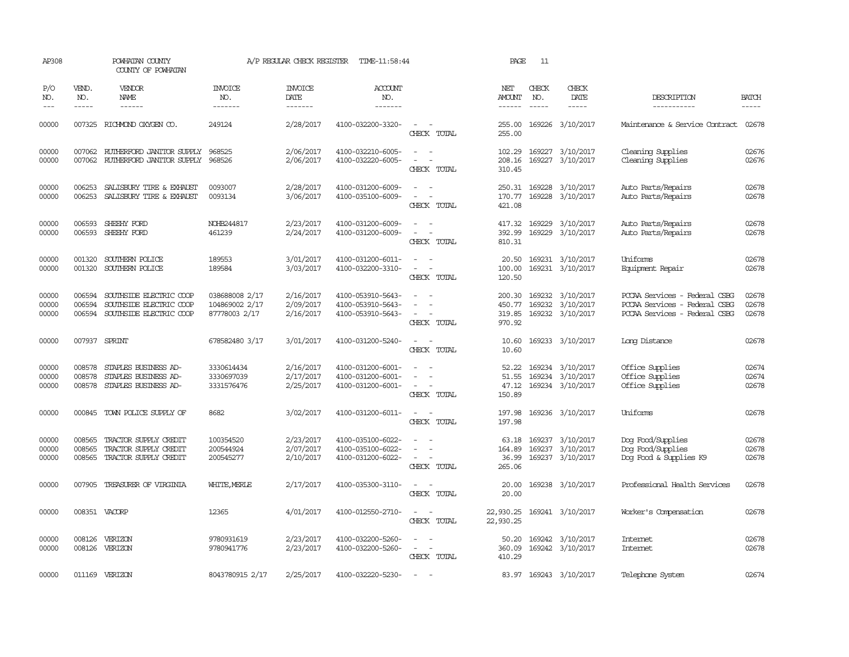| AP308                   |                               | POWHATAN COUNTY<br>COUNTY OF POWHATAN                                          |                                                   | A/P REGULAR CHECK REGISTER          | TIME-11:58:44                                               |                                                                               | PAGE                                  | 11                            |                                                          |                                                                                                 |                         |
|-------------------------|-------------------------------|--------------------------------------------------------------------------------|---------------------------------------------------|-------------------------------------|-------------------------------------------------------------|-------------------------------------------------------------------------------|---------------------------------------|-------------------------------|----------------------------------------------------------|-------------------------------------------------------------------------------------------------|-------------------------|
| P/O<br>NO.<br>$---$     | VEND.<br>NO.<br>$\frac{1}{2}$ | VENDOR<br>NAME<br>$- - - - - -$                                                | <b>INVOICE</b><br>NO.<br>-------                  | <b>INVOICE</b><br>DATE<br>-------   | <b>ACCOUNT</b><br>NO.<br>-------                            |                                                                               | NET<br><b>AMOUNT</b><br>$- - - - - -$ | CHECK<br>NO.<br>$\frac{1}{2}$ | CHECK<br>DATE<br>-----                                   | DESCRIPTION<br>-----------                                                                      | <b>BATCH</b><br>-----   |
| 00000                   |                               | 007325 RICHMOND OXYGEN CO.                                                     | 249124                                            | 2/28/2017                           | 4100-032200-3320-                                           | $\sim$<br>$\sim$<br>CHECK TOTAL                                               | 255.00<br>255.00                      |                               | 169226 3/10/2017                                         | Maintenance & Service Contract                                                                  | 02678                   |
| 00000<br>00000          | 007062<br>007062              | RUTHERFORD JANITOR SUPPLY<br>RUTHERFORD JANITOR SUPPLY                         | 968525<br>968526                                  | 2/06/2017<br>2/06/2017              | 4100-032210-6005-<br>4100-032220-6005-                      | $\sim$<br>$\sim$<br>CHECK TOTAL                                               | 102.29<br>208.16<br>310.45            |                               | 169227 3/10/2017<br>169227 3/10/2017                     | Cleaning Supplies<br>Cleaning Supplies                                                          | 02676<br>02676          |
| 00000<br>00000          | 006253<br>006253              | SALISBURY TIRE & EXHAUST<br>SALISBURY TIRE & EXHAUST                           | 0093007<br>0093134                                | 2/28/2017<br>3/06/2017              | 4100-031200-6009-<br>4100-035100-6009-                      | CHECK TOTAL                                                                   | 250.31<br>170.77<br>421.08            |                               | 169228 3/10/2017<br>169228 3/10/2017                     | Auto Parts/Repairs<br>Auto Parts/Repairs                                                        | 02678<br>02678          |
| 00000<br>00000          | 006593<br>006593              | SHEEHY FORD<br>SHEEHY FORD                                                     | NOHB244817<br>461239                              | 2/23/2017<br>2/24/2017              | 4100-031200-6009-<br>4100-031200-6009-                      | $\sim$<br>$\sim$<br>CHECK TOTAL                                               | 417.32<br>392.99<br>810.31            |                               | 169229 3/10/2017<br>169229 3/10/2017                     | Auto Parts/Repairs<br>Auto Parts/Repairs                                                        | 02678<br>02678          |
| 00000<br>00000          | 001320<br>001320              | SOUTHERN POLICE<br>SOUTHERN POLICE                                             | 189553<br>189584                                  | 3/01/2017<br>3/03/2017              | 4100-031200-6011-<br>4100-032200-3310-                      | $\sim$<br>$\overline{a}$<br>CHECK TOTAL                                       | 20.50<br>100.00<br>120.50             |                               | 169231 3/10/2017<br>169231 3/10/2017                     | Uniforms<br>Equipment Repair                                                                    | 02678<br>02678          |
| 00000<br>00000<br>00000 | 006594<br>006594<br>006594    | SOUTHSIDE ELECTRIC COOP<br>SOUTHSIDE ELECTRIC COOP<br>SOUTHSIDE ELECTRIC COOP  | 038688008 2/17<br>104869002 2/17<br>87778003 2/17 | 2/16/2017<br>2/09/2017<br>2/16/2017 | 4100-053910-5643-<br>4100-053910-5643-<br>4100-053910-5643- | $\sim$<br>$\overline{\phantom{a}}$<br>$\overline{\phantom{a}}$<br>CHECK TOTAL | 200.30<br>450.77<br>319.85<br>970.92  |                               | 169232 3/10/2017<br>169232 3/10/2017<br>169232 3/10/2017 | PCCAA Services - Federal CSBG<br>PCCAA Services - Federal CSBG<br>PCCAA Services - Federal CSBG | 02678<br>02678<br>02678 |
| 00000                   |                               | 007937 SPRINT                                                                  | 678582480 3/17                                    | 3/01/2017                           | 4100-031200-5240-                                           | CHECK TOTAL                                                                   | 10.60<br>10.60                        |                               | 169233 3/10/2017                                         | Long Distance                                                                                   | 02678                   |
| 00000<br>00000<br>00000 | 008578<br>008578              | STAPLES BUSINESS AD-<br>STAPLES BUSINESS AD-<br>008578 STAPLES BUSINESS AD-    | 3330614434<br>3330697039<br>3331576476            | 2/16/2017<br>2/17/2017<br>2/25/2017 | 4100-031200-6001-<br>4100-031200-6001-<br>4100-031200-6001- | $\sim$<br>$\overline{\phantom{a}}$<br>CHECK TOTAL                             | 52.22<br>51.55<br>47.12<br>150.89     | 169234                        | 169234 3/10/2017<br>3/10/2017<br>169234 3/10/2017        | Office Supplies<br>Office Supplies<br>Office Supplies                                           | 02674<br>02674<br>02678 |
| 00000                   |                               | 000845 TOWN POLICE SUPPLY OF                                                   | 8682                                              | 3/02/2017                           | 4100-031200-6011-                                           | $\overline{a}$<br>$\overline{\phantom{a}}$<br>CHECK TOTAL                     | 197.98<br>197.98                      |                               | 169236 3/10/2017                                         | Uniforms                                                                                        | 02678                   |
| 00000<br>00000<br>00000 | 008565<br>008565              | TRACTOR SUPPLY CREDIT<br>TRACTOR SUPPLY CREDIT<br>008565 TRACTOR SUPPLY CREDIT | 100354520<br>200544924<br>200545277               | 2/23/2017<br>2/07/2017<br>2/10/2017 | 4100-035100-6022-<br>4100-035100-6022-<br>4100-031200-6022- | $\omega$<br>CHECK TOTAL                                                       | 63.18<br>164.89<br>36.99<br>265.06    |                               | 169237 3/10/2017<br>169237 3/10/2017<br>169237 3/10/2017 | Dog Food/Supplies<br>Dog Food/Supplies<br>Dog Food & Supplies K9                                | 02678<br>02678<br>02678 |
| 00000                   | 007905                        | TREASURER OF VIRGINIA                                                          | WHITE, MERLE                                      | 2/17/2017                           | 4100-035300-3110-                                           | $\sim$<br>$\sim$<br>CHECK TOTAL                                               | 20.00<br>20.00                        |                               | 169238 3/10/2017                                         | Professional Health Services                                                                    | 02678                   |
| 00000                   |                               | 008351 VACORP                                                                  | 12365                                             | 4/01/2017                           | 4100-012550-2710-                                           | $\sim$ 100 $\sim$<br>CHECK TOTAL                                              | 22,930.25<br>22,930.25                |                               | 169241 3/10/2017                                         | Worker's Compensation                                                                           | 02678                   |
| 00000<br>00000          | 008126                        | VERIZON<br>008126 VERIZON                                                      | 9780931619<br>9780941776                          | 2/23/2017<br>2/23/2017              | 4100-032200-5260-<br>4100-032200-5260-                      | $\overline{\phantom{a}}$<br>CHECK TOTAL                                       | 50.20<br>360.09<br>410.29             |                               | 169242 3/10/2017<br>169242 3/10/2017                     | Internet<br>Internet                                                                            | 02678<br>02678          |
| 00000                   |                               | 011169 VERIZON                                                                 | 8043780915 2/17                                   | 2/25/2017                           | 4100-032220-5230-                                           |                                                                               |                                       |                               | 83.97 169243 3/10/2017                                   | Telephone System                                                                                | 02674                   |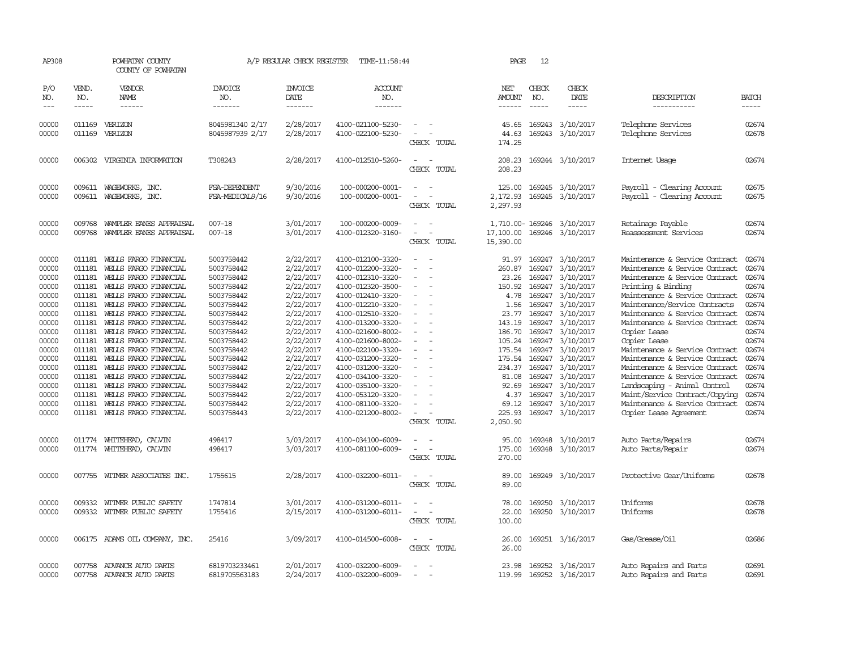| AP308                                                                                                                                                          |                                                                                                                                                                        | POWHATAN COUNTY<br>COUNTY OF POWHATAN                                                                                                                                                                                                                                                                                                                                                                                                                                 |                                                                                                                                                                                                                                                          | A/P REGULAR CHECK REGISTER                                                                                                                                                                                                             | TIME-11:58:44                                                                                                                                                                                                                                                                                                                                                                          |                                                                                                                                                                                                                                                                                                                   | PAGE                                                                                                                                               | 12                            |                                                                                                                                                                                                                                                                                                                                                                                    |                                                                                                                                                                                                                                                                                                                                                                                                                                                                                                                                                                              |                                                                                                                                                                |
|----------------------------------------------------------------------------------------------------------------------------------------------------------------|------------------------------------------------------------------------------------------------------------------------------------------------------------------------|-----------------------------------------------------------------------------------------------------------------------------------------------------------------------------------------------------------------------------------------------------------------------------------------------------------------------------------------------------------------------------------------------------------------------------------------------------------------------|----------------------------------------------------------------------------------------------------------------------------------------------------------------------------------------------------------------------------------------------------------|----------------------------------------------------------------------------------------------------------------------------------------------------------------------------------------------------------------------------------------|----------------------------------------------------------------------------------------------------------------------------------------------------------------------------------------------------------------------------------------------------------------------------------------------------------------------------------------------------------------------------------------|-------------------------------------------------------------------------------------------------------------------------------------------------------------------------------------------------------------------------------------------------------------------------------------------------------------------|----------------------------------------------------------------------------------------------------------------------------------------------------|-------------------------------|------------------------------------------------------------------------------------------------------------------------------------------------------------------------------------------------------------------------------------------------------------------------------------------------------------------------------------------------------------------------------------|------------------------------------------------------------------------------------------------------------------------------------------------------------------------------------------------------------------------------------------------------------------------------------------------------------------------------------------------------------------------------------------------------------------------------------------------------------------------------------------------------------------------------------------------------------------------------|----------------------------------------------------------------------------------------------------------------------------------------------------------------|
| P/O<br>NO.<br>$---$                                                                                                                                            | VEND.<br>NO.                                                                                                                                                           | <b>VENDOR</b><br><b>NAME</b>                                                                                                                                                                                                                                                                                                                                                                                                                                          | <b>INVOICE</b><br>NO.<br>-------                                                                                                                                                                                                                         | <b>INVOICE</b><br>DATE<br>-------                                                                                                                                                                                                      | <b>ACCOUNT</b><br>NO.<br>-------                                                                                                                                                                                                                                                                                                                                                       |                                                                                                                                                                                                                                                                                                                   | NET<br><b>AMOUNT</b>                                                                                                                               | CHECK<br>NO.<br>$\frac{1}{2}$ | CHECK<br>DATE<br>$- - - - -$                                                                                                                                                                                                                                                                                                                                                       | DESCRIPTION<br>-----------                                                                                                                                                                                                                                                                                                                                                                                                                                                                                                                                                   | <b>BATCH</b><br>-----                                                                                                                                          |
| 00000<br>00000                                                                                                                                                 |                                                                                                                                                                        | 011169 VERIZON<br>011169 VERIZON                                                                                                                                                                                                                                                                                                                                                                                                                                      | 8045981340 2/17<br>8045987939 2/17                                                                                                                                                                                                                       | 2/28/2017<br>2/28/2017                                                                                                                                                                                                                 | 4100-021100-5230-<br>4100-022100-5230-                                                                                                                                                                                                                                                                                                                                                 | $\sim$<br>$\sim$<br>CHECK TOTAL                                                                                                                                                                                                                                                                                   | 45.65<br>44.63<br>174.25                                                                                                                           |                               | 169243 3/10/2017<br>169243 3/10/2017                                                                                                                                                                                                                                                                                                                                               | Telephone Services<br>Telephone Services                                                                                                                                                                                                                                                                                                                                                                                                                                                                                                                                     | 02674<br>02678                                                                                                                                                 |
| 00000                                                                                                                                                          | 006302                                                                                                                                                                 | VIRGINIA INFORMATION                                                                                                                                                                                                                                                                                                                                                                                                                                                  | T308243                                                                                                                                                                                                                                                  | 2/28/2017                                                                                                                                                                                                                              | 4100-012510-5260-                                                                                                                                                                                                                                                                                                                                                                      | CHECK TOTAL                                                                                                                                                                                                                                                                                                       | 208.23<br>208.23                                                                                                                                   |                               | 169244 3/10/2017                                                                                                                                                                                                                                                                                                                                                                   | Internet Usage                                                                                                                                                                                                                                                                                                                                                                                                                                                                                                                                                               | 02674                                                                                                                                                          |
| 00000<br>00000                                                                                                                                                 |                                                                                                                                                                        | 009611 WAGEWORKS, INC.<br>009611 WAGEWORKS, INC.                                                                                                                                                                                                                                                                                                                                                                                                                      | FSA-DEPENDENT<br>FSA-MEDICAL9/16                                                                                                                                                                                                                         | 9/30/2016<br>9/30/2016                                                                                                                                                                                                                 | 100-000200-0001-<br>100-000200-0001-                                                                                                                                                                                                                                                                                                                                                   | CHECK TOTAL                                                                                                                                                                                                                                                                                                       | 125.00<br>2,172.93<br>2,297.93                                                                                                                     |                               | 169245 3/10/2017<br>169245 3/10/2017                                                                                                                                                                                                                                                                                                                                               | Payroll - Clearing Account<br>Payroll - Clearing Account                                                                                                                                                                                                                                                                                                                                                                                                                                                                                                                     | 02675<br>02675                                                                                                                                                 |
| 00000<br>00000                                                                                                                                                 | 009768<br>009768                                                                                                                                                       | WAMPLER EANES APPRAISAL<br>WAMPLER EANES APPRAISAL                                                                                                                                                                                                                                                                                                                                                                                                                    | $007 - 18$<br>$007 - 18$                                                                                                                                                                                                                                 | 3/01/2017<br>3/01/2017                                                                                                                                                                                                                 | 100-000200-0009-<br>4100-012320-3160-                                                                                                                                                                                                                                                                                                                                                  | $\sim$ 100 $\mu$<br>CHECK TOTAL                                                                                                                                                                                                                                                                                   | 17,100.00<br>15,390.00                                                                                                                             |                               | 1,710.00-169246 3/10/2017<br>169246 3/10/2017                                                                                                                                                                                                                                                                                                                                      | Retainage Payable<br>Reassessment Services                                                                                                                                                                                                                                                                                                                                                                                                                                                                                                                                   | 02674<br>02674                                                                                                                                                 |
| 00000<br>00000<br>00000<br>00000<br>00000<br>00000<br>00000<br>00000<br>00000<br>00000<br>00000<br>00000<br>00000<br>00000<br>00000<br>00000<br>00000<br>00000 | 011181<br>011181<br>011181<br>011181<br>011181<br>011181<br>011181<br>011181<br>011181<br>011181<br>011181<br>011181<br>011181<br>011181<br>011181<br>011181<br>011181 | WEILS FARGO FINANCIAL<br>WELLS FARGO FINANCIAL<br>WELLS FARGO FINANCIAL<br>WELLS FARGO FINANCIAL<br>WELLS FARGO FINANCIAL<br>WEILS FARGO FINANCIAL<br>WELLS FARGO FINANCIAL<br>WELLS FARGO FINANCIAL<br>WELLS FARGO FINANCIAL<br>WELLS FARGO FINANCIAL<br>WELLS FARGO FINANCIAL<br>WELLS FARGO FINANCIAL<br>WEILS FARGO FINANCIAL<br>WELLS FARGO FINANCIAL<br>WELLS FARGO FINANCIAL<br>WELLS FARGO FINANCIAL<br>WELLS FARGO FINANCIAL<br>011181 WELLS FARGO FINANCIAL | 5003758442<br>5003758442<br>5003758442<br>5003758442<br>5003758442<br>5003758442<br>5003758442<br>5003758442<br>5003758442<br>5003758442<br>5003758442<br>5003758442<br>5003758442<br>5003758442<br>5003758442<br>5003758442<br>5003758442<br>5003758443 | 2/22/2017<br>2/22/2017<br>2/22/2017<br>2/22/2017<br>2/22/2017<br>2/22/2017<br>2/22/2017<br>2/22/2017<br>2/22/2017<br>2/22/2017<br>2/22/2017<br>2/22/2017<br>2/22/2017<br>2/22/2017<br>2/22/2017<br>2/22/2017<br>2/22/2017<br>2/22/2017 | 4100-012100-3320-<br>4100-012200-3320-<br>4100-012310-3320-<br>4100-012320-3500-<br>4100-012410-3320-<br>4100-012210-3320-<br>4100-012510-3320-<br>4100-013200-3320-<br>4100-021600-8002-<br>4100-021600-8002-<br>4100-022100-3320-<br>4100-031200-3320-<br>4100-031200-3320-<br>4100-034100-3320-<br>4100-035100-3320-<br>4100-053120-3320-<br>4100-081100-3320-<br>4100-021200-8002- | $\overline{\phantom{a}}$<br>$\overline{\phantom{a}}$<br>$\overline{\phantom{a}}$<br>$\overline{\phantom{a}}$<br>$\overline{\phantom{a}}$<br>$\overline{\phantom{a}}$<br>$\overline{\phantom{a}}$<br>$\sim$<br>$\overline{\phantom{a}}$<br>$\overline{\phantom{a}}$<br>$\equiv$<br>$\sim$<br>$\sim$<br>CHECK TOTAL | 91.97<br>260.87<br>23.26<br>150.92<br>4.78<br>1.56<br>23.77<br>143.19<br>105.24<br>175.54<br>81.08<br>92.69<br>4.37<br>69.12<br>225.93<br>2,050.90 | 169247                        | 169247 3/10/2017<br>169247 3/10/2017<br>169247 3/10/2017<br>169247 3/10/2017<br>169247 3/10/2017<br>169247 3/10/2017<br>169247 3/10/2017<br>169247 3/10/2017<br>186.70 169247 3/10/2017<br>169247 3/10/2017<br>169247 3/10/2017<br>175.54 169247 3/10/2017<br>234.37 169247 3/10/2017<br>3/10/2017<br>169247 3/10/2017<br>169247 3/10/2017<br>169247 3/10/2017<br>169247 3/10/2017 | Maintenance & Service Contract<br>Maintenance & Service Contract<br>Maintenance & Service Contract<br>Printing & Binding<br>Maintenance & Service Contract<br>Maintenance/Service Contracts<br>Maintenance & Service Contract<br>Maintenance & Service Contract<br>Copier Lease<br>Copier Lease<br>Maintenance & Service Contract<br>Maintenance & Service Contract<br>Maintenance & Service Contract<br>Maintenance & Service Contract<br>Landscaping - Animal Control<br>Maint/Service Contract/Copying<br>Maintenance & Service Contract<br><b>Copier Lease Agreement</b> | 02674<br>02674<br>02674<br>02674<br>02674<br>02674<br>02674<br>02674<br>02674<br>02674<br>02674<br>02674<br>02674<br>02674<br>02674<br>02674<br>02674<br>02674 |
| 00000<br>00000                                                                                                                                                 |                                                                                                                                                                        | 011774 WHITEHEAD, CALVIN<br>011774 WHITEHEAD, CALVIN                                                                                                                                                                                                                                                                                                                                                                                                                  | 498417<br>498417                                                                                                                                                                                                                                         | 3/03/2017<br>3/03/2017                                                                                                                                                                                                                 | 4100-034100-6009-<br>4100-081100-6009-                                                                                                                                                                                                                                                                                                                                                 | CHECK TOTAL                                                                                                                                                                                                                                                                                                       | 95.00<br>175.00<br>270.00                                                                                                                          |                               | 169248 3/10/2017<br>169248 3/10/2017                                                                                                                                                                                                                                                                                                                                               | Auto Parts/Repairs<br>Auto Parts/Repair                                                                                                                                                                                                                                                                                                                                                                                                                                                                                                                                      | 02674<br>02674                                                                                                                                                 |
| 00000                                                                                                                                                          |                                                                                                                                                                        | 007755 WITMER ASSOCIATES INC.                                                                                                                                                                                                                                                                                                                                                                                                                                         | 1755615                                                                                                                                                                                                                                                  | 2/28/2017                                                                                                                                                                                                                              | 4100-032200-6011-                                                                                                                                                                                                                                                                                                                                                                      | CHECK TOTAL                                                                                                                                                                                                                                                                                                       | 89.00<br>89.00                                                                                                                                     |                               | 169249 3/10/2017                                                                                                                                                                                                                                                                                                                                                                   | Protective Gear/Uniforms                                                                                                                                                                                                                                                                                                                                                                                                                                                                                                                                                     | 02678                                                                                                                                                          |
| 00000<br>00000                                                                                                                                                 | 009332                                                                                                                                                                 | WITMER PUBLIC SAFETY<br>009332 WITMER PUBLIC SAFETY                                                                                                                                                                                                                                                                                                                                                                                                                   | 1747814<br>1755416                                                                                                                                                                                                                                       | 3/01/2017<br>2/15/2017                                                                                                                                                                                                                 | 4100-031200-6011-<br>4100-031200-6011-                                                                                                                                                                                                                                                                                                                                                 | CHECK TOTAL                                                                                                                                                                                                                                                                                                       | 78.00<br>22.00<br>100.00                                                                                                                           | 169250                        | 3/10/2017<br>169250 3/10/2017                                                                                                                                                                                                                                                                                                                                                      | Uniforms<br>Uniforms                                                                                                                                                                                                                                                                                                                                                                                                                                                                                                                                                         | 02678<br>02678                                                                                                                                                 |
| 00000                                                                                                                                                          |                                                                                                                                                                        | 006175 ADAMS OIL COMPANY, INC.                                                                                                                                                                                                                                                                                                                                                                                                                                        | 25416                                                                                                                                                                                                                                                    | 3/09/2017                                                                                                                                                                                                                              | 4100-014500-6008-                                                                                                                                                                                                                                                                                                                                                                      | $\sim$<br>$\sim$<br>CHECK TOTAL                                                                                                                                                                                                                                                                                   | 26.00<br>26.00                                                                                                                                     |                               | 169251 3/16/2017                                                                                                                                                                                                                                                                                                                                                                   | Gas/Grease/0il                                                                                                                                                                                                                                                                                                                                                                                                                                                                                                                                                               | 02686                                                                                                                                                          |
| 00000<br>00000                                                                                                                                                 | 007758                                                                                                                                                                 | 007758 ADVANCE AUTO PARTS<br>ADVANCE AUTO PARTS                                                                                                                                                                                                                                                                                                                                                                                                                       | 6819703233461<br>6819705563183                                                                                                                                                                                                                           | 2/01/2017<br>2/24/2017                                                                                                                                                                                                                 | 4100-032200-6009-<br>4100-032200-6009-                                                                                                                                                                                                                                                                                                                                                 | $\overline{\phantom{a}}$                                                                                                                                                                                                                                                                                          | 23.98<br>119.99                                                                                                                                    |                               | 169252 3/16/2017<br>169252 3/16/2017                                                                                                                                                                                                                                                                                                                                               | Auto Repairs and Parts<br>Auto Repairs and Parts                                                                                                                                                                                                                                                                                                                                                                                                                                                                                                                             | 02691<br>02691                                                                                                                                                 |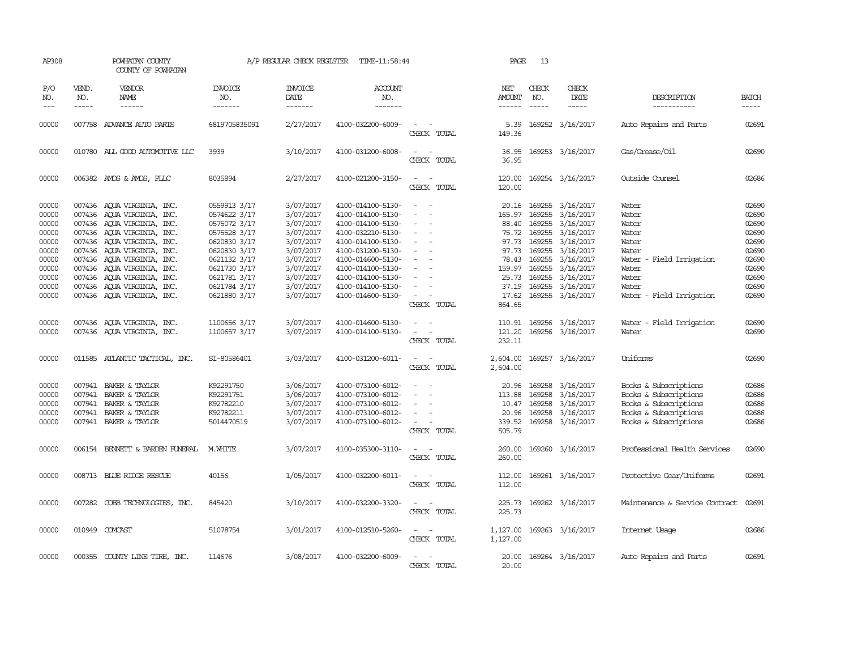| AP308                                                                                                    |                             | POWHATAN COUNTY<br>COUNTY OF POWHATAN                                                                                                                                                                                                                                                                                                                                |                                                                                                                                                                                              | A/P REGULAR CHECK REGISTER                                                                                                                               | TIME-11:58:44                                                                                                                                                                                                                                            |                                                                                                                                         | PAGE                                                                                                | 13                                   |                                                                                                                                                                                                                              |                                                                                                                                                                      |                                                                                                          |
|----------------------------------------------------------------------------------------------------------|-----------------------------|----------------------------------------------------------------------------------------------------------------------------------------------------------------------------------------------------------------------------------------------------------------------------------------------------------------------------------------------------------------------|----------------------------------------------------------------------------------------------------------------------------------------------------------------------------------------------|----------------------------------------------------------------------------------------------------------------------------------------------------------|----------------------------------------------------------------------------------------------------------------------------------------------------------------------------------------------------------------------------------------------------------|-----------------------------------------------------------------------------------------------------------------------------------------|-----------------------------------------------------------------------------------------------------|--------------------------------------|------------------------------------------------------------------------------------------------------------------------------------------------------------------------------------------------------------------------------|----------------------------------------------------------------------------------------------------------------------------------------------------------------------|----------------------------------------------------------------------------------------------------------|
| P/O<br>NO.<br>$\frac{1}{2}$                                                                              | VEND.<br>NO.<br>$- - - - -$ | VENDOR<br>NAME<br>------                                                                                                                                                                                                                                                                                                                                             | <b>INVOICE</b><br>NO.<br>-------                                                                                                                                                             | <b>INVOICE</b><br>DATE<br>-------                                                                                                                        | <b>ACCOUNT</b><br>NO.<br>-------                                                                                                                                                                                                                         |                                                                                                                                         | NET<br>AMOUNT<br>------                                                                             | CHECK<br>NO.<br>$- - - - -$          | CHECK<br>DATE<br>$- - - - -$                                                                                                                                                                                                 | DESCRIPTION<br>-----------                                                                                                                                           | <b>BATCH</b><br>$- - - - -$                                                                              |
| 00000                                                                                                    |                             | 007758 ADVANCE AUTO PARTS                                                                                                                                                                                                                                                                                                                                            | 6819705835091                                                                                                                                                                                | 2/27/2017                                                                                                                                                | 4100-032200-6009-                                                                                                                                                                                                                                        | CHECK TOTAL                                                                                                                             | 5.39<br>149.36                                                                                      |                                      | 169252 3/16/2017                                                                                                                                                                                                             | Auto Repairs and Parts                                                                                                                                               | 02691                                                                                                    |
| 00000                                                                                                    |                             | 010780 ALL GOOD AUTOMOTTVE LLC                                                                                                                                                                                                                                                                                                                                       | 3939                                                                                                                                                                                         | 3/10/2017                                                                                                                                                | 4100-031200-6008-                                                                                                                                                                                                                                        | $\overline{\phantom{a}}$<br>CHECK TOTAL                                                                                                 | 36.95<br>36.95                                                                                      |                                      | 169253 3/16/2017                                                                                                                                                                                                             | Gas/Grease/Oil                                                                                                                                                       | 02690                                                                                                    |
| 00000                                                                                                    |                             | 006382 AMOS & AMOS, PLLC                                                                                                                                                                                                                                                                                                                                             | 8035894                                                                                                                                                                                      | 2/27/2017                                                                                                                                                | 4100-021200-3150-                                                                                                                                                                                                                                        | $\sim$<br>$\sim$<br>CHECK TOTAL                                                                                                         | 120.00<br>120.00                                                                                    |                                      | 169254 3/16/2017                                                                                                                                                                                                             | Outside Counsel                                                                                                                                                      | 02686                                                                                                    |
| 00000<br>00000<br>00000<br>00000<br>00000<br>00000<br>00000<br>00000<br>00000<br>00000<br>00000<br>00000 |                             | 007436 AQUA VIRGINIA, INC.<br>007436 AQUA VIRGINIA, INC.<br>007436 AQUA VIRGINIA, INC.<br>007436 AQUA VIRGINIA, INC.<br>007436 AQUA VIRGINIA, INC.<br>007436 AQUA VIRGINIA, INC.<br>007436 AQUA VIRGINIA, INC.<br>007436 AOUA VIRGINIA, INC.<br>007436 AQUA VIRGINIA, INC.<br>007436 AQUA VIRGINIA, INC.<br>007436 AQUA VIRGINIA, INC.<br>007436 AQUA VIRGINIA, INC. | 0559913 3/17<br>0574622 3/17<br>0575072 3/17<br>0575528 3/17<br>0620830 3/17<br>0620830 3/17<br>0621132 3/17<br>0621730 3/17<br>0621781 3/17<br>0621784 3/17<br>0621880 3/17<br>1100656 3/17 | 3/07/2017<br>3/07/2017<br>3/07/2017<br>3/07/2017<br>3/07/2017<br>3/07/2017<br>3/07/2017<br>3/07/2017<br>3/07/2017<br>3/07/2017<br>3/07/2017<br>3/07/2017 | 4100-014100-5130-<br>4100-014100-5130-<br>4100-014100-5130-<br>4100-032210-5130-<br>4100-014100-5130-<br>4100-031200-5130-<br>4100-014600-5130-<br>4100-014100-5130-<br>4100-014100-5130-<br>4100-014100-5130-<br>4100-014600-5130-<br>4100-014600-5130- | $\sim$<br>$\sim$<br>$\overline{\phantom{a}}$<br>$\sim$<br>$\overline{\phantom{a}}$<br>$\sim$<br>CHECK TOTAL<br>$\overline{\phantom{a}}$ | 165.97<br>88.40<br>75.72<br>97.73<br>97.73<br>159.97<br>25.73<br>37.19<br>17.62<br>864.65<br>110.91 | 169255<br>169255<br>169255<br>169255 | 20.16 169255 3/16/2017<br>3/16/2017<br>3/16/2017<br>169255 3/16/2017<br>3/16/2017<br>169255 3/16/2017<br>78.43 169255 3/16/2017<br>3/16/2017<br>169255 3/16/2017<br>169255 3/16/2017<br>169255 3/16/2017<br>169256 3/16/2017 | Water<br>Water<br>Water<br>Water<br>Water<br>Water<br>Water<br>- Field Irrigation<br>Water<br>Water<br>Water<br>Water - Field Irrigation<br>Water - Field Irrigation | 02690<br>02690<br>02690<br>02690<br>02690<br>02690<br>02690<br>02690<br>02690<br>02690<br>02690<br>02690 |
| 00000                                                                                                    |                             | 007436 AQUA VIRGINIA, INC.                                                                                                                                                                                                                                                                                                                                           | 1100657 3/17                                                                                                                                                                                 | 3/07/2017                                                                                                                                                | 4100-014100-5130-                                                                                                                                                                                                                                        | $\sim$<br>CHECK TOTAL                                                                                                                   | 121.20<br>232.11                                                                                    |                                      | 169256 3/16/2017                                                                                                                                                                                                             | Water                                                                                                                                                                | 02690                                                                                                    |
| 00000                                                                                                    |                             | 011585 ATLANTIC TACTICAL, INC.                                                                                                                                                                                                                                                                                                                                       | SI-80586401                                                                                                                                                                                  | 3/03/2017                                                                                                                                                | 4100-031200-6011-                                                                                                                                                                                                                                        | CHECK TOTAL                                                                                                                             | 2,604.00<br>2,604.00                                                                                |                                      | 169257 3/16/2017                                                                                                                                                                                                             | Uniforms                                                                                                                                                             | 02690                                                                                                    |
| 00000<br>00000<br>00000<br>00000<br>00000                                                                | 007941<br>007941            | 007941 BAKER & TAYLOR<br>BAKER & TAYLOR<br>BAKER & TAYLOR<br>007941 BAKER & TAYLOR<br>007941 BAKER & TAYLOR                                                                                                                                                                                                                                                          | K92291750<br>K92291751<br>K92782210<br>K92782211<br>5014470519                                                                                                                               | 3/06/2017<br>3/06/2017<br>3/07/2017<br>3/07/2017<br>3/07/2017                                                                                            | 4100-073100-6012-<br>4100-073100-6012-<br>4100-073100-6012-<br>4100-073100-6012-<br>4100-073100-6012-                                                                                                                                                    | $\equiv$<br>$\sim$<br>$\sim$ 100 $\mu$<br>CHECK TOTAL                                                                                   | 20.96<br>113.88<br>10.47<br>20.96<br>505.79                                                         | 169258<br>169258<br>169258           | 169258 3/16/2017<br>3/16/2017<br>3/16/2017<br>3/16/2017<br>339.52 169258 3/16/2017                                                                                                                                           | Books & Subscriptions<br>Books & Subscriptions<br>Books & Subscriptions<br>Books & Subscriptions<br>Books & Subscriptions                                            | 02686<br>02686<br>02686<br>02686<br>02686                                                                |
| 00000                                                                                                    |                             | 006154 BENNETT & BARDEN FUNERAL                                                                                                                                                                                                                                                                                                                                      | M.WHITE                                                                                                                                                                                      | 3/07/2017                                                                                                                                                | 4100-035300-3110-                                                                                                                                                                                                                                        | $\frac{1}{2} \left( \frac{1}{2} \right) \left( \frac{1}{2} \right) = \frac{1}{2} \left( \frac{1}{2} \right)$<br>CHECK TOTAL             | 260.00<br>260.00                                                                                    |                                      | 169260 3/16/2017                                                                                                                                                                                                             | Professional Health Services                                                                                                                                         | 02690                                                                                                    |
| 00000                                                                                                    |                             | 008713 BLUE RIDGE RESCUE                                                                                                                                                                                                                                                                                                                                             | 40156                                                                                                                                                                                        | 1/05/2017                                                                                                                                                | 4100-032200-6011-                                                                                                                                                                                                                                        | $\overline{\phantom{a}}$<br>$\overline{\phantom{a}}$<br>CHECK TOTAL                                                                     | 112.00<br>112.00                                                                                    |                                      | 169261 3/16/2017                                                                                                                                                                                                             | Protective Gear/Uniforms                                                                                                                                             | 02691                                                                                                    |
| 00000                                                                                                    |                             | 007282 COBB TECHNOLOGIES, INC.                                                                                                                                                                                                                                                                                                                                       | 845420                                                                                                                                                                                       | 3/10/2017                                                                                                                                                | 4100-032200-3320-                                                                                                                                                                                                                                        | $\overline{\phantom{a}}$<br>CHECK TOTAL                                                                                                 | 225.73<br>225.73                                                                                    |                                      | 169262 3/16/2017                                                                                                                                                                                                             | Maintenance & Service Contract                                                                                                                                       | 02691                                                                                                    |
| 00000                                                                                                    |                             | 010949 COMCAST                                                                                                                                                                                                                                                                                                                                                       | 51078754                                                                                                                                                                                     | 3/01/2017                                                                                                                                                | 4100-012510-5260-                                                                                                                                                                                                                                        | $\overline{\phantom{a}}$<br>CHECK TOTAL                                                                                                 | 1,127.00<br>1,127.00                                                                                |                                      | 169263 3/16/2017                                                                                                                                                                                                             | Internet Usage                                                                                                                                                       | 02686                                                                                                    |
| 00000                                                                                                    |                             | 000355 COUNTY LINE TIRE, INC.                                                                                                                                                                                                                                                                                                                                        | 114676                                                                                                                                                                                       | 3/08/2017                                                                                                                                                | 4100-032200-6009-                                                                                                                                                                                                                                        | $\overline{\phantom{a}}$<br>CHECK TOTAL                                                                                                 | 20.00<br>20.00                                                                                      |                                      | 169264 3/16/2017                                                                                                                                                                                                             | Auto Repairs and Parts                                                                                                                                               | 02691                                                                                                    |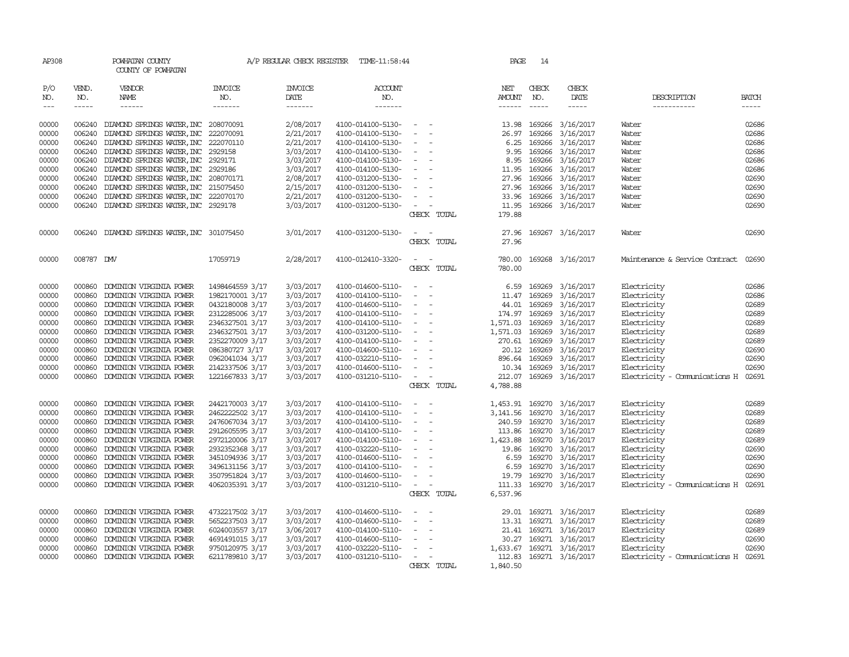| AP308             |              | POWHATAN COUNTY<br>COUNTY OF POWHATAN       |                       | A/P REGULAR CHECK REGISTER | TIME-11:58:44         |                                              |             | PAGE             | 14            |                                                                                                                                                                                                                                                                  |                                     |              |
|-------------------|--------------|---------------------------------------------|-----------------------|----------------------------|-----------------------|----------------------------------------------|-------------|------------------|---------------|------------------------------------------------------------------------------------------------------------------------------------------------------------------------------------------------------------------------------------------------------------------|-------------------------------------|--------------|
| P/O<br>NO.        | VEND.<br>NO. | <b>VENDOR</b><br>NAME                       | <b>INVOICE</b><br>NO. | <b>INVOICE</b><br>DATE     | <b>ACCOUNT</b><br>NO. |                                              |             | NET<br>AMOUNT    | CHECK<br>NO.  | CHECK<br>DATE                                                                                                                                                                                                                                                    | DESCRIPTION                         | <b>BATCH</b> |
| $\qquad \qquad -$ | $\cdots$     | ------                                      | -------               |                            | -------               |                                              |             | $- - - - - -$    | $\frac{1}{2}$ | $\begin{tabular}{ccccc} \multicolumn{2}{c }{\multicolumn{2}{c }{\multicolumn{2}{c }{\multicolumn{2}{c}}}{\multicolumn{2}{c }{\multicolumn{2}{c}}}{\multicolumn{2}{c }{\multicolumn{2}{c}}}{\multicolumn{2}{c }{\multicolumn{2}{c}}}}\end{tabular} \end{tabular}$ | -----------                         | $- - - - -$  |
|                   |              |                                             |                       |                            |                       |                                              |             |                  |               |                                                                                                                                                                                                                                                                  |                                     |              |
| 00000             | 006240       | DIAMOND SPRINGS WATER, INC 208070091        |                       | 2/08/2017                  | 4100-014100-5130-     | $\sim$<br>$\sim$                             |             | 13.98            | 169266        | 3/16/2017                                                                                                                                                                                                                                                        | Water                               | 02686        |
| 00000             | 006240       | DIAMOND SPRINGS WATER, INC                  | 222070091             | 2/21/2017                  | 4100-014100-5130-     |                                              |             | 26.97            | 169266        | 3/16/2017                                                                                                                                                                                                                                                        | Water                               | 02686        |
| 00000             | 006240       | DIAMOND SPRINGS WATER, INC                  | 222070110             | 2/21/2017                  | 4100-014100-5130-     | $\sim$                                       |             | 6.25             | 169266        | 3/16/2017                                                                                                                                                                                                                                                        | Water                               | 02686        |
| 00000             | 006240       | DIAMOND SPRINGS WATER, INC                  | 2929158               | 3/03/2017                  | 4100-014100-5130-     | $\sim$                                       |             | 9.95             | 169266        | 3/16/2017                                                                                                                                                                                                                                                        | Water                               | 02686        |
| 00000             | 006240       | DIAMOND SPRINGS WATER, INC 2929171          |                       | 3/03/2017                  | 4100-014100-5130-     | $\hspace{0.1mm}-\hspace{0.1mm}$              |             |                  | 8.95 169266   | 3/16/2017                                                                                                                                                                                                                                                        | Water                               | 02686        |
| 00000             | 006240       | DIAMOND SPRINGS WATER, INC 2929186          |                       | 3/03/2017                  | 4100-014100-5130-     | $\sim$<br>$\sim$                             |             |                  | 11.95 169266  | 3/16/2017                                                                                                                                                                                                                                                        | Water                               | 02686        |
| 00000             | 006240       | DIAMOND SPRINGS WATER, INC 208070171        |                       | 2/08/2017                  | 4100-031200-5130-     | $\sim$                                       |             | 27.96            | 169266        | 3/16/2017                                                                                                                                                                                                                                                        | Water                               | 02690        |
| 00000             | 006240       | DIAMOND SPRINGS WATER, INC 215075450        |                       | 2/15/2017                  | 4100-031200-5130-     |                                              |             | 27.96            | 169266        | 3/16/2017                                                                                                                                                                                                                                                        | Water                               | 02690        |
| 00000             |              | 006240 DIAMOND SPRINGS WATER, INC 222070170 |                       | 2/21/2017                  | 4100-031200-5130-     | $\sim$<br>$\overline{\phantom{a}}$<br>$\sim$ |             | 33.96            |               | 169266 3/16/2017                                                                                                                                                                                                                                                 | Water                               | 02690        |
| 00000             |              | 006240 DIAMOND SPRINGS WATER, INC 2929178   |                       | 3/03/2017                  | 4100-031200-5130-     | $\sim$                                       |             | 11.95            |               | 169266 3/16/2017                                                                                                                                                                                                                                                 | Water                               | 02690        |
|                   |              |                                             |                       |                            |                       |                                              | CHECK TOTAL | 179.88           |               |                                                                                                                                                                                                                                                                  |                                     |              |
| 00000             |              | 006240 DIAMOND SPRINGS WATER, INC 301075450 |                       | 3/01/2017                  | 4100-031200-5130-     | $\sim$<br>$\sim$                             |             | 27.96            |               | 169267 3/16/2017                                                                                                                                                                                                                                                 | Water                               | 02690        |
|                   |              |                                             |                       |                            |                       |                                              | CHECK TOTAL | 27.96            |               |                                                                                                                                                                                                                                                                  |                                     |              |
| 00000             | 008787 DMV   |                                             | 17059719              | 2/28/2017                  | 4100-012410-3320-     | $\overline{\phantom{a}}$<br>$\sim$           |             | 780.00           |               | 169268 3/16/2017                                                                                                                                                                                                                                                 | Maintenance & Service Contract      | 02690        |
|                   |              |                                             |                       |                            |                       |                                              | CHECK TOTAL | 780.00           |               |                                                                                                                                                                                                                                                                  |                                     |              |
| 00000             | 000860       | DOMINION VIRGINIA POWER                     | 1498464559 3/17       | 3/03/2017                  | 4100-014600-5110-     | $\sim$<br>$\sim$                             |             | 6.59             | 169269        | 3/16/2017                                                                                                                                                                                                                                                        | Electricity                         | 02686        |
| 00000             | 000860       | DOMINION VIRGINIA POWER                     | 1982170001 3/17       | 3/03/2017                  | 4100-014100-5110-     | $\overline{\phantom{a}}$                     |             | 11.47            | 169269        | 3/16/2017                                                                                                                                                                                                                                                        | Electricity                         | 02686        |
| 00000             | 000860       | DOMINION VIRGINIA POWER                     | 0432180008 3/17       | 3/03/2017                  | 4100-014600-5110-     | $\sim$<br>$\overline{\phantom{a}}$           |             | 44.01            | 169269        | 3/16/2017                                                                                                                                                                                                                                                        | Electricity                         | 02689        |
| 00000             | 000860       | DOMINION VIRGINIA POWER                     | 2312285006 3/17       | 3/03/2017                  | 4100-014100-5110-     | $\sim 10^{-1}$<br>$\sim$                     |             |                  | 174.97 169269 | 3/16/2017                                                                                                                                                                                                                                                        | Electricity                         | 02689        |
| 00000             | 000860       | DOMINION VIRGINIA POWER                     | 2346327501 3/17       | 3/03/2017                  | 4100-014100-5110-     | $\sim$ $-$                                   |             | 1,571.03         | 169269        | 3/16/2017                                                                                                                                                                                                                                                        | Electricity                         | 02689        |
| 00000             | 000860       | DOMINION VIRGINIA POWER                     | 2346327501 3/17       | 3/03/2017                  | 4100-031200-5110-     | $\sim$ $ \sim$                               |             | 1,571.03         | 169269        | 3/16/2017                                                                                                                                                                                                                                                        | Electricity                         | 02689        |
| 00000             | 000860       | DOMINION VIRGINIA POWER                     | 2352270009 3/17       | 3/03/2017                  | 4100-014100-5110-     | $\sim$ $ \sim$ $ -$                          |             |                  | 270.61 169269 | 3/16/2017                                                                                                                                                                                                                                                        | Electricity                         | 02689        |
| 00000             | 000860       | DOMINION VIRGINIA POWER                     | 086380727 3/17        | 3/03/2017                  | 4100-014600-5110-     | $\sim$ $-$                                   |             |                  | 20.12 169269  | 3/16/2017                                                                                                                                                                                                                                                        | Electricity                         | 02690        |
| 00000             | 000860       | DOMINION VIRGINIA POWER                     | 0962041034 3/17       | 3/03/2017                  | 4100-032210-5110-     | $\sim$                                       |             | 896.64           | 169269        | 3/16/2017                                                                                                                                                                                                                                                        | Electricity                         | 02690        |
| 00000             | 000860       | DOMINION VIRGINIA POWER                     | 2142337506 3/17       | 3/03/2017                  | 4100-014600-5110-     | $\sim$<br>$\sim$                             |             |                  | 10.34 169269  | 3/16/2017                                                                                                                                                                                                                                                        | Electricity                         | 02690        |
| 00000             | 000860       | DOMINION VIRGINIA POWER                     | 1221667833 3/17       | 3/03/2017                  | 4100-031210-5110-     | $\sim$<br>$\sim$ $-$                         |             | 212.07           | 169269        | 3/16/2017                                                                                                                                                                                                                                                        | Electricity - Comunications H       | 02691        |
|                   |              |                                             |                       |                            |                       |                                              | CHECK TOTAL | 4,788.88         |               |                                                                                                                                                                                                                                                                  |                                     |              |
| 00000             | 000860       | DOMINION VIRGINIA POWER                     | 2442170003 3/17       | 3/03/2017                  | 4100-014100-5110-     | $\overline{\phantom{a}}$                     |             | 1,453.91 169270  |               | 3/16/2017                                                                                                                                                                                                                                                        | Electricity                         | 02689        |
| 00000             | 000860       | DOMINION VIRGINIA POWER                     | 2462222502 3/17       | 3/03/2017                  | 4100-014100-5110-     | $\sim$                                       |             | 3, 141.56 169270 |               | 3/16/2017                                                                                                                                                                                                                                                        | Electricity                         | 02689        |
| 00000             | 000860       | DOMINION VIRGINIA POWER                     | 2476067034 3/17       | 3/03/2017                  | 4100-014100-5110-     | $\sim$<br>$\sim$                             |             | 240.59           | 169270        | 3/16/2017                                                                                                                                                                                                                                                        | Electricity                         | 02689        |
| 00000             | 000860       | DOMINION VIRGINIA POWER                     | 2912605595 3/17       | 3/03/2017                  | 4100-014100-5110-     | $\sim$ $ \sim$<br>$\overline{\phantom{a}}$   |             |                  | 113.86 169270 | 3/16/2017                                                                                                                                                                                                                                                        | Electricity                         | 02689        |
| 00000             | 000860       | DOMINION VIRGINIA POWER                     | 2972120006 3/17       | 3/03/2017                  | 4100-014100-5110-     | $\sim$ $-$                                   |             | 1,423.88         | 169270        | 3/16/2017                                                                                                                                                                                                                                                        | Electricity                         | 02689        |
| 00000             | 000860       | DOMINION VIRGINIA POWER                     | 2932352368 3/17       | 3/03/2017                  | 4100-032220-5110-     | $\sim$                                       |             | 19.86            | 169270        | 3/16/2017                                                                                                                                                                                                                                                        | Electricity                         | 02690        |
| 00000             | 000860       | DOMINION VIRGINIA POWER                     | 3451094936 3/17       | 3/03/2017                  | 4100-014600-5110-     | $\sim$ $ \sim$<br>$\sim$                     |             |                  | 6.59 169270   | 3/16/2017                                                                                                                                                                                                                                                        | Electricity                         | 02690        |
| 00000             | 000860       | DOMINION VIRGINIA POWER                     | 3496131156 3/17       | 3/03/2017                  | 4100-014100-5110-     | $\sim$                                       |             | 6.59             | 169270        | 3/16/2017                                                                                                                                                                                                                                                        | Electricity                         | 02690        |
| 00000             | 000860       | DOMINION VIRGINIA POWER                     | 3507951824 3/17       | 3/03/2017                  | 4100-014600-5110-     | $\overline{\phantom{a}}$                     |             | 19.79            | 169270        | 3/16/2017                                                                                                                                                                                                                                                        | Electricity                         | 02690        |
| 00000             |              | 000860 DOMINION VIRGINIA POWER              | 4062035391 3/17       | 3/03/2017                  | 4100-031210-5110-     | $\alpha = 1$ , $\alpha = 1$                  |             |                  |               | 111.33 169270 3/16/2017                                                                                                                                                                                                                                          | Electricity - Comunications H 02691 |              |
|                   |              |                                             |                       |                            |                       |                                              | CHECK TOTAL | 6,537.96         |               |                                                                                                                                                                                                                                                                  |                                     |              |
| 00000             | 000860       | DOMINION VIRGINIA POWER                     | 4732217502 3/17       | 3/03/2017                  | 4100-014600-5110-     | $\overline{\phantom{a}}$                     |             | 29.01            |               | 169271 3/16/2017                                                                                                                                                                                                                                                 | Electricity                         | 02689        |
| 00000             | 000860       | DOMINION VIRGINIA POWER                     | 5652237503 3/17       | 3/03/2017                  | 4100-014600-5110-     | $\sim$<br>$\overline{\phantom{a}}$           |             |                  |               | 13.31 169271 3/16/2017                                                                                                                                                                                                                                           | Electricity                         | 02689        |
| 00000             | 000860       | DOMINION VIRGINIA POWER                     | 6024003557 3/17       | 3/06/2017                  | 4100-014100-5110-     | $\overline{\phantom{a}}$                     |             |                  |               | 21.41 169271 3/16/2017                                                                                                                                                                                                                                           | Electricity                         | 02689        |
| 00000             | 000860       | DOMINION VIRGINIA POWER                     | 4691491015 3/17       | 3/03/2017                  | 4100-014600-5110-     | $\overline{\phantom{a}}$                     |             | 30.27            |               | 169271 3/16/2017                                                                                                                                                                                                                                                 | Electricity                         | 02690        |
| 00000             | 000860       | DOMINION VIRGINIA POWER                     | 9750120975 3/17       | 3/03/2017                  | 4100-032220-5110-     | $\sim$                                       |             |                  |               | 1,633.67 169271 3/16/2017                                                                                                                                                                                                                                        | Electricity                         | 02690        |
| 00000             |              | 000860 DOMINION VIRGINIA POWER              | 6211789810 3/17       | 3/03/2017                  | 4100-031210-5110-     | $\alpha = 1$ , $\alpha = 1$                  |             |                  |               | 112.83 169271 3/16/2017                                                                                                                                                                                                                                          | Electricity - Comunications H 02691 |              |
|                   |              |                                             |                       |                            |                       |                                              | CHECK TOTAL | 1,840.50         |               |                                                                                                                                                                                                                                                                  |                                     |              |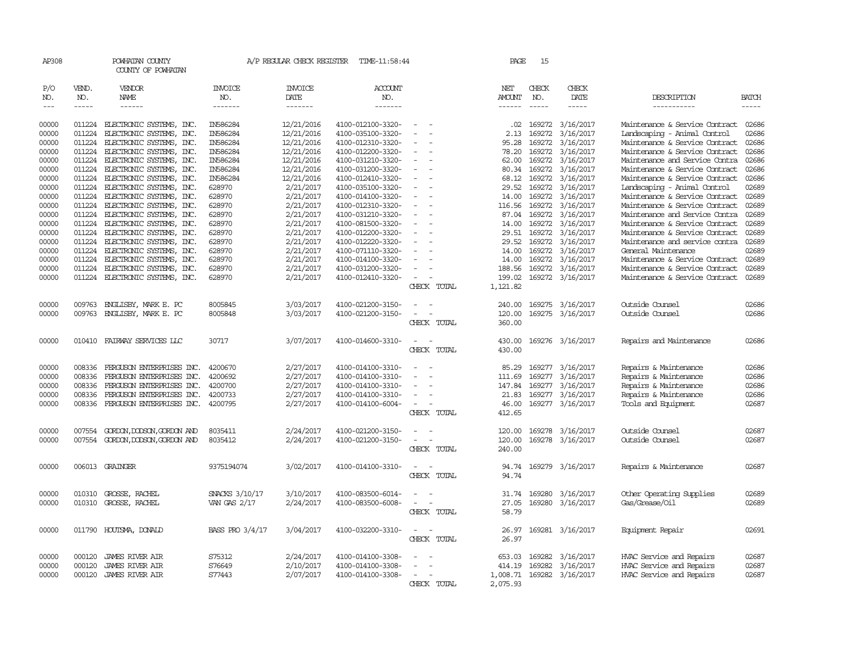| AP308                       |                             | POWHATAN COUNTY<br>COUNTY OF POWHATAN |                           | A/P REGULAR CHECK REGISTER                | TIME-11:58:44                    |                          | PAGE                           | 15                          |                        |                                |                               |
|-----------------------------|-----------------------------|---------------------------------------|---------------------------|-------------------------------------------|----------------------------------|--------------------------|--------------------------------|-----------------------------|------------------------|--------------------------------|-------------------------------|
| P/O<br>NO.<br>$\frac{1}{2}$ | VEND.<br>NO.<br>$- - - - -$ | VENDOR<br>NAME<br>------              | INVOICE<br>NO.<br>------- | <b>INVOICE</b><br>DATE<br>$- - - - - - -$ | <b>ACCOUNT</b><br>NO.<br>------- |                          | NET<br>AMOUNT<br>$- - - - - -$ | CHECK<br>NO.<br>$- - - - -$ | CHECK<br>DATE<br>----- | DESCRIPTION<br>-----------     | <b>BATCH</b><br>$\frac{1}{2}$ |
|                             |                             |                                       |                           |                                           |                                  |                          |                                |                             |                        |                                |                               |
| 00000                       | 011224                      | ELECTRONIC SYSTEMS, INC.              | IN586284                  | 12/21/2016                                | 4100-012100-3320-                |                          | $.02\,$                        | 169272                      | 3/16/2017              | Maintenance & Service Contract | 02686                         |
| 00000                       | 011224                      | ELECTRONIC SYSTEMS, INC.              | IN586284                  | 12/21/2016                                | 4100-035100-3320-                | $\sim$                   | 2.13                           | 169272                      | 3/16/2017              | Landscaping - Animal Control   | 02686                         |
| 00000                       | 011224                      | ELECTRONIC SYSTEMS, INC.              | IN586284                  | 12/21/2016                                | 4100-012310-3320-                |                          | 95.28                          | 169272                      | 3/16/2017              | Maintenance & Service Contract | 02686                         |
| 00000                       | 011224                      | ELECTRONIC SYSTEMS, INC.              | IN586284                  | 12/21/2016                                | 4100-012200-3320-                |                          | 78.20                          | 169272                      | 3/16/2017              | Maintenance & Service Contract | 02686                         |
| 00000                       | 011224                      | ELECTRONIC SYSTEMS, INC.              | IN586284                  | 12/21/2016                                | 4100-031210-3320-                |                          | 62.00                          |                             | 169272 3/16/2017       | Maintenance and Service Contra | 02686                         |
| 00000                       | 011224                      | ELECTRONIC SYSTEMS, INC.              | IN586284                  | 12/21/2016                                | 4100-031200-3320-                | $\overline{\phantom{a}}$ |                                | 80.34 169272                | 3/16/2017              | Maintenance & Service Contract | 02686                         |
| 00000                       | 011224                      | ELECTRONIC SYSTEMS, INC.              | IN586284                  | 12/21/2016                                | 4100-012410-3320-                |                          | 68.12                          | 169272                      | 3/16/2017              | Maintenance & Service Contract | 02686                         |
| 00000                       | 011224                      | ELECTRONIC SYSTEMS, INC.              | 628970                    | 2/21/2017                                 | 4100-035100-3320-                |                          | 29.52                          | 169272                      | 3/16/2017              | Landscaping - Animal Control   | 02689                         |
| 00000                       | 011224                      | ELECTRONIC SYSTEMS, INC.              | 628970                    | 2/21/2017                                 | 4100-014100-3320-                |                          | 14.00                          | 169272                      | 3/16/2017              | Maintenance & Service Contract | 02689                         |
| 00000                       | 011224                      | ELECTRONIC SYSTEMS, INC.              | 628970                    | 2/21/2017                                 | 4100-012310-3320-                |                          | 116.56                         | 169272                      | 3/16/2017              | Maintenance & Service Contract | 02689                         |
| 00000                       | 011224                      | ELECTRONIC SYSTEMS, INC.              | 628970                    | 2/21/2017                                 | 4100-031210-3320-                |                          | 87.04                          | 169272                      | 3/16/2017              | Maintenance and Service Contra | 02689                         |
| 00000                       | 011224                      | ELECTRONIC SYSTEMS, INC.              | 628970                    | 2/21/2017                                 | 4100-081500-3320-                |                          | 14.00                          | 169272                      | 3/16/2017              | Maintenance & Service Contract | 02689                         |
| 00000                       | 011224                      | ELECTRONIC SYSTEMS, INC.              | 628970                    | 2/21/2017                                 | 4100-012200-3320-                | $\overline{\phantom{a}}$ | 29.51                          | 169272                      | 3/16/2017              | Maintenance & Service Contract | 02689                         |
| 00000                       | 011224                      | ELECTRONIC SYSTEMS, INC.              | 628970                    | 2/21/2017                                 | 4100-012220-3320-                |                          | 29.52                          | 169272                      | 3/16/2017              | Maintenance and service contra | 02689                         |
| 00000                       | 011224                      | ELECTRONIC SYSTEMS, INC.              | 628970                    | 2/21/2017                                 | 4100-071110-3320-                |                          | 14.00                          | 169272                      | 3/16/2017              | General Maintenance            | 02689                         |
| 00000                       | 011224                      | ELECTRONIC SYSTEMS, INC.              | 628970                    | 2/21/2017                                 | 4100-014100-3320-                |                          | 14.00                          |                             | 169272 3/16/2017       | Maintenance & Service Contract | 02689                         |
| 00000                       | 011224                      | ELECTRONIC SYSTEMS, INC.              | 628970                    | 2/21/2017                                 | 4100-031200-3320-                |                          | 188.56                         |                             | 169272 3/16/2017       | Maintenance & Service Contract | 02689                         |
| 00000                       | 011224                      | ELECTRONIC SYSTEMS, INC.              | 628970                    | 2/21/2017                                 | 4100-012410-3320-                |                          | 199.02                         |                             | 169272 3/16/2017       | Maintenance & Service Contract | 02689                         |
|                             |                             |                                       |                           |                                           |                                  | CHECK TOTAL              | 1,121.82                       |                             |                        |                                |                               |
| 00000                       |                             | 009763 ENGLISBY, MARK E. PC           | 8005845                   | 3/03/2017                                 | 4100-021200-3150-                |                          | 240.00                         |                             | 169275 3/16/2017       | Outside Counsel                | 02686                         |
| 00000                       | 009763                      | ENGLISBY, MARK E. PC                  | 8005848                   | 3/03/2017                                 | 4100-021200-3150-                |                          | 120.00                         |                             | 169275 3/16/2017       | Outside Counsel                | 02686                         |
|                             |                             |                                       |                           |                                           |                                  | CHECK TOTAL              | 360.00                         |                             |                        |                                |                               |
| 00000                       |                             | 010410 FAIRWAY SERVICES LLC           | 30717                     | 3/07/2017                                 | 4100-014600-3310-                |                          | 430.00                         |                             | 169276 3/16/2017       | Repairs and Maintenance        | 02686                         |
|                             |                             |                                       |                           |                                           |                                  | CHECK TOTAL              | 430.00                         |                             |                        |                                |                               |
| 00000                       | 008336                      | FERGUSON ENTERPRISES INC.             | 4200670                   | 2/27/2017                                 | 4100-014100-3310-                |                          | 85.29                          |                             | 169277 3/16/2017       | Repairs & Maintenance          | 02686                         |
| 00000                       | 008336                      | FERGUSON ENTERPRISES INC.             | 4200692                   | 2/27/2017                                 | 4100-014100-3310-                | $\overline{\phantom{a}}$ | 111.69                         |                             | 169277 3/16/2017       | Repairs & Maintenance          | 02686                         |
| 00000                       | 008336                      | FERGUSON ENTERPRISES INC.             | 4200700                   | 2/27/2017                                 | 4100-014100-3310-                |                          | 147.84                         |                             | 169277 3/16/2017       | Repairs & Maintenance          | 02686                         |
| 00000                       | 008336                      | FERGUSON ENTERPRISES INC.             | 4200733                   | 2/27/2017                                 | 4100-014100-3310-                | $\overline{\phantom{a}}$ | 21.83                          |                             | 169277 3/16/2017       | Repairs & Maintenance          | 02686                         |
| 00000                       |                             | 008336 FERGUSON ENTERPRISES INC.      | 4200795                   | 2/27/2017                                 | 4100-014100-6004-                |                          | 46.00                          |                             | 169277 3/16/2017       | Tools and Equipment            | 02687                         |
|                             |                             |                                       |                           |                                           |                                  | CHECK TOTAL              | 412.65                         |                             |                        |                                |                               |
| 00000                       |                             |                                       | 8035411                   | 2/24/2017                                 | 4100-021200-3150-                |                          |                                |                             | 169278 3/16/2017       | Outside Counsel                | 02687                         |
|                             | 007554                      | GORDON, DODSON, GORDON AND            |                           |                                           |                                  |                          | 120.00                         |                             |                        | Outside Counsel                |                               |
| 00000                       | 007554                      | GORDON, DODSON, GORDON AND            | 8035412                   | 2/24/2017                                 | 4100-021200-3150-                | CHECK TOTAL              | 120.00<br>240.00               |                             | 169278 3/16/2017       |                                | 02687                         |
|                             |                             |                                       |                           |                                           |                                  |                          |                                |                             |                        |                                |                               |
| 00000                       |                             | 006013 GRAINGER                       | 9375194074                | 3/02/2017                                 | 4100-014100-3310-                | CHECK TOTAL              | 94.74<br>94.74                 |                             | 169279 3/16/2017       | Repairs & Maintenance          | 02687                         |
|                             |                             |                                       |                           |                                           |                                  |                          |                                |                             |                        |                                |                               |
| 00000                       | 010310                      | GROSSE, RACHEL                        | SNACKS 3/10/17            | 3/10/2017                                 | 4100-083500-6014-                |                          | 31.74                          |                             | 169280 3/16/2017       | Other Operating Supplies       | 02689                         |
| 00000                       |                             | 010310 GROSSE, RACHEL                 | VAN GAS 2/17              | 2/24/2017                                 | 4100-083500-6008-                |                          | 27.05                          |                             | 169280 3/16/2017       | Gas/Grease/0il                 | 02689                         |
|                             |                             |                                       |                           |                                           |                                  | CHECK TOTAL              | 58.79                          |                             |                        |                                |                               |
| 00000                       |                             | 011790 HOUTSMA, DONALD                | BASS PRO 3/4/17           | 3/04/2017                                 | 4100-032200-3310-                |                          | 26.97                          |                             | 169281 3/16/2017       | Equipment Repair               | 02691                         |
|                             |                             |                                       |                           |                                           |                                  | CHECK TOTAL              | 26.97                          |                             |                        |                                |                               |
| 00000                       | 000120                      | <b>JAMES RIVER AIR</b>                | S75312                    | 2/24/2017                                 | 4100-014100-3308-                |                          | 653.03                         | 169282                      | 3/16/2017              | HVAC Service and Repairs       | 02687                         |
| 00000                       | 000120                      | <b>JAMES RIVER AIR</b>                | S76649                    | 2/10/2017                                 | 4100-014100-3308-                |                          | 414.19                         | 169282                      | 3/16/2017              | HVAC Service and Repairs       | 02687                         |
| 00000                       | 000120                      | JAMES RIVER AIR                       | S77443                    | 2/07/2017                                 | 4100-014100-3308-                |                          | 1,008.71                       |                             | 169282 3/16/2017       | HVAC Service and Repairs       | 02687                         |
|                             |                             |                                       |                           |                                           |                                  | CHECK TOTAL              | 2,075.93                       |                             |                        |                                |                               |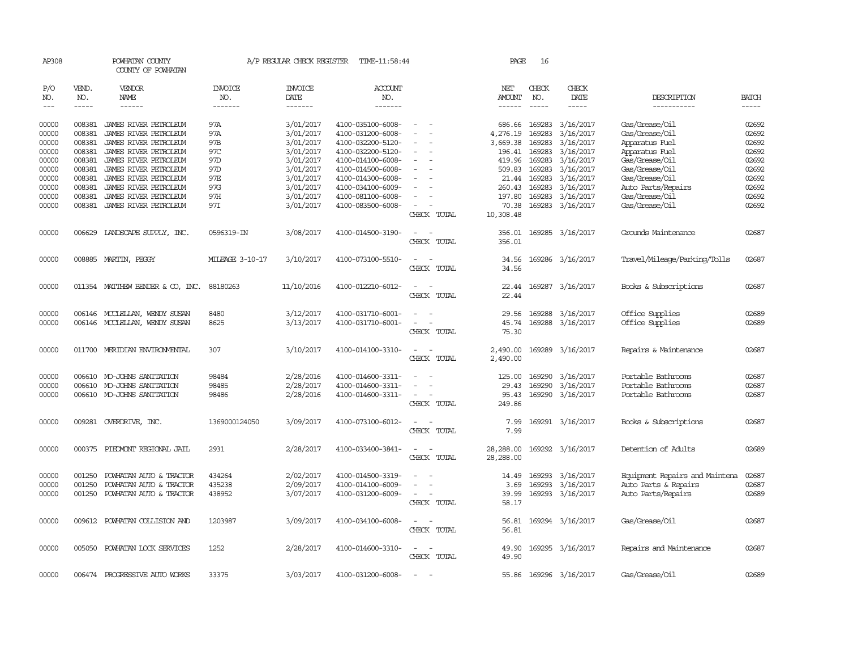| AP308      |              | POWHATAN COUNTY<br>COUNTY OF POWHATAN |                        | A/P REGULAR CHECK REGISTER | TIME-11:58:44         |                                    | PAGE          | 16           |                        |                                |              |
|------------|--------------|---------------------------------------|------------------------|----------------------------|-----------------------|------------------------------------|---------------|--------------|------------------------|--------------------------------|--------------|
| P/O<br>NO. | VEND.<br>NO. | <b>VENDOR</b><br>NAME                 | <b>INVOICE</b><br>NO.  | <b>INVOICE</b><br>DATE     | <b>ACCOUNT</b><br>NO. |                                    | NET<br>AMOUNT | CHECK<br>NO. | CHECK<br>DATE          | DESCRIPTION                    | <b>BATCH</b> |
| $---$      | $- - - - -$  | ------                                | -------                | -------                    | -------               |                                    | $- - - - - -$ | $- - - - -$  | $- - - - -$            | -----------                    | $- - - - -$  |
| 00000      | 008381       | JAMES RIVER PETROLEUM                 | 97A                    | 3/01/2017                  | 4100-035100-6008-     |                                    | 686.66        | 169283       | 3/16/2017              | Gas/Grease/Oil                 | 02692        |
| 00000      | 008381       | JAMES RIVER PETROLEUM                 | 97A                    | 3/01/2017                  | 4100-031200-6008-     |                                    | 4,276.19      | 169283       | 3/16/2017              | Gas/Grease/Oil                 | 02692        |
| 00000      | 008381       | JAMES RIVER PETROLEUM                 | 97B                    | 3/01/2017                  | 4100-032200-5120-     |                                    | 3,669.38      | 169283       | 3/16/2017              | Apparatus Fuel                 | 02692        |
| 00000      | 008381       | JAMES RIVER PETROLEUM                 | 97C                    | 3/01/2017                  | 4100-032200-5120-     | $\overline{\phantom{a}}$           | 196.41        | 169283       | 3/16/2017              | Apparatus Fuel                 | 02692        |
| 00000      | 008381       | JAMES RIVER PETROLEUM                 | 97D                    | 3/01/2017                  | 4100-014100-6008-     |                                    | 419.96        | 169283       | 3/16/2017              | Gas/Grease/Oil                 | 02692        |
| 00000      | 008381       | JAMES RIVER PEIROLEUM                 | 97D                    | 3/01/2017                  | 4100-014500-6008-     |                                    | 509.83        | 169283       | 3/16/2017              | Gas/Grease/Oil                 | 02692        |
| 00000      | 008381       | JAMES RIVER PETROLEUM                 | 97E                    | 3/01/2017                  | 4100-014300-6008-     |                                    | 21.44         | 169283       | 3/16/2017              | Gas/Grease/Oil                 | 02692        |
| 00000      | 008381       | JAMES RIVER PETROLEUM                 | 97G                    | 3/01/2017                  | 4100-034100-6009-     | $\sim$                             | 260.43        | 169283       | 3/16/2017              | Auto Parts/Repairs             | 02692        |
| 00000      | 008381       | JAMES RIVER PEIROLEUM                 | 97H                    | 3/01/2017                  | 4100-081100-6008-     | $\sim$                             | 197.80        | 169283       | 3/16/2017              | Gas/Grease/Oil                 | 02692        |
| 00000      |              | 008381 JAMES RIVER PETROLEUM          | 97I                    | 3/01/2017                  | 4100-083500-6008-     | $\overline{\phantom{a}}$           | 70.38         |              | 169283 3/16/2017       | Gas/Grease/Oil                 | 02692        |
|            |              |                                       |                        |                            |                       | CHECK TOTAL                        | 10,308.48     |              |                        |                                |              |
| 00000      |              | 006629 LANDSCAPE SUPPLY, INC.         | 0596319-IN             | 3/08/2017                  | 4100-014500-3190-     | $\sim$<br>$\overline{\phantom{a}}$ | 356.01        |              | 169285 3/16/2017       | Grounds Maintenance            | 02687        |
|            |              |                                       |                        |                            |                       | CHECK TOTAL                        | 356.01        |              |                        |                                |              |
| 00000      |              | 008885 MARTIN, PEGGY                  | <b>MILEAGE 3-10-17</b> | 3/10/2017                  | 4100-073100-5510-     |                                    | 34.56         |              | 169286 3/16/2017       | Travel/Mileage/Parking/Tolls   | 02687        |
|            |              |                                       |                        |                            |                       | CHECK TOTAL                        | 34.56         |              |                        |                                |              |
| 00000      |              | 011354 MATTHEW BENDER & CO, INC.      | 88180263               | 11/10/2016                 | 4100-012210-6012-     | $\overline{a}$<br>$\sim$           | 22.44         |              | 169287 3/16/2017       | Books & Subscriptions          | 02687        |
|            |              |                                       |                        |                            |                       | CHECK TOTAL                        | 22.44         |              |                        |                                |              |
| 00000      |              | 006146 MCCLELLAN, WENDY SUSAN         | 8480                   | 3/12/2017                  | 4100-031710-6001-     |                                    | 29.56         | 169288       | 3/16/2017              | Office Supplies                | 02689        |
| 00000      |              | 006146 MCCLELLAN, WENDY SUSAN         | 8625                   | 3/13/2017                  | 4100-031710-6001-     |                                    | 45.74         |              | 169288 3/16/2017       | Office Supplies                | 02689        |
|            |              |                                       |                        |                            |                       | CHECK TOTAL                        | 75.30         |              |                        |                                |              |
| 00000      | 011700       | MERIDIAN ENVIRONMENTAL                | 307                    | 3/10/2017                  | 4100-014100-3310-     | $\overline{\phantom{a}}$           | 2,490.00      | 169289       | 3/16/2017              | Repairs & Maintenance          | 02687        |
|            |              |                                       |                        |                            |                       | CHECK TOTAL                        | 2,490.00      |              |                        |                                |              |
| 00000      |              | 006610 MO-JOHNS SANITATION            | 98484                  | 2/28/2016                  | 4100-014600-3311-     |                                    | 125.00        | 169290       | 3/16/2017              | Portable Bathrooms             | 02687        |
| 00000      |              | 006610 MO-JOHNS SANITATION            | 98485                  | 2/28/2017                  | 4100-014600-3311-     |                                    | 29.43         | 169290       | 3/16/2017              | Portable Bathrooms             | 02687        |
| 00000      |              | 006610 MO-JOHNS SANITATION            | 98486                  | 2/28/2016                  | 4100-014600-3311-     | $\overline{\phantom{a}}$           | 95.43         |              | 169290 3/16/2017       | Portable Bathrooms             | 02687        |
|            |              |                                       |                        |                            |                       | CHECK TOTAL                        | 249.86        |              |                        |                                |              |
| 00000      | 009281       | OVERDRIVE, INC.                       | 1369000124050          | 3/09/2017                  | 4100-073100-6012-     |                                    | 7.99          |              | 169291 3/16/2017       | Books & Subscriptions          | 02687        |
|            |              |                                       |                        |                            |                       | CHECK TOTAL                        | 7.99          |              |                        |                                |              |
| 00000      | 000375       | PIEDMONT REGIONAL JAIL                | 2931                   | 2/28/2017                  | 4100-033400-3841-     | $\overline{\phantom{a}}$           | 28,288.00     |              | 169292 3/16/2017       | Detention of Adults            | 02689        |
|            |              |                                       |                        |                            |                       | CHECK TOTAL                        | 28,288.00     |              |                        |                                |              |
| 00000      | 001250       | POWHATAN AUTO & TRACTOR               | 434264                 | 2/02/2017                  | 4100-014500-3319-     |                                    | 14.49         | 169293       | 3/16/2017              | Equipment Repairs and Maintena | 02687        |
| 00000      | 001250       | POWHATAN AUTO & TRACTOR               | 435238                 | 2/09/2017                  | 4100-014100-6009-     |                                    | 3.69          | 169293       | 3/16/2017              | Auto Parts & Repairs           | 02687        |
| 00000      | 001250       | POWHATAN AUTO & TRACTOR               | 438952                 | 3/07/2017                  | 4100-031200-6009-     | $\sim$                             | 39.99         |              | 169293 3/16/2017       | Auto Parts/Repairs             | 02689        |
|            |              |                                       |                        |                            |                       | CHECK TOTAL                        | 58.17         |              |                        |                                |              |
| 00000      |              | 009612 POWHATAN COLLISION AND         | 1203987                | 3/09/2017                  | 4100-034100-6008-     |                                    | 56.81         |              | 169294 3/16/2017       | Gas/Grease/Oil                 | 02687        |
|            |              |                                       |                        |                            |                       | CHECK TOTAL                        | 56.81         |              |                        |                                |              |
| 00000      | 005050       | POWHATAN LOCK SERVICES                | 1252                   | 2/28/2017                  | 4100-014600-3310-     | $\sim$<br>$\sim$                   | 49.90         |              | 169295 3/16/2017       | Repairs and Maintenance        | 02687        |
|            |              |                                       |                        |                            |                       | CHECK TOTAL                        | 49.90         |              |                        |                                |              |
| 00000      |              | 006474 PROGRESSIVE AUTO WORKS         | 33375                  | 3/03/2017                  | 4100-031200-6008-     |                                    |               |              | 55.86 169296 3/16/2017 | Gas/Grease/Oil                 | 02689        |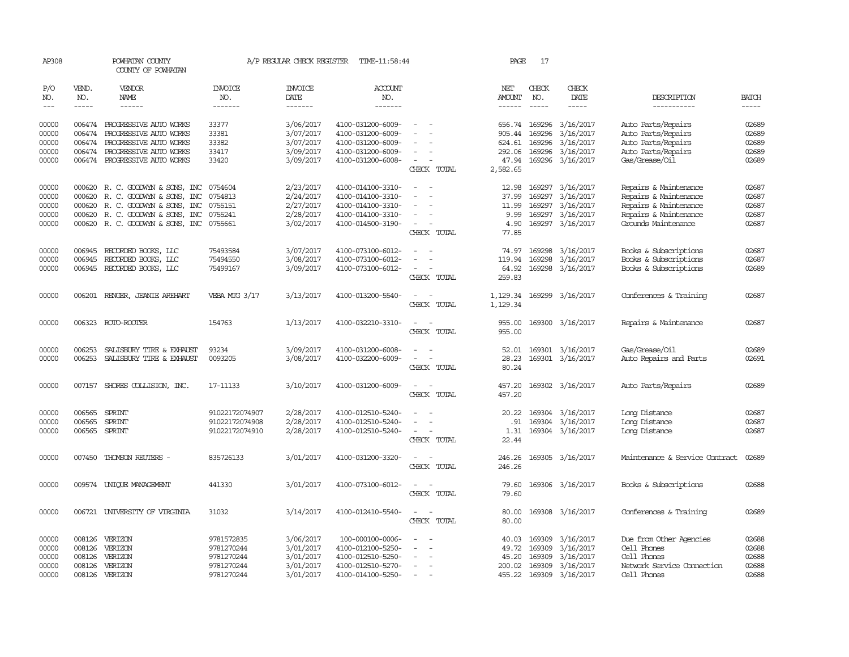| AP308                                     |                                      | POWHATAN COUNTY<br>COUNTY OF POWHATAN                                                                                                                |                                                                    | A/P REGULAR CHECK REGISTER                                    | TIME-11:58:44                                                                                         |                                                                                                                             | PAGE                                             | 17                                                    |                                                                                    |                                                                                                                         |                                           |
|-------------------------------------------|--------------------------------------|------------------------------------------------------------------------------------------------------------------------------------------------------|--------------------------------------------------------------------|---------------------------------------------------------------|-------------------------------------------------------------------------------------------------------|-----------------------------------------------------------------------------------------------------------------------------|--------------------------------------------------|-------------------------------------------------------|------------------------------------------------------------------------------------|-------------------------------------------------------------------------------------------------------------------------|-------------------------------------------|
| P/O<br>NO.                                | VEND.<br>NO.                         | VENDOR<br>NAME                                                                                                                                       | <b>INVOICE</b><br>NO.                                              | <b>INVOICE</b><br>DATE                                        | <b>ACCOUNT</b><br>NO.                                                                                 |                                                                                                                             | NET<br>AMOUNT                                    | CHECK<br>NO.                                          | CHECK<br>DATE                                                                      | DESCRIPTION                                                                                                             | <b>BATCH</b>                              |
| $\qquad \qquad - -$                       | $- - - - -$                          | ------                                                                                                                                               | -------                                                            | -------                                                       | -------                                                                                               |                                                                                                                             | $- - - - - -$                                    | $\frac{1}{2}$                                         | -----                                                                              | -----------                                                                                                             | $- - - - -$                               |
| 00000<br>00000<br>00000<br>00000<br>00000 | 006474<br>006474<br>006474           | 006474 PROGRESSIVE AUTO WORKS<br>PROGRESSIVE AUTO WORKS<br>PROGRESSIVE AUTO WORKS<br>PROGRESSIVE AUTO WORKS<br>006474 PROGRESSIVE AUTO WORKS         | 33377<br>33381<br>33382<br>33417<br>33420                          | 3/06/2017<br>3/07/2017<br>3/07/2017<br>3/09/2017<br>3/09/2017 | 4100-031200-6009-<br>4100-031200-6009-<br>4100-031200-6009-<br>4100-031200-6009-<br>4100-031200-6008- | $\overline{\phantom{a}}$<br>$\sim$<br>CHECK TOTAL                                                                           | 905.44<br>624.61<br>292.06<br>47.94<br>2,582.65  | 656.74 169296<br>169296<br>169296<br>169296<br>169296 | 3/16/2017<br>3/16/2017<br>3/16/2017<br>3/16/2017<br>3/16/2017                      | Auto Parts/Repairs<br>Auto Parts/Repairs<br>Auto Parts/Repairs<br>Auto Parts/Repairs<br>Gas/Grease/Oil                  | 02689<br>02689<br>02689<br>02689<br>02689 |
| 00000<br>00000<br>00000<br>00000<br>00000 | 000620<br>000620<br>000620<br>000620 | R. C. GOODWYN & SONS, INC<br>R. C. GOODWYN & SONS, INC<br>R. C. GOODWYN & SONS, INC<br>R. C. GOODWYN & SONS, INC<br>000620 R. C. GOODWYN & SONS, INC | 0754604<br>0754813<br>0755151<br>0755241<br>0755661                | 2/23/2017<br>2/24/2017<br>2/27/2017<br>2/28/2017<br>3/02/2017 | 4100-014100-3310-<br>4100-014100-3310-<br>4100-014100-3310-<br>4100-014100-3310-<br>4100-014500-3190- | $\sim$<br>$\overline{\phantom{a}}$<br>$\equiv$<br>$\sim$<br>$\overline{\phantom{a}}$<br>CHECK TOTAL                         | 12.98<br>37.99<br>11.99<br>9.99<br>4.90<br>77.85 | 169297<br>169297                                      | 3/16/2017<br>3/16/2017<br>169297 3/16/2017<br>169297 3/16/2017<br>169297 3/16/2017 | Repairs & Maintenance<br>Repairs & Maintenance<br>Repairs & Maintenance<br>Repairs & Maintenance<br>Grounds Maintenance | 02687<br>02687<br>02687<br>02687<br>02687 |
| 00000<br>00000<br>00000                   | 006945                               | 006945 RECORDED BOOKS, LLC<br>RECORDED BOOKS, LLC<br>006945 RECORDED BOOKS, LLC                                                                      | 75493584<br>75494550<br>75499167                                   | 3/07/2017<br>3/08/2017<br>3/09/2017                           | 4100-073100-6012-<br>4100-073100-6012-<br>4100-073100-6012-                                           | $\overline{\phantom{a}}$<br>CHECK TOTAL                                                                                     | 119.94<br>64.92<br>259.83                        | 74.97 169298<br>169298                                | 3/16/2017<br>3/16/2017<br>169298 3/16/2017                                         | Books & Subscriptions<br>Books & Subscriptions<br>Books & Subscriptions                                                 | 02687<br>02687<br>02689                   |
| 00000                                     |                                      | 006201 RENGER, JEANIE AREHART                                                                                                                        | VEBA MIG 3/17                                                      | 3/13/2017                                                     | 4100-013200-5540-                                                                                     | CHECK TOTAL                                                                                                                 | 1,129.34                                         |                                                       | 1, 129.34 169299 3/16/2017                                                         | Conferences & Training                                                                                                  | 02687                                     |
| 00000                                     |                                      | 006323 ROTO-ROOTER                                                                                                                                   | 154763                                                             | 1/13/2017                                                     | 4100-032210-3310-                                                                                     | CHECK TOTAL                                                                                                                 | 955.00<br>955.00                                 |                                                       | 169300 3/16/2017                                                                   | Repairs & Maintenance                                                                                                   | 02687                                     |
| 00000<br>00000                            | 006253<br>006253                     | SALISBURY TIRE & EXHAUST<br>SALISBURY TIRE & EXHAUST                                                                                                 | 93234<br>0093205                                                   | 3/09/2017<br>3/08/2017                                        | 4100-031200-6008-<br>4100-032200-6009-                                                                | $\sim$<br>$\overline{\phantom{a}}$<br>CHECK TOTAL                                                                           | 52.01<br>28.23<br>80.24                          |                                                       | 169301 3/16/2017<br>169301 3/16/2017                                               | Gas/Grease/Oil<br>Auto Repairs and Parts                                                                                | 02689<br>02691                            |
| 00000                                     |                                      | 007157 SHORES COLLISION, INC.                                                                                                                        | 17-11133                                                           | 3/10/2017                                                     | 4100-031200-6009-                                                                                     | CHECK TOTAL                                                                                                                 | 457.20<br>457.20                                 |                                                       | 169302 3/16/2017                                                                   | Auto Parts/Repairs                                                                                                      | 02689                                     |
| 00000<br>00000<br>00000                   | 006565<br>006565<br>006565 SPRINT    | SPRINT<br>SPRINT                                                                                                                                     | 91022172074907<br>91022172074908<br>91022172074910                 | 2/28/2017<br>2/28/2017<br>2/28/2017                           | 4100-012510-5240-<br>4100-012510-5240-<br>4100-012510-5240-                                           | $\overline{\phantom{a}}$<br>CHECK TOTAL                                                                                     | 20.22<br>.91<br>1.31<br>22.44                    |                                                       | 169304 3/16/2017<br>169304 3/16/2017<br>169304 3/16/2017                           | Long Distance<br>Long Distance<br>Long Distance                                                                         | 02687<br>02687<br>02687                   |
| 00000                                     |                                      | 007450 THOMSON REUTERS -                                                                                                                             | 835726133                                                          | 3/01/2017                                                     | 4100-031200-3320-                                                                                     | $\frac{1}{2} \left( \frac{1}{2} \right) \left( \frac{1}{2} \right) = \frac{1}{2} \left( \frac{1}{2} \right)$<br>CHECK TOTAL | 246.26<br>246.26                                 |                                                       | 169305 3/16/2017                                                                   | Maintenance & Service Contract                                                                                          | 02689                                     |
| 00000                                     |                                      | 009574 UNIQUE MANAGEMENT                                                                                                                             | 441330                                                             | 3/01/2017                                                     | 4100-073100-6012-                                                                                     | $\sim$<br>CHECK TOTAL                                                                                                       | 79.60<br>79.60                                   |                                                       | 169306 3/16/2017                                                                   | Books & Subscriptions                                                                                                   | 02688                                     |
| 00000                                     |                                      | 006721 UNIVERSITY OF VIRGINIA                                                                                                                        | 31032                                                              | 3/14/2017                                                     | 4100-012410-5540-                                                                                     | $\overline{a}$<br>$\sim$<br>CHECK TOTAL                                                                                     | 80.00<br>80.00                                   |                                                       | 169308 3/16/2017                                                                   | Conferences & Training                                                                                                  | 02689                                     |
| 00000<br>00000<br>00000<br>00000<br>00000 | 008126<br>008126<br>008126           | VERIZON<br>VERIZON<br>VERIZON<br>008126 VERIZON<br>008126 VERIZON                                                                                    | 9781572835<br>9781270244<br>9781270244<br>9781270244<br>9781270244 | 3/06/2017<br>3/01/2017<br>3/01/2017<br>3/01/2017<br>3/01/2017 | 100-000100-0006-<br>4100-012100-5250-<br>4100-012510-5250-<br>4100-012510-5270-<br>4100-014100-5250-  | $\overline{\phantom{a}}$                                                                                                    | 40.03<br>49.72<br>45.20<br>200.02                | 169309<br>169309<br>169309<br>169309<br>455.22 169309 | 3/16/2017<br>3/16/2017<br>3/16/2017<br>3/16/2017<br>3/16/2017                      | Due from Other Agencies<br>Cell Phones<br>Cell Phones<br>Network Service Connection<br>Cell Phones                      | 02688<br>02688<br>02688<br>02688<br>02688 |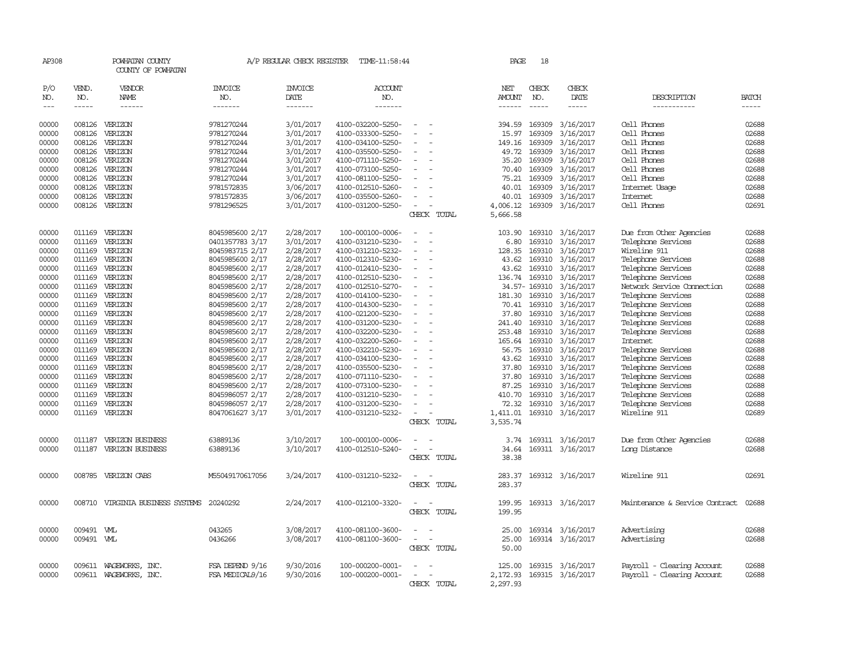| AP308                                                                                                                      |                                                                                                                                | POWHATAN COUNTY<br>COUNTY OF POWHATAN                                                                                                                         |                                                                                                                                                                                                                                                                        | A/P REGULAR CHECK REGISTER                                                                                                                                                         | TIME-11:58:44                                                                                                                                                                                                                                                                                     |                                                                          | PAGE                                                                                                                    | 18                                                                                                               |                                                                                                                                                                                                         |                                                                                                                                                                                                                                                                                                               |                                                                                                                            |
|----------------------------------------------------------------------------------------------------------------------------|--------------------------------------------------------------------------------------------------------------------------------|---------------------------------------------------------------------------------------------------------------------------------------------------------------|------------------------------------------------------------------------------------------------------------------------------------------------------------------------------------------------------------------------------------------------------------------------|------------------------------------------------------------------------------------------------------------------------------------------------------------------------------------|---------------------------------------------------------------------------------------------------------------------------------------------------------------------------------------------------------------------------------------------------------------------------------------------------|--------------------------------------------------------------------------|-------------------------------------------------------------------------------------------------------------------------|------------------------------------------------------------------------------------------------------------------|---------------------------------------------------------------------------------------------------------------------------------------------------------------------------------------------------------|---------------------------------------------------------------------------------------------------------------------------------------------------------------------------------------------------------------------------------------------------------------------------------------------------------------|----------------------------------------------------------------------------------------------------------------------------|
| P/O<br>NO.<br>$---$                                                                                                        | VEND.<br>NO.<br>$\frac{1}{2}$                                                                                                  | VENDOR<br>NAME<br>$- - - - - -$                                                                                                                               | <b>INVOICE</b><br>NO.<br>-------                                                                                                                                                                                                                                       | <b>INVOICE</b><br>DATE<br>-------                                                                                                                                                  | <b>ACCOUNT</b><br>NO.<br>-------                                                                                                                                                                                                                                                                  |                                                                          | NET<br><b>AMOUNT</b><br>$- - - - - -$                                                                                   | CHECK<br>NO.<br>$\frac{1}{2}$                                                                                    | CHECK<br>DATE<br>$\frac{1}{2}$                                                                                                                                                                          | DESCRIPTION<br>-----------                                                                                                                                                                                                                                                                                    | <b>BATCH</b><br>-----                                                                                                      |
| 00000<br>00000<br>00000<br>00000                                                                                           | 008126<br>008126<br>008126<br>008126                                                                                           | VERIZON<br>VERIZON<br>VERIZON<br>VERIZON                                                                                                                      | 9781270244<br>9781270244<br>9781270244<br>9781270244                                                                                                                                                                                                                   | 3/01/2017<br>3/01/2017<br>3/01/2017<br>3/01/2017                                                                                                                                   | 4100-032200-5250-<br>4100-033300-5250-<br>4100-034100-5250-<br>4100-035500-5250-                                                                                                                                                                                                                  |                                                                          | 394.59<br>15.97<br>149.16<br>49.72                                                                                      | 169309<br>169309<br>169309<br>169309                                                                             | 3/16/2017<br>3/16/2017<br>3/16/2017<br>3/16/2017                                                                                                                                                        | Cell Phones<br>Cell Phones<br>Cell Phones<br>Cell Phones                                                                                                                                                                                                                                                      | 02688<br>02688<br>02688<br>02688                                                                                           |
| 00000<br>00000<br>00000<br>00000<br>00000<br>00000                                                                         | 008126<br>008126<br>008126<br>008126<br>008126<br>008126                                                                       | VERIZON<br>VERIZON<br>VERIZON<br>VERIZON<br>VERIZON<br>VERIZON                                                                                                | 9781270244<br>9781270244<br>9781270244<br>9781572835<br>9781572835<br>9781296525                                                                                                                                                                                       | 3/01/2017<br>3/01/2017<br>3/01/2017<br>3/06/2017<br>3/06/2017<br>3/01/2017                                                                                                         | 4100-071110-5250-<br>4100-073100-5250-<br>4100-081100-5250-<br>4100-012510-5260-<br>4100-035500-5260-<br>4100-031200-5250-                                                                                                                                                                        | CHECK TOTAL                                                              | 35.20<br>70.40<br>75.21<br>40.01<br>40.01<br>4,006.12<br>5,666.58                                                       | 169309<br>169309<br>169309<br>169309<br>169309                                                                   | 3/16/2017<br>3/16/2017<br>3/16/2017<br>3/16/2017<br>3/16/2017<br>169309 3/16/2017                                                                                                                       | Cell Phones<br>Cell Phones<br>Cell Phones<br>Internet Usage<br>Internet<br>Cell Phones                                                                                                                                                                                                                        | 02688<br>02688<br>02688<br>02688<br>02688<br>02691                                                                         |
| 00000<br>00000<br>00000<br>00000<br>00000<br>00000<br>00000<br>00000<br>00000<br>00000<br>00000<br>00000<br>00000<br>00000 | 011169<br>011169<br>011169<br>011169<br>011169<br>011169<br>011169<br>011169<br>011169<br>011169<br>011169<br>011169<br>011169 | VERIZON<br>VERIZON<br>VERIZON<br>VERIZON<br>VERIZON<br>VERIZON<br>011169 VERIZON<br>VERIZON<br>VERIZON<br>VERIZON<br>VERIZON<br>VERIZON<br>VERIZON<br>VERIZON | 8045985600 2/17<br>0401357783 3/17<br>8045983715 2/17<br>8045985600 2/17<br>8045985600 2/17<br>8045985600 2/17<br>8045985600 2/17<br>8045985600 2/17<br>8045985600 2/17<br>8045985600 2/17<br>8045985600 2/17<br>8045985600 2/17<br>8045985600 2/17<br>8045985600 2/17 | 2/28/2017<br>3/01/2017<br>2/28/2017<br>2/28/2017<br>2/28/2017<br>2/28/2017<br>2/28/2017<br>2/28/2017<br>2/28/2017<br>2/28/2017<br>2/28/2017<br>2/28/2017<br>2/28/2017<br>2/28/2017 | 100-000100-0006-<br>4100-031210-5230-<br>4100-031210-5232-<br>4100-012310-5230-<br>4100-012410-5230-<br>4100-012510-5230-<br>4100-012510-5270-<br>4100-014100-5230-<br>4100-014300-5230-<br>4100-021200-5230-<br>4100-031200-5230-<br>4100-032200-5230-<br>4100-032200-5260-<br>4100-032210-5230- | $\sim$<br>$\overline{\phantom{a}}$<br>$\overline{\phantom{a}}$<br>$\sim$ | 103.90<br>6.80<br>128.35<br>43.62<br>43.62<br>136.74<br>181.30<br>70.41<br>37.80<br>241.40<br>253.48<br>165.64<br>56.75 | 169310<br>169310<br>169310<br>169310<br>169310<br>34.57-169310<br>169310<br>169310<br>169310<br>169310<br>169310 | 169310 3/16/2017<br>3/16/2017<br>3/16/2017<br>3/16/2017<br>3/16/2017<br>3/16/2017<br>3/16/2017<br>3/16/2017<br>3/16/2017<br>169310 3/16/2017<br>169310 3/16/2017<br>3/16/2017<br>3/16/2017<br>3/16/2017 | Due from Other Agencies<br>Telephone Services<br>Wireline 911<br>Telephone Services<br>Telephone Services<br>Telephone Services<br>Network Service Connection<br>Telephone Services<br>Telephone Services<br>Telephone Services<br>Telephone Services<br>Telephone Services<br>Internet<br>Telephone Services | 02688<br>02688<br>02688<br>02688<br>02688<br>02688<br>02688<br>02688<br>02688<br>02688<br>02688<br>02688<br>02688<br>02688 |
| 00000<br>00000<br>00000<br>00000<br>00000<br>00000<br>00000<br>00000                                                       | 011169<br>011169<br>011169<br>011169<br>011169<br>011169<br>011169<br>011187                                                   | VERIZON<br>VERIZON<br>VERIZON<br>VERIZON<br>VERIZON<br>VERIZON<br>VERIZON<br>VERIZON BUSINESS                                                                 | 8045985600 2/17<br>8045985600 2/17<br>8045985600 2/17<br>8045985600 2/17<br>8045986057 2/17<br>8045986057 2/17<br>8047061627 3/17<br>63889136                                                                                                                          | 2/28/2017<br>2/28/2017<br>2/28/2017<br>2/28/2017<br>2/28/2017<br>2/28/2017<br>3/01/2017<br>3/10/2017                                                                               | 4100-034100-5230-<br>4100-035500-5230-<br>4100-071110-5230-<br>4100-073100-5230-<br>4100-031210-5230-<br>4100-031200-5230-<br>4100-031210-5232-<br>100-000100-0006-                                                                                                                               | CHECK TOTAL                                                              | 43.62<br>37.80<br>37.80<br>87.25<br>410.70<br>72.32<br>1,411.01<br>3,535.74<br>3.74                                     | 169310<br>169310<br>169310<br>169310<br>169310                                                                   | 3/16/2017<br>3/16/2017<br>3/16/2017<br>169310 3/16/2017<br>3/16/2017<br>3/16/2017<br>169310 3/16/2017<br>169311 3/16/2017                                                                               | Telephone Services<br>Telephone Services<br>Telephone Services<br>Telephone Services<br>Telephone Services<br>Telephone Services<br>Wireline 911<br>Due from Other Agencies                                                                                                                                   | 02688<br>02688<br>02688<br>02688<br>02688<br>02688<br>02689<br>02688                                                       |
| 00000<br>00000                                                                                                             | 011187                                                                                                                         | <b>VERIZON BUSINESS</b><br>008785 VERIZON CABS                                                                                                                | 63889136<br>M55049170617056                                                                                                                                                                                                                                            | 3/10/2017<br>3/24/2017                                                                                                                                                             | 4100-012510-5240-<br>4100-031210-5232-                                                                                                                                                                                                                                                            | CHECK TOTAL<br>$\sim$                                                    | 34.64<br>38.38                                                                                                          |                                                                                                                  | 169311 3/16/2017<br>283.37 169312 3/16/2017                                                                                                                                                             | Long Distance<br>Wireline 911                                                                                                                                                                                                                                                                                 | 02688<br>02691                                                                                                             |
| 00000                                                                                                                      | 008710                                                                                                                         | VIRGINIA BUSINESS SYSTEMS                                                                                                                                     | 20240292                                                                                                                                                                                                                                                               | 2/24/2017                                                                                                                                                                          | 4100-012100-3320-                                                                                                                                                                                                                                                                                 | CHECK TOTAL<br>CHECK TOTAL                                               | 283.37<br>199.95<br>199.95                                                                                              |                                                                                                                  | 169313 3/16/2017                                                                                                                                                                                        | Maintenance & Service Contract                                                                                                                                                                                                                                                                                | 02688                                                                                                                      |
| 00000<br>00000                                                                                                             | 009491 WIL<br>009491                                                                                                           | WL                                                                                                                                                            | 043265<br>0436266                                                                                                                                                                                                                                                      | 3/08/2017<br>3/08/2017                                                                                                                                                             | 4100-081100-3600-<br>4100-081100-3600-                                                                                                                                                                                                                                                            | CHECK TOTAL                                                              | 25.00<br>25.00<br>50.00                                                                                                 |                                                                                                                  | 169314 3/16/2017<br>169314 3/16/2017                                                                                                                                                                    | Advertising<br>Advertising                                                                                                                                                                                                                                                                                    | 02688<br>02688                                                                                                             |
| 00000<br>00000                                                                                                             |                                                                                                                                | 009611 WAGEWORKS, INC.<br>009611 WAGEWORKS, INC.                                                                                                              | FSA DEPEND 9/16<br>FSA MEDICAL9/16                                                                                                                                                                                                                                     | 9/30/2016<br>9/30/2016                                                                                                                                                             | 100-000200-0001-<br>100-000200-0001-                                                                                                                                                                                                                                                              | CHECK TOTAL                                                              | 125.00<br>2,172.93<br>2,297.93                                                                                          |                                                                                                                  | 169315 3/16/2017<br>169315 3/16/2017                                                                                                                                                                    | Payroll - Clearing Account<br>Payroll - Clearing Account                                                                                                                                                                                                                                                      | 02688<br>02688                                                                                                             |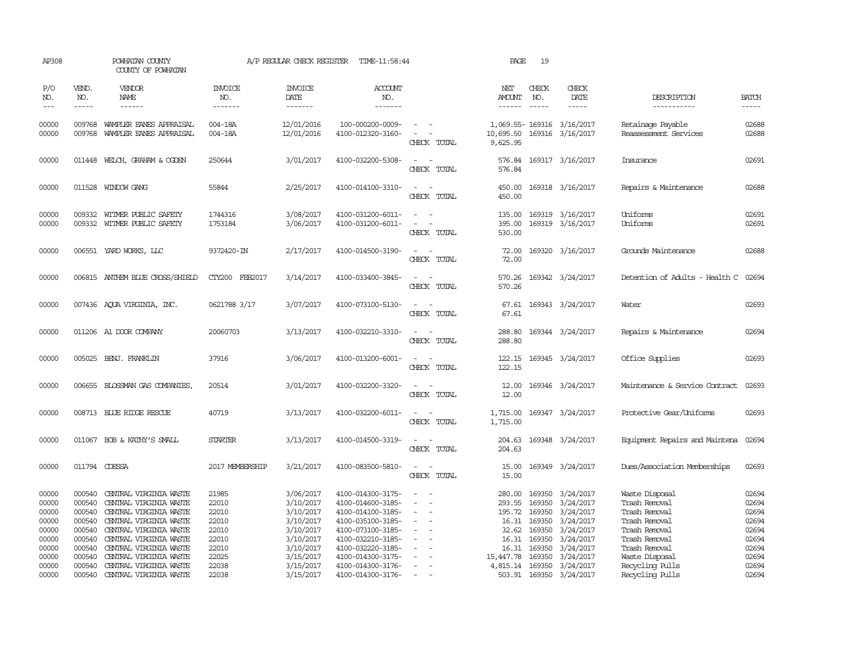| AP308                            |                                      | POWHATAN COUNTY<br>COUNTY OF POWHATAN                                                                |                                  | A/P REGULAR CHECK REGISTER                       | TIME-11:58:44                                                                    |                                                                                                                             | PAGE                       | 19                                                |                                                         |                                                                   |                                  |
|----------------------------------|--------------------------------------|------------------------------------------------------------------------------------------------------|----------------------------------|--------------------------------------------------|----------------------------------------------------------------------------------|-----------------------------------------------------------------------------------------------------------------------------|----------------------------|---------------------------------------------------|---------------------------------------------------------|-------------------------------------------------------------------|----------------------------------|
| P/O<br>NO.<br>$---$              | VEND.<br>NO.<br>$\frac{1}{2}$        | <b>VENDOR</b><br>NAME<br>$- - - - - -$                                                               | <b>INVOICE</b><br>NO.<br>------- | <b>INVOICE</b><br>DATE<br>--------               | ACCOUNT<br>NO.<br>$- - - - - - -$                                                |                                                                                                                             | NET<br>AMOUNT<br>------    | CHECK<br>NO.<br>$\frac{1}{2}$                     | CHECK<br>DATE<br>$- - - - -$                            | DESCRIPTION<br>-----------                                        | <b>BATCH</b><br>-----            |
| 00000<br>00000                   | 009768<br>009768                     | WAMPLER EANES APPRAISAL<br>WAMPLER EANES APPRAISAL                                                   | 004-18A<br>004-18A               | 12/01/2016<br>12/01/2016                         | 100-000200-0009-<br>4100-012320-3160-                                            | $\sim$ $ \sim$<br>$\sim$<br>CHECK TOTAL                                                                                     | 9,625.95                   |                                                   | 1,069.55-169316 3/16/2017<br>10,695.50 169316 3/16/2017 | Retainage Payable<br>Reassessment Services                        | 02688<br>02688                   |
| 00000                            |                                      | 011448 WELCH, GRAHAM & OGDEN                                                                         | 250644                           | 3/01/2017                                        | 4100-032200-5308-                                                                | $\overline{\phantom{a}}$<br>CHECK TOTAL                                                                                     | 576.84<br>576.84           |                                                   | 169317 3/16/2017                                        | Insurance                                                         | 02691                            |
| 00000                            |                                      | 011528 WINDOW GANG                                                                                   | 55844                            | 2/25/2017                                        | 4100-014100-3310-                                                                | CHECK TOTAL                                                                                                                 | 450.00<br>450.00           |                                                   | 169318 3/16/2017                                        | Repairs & Maintenance                                             | 02688                            |
| 00000<br>00000                   | 009332<br>009332                     | WITMER PUBLIC SAFETY<br>WITMER PUBLIC SAFETY                                                         | 1744316<br>1753184               | 3/08/2017<br>3/06/2017                           | 4100-031200-6011-<br>4100-031200-6011-                                           | CHECK TOTAL                                                                                                                 | 135.00<br>395.00<br>530.00 |                                                   | 169319 3/16/2017<br>169319 3/16/2017                    | Uniforms<br>Uniforms                                              | 02691<br>02691                   |
| 00000                            |                                      | 006551 YARD WORKS, LLC                                                                               | 9372420-IN                       | 2/17/2017                                        | 4100-014500-3190-                                                                | $\equiv$<br>CHECK TOTAL                                                                                                     | 72.00<br>72.00             |                                                   | 169320 3/16/2017                                        | Grounds Maintenance                                               | 02688                            |
| 00000                            |                                      | 006815 ANTHEM BLUE CROSS/SHIELD                                                                      | CTY200 FEB2017                   | 3/14/2017                                        | 4100-033400-3845-                                                                | $\sim$<br>CHECK TOTAL                                                                                                       | 570.26<br>570.26           |                                                   | 169342 3/24/2017                                        | Detention of Adults - Health C                                    | 02694                            |
| 00000                            |                                      | 007436 AQUA VIRGINIA, INC.                                                                           | 0621788 3/17                     | 3/07/2017                                        | 4100-073100-5130-                                                                | CHECK TOTAL                                                                                                                 | 67.61                      |                                                   | 67.61 169343 3/24/2017                                  | Water                                                             | 02693                            |
| 00000                            |                                      | 011206 A1 DOOR COMPANY                                                                               | 20060703                         | 3/13/2017                                        | 4100-032210-3310-                                                                | $\frac{1}{2} \left( \frac{1}{2} \right) \left( \frac{1}{2} \right) = \frac{1}{2} \left( \frac{1}{2} \right)$<br>CHECK TOTAL | 288.80<br>288.80           |                                                   | 169344 3/24/2017                                        | Repairs & Maintenance                                             | 02694                            |
| 00000                            |                                      | 005025 BENJ. FRANKLIN                                                                                | 37916                            | 3/06/2017                                        | 4100-013200-6001-                                                                | $\sim$ $\sim$<br>CHECK TOTAL                                                                                                | 122.15                     |                                                   | 122.15 169345 3/24/2017                                 | Office Supplies                                                   | 02693                            |
| 00000                            |                                      | 006655 BLOSSMAN GAS COMPANIES                                                                        | 20514                            | 3/01/2017                                        | 4100-032200-3320-                                                                | $\frac{1}{2} \left( \frac{1}{2} \right) \left( \frac{1}{2} \right) = \frac{1}{2} \left( \frac{1}{2} \right)$<br>CHECK TOTAL | 12.00<br>12.00             |                                                   | 169346 3/24/2017                                        | Maintenance & Service Contract                                    | 02693                            |
| 00000                            |                                      | 008713 BLUE RIDGE RESCUE                                                                             | 40719                            | 3/13/2017                                        | 4100-032200-6011-                                                                | $\frac{1}{2} \left( \frac{1}{2} \right) \left( \frac{1}{2} \right) = \frac{1}{2} \left( \frac{1}{2} \right)$<br>CHECK TOTAL | 1,715.00                   |                                                   | 1,715.00 169347 3/24/2017                               | Protective Gear/Uniforms                                          | 02693                            |
| 00000                            |                                      | 011067 BOB & KATHY'S SMALL                                                                           | <b>STARTER</b>                   | 3/13/2017                                        | 4100-014500-3319-                                                                | $\overline{\phantom{a}}$<br>CHECK TOTAL                                                                                     | 204.63<br>204.63           |                                                   | 169348 3/24/2017                                        | Equipment Repairs and Maintena                                    | 02694                            |
| 00000                            |                                      | 011794 CDESSA                                                                                        | 2017 MEMBERSHIP                  | 3/21/2017                                        | 4100-083500-5810-                                                                | $\overline{\phantom{a}}$<br>CHECK TOTAL                                                                                     | 15.00<br>15.00             |                                                   | 169349 3/24/2017                                        | Dues/Association Memberships                                      | 02693                            |
| 00000<br>00000<br>00000<br>00000 | 000540<br>000540<br>000540<br>000540 | CENTRAL VIRGINIA WASTE<br>CENTRAL VIRGINIA WASTE<br>CENTRAL VIRGINIA WASTE<br>CENTRAL VIRGINIA WASTE | 21985<br>22010<br>22010<br>22010 | 3/06/2017<br>3/10/2017<br>3/10/2017<br>3/10/2017 | 4100-014300-3175-<br>4100-014600-3185-<br>4100-014100-3185-<br>4100-035100-3185- | $\overline{\phantom{a}}$<br>$\sim$                                                                                          | 280.00<br>195.72           | 169350<br>293.55 169350<br>169350<br>16.31 169350 | 3/24/2017<br>3/24/2017<br>3/24/2017<br>3/24/2017        | Waste Disposal<br>Trash Removal<br>Trash Removal<br>Trash Removal | 02694<br>02694<br>02694<br>02694 |
| 00000                            | 000540                               | CENTRAL VIRGINIA WASTE                                                                               | 22010                            | 3/10/2017                                        | 4100-073100-3185-                                                                | $\overline{a}$                                                                                                              | 32.62                      | 169350                                            | 3/24/2017                                               | Trash Removal                                                     | 02694                            |
| 00000<br>00000                   | 000540<br>000540                     | CENTRAL VIRGINIA WASTE<br>CENTRAL VIRGINIA WASTE                                                     | 22010<br>22010                   | 3/10/2017<br>3/10/2017                           | 4100-032210-3185-<br>4100-032220-3185-                                           | $\overline{\phantom{a}}$                                                                                                    | 16.31<br>16.31             | 169350<br>169350                                  | 3/24/2017<br>3/24/2017                                  | Trash Removal<br>Trash Removal                                    | 02694<br>02694                   |
| 00000                            | 000540                               | CENTRAL VIRGINIA WASTE                                                                               | 22025                            | 3/15/2017                                        | 4100-014300-3175-                                                                |                                                                                                                             | 15,447.78                  | 169350                                            | 3/24/2017                                               | Waste Disposal                                                    | 02694                            |
| 00000                            | 000540                               | CENTRAL VIRGINIA WASTE                                                                               | 22038                            | 3/15/2017                                        | 4100-014300-3176-                                                                | $\sim$                                                                                                                      | 4,815.14 169350            |                                                   | 3/24/2017                                               | Recycling Pulls                                                   | 02694                            |
| 00000                            | 000540                               | CENTRAL VIRGINIA WASTE                                                                               | 22038                            | 3/15/2017                                        | 4100-014300-3176-                                                                | $\sim$                                                                                                                      |                            |                                                   | 503.91 169350 3/24/2017                                 | Recycling Pulls                                                   | 02694                            |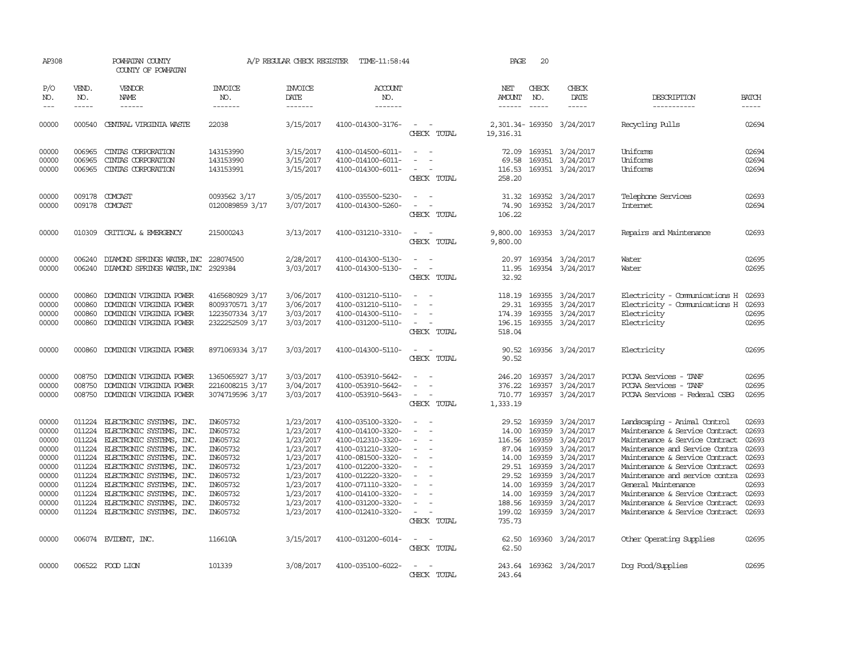| AP308          |                  | POWHATAN COUNTY<br>COUNTY OF POWHATAN                |                       | A/P REGULAR CHECK REGISTER | TIME-11:58:44                          |                                         | PAGE             | 20               |                           |                                                       |                |
|----------------|------------------|------------------------------------------------------|-----------------------|----------------------------|----------------------------------------|-----------------------------------------|------------------|------------------|---------------------------|-------------------------------------------------------|----------------|
| P/O<br>NO.     | VEND.<br>NO.     | VENDOR<br><b>NAME</b>                                | <b>INVOICE</b><br>NO. | <b>INVOICE</b><br>DATE     | <b>ACCOUNT</b><br>NO.                  |                                         | NET<br>AMOUNT    | CHECK<br>NO.     | CHECK<br>DATE             | DESCRIPTION                                           | <b>BATCH</b>   |
| $---$          | $- - - - -$      | ------                                               | -------               | -------                    | -------                                |                                         | ------           | $\frac{1}{2}$    | -----                     | -----------                                           | -----          |
| 00000          | 000540           | CENTRAL VIRGINIA WASTE                               | 22038                 | 3/15/2017                  | 4100-014300-3176-                      | $\sim$<br>CHECK TOTAL                   | 19, 316. 31      |                  | 2,301.34-169350 3/24/2017 | Recycling Pulls                                       | 02694          |
| 00000          | 006965           | CINIAS CORPORATION                                   | 143153990             | 3/15/2017                  | 4100-014500-6011-                      | $\overline{\phantom{a}}$<br>$\sim$      | 72.09            |                  | 169351 3/24/2017          | Uniforms                                              | 02694          |
| 00000          | 006965           | CINIAS CORPORATION                                   | 143153990             | 3/15/2017                  | 4100-014100-6011-                      |                                         | 69.58            |                  | 169351 3/24/2017          | Uniforms                                              | 02694          |
| 00000          | 006965           | CINIAS CORPORATION                                   | 143153991             | 3/15/2017                  | 4100-014300-6011-                      | CHECK TOTAL                             | 116.53<br>258.20 |                  | 169351 3/24/2017          | Uniforms                                              | 02694          |
| 00000          |                  | 009178 COMCAST                                       | 0093562 3/17          | 3/05/2017                  | 4100-035500-5230-                      | $\overline{\phantom{a}}$                |                  |                  | 31.32 169352 3/24/2017    | Telephone Services                                    | 02693          |
| 00000          | 009178           | COMCAST                                              | 0120089859 3/17       | 3/07/2017                  | 4100-014300-5260-                      | $\sim$ $-$<br>CHECK TOTAL               | 74.90<br>106.22  |                  | 169352 3/24/2017          | Internet                                              | 02694          |
| 00000          |                  | 010309 CRITICAL & EMERGENCY                          | 215000243             | 3/13/2017                  | 4100-031210-3310-                      | $\overline{\phantom{a}}$<br>$\sim$      | 9,800.00         |                  | 169353 3/24/2017          | Repairs and Maintenance                               | 02693          |
|                |                  |                                                      |                       |                            |                                        | CHECK TOTAL                             | 9,800.00         |                  |                           |                                                       |                |
| 00000          | 006240           | DIAMOND SPRINGS WATER, INC                           | 228074500             | 2/28/2017                  | 4100-014300-5130-                      |                                         | 20.97            |                  | 169354 3/24/2017          | Water                                                 | 02695          |
| 00000          | 006240           | DIAMOND SPRINGS WATER, INC                           | 2929384               | 3/03/2017                  | 4100-014300-5130-                      | CHECK TOTAL                             | 11.95<br>32.92   |                  | 169354 3/24/2017          | Water                                                 | 02695          |
| 00000          | 000860           | DOMINION VIRGINIA POWER                              | 4165680929 3/17       | 3/06/2017                  | 4100-031210-5110-                      |                                         | 118.19           | 169355           | 3/24/2017                 | Electricity - Comunications H                         | 02693          |
| 00000          | 000860           | DOMINION VIRGINIA POWER                              | 8009370571 3/17       | 3/06/2017                  | 4100-031210-5110-                      | $\equiv$                                | 29.31            | 169355           | 3/24/2017                 | Electricity - Comunications H                         | 02693          |
| 00000          | 000860           | DOMINION VIRGINIA POWER                              | 1223507334 3/17       | 3/03/2017                  | 4100-014300-5110-                      |                                         | 174.39           |                  | 169355 3/24/2017          | Electricity                                           | 02695          |
| 00000          | 000860           | DOMINION VIRGINIA POWER                              | 2322252509 3/17       | 3/03/2017                  | 4100-031200-5110-                      | $\overline{\phantom{a}}$<br>CHECK TOTAL | 196.15<br>518.04 |                  | 169355 3/24/2017          | Electricity                                           | 02695          |
|                |                  |                                                      |                       |                            |                                        |                                         |                  |                  |                           |                                                       |                |
| 00000          | 000860           | DOMINION VIRGINIA POWER                              | 8971069334 3/17       | 3/03/2017                  | 4100-014300-5110-                      | $\overline{\phantom{a}}$<br>CHECK TOTAL | 90.52<br>90.52   |                  | 169356 3/24/2017          | Electricity                                           | 02695          |
| 00000          | 008750           | DOMINION VIRGINIA POWER                              | 1365065927 3/17       | 3/03/2017                  | 4100-053910-5642-                      |                                         | 246.20           |                  | 169357 3/24/2017          | PCCAA Services - TANF                                 | 02695          |
| 00000          | 008750           | DOMINION VIRGINIA POWER                              | 2216008215 3/17       | 3/04/2017                  | 4100-053910-5642-                      |                                         | 376.22           |                  | 169357 3/24/2017          | PCCAA Services - TANF                                 | 02695          |
| 00000          | 008750           | DOMINION VIRGINIA POWER                              | 3074719596 3/17       | 3/03/2017                  | 4100-053910-5643-                      | $\equiv$                                | 710.77           |                  | 169357 3/24/2017          | PCCAA Services - Federal CSBG                         | 02695          |
|                |                  |                                                      |                       |                            |                                        | CHECK TOTAL                             | 1,333.19         |                  |                           |                                                       |                |
| 00000          | 011224           | ELECTRONIC SYSTEMS, INC.                             | IN605732              | 1/23/2017                  | 4100-035100-3320-                      |                                         | 29.52            | 169359           | 3/24/2017                 | Landscaping - Animal Control                          | 02693          |
| 00000          | 011224           | ELECTRONIC SYSTEMS, INC.                             | IN605732              | 1/23/2017                  | 4100-014100-3320-                      | $\equiv$                                | 14.00            | 169359           | 3/24/2017                 | Maintenance & Service Contract                        | 02693          |
| 00000          | 011224           | ELECTRONIC SYSTEMS, INC.                             | IN605732              | 1/23/2017                  | 4100-012310-3320-                      | $\overline{\phantom{a}}$                | 116.56           | 169359           | 3/24/2017                 | Maintenance & Service Contract                        | 02693          |
| 00000          | 011224           | ELECTRONIC SYSTEMS, INC.                             | IN605732              | 1/23/2017                  | 4100-031210-3320-                      | $\overline{\phantom{a}}$                | 87.04            | 169359           | 3/24/2017                 | Maintenance and Service Contra                        | 02693          |
| 00000          | 011224           | ELECTRONIC SYSTEMS, INC.                             | IN605732              | 1/23/2017                  | 4100-081500-3320-                      |                                         | 14.00            | 169359           | 3/24/2017                 | Maintenance & Service Contract                        | 02693          |
| 00000          | 011224           | ELECTRONIC SYSTEMS, INC.                             | IN605732              | 1/23/2017                  | 4100-012200-3320-                      |                                         | 29.51            | 169359           | 3/24/2017                 | Maintenance & Service Contract                        | 02693          |
| 00000          | 011224           | ELECTRONIC SYSTEMS, INC.                             | IN605732              | 1/23/2017                  | 4100-012220-3320-                      |                                         | 29.52            | 169359           | 3/24/2017                 | Maintenance and service contra                        | 02693          |
| 00000<br>00000 | 011224<br>011224 | ELECTRONIC SYSTEMS, INC.<br>ELECTRONIC SYSTEMS, INC. | IN605732<br>IN605732  | 1/23/2017<br>1/23/2017     | 4100-071110-3320-<br>4100-014100-3320- |                                         | 14.00<br>14.00   | 169359<br>169359 | 3/24/2017<br>3/24/2017    | General Maintenance<br>Maintenance & Service Contract | 02693<br>02693 |
| 00000          | 011224           | ELECTRONIC SYSTEMS, INC.                             | IN605732              | 1/23/2017                  | 4100-031200-3320-                      |                                         | 188.56           | 169359           | 3/24/2017                 | Maintenance & Service Contract                        | 02693          |
| 00000          |                  | 011224 ELECTRONIC SYSTEMS, INC.                      | IN605732              | 1/23/2017                  | 4100-012410-3320-                      | $\sim$                                  | 199.02           |                  | 169359 3/24/2017          | Maintenance & Service Contract                        | 02693          |
|                |                  |                                                      |                       |                            |                                        | CHECK TOTAL                             | 735.73           |                  |                           |                                                       |                |
| 00000          |                  | 006074 EVIDENT, INC.                                 | 116610A               | 3/15/2017                  | 4100-031200-6014-                      | $\overline{\phantom{a}}$                | 62.50            |                  | 169360 3/24/2017          | Other Operating Supplies                              | 02695          |
|                |                  |                                                      |                       |                            |                                        | CHECK TOTAL                             | 62.50            |                  |                           |                                                       |                |
| 00000          |                  | 006522 FOOD LION                                     | 101339                | 3/08/2017                  | 4100-035100-6022-                      | $\overline{\phantom{a}}$                | 243.64           |                  | 169362 3/24/2017          | Dog Food/Supplies                                     | 02695          |
|                |                  |                                                      |                       |                            |                                        | CHECK TOTAL                             | 243.64           |                  |                           |                                                       |                |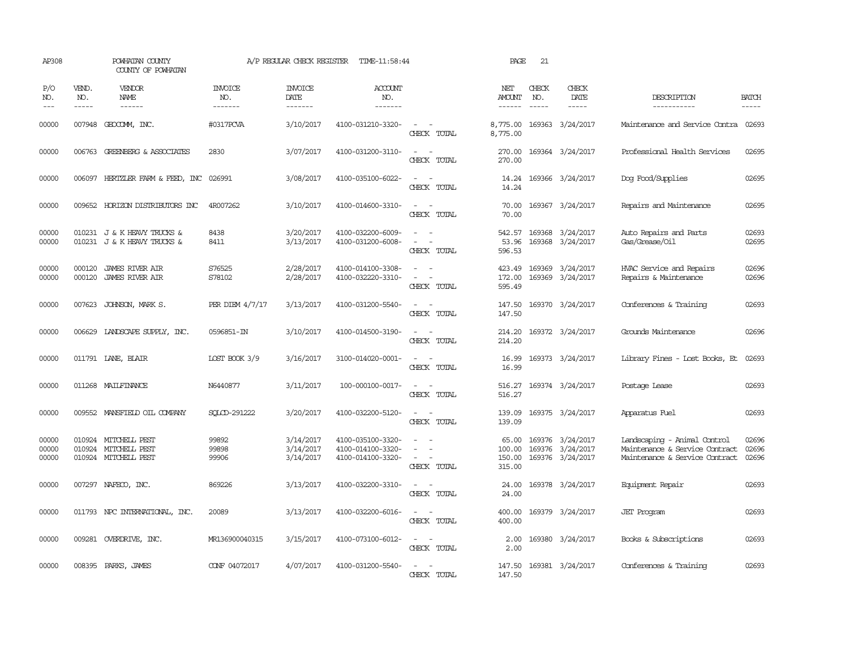| AP308                       |                             | POWHATAN COUNTY<br>COUNTY OF POWHATAN                         |                                  | A/P REGULAR CHECK REGISTER          | TIME-11:58:44                                               |                                                                                                                             | PAGE                                | 21                            |                                                          |                                                                                                  |                         |
|-----------------------------|-----------------------------|---------------------------------------------------------------|----------------------------------|-------------------------------------|-------------------------------------------------------------|-----------------------------------------------------------------------------------------------------------------------------|-------------------------------------|-------------------------------|----------------------------------------------------------|--------------------------------------------------------------------------------------------------|-------------------------|
| P/O<br>NO.<br>$\frac{1}{2}$ | VEND.<br>NO.<br>$- - - - -$ | <b>VENDOR</b><br>NAME<br>$- - - - - -$                        | <b>INVOICE</b><br>NO.<br>------- | <b>INVOICE</b><br>DATE<br>-------   | <b>ACCOUNT</b><br>NO.<br>-------                            |                                                                                                                             | NET<br><b>AMOUNT</b><br>------      | CHECK<br>NO.<br>$\frac{1}{2}$ | CHECK<br>DATE<br>$- - - - -$                             | DESCRIPTION<br>-----------                                                                       | <b>BATCH</b><br>-----   |
| 00000                       |                             | 007948 GEOCOMM, INC.                                          | #0317PCVA                        | 3/10/2017                           | 4100-031210-3320-                                           | $\frac{1}{2} \left( \frac{1}{2} \right) \left( \frac{1}{2} \right) = \frac{1}{2} \left( \frac{1}{2} \right)$<br>CHECK TOTAL | 8,775.00                            |                               | 8,775.00 169363 3/24/2017                                | Maintenance and Service Contra 02693                                                             |                         |
| 00000                       |                             | 006763 GREENBERG & ASSOCIATES                                 | 2830                             | 3/07/2017                           | 4100-031200-3110-                                           | $\overline{\phantom{a}}$<br>$\overline{\phantom{a}}$<br>CHECK TOTAL                                                         | 270.00<br>270.00                    |                               | 169364 3/24/2017                                         | Professional Health Services                                                                     | 02695                   |
| 00000                       |                             | 006097 HERTZLER FARM & FEED, INC                              | 026991                           | 3/08/2017                           | 4100-035100-6022-                                           | CHECK TOTAL                                                                                                                 | 14.24<br>14.24                      |                               | 169366 3/24/2017                                         | Dog Food/Supplies                                                                                | 02695                   |
| 00000                       |                             | 009652 HORIZON DISTRIBUTORS INC                               | 4R007262                         | 3/10/2017                           | 4100-014600-3310-                                           | $\sim$<br>$\sim$<br>CHECK TOTAL                                                                                             | 70.00<br>70.00                      |                               | 169367 3/24/2017                                         | Repairs and Maintenance                                                                          | 02695                   |
| 00000<br>00000              |                             | 010231 J & K HEAVY TRUCKS &<br>010231 J & K HEAVY TRUCKS &    | 8438<br>8411                     | 3/20/2017<br>3/13/2017              | 4100-032200-6009-<br>4100-031200-6008-                      | CHECK TOTAL                                                                                                                 | 542.57<br>53.96<br>596.53           |                               | 169368 3/24/2017<br>169368 3/24/2017                     | Auto Repairs and Parts<br>Gas/Grease/Oil                                                         | 02693<br>02695          |
| 00000<br>00000              | 000120<br>000120            | <b>JAMES RIVER AIR</b><br><b>JAMES RIVER AIR</b>              | S76525<br>S78102                 | 2/28/2017<br>2/28/2017              | 4100-014100-3308-<br>4100-032220-3310-                      | $\sim$ $\sim$<br>CHECK TOTAL                                                                                                | 423.49<br>172.00<br>595.49          |                               | 169369 3/24/2017<br>169369 3/24/2017                     | HVAC Service and Repairs<br>Repairs & Maintenance                                                | 02696<br>02696          |
| 00000                       | 007623                      | JOHNSON, MARK S.                                              | PER DIEM $4/7/17$                | 3/13/2017                           | 4100-031200-5540-                                           | $\sim$<br>$\sim$<br>CHECK TOTAL                                                                                             | 147.50<br>147.50                    |                               | 169370 3/24/2017                                         | Conferences & Training                                                                           | 02693                   |
| 00000                       |                             | 006629 LANDSCAPE SUPPLY, INC.                                 | 0596851-IN                       | 3/10/2017                           | 4100-014500-3190-                                           | CHECK TOTAL                                                                                                                 | 214.20<br>214.20                    |                               | 169372 3/24/2017                                         | Grounds Maintenance                                                                              | 02696                   |
| 00000                       |                             | 011791 LANE, BLAIR                                            | LOST BOOK 3/9                    | 3/16/2017                           | 3100-014020-0001-                                           | $\sim$<br>CHECK TOTAL                                                                                                       | 16.99<br>16.99                      |                               | 169373 3/24/2017                                         | Library Fines - Lost Books, Et                                                                   | 02693                   |
| 00000                       |                             | 011268 MAILFINANCE                                            | N6440877                         | 3/11/2017                           | 100-000100-0017-                                            | $\frac{1}{2} \left( \frac{1}{2} \right) \left( \frac{1}{2} \right) = \frac{1}{2} \left( \frac{1}{2} \right)$<br>CHECK TOTAL | 516.27<br>516.27                    |                               | 169374 3/24/2017                                         | Postage Lease                                                                                    | 02693                   |
| 00000                       |                             | 009552 MANSFIELD OIL COMPANY                                  | SOLCD-291222                     | 3/20/2017                           | 4100-032200-5120-                                           | CHECK TOTAL                                                                                                                 | 139.09<br>139.09                    |                               | 169375 3/24/2017                                         | Apparatus Fuel                                                                                   | 02693                   |
| 00000<br>00000<br>00000     | 010924                      | MITCHELL PEST<br>010924 MITCHELL PEST<br>010924 MITCHELL PEST | 99892<br>99898<br>99906          | 3/14/2017<br>3/14/2017<br>3/14/2017 | 4100-035100-3320-<br>4100-014100-3320-<br>4100-014100-3320- | $\sim$<br>$\overline{\phantom{a}}$<br>CHECK TOTAL                                                                           | 65.00<br>100.00<br>150.00<br>315.00 |                               | 169376 3/24/2017<br>169376 3/24/2017<br>169376 3/24/2017 | Landscaping - Animal Control<br>Maintenance & Service Contract<br>Maintenance & Service Contract | 02696<br>02696<br>02696 |
| 00000                       |                             | 007297 NAFECO, INC.                                           | 869226                           | 3/13/2017                           | 4100-032200-3310-                                           | $\overline{\phantom{a}}$<br>CHECK TOTAL                                                                                     | 24.00<br>24.00                      |                               | 169378 3/24/2017                                         | Equipment Repair                                                                                 | 02693                   |
| 00000                       |                             | 011793 NPC INTERNATIONAL, INC.                                | 20089                            | 3/13/2017                           | 4100-032200-6016-                                           | $\sim$<br>CHECK TOTAL                                                                                                       | 400.00<br>400.00                    |                               | 169379 3/24/2017                                         | <b>JET</b> Program                                                                               | 02693                   |
| 00000                       |                             | 009281 OVERDRIVE, INC.                                        | MR136900040315                   | 3/15/2017                           | 4100-073100-6012-                                           | $ -$<br>CHECK TOTAL                                                                                                         | 2.00<br>2.00                        |                               | 169380 3/24/2017                                         | Books & Subscriptions                                                                            | 02693                   |
| 00000                       |                             | 008395 PARKS, JAMES                                           | CONF 04072017                    | 4/07/2017                           | 4100-031200-5540-                                           | CHECK TOTAL                                                                                                                 | 147.50<br>147.50                    |                               | 169381 3/24/2017                                         | Conferences & Training                                                                           | 02693                   |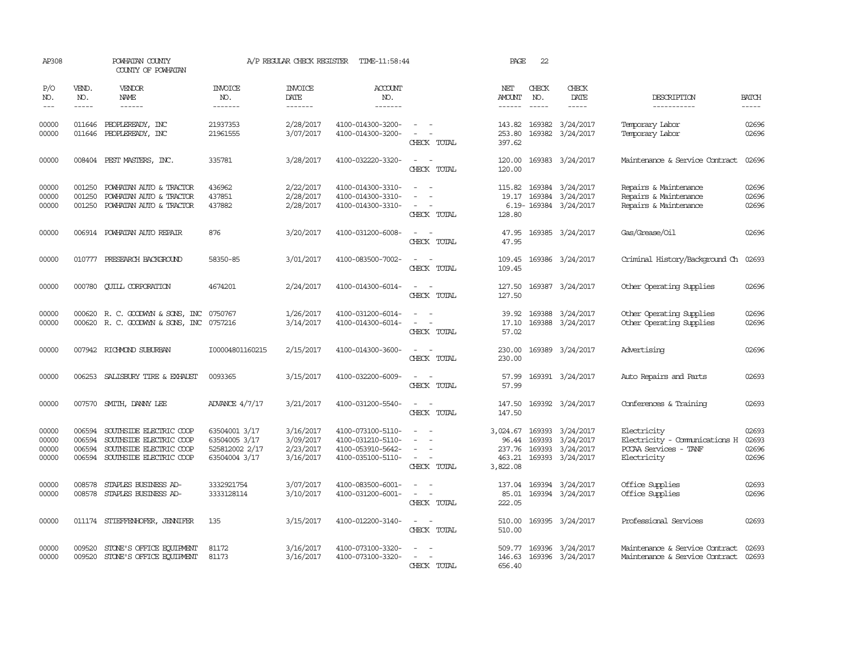| AP308                            |                                      | POWHATAN COUNTY<br>COUNTY OF POWHATAN                                                                    |                                                                   | A/P REGULAR CHECK REGISTER                       | TIME-11:58:44                                                                    |                                                   | PAGE                                              | 22                          |                                                               |                                                                                      |                                  |
|----------------------------------|--------------------------------------|----------------------------------------------------------------------------------------------------------|-------------------------------------------------------------------|--------------------------------------------------|----------------------------------------------------------------------------------|---------------------------------------------------|---------------------------------------------------|-----------------------------|---------------------------------------------------------------|--------------------------------------------------------------------------------------|----------------------------------|
| P/O<br>NO.<br>$\frac{1}{2}$      | VEND.<br>NO.<br>$\frac{1}{2}$        | VENDOR<br><b>NAME</b><br>------                                                                          | <b>INVOICE</b><br>NO.<br>-------                                  | <b>INVOICE</b><br>DATE<br>-------                | <b>ACCOUNT</b><br>NO.<br>-------                                                 |                                                   | NET<br>AMOUNT<br>$- - - - - -$                    | CHECK<br>NO.<br>$- - - - -$ | CHECK<br>DATE<br>-----                                        | DESCRIPTION<br>-----------                                                           | <b>BATCH</b><br>$- - - - -$      |
| 00000<br>00000                   | 011646<br>011646                     | PEOPLEREADY, INC<br>PEOPLEREADY, INC                                                                     | 21937353<br>21961555                                              | 2/28/2017<br>3/07/2017                           | 4100-014300-3200-<br>4100-014300-3200-                                           | $\overline{\phantom{a}}$<br>$\sim$<br>CHECK TOTAL | 143.82<br>253.80<br>397.62                        |                             | 169382 3/24/2017<br>169382 3/24/2017                          | Temporary Labor<br>Temporary Labor                                                   | 02696<br>02696                   |
| 00000                            |                                      | 008404 PEST MASTERS, INC.                                                                                | 335781                                                            | 3/28/2017                                        | 4100-032220-3320-                                                                | $\overline{\phantom{a}}$<br>$\sim$<br>CHECK TOTAL | 120.00<br>120.00                                  |                             | 169383 3/24/2017                                              | Maintenance & Service Contract                                                       | 02696                            |
| 00000<br>00000<br>00000          | 001250<br>001250<br>001250           | POWHATAN AUTO & TRACTOR<br>POWHATAN AUTO & TRACTOR<br>POWHATAN AUTO & TRACTOR                            | 436962<br>437851<br>437882                                        | 2/22/2017<br>2/28/2017<br>2/28/2017              | 4100-014300-3310-<br>4100-014300-3310-<br>4100-014300-3310-                      | $\overline{\phantom{a}}$<br>CHECK TOTAL           | 115.82<br>19.17<br>128.80                         |                             | 169384 3/24/2017<br>169384 3/24/2017<br>6.19-169384 3/24/2017 | Repairs & Maintenance<br>Repairs & Maintenance<br>Repairs & Maintenance              | 02696<br>02696<br>02696          |
| 00000                            |                                      | 006914 POWHATAN AUTO REPAIR                                                                              | 876                                                               | 3/20/2017                                        | 4100-031200-6008-                                                                | CHECK TOTAL                                       | 47.95<br>47.95                                    |                             | 169385 3/24/2017                                              | Gas/Grease/Oil                                                                       | 02696                            |
| 00000                            |                                      | 010777 PRESEARCH BACKGROUND                                                                              | 58350-85                                                          | 3/01/2017                                        | 4100-083500-7002-                                                                | $\sim$<br>CHECK TOTAL                             | 109.45<br>109.45                                  |                             | 169386 3/24/2017                                              | Criminal History/Background Ch                                                       | 02693                            |
| 00000                            |                                      | 000780 QUILL CORPORATION                                                                                 | 4674201                                                           | 2/24/2017                                        | 4100-014300-6014-                                                                | $\sim$ $\sim$<br>CHECK TOTAL                      | 127.50<br>127.50                                  |                             | 169387 3/24/2017                                              | Other Operating Supplies                                                             | 02696                            |
| 00000<br>00000                   |                                      | 000620 R. C. GOODWYN & SONS, INC 0750767<br>000620 R. C. GOODWYN & SONS, INC 0757216                     |                                                                   | 1/26/2017<br>3/14/2017                           | 4100-031200-6014-<br>4100-014300-6014-                                           | $\equiv$<br>CHECK TOTAL                           | 39.92<br>17.10<br>57.02                           |                             | 169388 3/24/2017<br>169388 3/24/2017                          | Other Operating Supplies<br>Other Operating Supplies                                 | 02696<br>02696                   |
| 00000                            |                                      | 007942 RICHMOND SUBURBAN                                                                                 | I00004801160215                                                   | 2/15/2017                                        | 4100-014300-3600-                                                                | CHECK TOTAL                                       | 230.00<br>230.00                                  |                             | 169389 3/24/2017                                              | Advertising                                                                          | 02696                            |
| 00000                            | 006253                               | SALISBURY TIRE & EXHAUST                                                                                 | 0093365                                                           | 3/15/2017                                        | 4100-032200-6009-                                                                | CHECK TOTAL                                       | 57.99<br>57.99                                    |                             | 169391 3/24/2017                                              | Auto Repairs and Parts                                                               | 02693                            |
| 00000                            | 007570                               | SMITH, DANNY LEE                                                                                         | ADVANCE 4/7/17                                                    | 3/21/2017                                        | 4100-031200-5540-                                                                | CHECK TOTAL                                       | 147.50<br>147.50                                  |                             | 169392 3/24/2017                                              | Conferences & Training                                                               | 02693                            |
| 00000<br>00000<br>00000<br>00000 | 006594<br>006594<br>006594<br>006594 | SOUTHSIDE ELECTRIC COOP<br>SOUTHSIDE ELECTRIC COOP<br>SOUTHSIDE ELECTRIC COOP<br>SOUTHSIDE ELECTRIC COOP | 63504001 3/17<br>63504005 3/17<br>525812002 2/17<br>63504004 3/17 | 3/16/2017<br>3/09/2017<br>2/23/2017<br>3/16/2017 | 4100-073100-5110-<br>4100-031210-5110-<br>4100-053910-5642-<br>4100-035100-5110- | $\overline{\phantom{a}}$<br>$\sim$<br>CHECK TOTAL | 3,024.67<br>96.44<br>237.76<br>463.21<br>3,822.08 | 169393<br>169393<br>169393  | 3/24/2017<br>3/24/2017<br>3/24/2017<br>169393 3/24/2017       | Electricity<br>Electricity - Comunications H<br>PCCAA Services - TANF<br>Electricity | 02693<br>02693<br>02696<br>02696 |
| 00000<br>00000                   | 008578<br>008578                     | STAPLES BUSINESS AD-<br>STAPLES BUSINESS AD-                                                             | 3332921754<br>3333128114                                          | 3/07/2017<br>3/10/2017                           | 4100-083500-6001-<br>4100-031200-6001-                                           | $\sim$ 100 $\mu$<br>CHECK TOTAL                   | 137.04<br>85.01<br>222.05                         |                             | 169394 3/24/2017<br>169394 3/24/2017                          | Office Supplies<br>Office Supplies                                                   | 02693<br>02696                   |
| 00000                            |                                      | 011174 STIEFFENHOFER, JENNIFER                                                                           | 135                                                               | 3/15/2017                                        | 4100-012200-3140-                                                                | $\overline{\phantom{a}}$<br>$\sim$<br>CHECK TOTAL | 510.00<br>510.00                                  |                             | 169395 3/24/2017                                              | Professional Services                                                                | 02693                            |
| 00000<br>00000                   | 009520<br>009520                     | STONE'S OFFICE EOUIPMENT<br>STONE'S OFFICE EQUIPMENT                                                     | 81172<br>81173                                                    | 3/16/2017<br>3/16/2017                           | 4100-073100-3320-<br>4100-073100-3320-                                           | CHECK TOTAL                                       | 509.77<br>146.63<br>656.40                        |                             | 169396 3/24/2017<br>169396 3/24/2017                          | Maintenance & Service Contract<br>Maintenance & Service Contract                     | 02693<br>02693                   |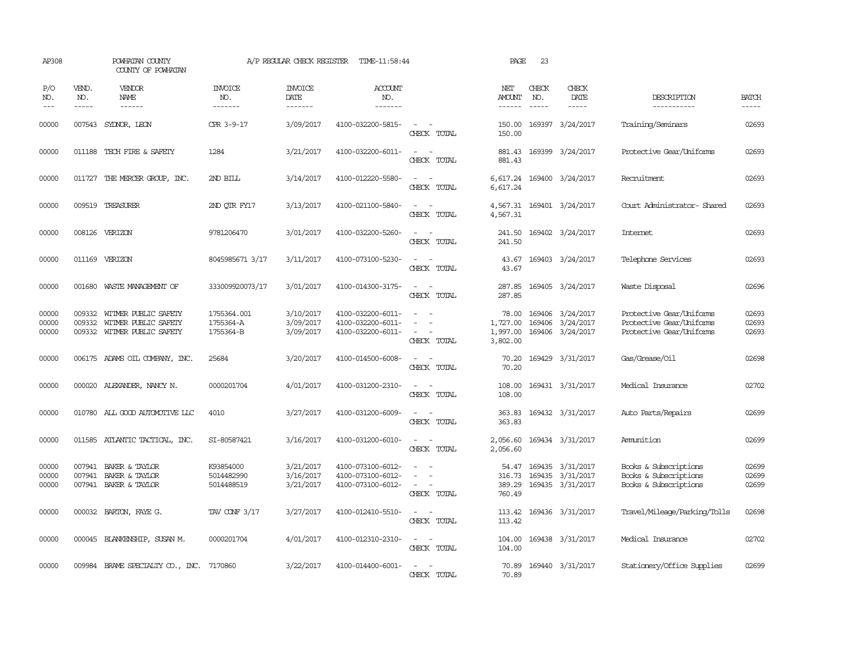| AP308                   |                             | POWHATAN COUNTY<br>COUNTY OF POWHATAN                                       |                                       | A/P REGULAR CHECK REGISTER          | TIME-11:58:44                                               |                                                     | PAGE                                      | 23                            |                                                          |                                                                                  |                         |
|-------------------------|-----------------------------|-----------------------------------------------------------------------------|---------------------------------------|-------------------------------------|-------------------------------------------------------------|-----------------------------------------------------|-------------------------------------------|-------------------------------|----------------------------------------------------------|----------------------------------------------------------------------------------|-------------------------|
| P/O<br>NO.<br>$---$     | VEND.<br>NO.<br>$- - - - -$ | VENDOR<br>NAME<br>$- - - - - -$                                             | <b>INVOICE</b><br>NO.<br>-------      | <b>INVOICE</b><br>DATE<br>-------   | ACCOUNT<br>NO.<br>-------                                   |                                                     | NET<br>AMOUNT<br>------                   | CHECK<br>NO.<br>$\frac{1}{2}$ | CHECK<br>DATE<br>$- - - - -$                             | DESCRIPTION<br>-----------                                                       | <b>BATCH</b><br>-----   |
| 00000                   |                             | 007543 SYLNOR, LEON                                                         | CPR 3-9-17                            | 3/09/2017                           | 4100-032200-5815-                                           | $\overline{\phantom{a}}$<br>CHECK TOTAL             | 150.00<br>150.00                          |                               | 169397 3/24/2017                                         | Training/Seminars                                                                | 02693                   |
| 00000                   |                             | 011188 TECH FIRE & SAFETY                                                   | 1284                                  | 3/21/2017                           | 4100-032200-6011-                                           | $\sim$ $\sim$<br>CHECK TOTAL                        | 881.43<br>881.43                          |                               | 169399 3/24/2017                                         | Protective Gear/Uniforms                                                         | 02693                   |
| 00000                   |                             | 011727 THE MERCER GROUP, INC.                                               | 2ND BILL                              | 3/14/2017                           | 4100-012220-5580-                                           | $\equiv$<br>$\sim$<br>CHECK TOTAL                   | 6,617.24<br>6,617.24                      |                               | 169400 3/24/2017                                         | Recruitment                                                                      | 02693                   |
| 00000                   |                             | 009519 TREASURER                                                            | 2ND OTR FY17                          | 3/13/2017                           | 4100-021100-5840-                                           | $\equiv$<br>$\sim$<br>CHECK TOTAL                   | 4,567.31<br>4,567.31                      |                               | 169401 3/24/2017                                         | Court Administrator- Shared                                                      | 02693                   |
| 00000                   |                             | 008126 VERIZON                                                              | 9781206470                            | 3/01/2017                           | 4100-032200-5260-                                           | $\overline{\phantom{a}}$<br>- -<br>CHECK TOTAL      | 241.50<br>241.50                          |                               | 169402 3/24/2017                                         | <b>Internet</b>                                                                  | 02693                   |
| 00000                   |                             | 011169 VERIZON                                                              | 8045985671 3/17                       | 3/11/2017                           | 4100-073100-5230-                                           | $\overline{\phantom{a}}$<br>$\sim$<br>CHECK TOTAL   | 43.67<br>43.67                            |                               | 169403 3/24/2017                                         | Telephone Services                                                               | 02693                   |
| 00000                   |                             | 001680 WASTE MANAGEMENT OF                                                  | 333009920073/17                       | 3/01/2017                           | 4100-014300-3175-                                           | $\sim$<br>CHECK TOTAL                               | 287.85<br>287.85                          |                               | 169405 3/24/2017                                         | Waste Disposal                                                                   | 02696                   |
| 00000<br>00000<br>00000 | 009332<br>009332            | WITMER PUBLIC SAFETY<br>WITMER PUBLIC SAFETY<br>009332 WITMER PUBLIC SAFETY | 1755364.001<br>1755364-A<br>1755364-B | 3/10/2017<br>3/09/2017<br>3/09/2017 | 4100-032200-6011-<br>4100-032200-6011-<br>4100-032200-6011- | $\sim$<br>CHECK TOTAL                               | 78.00<br>1,727.00<br>1,997.00<br>3,802.00 | 169406                        | 169406 3/24/2017<br>3/24/2017<br>169406 3/24/2017        | Protective Gear/Uniforms<br>Protective Gear/Uniforms<br>Protective Gear/Uniforms | 02693<br>02693<br>02693 |
| 00000                   |                             | 006175 ADAMS OIL COMPANY, INC.                                              | 25684                                 | 3/20/2017                           | 4100-014500-6008-                                           | CHECK TOTAL                                         | 70.20<br>70.20                            |                               | 169429 3/31/2017                                         | Gas/Grease/Oil                                                                   | 02698                   |
| 00000                   |                             | 000020 ALEXANDER, NANCY N.                                                  | 0000201704                            | 4/01/2017                           | 4100-031200-2310-                                           | $\sim$<br>$\sim$<br>CHECK TOTAL                     | 108.00<br>108.00                          |                               | 169431 3/31/2017                                         | Medical Insurance                                                                | 02702                   |
| 00000                   |                             | 010780 ALL GOOD AUTOMOTTVE LLC                                              | 4010                                  | 3/27/2017                           | 4100-031200-6009-                                           | $\sim$<br>$\sim$<br>CHECK TOTAL                     | 363.83<br>363.83                          |                               | 169432 3/31/2017                                         | Auto Parts/Repairs                                                               | 02699                   |
| 00000                   |                             | 011585 ATLANTIC TACTICAL, INC.                                              | SI-80587421                           | 3/16/2017                           | 4100-031200-6010-                                           | $\sim$<br>CHECK TOTAL                               | 2,056.60<br>2,056.60                      |                               | 169434 3/31/2017                                         | Ammunition                                                                       | 02699                   |
| 00000<br>00000<br>00000 | 007941                      | BAKER & TAYLOR<br>007941 BAKER & TAYLOR<br>007941 BAKER & TAYLOR            | K93854000<br>5014482990<br>5014488519 | 3/21/2017<br>3/16/2017<br>3/21/2017 | 4100-073100-6012-<br>4100-073100-6012-<br>4100-073100-6012- | $\equiv$<br>$\overline{\phantom{a}}$<br>CHECK TOTAL | 54.47<br>316.73<br>389.29<br>760.49       |                               | 169435 3/31/2017<br>169435 3/31/2017<br>169435 3/31/2017 | Books & Subscriptions<br>Books & Subscriptions<br>Books & Subscriptions          | 02699<br>02699<br>02699 |
| 00000                   |                             | 000032 BARTON, FAYE G.                                                      | TAV CONF 3/17                         | 3/27/2017                           | 4100-012410-5510-                                           | $\sim$<br>CHECK TOTAL                               | 113.42<br>113.42                          |                               | 169436 3/31/2017                                         | Travel/Mileage/Parking/Tolls                                                     | 02698                   |
| 00000                   |                             | 000045 BLANKENSHIP, SUSAN M.                                                | 0000201704                            | 4/01/2017                           | 4100-012310-2310-                                           | $\sim$ $\sim$<br>CHECK TOTAL                        | 104.00<br>104.00                          |                               | 169438 3/31/2017                                         | Medical Insurance                                                                | 02702                   |
| 00000                   | 009984                      | BRAME SPECIALITY CO., INC.                                                  | 7170860                               | 3/22/2017                           | 4100-014400-6001-                                           | $\overline{\phantom{a}}$<br>CHECK TOTAL             | 70.89<br>70.89                            |                               | 169440 3/31/2017                                         | Stationery/Office Supplies                                                       | 02699                   |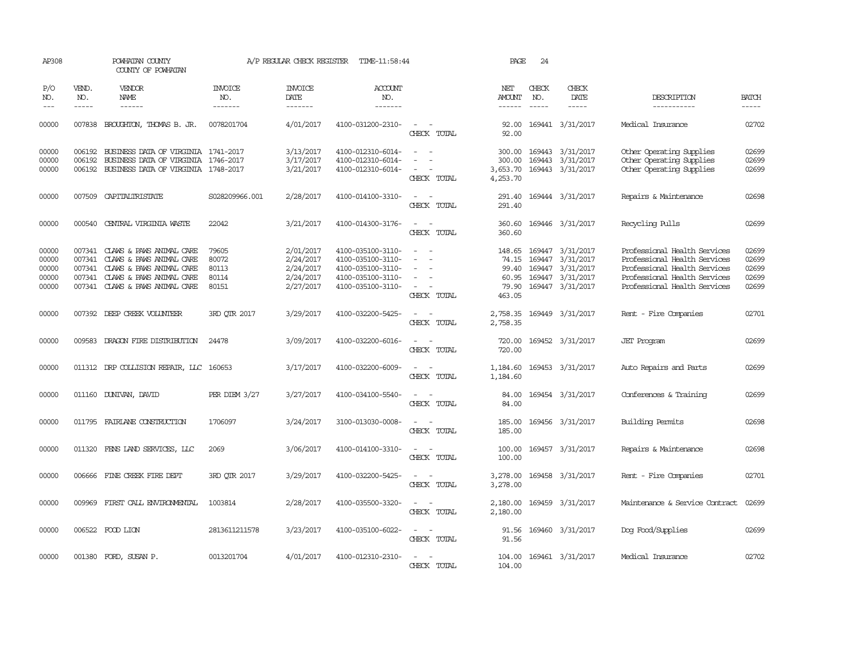| AP308                                     |                             | POWHATAN COUNTY<br>COUNTY OF POWHATAN                                                                                                                  |                                           | A/P REGULAR CHECK REGISTER                                    | TIME-11:58:44                                                                                         |                                                                               | PAGE                                        | 24                          |                                                                                                        |                                                                                                                                                              |                                           |
|-------------------------------------------|-----------------------------|--------------------------------------------------------------------------------------------------------------------------------------------------------|-------------------------------------------|---------------------------------------------------------------|-------------------------------------------------------------------------------------------------------|-------------------------------------------------------------------------------|---------------------------------------------|-----------------------------|--------------------------------------------------------------------------------------------------------|--------------------------------------------------------------------------------------------------------------------------------------------------------------|-------------------------------------------|
| P/O<br>NO.<br>$---$                       | VEND.<br>NO.<br>$- - - - -$ | VENDOR<br>NAME<br>------                                                                                                                               | <b>INVOICE</b><br>NO.<br>-------          | <b>INVOICE</b><br><b>DATE</b><br>-------                      | <b>ACCOUNT</b><br>NO.<br>-------                                                                      |                                                                               | NET<br>AMOUNT<br>$- - - - - -$              | CHECK<br>NO.<br>$- - - - -$ | CHECK<br>DATE<br>-----                                                                                 | DESCRIPTION<br>-----------                                                                                                                                   | <b>BATCH</b><br>-----                     |
| 00000                                     | 007838                      | BROUGHTON, THOMAS B. JR.                                                                                                                               | 0078201704                                | 4/01/2017                                                     | 4100-031200-2310-                                                                                     | $\overline{a}$<br>CHECK TOTAL                                                 | 92.00<br>92.00                              |                             | 169441 3/31/2017                                                                                       | Medical Insurance                                                                                                                                            | 02702                                     |
| 00000<br>00000<br>00000                   | 006192<br>006192            | BUSINESS DATA OF VIRGINIA 1741-2017<br>BUSINESS DATA OF VIRGINIA 1746-2017<br>006192 BUSINESS DATA OF VIRGINIA 1748-2017                               |                                           | 3/13/2017<br>3/17/2017<br>3/21/2017                           | 4100-012310-6014-<br>4100-012310-6014-<br>4100-012310-6014-                                           | $\sim$<br>$\overline{\phantom{a}}$<br>$\overline{\phantom{a}}$<br>CHECK TOTAL | 300.00<br>300.00<br>3,653.70<br>4,253.70    |                             | 169443 3/31/2017<br>169443 3/31/2017<br>169443 3/31/2017                                               | Other Operating Supplies<br>Other Operating Supplies<br>Other Operating Supplies                                                                             | 02699<br>02699<br>02699                   |
| 00000                                     | 007509                      | CAPITALIRISTATE                                                                                                                                        | S028209966.001                            | 2/28/2017                                                     | 4100-014100-3310-                                                                                     | $\sim$ $-$<br>CHECK TOTAL                                                     | 291.40<br>291.40                            |                             | 169444 3/31/2017                                                                                       | Repairs & Maintenance                                                                                                                                        | 02698                                     |
| 00000                                     | 000540                      | CENTRAL VIRGINIA WASTE                                                                                                                                 | 22042                                     | 3/21/2017                                                     | 4100-014300-3176-                                                                                     | $\sim$ $ \sim$<br>CHECK TOTAL                                                 | 360.60<br>360.60                            |                             | 169446 3/31/2017                                                                                       | Recycling Pulls                                                                                                                                              | 02699                                     |
| 00000<br>00000<br>00000<br>00000<br>00000 | 007341<br>007341<br>007341  | CLAWS & PAWS ANIMAL CARE<br>007341 CLAWS & PAWS ANIMAL CARE<br>CLAWS & PAWS ANIMAL CARE<br>CLAWS & PAWS ANIMAL CARE<br>007341 CLAWS & PAWS ANIMAL CARE | 79605<br>80072<br>80113<br>80114<br>80151 | 2/01/2017<br>2/24/2017<br>2/24/2017<br>2/24/2017<br>2/27/2017 | 4100-035100-3110-<br>4100-035100-3110-<br>4100-035100-3110-<br>4100-035100-3110-<br>4100-035100-3110- | $\equiv$<br>$\overline{\phantom{a}}$<br>$\sim$<br>CHECK TOTAL                 | 148.65<br>99.40<br>60.95<br>79.90<br>463.05 |                             | 169447 3/31/2017<br>74.15 169447 3/31/2017<br>169447 3/31/2017<br>169447 3/31/2017<br>169447 3/31/2017 | Professional Health Services<br>Professional Health Services<br>Professional Health Services<br>Professional Health Services<br>Professional Health Services | 02699<br>02699<br>02699<br>02699<br>02699 |
| 00000                                     |                             | 007392 DEEP CREEK VOLUNIEER                                                                                                                            | 3RD OTR 2017                              | 3/29/2017                                                     | 4100-032200-5425-                                                                                     | $\overline{\phantom{a}}$<br>$\overline{\phantom{a}}$<br>CHECK TOTAL           | 2,758.35<br>2,758.35                        |                             | 169449 3/31/2017                                                                                       | Rent - Fire Companies                                                                                                                                        | 02701                                     |
| 00000                                     |                             | 009583 DRAGON FIRE DISTRIBUTION                                                                                                                        | 24478                                     | 3/09/2017                                                     | 4100-032200-6016-                                                                                     | $\sim$<br>CHECK TOTAL                                                         | 720.00<br>720.00                            |                             | 169452 3/31/2017                                                                                       | <b>JET Program</b>                                                                                                                                           | 02699                                     |
| 00000                                     |                             | 011312 DRP COLLISION REPAIR, LLC 160653                                                                                                                |                                           | 3/17/2017                                                     | 4100-032200-6009-                                                                                     | $\sim$<br>CHECK TOTAL                                                         | 1,184.60<br>1,184.60                        |                             | 169453 3/31/2017                                                                                       | Auto Repairs and Parts                                                                                                                                       | 02699                                     |
| 00000                                     |                             | 011160 DUNIVAN, DAVID                                                                                                                                  | PER DIEM $3/27$                           | 3/27/2017                                                     | 4100-034100-5540-                                                                                     | $\sim$<br>CHECK TOTAL                                                         | 84.00<br>84.00                              |                             | 169454 3/31/2017                                                                                       | Conferences & Training                                                                                                                                       | 02699                                     |
| 00000                                     |                             | 011795 FAIRLANE CONSTRUCTION                                                                                                                           | 1706097                                   | 3/24/2017                                                     | 3100-013030-0008-                                                                                     | $\sim$<br>CHECK TOTAL                                                         | 185.00<br>185.00                            |                             | 169456 3/31/2017                                                                                       | Building Permits                                                                                                                                             | 02698                                     |
| 00000                                     |                             | 011320 FENS LAND SERVICES, LLC                                                                                                                         | 2069                                      | 3/06/2017                                                     | 4100-014100-3310-                                                                                     | $\sim$ $\sim$<br>CHECK TOTAL                                                  | 100.00<br>100.00                            |                             | 169457 3/31/2017                                                                                       | Repairs & Maintenance                                                                                                                                        | 02698                                     |
| 00000                                     |                             | 006666 FINE CREEK FIRE DEPT                                                                                                                            | 3RD OTR 2017                              | 3/29/2017                                                     | 4100-032200-5425-                                                                                     | $\sim$<br>CHECK TOTAL                                                         | 3,278.00<br>3,278.00                        |                             | 169458 3/31/2017                                                                                       | Rent - Fire Companies                                                                                                                                        | 02701                                     |
| 00000                                     | 009969                      | FIRST CALL ENVIRONMENTAL                                                                                                                               | 1003814                                   | 2/28/2017                                                     | 4100-035500-3320-                                                                                     | $\sim$<br>CHECK TOTAL                                                         | 2,180.00<br>2,180.00                        |                             | 169459 3/31/2017                                                                                       | Maintenance & Service Contract                                                                                                                               | 02699                                     |
| 00000                                     |                             | 006522 FOOD LION                                                                                                                                       | 2813611211578                             | 3/23/2017                                                     | 4100-035100-6022-                                                                                     | CHECK TOTAL                                                                   | 91.56<br>91.56                              |                             | 169460 3/31/2017                                                                                       | Dog Food/Supplies                                                                                                                                            | 02699                                     |
| 00000                                     |                             | 001380 FORD, SUSAN P.                                                                                                                                  | 0013201704                                | 4/01/2017                                                     | 4100-012310-2310-                                                                                     | CHECK TOTAL                                                                   | 104.00<br>104.00                            |                             | 169461 3/31/2017                                                                                       | Medical Insurance                                                                                                                                            | 02702                                     |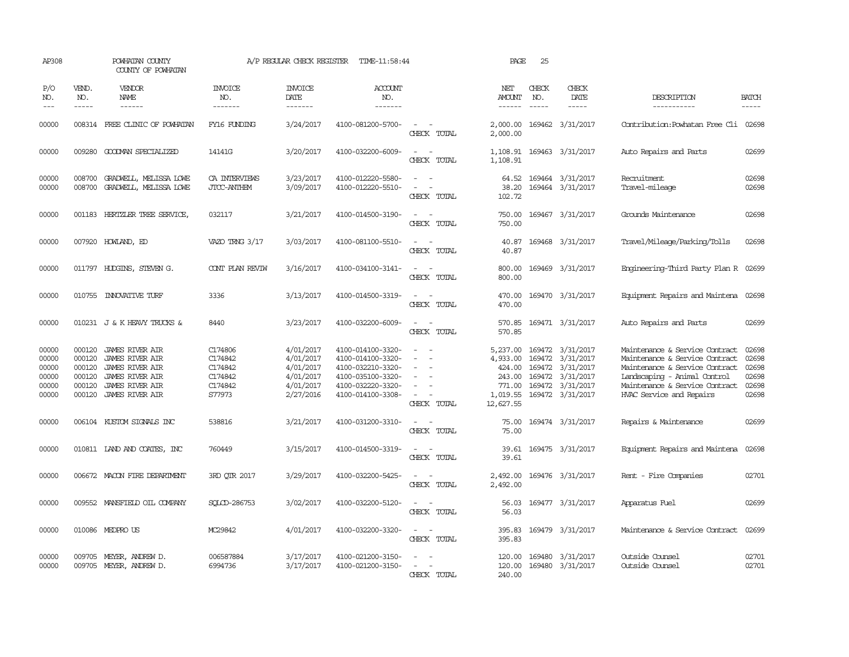| AP308                                              |                                                          | POWHATAN COUNTY<br>COUNTY OF POWHATAN                                                                                        |                                                               | A/P REGULAR CHECK REGISTER                                                 | TIME-11:58:44                                                                                                              |                                                                                         | PAGE                                                              | 25                          |                                                                                                                             |                                                                                                                                                                                                  |                                                    |
|----------------------------------------------------|----------------------------------------------------------|------------------------------------------------------------------------------------------------------------------------------|---------------------------------------------------------------|----------------------------------------------------------------------------|----------------------------------------------------------------------------------------------------------------------------|-----------------------------------------------------------------------------------------|-------------------------------------------------------------------|-----------------------------|-----------------------------------------------------------------------------------------------------------------------------|--------------------------------------------------------------------------------------------------------------------------------------------------------------------------------------------------|----------------------------------------------------|
| P/O<br>NO.<br>$---$                                | VEND.<br>NO.<br>$- - - - -$                              | VENDOR<br>NAME<br>$- - - - - -$                                                                                              | <b>INVOICE</b><br>NO.<br>-------                              | <b>INVOICE</b><br><b>DATE</b><br>-------                                   | <b>ACCOUNT</b><br>NO.<br>-------                                                                                           |                                                                                         | NET<br>AMOUNT<br>$- - - - - -$                                    | CHECK<br>NO.<br>$- - - - -$ | CHECK<br>DATE<br>$- - - - -$                                                                                                | DESCRIPTION<br>-----------                                                                                                                                                                       | <b>BATCH</b><br>-----                              |
| 00000                                              |                                                          | 008314 FREE CLINIC OF POWHATAN                                                                                               | FY16 FUNDING                                                  | 3/24/2017                                                                  | 4100-081200-5700-                                                                                                          | $\overline{\phantom{a}}$<br>CHECK TOTAL                                                 | 2,000.00<br>2,000.00                                              |                             | 169462 3/31/2017                                                                                                            | Contribution: Powhatan Free Cli 02698                                                                                                                                                            |                                                    |
| 00000                                              |                                                          | 009280 GOODMAN SPECIALIZED                                                                                                   | 14141G                                                        | 3/20/2017                                                                  | 4100-032200-6009-                                                                                                          | $\sim$<br>$\sim$<br>CHECK TOTAL                                                         | 1,108.91                                                          |                             | 1,108.91 169463 3/31/2017                                                                                                   | Auto Repairs and Parts                                                                                                                                                                           | 02699                                              |
| 00000<br>00000                                     | 008700<br>008700                                         | GRADWELL, MELISSA LOWE<br>GRADWELL, MELISSA LOWE                                                                             | CA INTERVIEWS<br><b>JTCC-ANTHEM</b>                           | 3/23/2017<br>3/09/2017                                                     | 4100-012220-5580-<br>4100-012220-5510-                                                                                     | $\equiv$<br>$\sim$<br>CHECK TOTAL                                                       | 64.52<br>38.20<br>102.72                                          |                             | 169464 3/31/2017<br>169464 3/31/2017                                                                                        | Recruitment<br>Travel-mileage                                                                                                                                                                    | 02698<br>02698                                     |
| 00000                                              |                                                          | 001183 HERTZLER TREE SERVICE,                                                                                                | 032117                                                        | 3/21/2017                                                                  | 4100-014500-3190-                                                                                                          | $\sim$<br>CHECK TOTAL                                                                   | 750.00<br>750.00                                                  |                             | 169467 3/31/2017                                                                                                            | Grounds Maintenance                                                                                                                                                                              | 02698                                              |
| 00000                                              |                                                          | 007920 HOWLAND, ED                                                                                                           | VAZO TRNG 3/17                                                | 3/03/2017                                                                  | 4100-081100-5510-                                                                                                          | $ -$<br>CHECK TOTAL                                                                     | 40.87<br>40.87                                                    |                             | 169468 3/31/2017                                                                                                            | Travel/Mileage/Parking/Tolls                                                                                                                                                                     | 02698                                              |
| 00000                                              |                                                          | 011797 HUDGINS, STEVEN G.                                                                                                    | CONT PLAN REVIW                                               | 3/16/2017                                                                  | 4100-034100-3141-                                                                                                          | $ -$<br>CHECK TOTAL                                                                     | 800.00<br>800.00                                                  |                             | 169469 3/31/2017                                                                                                            | Engineering-Third Party Plan R 02699                                                                                                                                                             |                                                    |
| 00000                                              |                                                          | 010755 INNOVATIVE TURF                                                                                                       | 3336                                                          | 3/13/2017                                                                  | 4100-014500-3319-                                                                                                          | CHECK TOTAL                                                                             | 470.00<br>470.00                                                  |                             | 169470 3/31/2017                                                                                                            | Equipment Repairs and Maintena 02698                                                                                                                                                             |                                                    |
| 00000                                              |                                                          | 010231 J & K HEAVY TRUCKS &                                                                                                  | 8440                                                          | 3/23/2017                                                                  | 4100-032200-6009-                                                                                                          | $\sim$<br>CHECK TOTAL                                                                   | 570.85<br>570.85                                                  |                             | 169471 3/31/2017                                                                                                            | Auto Repairs and Parts                                                                                                                                                                           | 02699                                              |
| 00000<br>00000<br>00000<br>00000<br>00000<br>00000 | 000120<br>000120<br>000120<br>000120<br>000120<br>000120 | JAMES RIVER AIR<br>JAMES RIVER AIR<br>JAMES RIVER AIR<br>JAMES RIVER AIR<br><b>JAMES RIVER AIR</b><br><b>JAMES RIVER AIR</b> | C174806<br>C174842<br>C174842<br>C174842<br>C174842<br>S77973 | 4/01/2017<br>4/01/2017<br>4/01/2017<br>4/01/2017<br>4/01/2017<br>2/27/2016 | 4100-014100-3320-<br>4100-014100-3320-<br>4100-032210-3320-<br>4100-035100-3320-<br>4100-032220-3320-<br>4100-014100-3308- | $\overline{\phantom{a}}$<br>$\sim$<br>$\overline{\phantom{a}}$<br>$\sim$<br>CHECK TOTAL | 5,237.00<br>4,933.00<br>424.00<br>771.00<br>1,019.55<br>12,627.55 |                             | 169472 3/31/2017<br>169472 3/31/2017<br>169472 3/31/2017<br>243.00 169472 3/31/2017<br>169472 3/31/2017<br>169472 3/31/2017 | Maintenance & Service Contract<br>Maintenance & Service Contract<br>Maintenance & Service Contract<br>Landscaping - Animal Control<br>Maintenance & Service Contract<br>HVAC Service and Repairs | 02698<br>02698<br>02698<br>02698<br>02698<br>02698 |
| 00000                                              | 006104                                                   | KUSTOM SIGNALS INC                                                                                                           | 538816                                                        | 3/21/2017                                                                  | 4100-031200-3310-                                                                                                          | CHECK TOTAL                                                                             | 75.00<br>75.00                                                    |                             | 169474 3/31/2017                                                                                                            | Repairs & Maintenance                                                                                                                                                                            | 02699                                              |
| 00000                                              |                                                          | 010811 IAND AND COATES, INC                                                                                                  | 760449                                                        | 3/15/2017                                                                  | 4100-014500-3319-                                                                                                          | CHECK TOTAL                                                                             | 39.61<br>39.61                                                    |                             | 169475 3/31/2017                                                                                                            | Equipment Repairs and Maintena                                                                                                                                                                   | 02698                                              |
| 00000                                              |                                                          | 006672 MACON FIRE DEPARIMENT                                                                                                 | 3RD QTR 2017                                                  | 3/29/2017                                                                  | 4100-032200-5425-                                                                                                          | CHECK TOTAL                                                                             | 2,492.00<br>2,492.00                                              |                             | 169476 3/31/2017                                                                                                            | Rent - Fire Companies                                                                                                                                                                            | 02701                                              |
| 00000                                              |                                                          | 009552 MANSFIELD OIL COMPANY                                                                                                 | SOLCD-286753                                                  | 3/02/2017                                                                  | 4100-032200-5120-                                                                                                          | CHECK TOTAL                                                                             | 56.03<br>56.03                                                    |                             | 169477 3/31/2017                                                                                                            | Apparatus Fuel                                                                                                                                                                                   | 02699                                              |
| 00000                                              |                                                          | 010086 MEDPRO US                                                                                                             | MC29842                                                       | 4/01/2017                                                                  | 4100-032200-3320-                                                                                                          | $\sim$ $\sim$<br>CHECK TOTAL                                                            | 395.83<br>395.83                                                  |                             | 169479 3/31/2017                                                                                                            | Maintenance & Service Contract                                                                                                                                                                   | 02699                                              |
| 00000<br>00000                                     | 009705                                                   | MEYER, ANDREW D.<br>009705 MEYER, ANDREW D.                                                                                  | 006587884<br>6994736                                          | 3/17/2017<br>3/17/2017                                                     | 4100-021200-3150-<br>4100-021200-3150-                                                                                     | $\overline{\phantom{a}}$<br>CHECK TOTAL                                                 | 120.00<br>120.00<br>240.00                                        |                             | 169480 3/31/2017<br>169480 3/31/2017                                                                                        | Outside Counsel<br>Outside Counsel                                                                                                                                                               | 02701<br>02701                                     |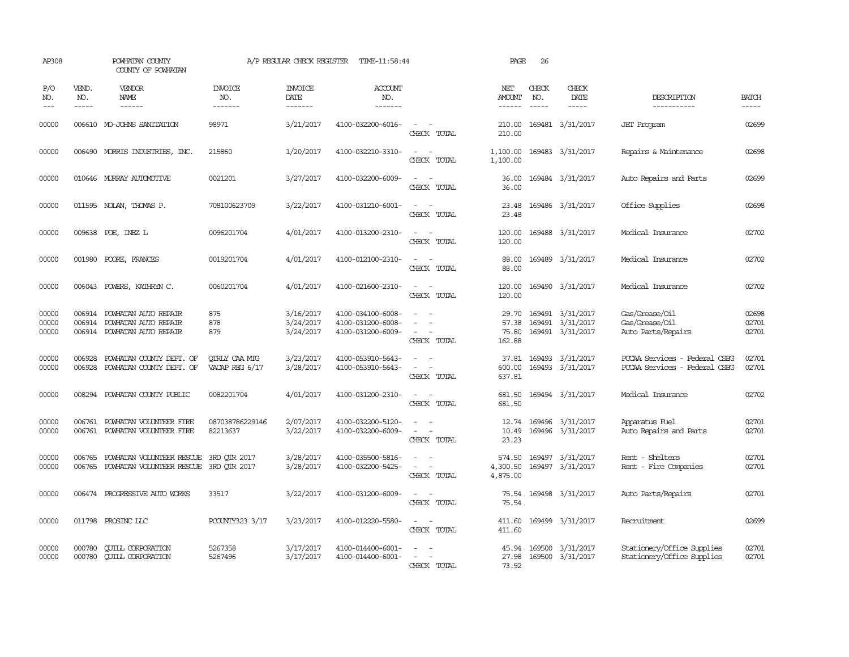| AP308                   |                               | POWHATAN COUNTY<br>COUNTY OF POWHATAN                                              |                                   | A/P REGULAR CHECK REGISTER          | TIME-11:58:44                                               |                                             | PAGE                           | 26                          |                                                                                                                                                                                                                                                                                                                                                                                                               |                                                                |                         |
|-------------------------|-------------------------------|------------------------------------------------------------------------------------|-----------------------------------|-------------------------------------|-------------------------------------------------------------|---------------------------------------------|--------------------------------|-----------------------------|---------------------------------------------------------------------------------------------------------------------------------------------------------------------------------------------------------------------------------------------------------------------------------------------------------------------------------------------------------------------------------------------------------------|----------------------------------------------------------------|-------------------------|
| P/O<br>NO.<br>$- - -$   | VEND.<br>NO.<br>$\frac{1}{2}$ | VENDOR<br><b>NAME</b>                                                              | <b>INVOICE</b><br>NO.<br>-------- | <b>INVOICE</b><br>DATE<br>-------   | ACCOUNT<br>NO.<br>$- - - - - - -$                           |                                             | NET<br><b>AMOUNT</b><br>------ | CHECK<br>NO.<br>$- - - - -$ | CHECK<br>DATE<br>$\frac{1}{2} \frac{1}{2} \frac{1}{2} \frac{1}{2} \frac{1}{2} \frac{1}{2} \frac{1}{2} \frac{1}{2} \frac{1}{2} \frac{1}{2} \frac{1}{2} \frac{1}{2} \frac{1}{2} \frac{1}{2} \frac{1}{2} \frac{1}{2} \frac{1}{2} \frac{1}{2} \frac{1}{2} \frac{1}{2} \frac{1}{2} \frac{1}{2} \frac{1}{2} \frac{1}{2} \frac{1}{2} \frac{1}{2} \frac{1}{2} \frac{1}{2} \frac{1}{2} \frac{1}{2} \frac{1}{2} \frac{$ | DESCRIPTION<br>-----------                                     | <b>BATCH</b>            |
| 00000                   |                               | 006610 MO-JOHNS SANITATION                                                         | 98971                             | 3/21/2017                           | 4100-032200-6016-                                           | $\equiv$<br>CHECK TOTAL                     | 210.00<br>210.00               |                             | 169481 3/31/2017                                                                                                                                                                                                                                                                                                                                                                                              | <b>JET</b> Program                                             | 02699                   |
| 00000                   |                               | 006490 MORRIS INDUSTRIES, INC.                                                     | 215860                            | 1/20/2017                           | 4100-032210-3310-                                           | CHECK TOTAL                                 | 1,100.00<br>1,100.00           |                             | 169483 3/31/2017                                                                                                                                                                                                                                                                                                                                                                                              | Repairs & Maintenance                                          | 02698                   |
| 00000                   |                               | 010646 MURRAY AUTOMOTTVE                                                           | 0021201                           | 3/27/2017                           | 4100-032200-6009-                                           | $\sim$<br>CHECK TOTAL                       | 36.00<br>36.00                 |                             | 169484 3/31/2017                                                                                                                                                                                                                                                                                                                                                                                              | Auto Repairs and Parts                                         | 02699                   |
| 00000                   |                               | 011595 NOLAN, THOMAS P.                                                            | 708100623709                      | 3/22/2017                           | 4100-031210-6001-                                           | $\sim$<br>CHECK TOTAL                       | 23.48<br>23.48                 |                             | 169486 3/31/2017                                                                                                                                                                                                                                                                                                                                                                                              | Office Supplies                                                | 02698                   |
| 00000                   |                               | 009638 POE, INEZ L                                                                 | 0096201704                        | 4/01/2017                           | 4100-013200-2310-                                           | $\sim$<br>CHECK TOTAL                       | 120.00<br>120.00               |                             | 169488 3/31/2017                                                                                                                                                                                                                                                                                                                                                                                              | Medical Insurance                                              | 02702                   |
| 00000                   | 001980                        | POORE, FRANCES                                                                     | 0019201704                        | 4/01/2017                           | 4100-012100-2310-                                           | $\equiv$<br>CHECK TOTAL                     | 88.00<br>88,00                 |                             | 169489 3/31/2017                                                                                                                                                                                                                                                                                                                                                                                              | Medical Insurance                                              | 02702                   |
| 00000                   |                               | 006043 POWERS, KATHRYN C.                                                          | 0060201704                        | 4/01/2017                           | 4100-021600-2310-                                           | $\overline{\phantom{a}}$<br>CHECK TOTAL     | 120.00<br>120.00               |                             | 169490 3/31/2017                                                                                                                                                                                                                                                                                                                                                                                              | Medical Insurance                                              | 02702                   |
| 00000<br>00000<br>00000 | 006914                        | 006914 POWHATAN AUTO REPAIR<br>POWHATAN AUTO REPAIR<br>006914 POWHATAN AUTO REPAIR | 875<br>878<br>879                 | 3/16/2017<br>3/24/2017<br>3/24/2017 | 4100-034100-6008-<br>4100-031200-6008-<br>4100-031200-6009- | $\sim$<br>$\sim$<br>CHECK TOTAL             | 57.38<br>75.80<br>162.88       |                             | 29.70 169491 3/31/2017<br>169491 3/31/2017<br>169491 3/31/2017                                                                                                                                                                                                                                                                                                                                                | Gas/Grease/Oil<br>Gas/Grease/Oil<br>Auto Parts/Repairs         | 02698<br>02701<br>02701 |
| 00000<br>00000          | 006928<br>006928              | POWHATAN COUNTY DEPT. OF<br>POWHATAN COUNTY DEPT. OF                               | OTRLY CAA MTG<br>VACAP REG 6/17   | 3/23/2017<br>3/28/2017              | 4100-053910-5643-<br>4100-053910-5643-                      | $\sim$<br>$\sim$<br>CHECK TOTAL             | 37.81<br>600.00<br>637.81      |                             | 169493 3/31/2017<br>169493 3/31/2017                                                                                                                                                                                                                                                                                                                                                                          | PCCAA Services - Federal CSBG<br>PCCAA Services - Federal CSBG | 02701<br>02701          |
| 00000                   |                               | 008294 POWHATAN COUNTY PUBLIC                                                      | 0082201704                        | 4/01/2017                           | 4100-031200-2310-                                           | $\sim$<br>CHECK TOTAL                       | 681.50<br>681.50               |                             | 169494 3/31/2017                                                                                                                                                                                                                                                                                                                                                                                              | Medical Insurance                                              | 02702                   |
| 00000<br>00000          | 006761<br>006761              | POWHATAN VOLUNTEER FIRE<br>POWHATAN VOLUNTEER FIRE                                 | 087038786229146<br>82213637       | 2/07/2017<br>3/22/2017              | 4100-032200-5120-<br>4100-032200-6009-                      | $\equiv$<br>$\sim$<br>$\sim$<br>CHECK TOTAL | 12.74<br>10.49<br>23.23        |                             | 169496 3/31/2017<br>169496 3/31/2017                                                                                                                                                                                                                                                                                                                                                                          | Apparatus Fuel<br>Auto Repairs and Parts                       | 02701<br>02701          |
| 00000<br>00000          | 006765<br>006765              | POWHATAN VOLUNTEER RESCUE<br>POWHATAN VOLUNTEER RESCUE                             | 3RD QTR 2017<br>3RD OTR 2017      | 3/28/2017<br>3/28/2017              | 4100-035500-5816-<br>4100-032200-5425-                      | $\equiv$<br>$\equiv$<br>CHECK TOTAL         | 574.50<br>4,300.50<br>4,875.00 |                             | 169497 3/31/2017<br>169497 3/31/2017                                                                                                                                                                                                                                                                                                                                                                          | Rent - Shelters<br>Rent - Fire Companies                       | 02701<br>02701          |
| 00000                   | 006474                        | PROGRESSIVE AUTO WORKS                                                             | 33517                             | 3/22/2017                           | 4100-031200-6009-                                           | CHECK TOTAL                                 | 75.54<br>75.54                 |                             | 169498 3/31/2017                                                                                                                                                                                                                                                                                                                                                                                              | Auto Parts/Repairs                                             | 02701                   |
| 00000                   | 011798                        | PROSINC LLC                                                                        | PCOUNTY323 3/17                   | 3/23/2017                           | 4100-012220-5580-                                           | $\sim$<br>CHECK TOTAL                       | 411.60<br>411.60               |                             | 169499 3/31/2017                                                                                                                                                                                                                                                                                                                                                                                              | Recruitment                                                    | 02699                   |
| 00000<br>00000          | 000780<br>000780              | <b>CUILL CORPORATION</b><br><b>CUILL CORPORATION</b>                               | 5267358<br>5267496                | 3/17/2017<br>3/17/2017              | 4100-014400-6001-<br>4100-014400-6001-                      | $\sim$<br>CHECK TOTAL                       | 45.94<br>27.98<br>73.92        |                             | 169500 3/31/2017<br>169500 3/31/2017                                                                                                                                                                                                                                                                                                                                                                          | Stationery/Office Supplies<br>Stationery/Office Supplies       | 02701<br>02701          |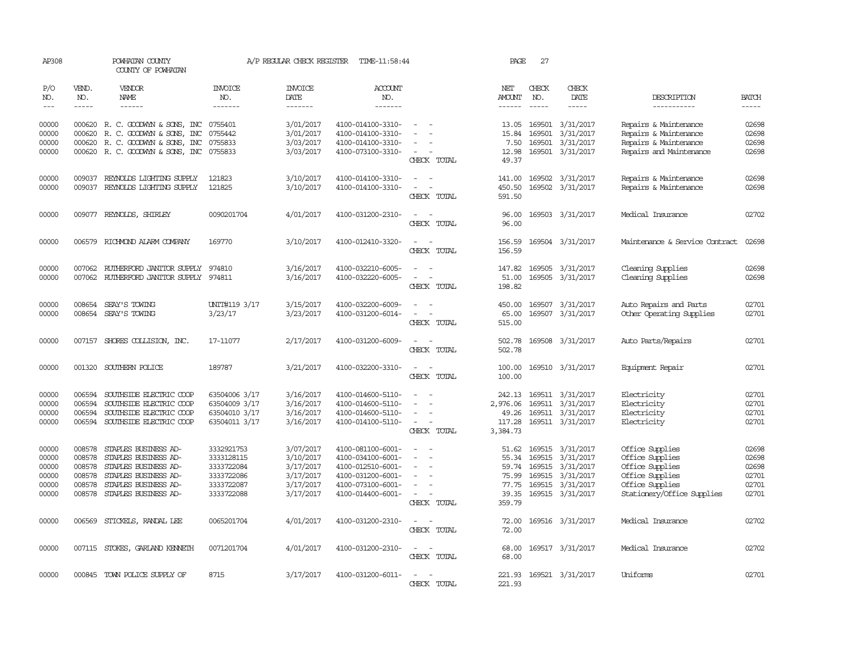| AP308               |                             | POWHATAN COUNTY<br>COUNTY OF POWHATAN                                 |                           | A/P REGULAR CHECK REGISTER        | TIME-11:58:44                          |                                                      | PAGE                    | 27                          |                               |                                                  |                                                                                                                                                                                                                                                                                  |
|---------------------|-----------------------------|-----------------------------------------------------------------------|---------------------------|-----------------------------------|----------------------------------------|------------------------------------------------------|-------------------------|-----------------------------|-------------------------------|--------------------------------------------------|----------------------------------------------------------------------------------------------------------------------------------------------------------------------------------------------------------------------------------------------------------------------------------|
| P/O<br>NO.<br>$---$ | VEND.<br>NO.<br>$- - - - -$ | VENDOR<br><b>NAME</b><br>$- - - - - -$                                | INVOICE<br>NO.<br>------- | <b>INVOICE</b><br>DATE<br>------- | <b>ACCOUNT</b><br>NO.<br>-------       |                                                      | NET<br>AMOUNT<br>------ | CHECK<br>NO.<br>$- - - - -$ | CHECK<br>DATE<br>-----        | DESCRIPTION<br>-----------                       | <b>BATCH</b><br>$\begin{tabular}{ccccc} \multicolumn{2}{c }{\multicolumn{2}{c }{\multicolumn{2}{c }{\multicolumn{2}{c}}}{\multicolumn{2}{c }{\multicolumn{2}{c}}}{\multicolumn{2}{c }{\multicolumn{2}{c}}}{\multicolumn{2}{c }{\multicolumn{2}{c}}}}\end{tabular} \end{tabular}$ |
|                     |                             |                                                                       |                           |                                   |                                        |                                                      |                         |                             |                               |                                                  |                                                                                                                                                                                                                                                                                  |
| 00000               |                             | 000620 R. C. GOODWYN & SONS, INC 0755401                              |                           | 3/01/2017                         | 4100-014100-3310-                      |                                                      |                         |                             | 13.05 169501 3/31/2017        | Repairs & Maintenance                            | 02698                                                                                                                                                                                                                                                                            |
| 00000               | 000620                      | R. C. GOODWYN & SONS, INC                                             | 0755442                   | 3/01/2017                         | 4100-014100-3310-                      |                                                      | 15.84                   | 169501                      | 3/31/2017                     | Repairs & Maintenance                            | 02698<br>02698                                                                                                                                                                                                                                                                   |
| 00000<br>00000      | 000620                      | R. C. GOODWYN & SONS, INC<br>000620 R. C. GOODWYN & SONS, INC 0755833 | 0755833                   | 3/03/2017<br>3/03/2017            | 4100-014100-3310-<br>4100-073100-3310- | $\sim$                                               | 7.50<br>12.98           | 169501                      | 3/31/2017<br>169501 3/31/2017 | Repairs & Maintenance<br>Repairs and Maintenance | 02698                                                                                                                                                                                                                                                                            |
|                     |                             |                                                                       |                           |                                   |                                        | CHECK TOTAL                                          | 49.37                   |                             |                               |                                                  |                                                                                                                                                                                                                                                                                  |
| 00000               | 009037                      | REYNOLDS LIGHTING SUPPLY                                              | 121823                    | 3/10/2017                         | 4100-014100-3310-                      | $\overline{\phantom{a}}$<br>$\sim$                   | 141.00                  |                             | 169502 3/31/2017              | Repairs & Maintenance                            | 02698                                                                                                                                                                                                                                                                            |
| 00000               |                             | 009037 REYNOLDS LIGHTING SUPPLY                                       | 121825                    | 3/10/2017                         | 4100-014100-3310-                      | $\sim$                                               | 450.50                  |                             | 169502 3/31/2017              | Repairs & Maintenance                            | 02698                                                                                                                                                                                                                                                                            |
|                     |                             |                                                                       |                           |                                   |                                        | CHECK TOTAL                                          | 591.50                  |                             |                               |                                                  |                                                                                                                                                                                                                                                                                  |
| 00000               |                             | 009077 REYNOLDS, SHIRLEY                                              | 0090201704                | 4/01/2017                         | 4100-031200-2310-                      | $\sim$ $-$                                           | 96.00                   |                             | 169503 3/31/2017              | Medical Insurance                                | 02702                                                                                                                                                                                                                                                                            |
|                     |                             |                                                                       |                           |                                   |                                        | CHECK TOTAL                                          | 96.00                   |                             |                               |                                                  |                                                                                                                                                                                                                                                                                  |
| 00000               | 006579                      | RICHMOND ALARM COMPANY                                                | 169770                    | 3/10/2017                         | 4100-012410-3320-                      | $\overline{\phantom{a}}$                             | 156.59                  |                             | 169504 3/31/2017              | Maintenance & Service Contract                   | 02698                                                                                                                                                                                                                                                                            |
|                     |                             |                                                                       |                           |                                   |                                        | CHECK TOTAL                                          | 156.59                  |                             |                               |                                                  |                                                                                                                                                                                                                                                                                  |
| 00000               | 007062                      | RUIHERFORD JANITOR SUPPLY                                             | 974810                    | 3/16/2017                         | 4100-032210-6005-                      |                                                      | 147.82                  |                             | 169505 3/31/2017              | Cleaning Supplies                                | 02698                                                                                                                                                                                                                                                                            |
| 00000               |                             | 007062 RUIHERFORD JANITOR SUPPLY 974811                               |                           | 3/16/2017                         | 4100-032220-6005-                      |                                                      | 51.00                   |                             | 169505 3/31/2017              | Cleaning Supplies                                | 02698                                                                                                                                                                                                                                                                            |
|                     |                             |                                                                       |                           |                                   |                                        | CHECK TOTAL                                          | 198.82                  |                             |                               |                                                  |                                                                                                                                                                                                                                                                                  |
| 00000               |                             | 008654 SEAY'S TOWING                                                  | UNIT#119 3/17             | 3/15/2017                         | 4100-032200-6009-                      |                                                      | 450.00                  |                             | 169507 3/31/2017              | Auto Repairs and Parts                           | 02701                                                                                                                                                                                                                                                                            |
| 00000               |                             | 008654 SEAY'S TOWING                                                  | 3/23/17                   | 3/23/2017                         | 4100-031200-6014-                      |                                                      | 65.00                   |                             | 169507 3/31/2017              | Other Operating Supplies                         | 02701                                                                                                                                                                                                                                                                            |
|                     |                             |                                                                       |                           |                                   |                                        | CHECK TOTAL                                          | 515.00                  |                             |                               |                                                  |                                                                                                                                                                                                                                                                                  |
| 00000               |                             | 007157 SHORES COLLISION, INC.                                         | 17-11077                  | 2/17/2017                         | 4100-031200-6009-                      | $\sim$                                               |                         |                             | 502.78 169508 3/31/2017       | Auto Parts/Repairs                               | 02701                                                                                                                                                                                                                                                                            |
|                     |                             |                                                                       |                           |                                   |                                        | CHECK TOTAL                                          | 502.78                  |                             |                               |                                                  |                                                                                                                                                                                                                                                                                  |
| 00000               |                             | 001320 SOUTHERN POLICE                                                | 189787                    | 3/21/2017                         | 4100-032200-3310-                      |                                                      | 100.00                  |                             | 169510 3/31/2017              | Equipment Repair                                 | 02701                                                                                                                                                                                                                                                                            |
|                     |                             |                                                                       |                           |                                   |                                        | CHECK TOTAL                                          | 100.00                  |                             |                               |                                                  |                                                                                                                                                                                                                                                                                  |
| 00000               | 006594                      | SOUTHSIDE ELECTRIC COOP                                               | 63504006 3/17             | 3/16/2017                         | 4100-014600-5110-                      |                                                      | 242.13                  |                             | 169511 3/31/2017              | Electricity                                      | 02701                                                                                                                                                                                                                                                                            |
| 00000               |                             | 006594 SOUTHSIDE ELECTRIC COOP                                        | 63504009 3/17             | 3/16/2017                         | 4100-014600-5110-                      |                                                      | 2,976.06                |                             | 169511 3/31/2017              | Electricity                                      | 02701                                                                                                                                                                                                                                                                            |
| 00000               | 006594                      | SOUTHSIDE ELECTRIC COOP                                               | 63504010 3/17             | 3/16/2017                         | 4100-014600-5110-                      | $\sim$                                               | 49.26                   |                             | 169511 3/31/2017              | Electricity                                      | 02701                                                                                                                                                                                                                                                                            |
| 00000               |                             | 006594 SOUTHSIDE ELECTRIC COOP                                        | 63504011 3/17             | 3/16/2017                         | 4100-014100-5110-                      | $\sim$                                               | 117.28                  |                             | 169511 3/31/2017              | Electricity                                      | 02701                                                                                                                                                                                                                                                                            |
|                     |                             |                                                                       |                           |                                   |                                        | CHECK TOTAL                                          | 3,384.73                |                             |                               |                                                  |                                                                                                                                                                                                                                                                                  |
| 00000               | 008578                      | STAPLES BUSINESS AD-                                                  | 3332921753                | 3/07/2017                         | 4100-081100-6001-                      | $\sim$<br>$\overline{\phantom{a}}$                   |                         |                             | 51.62 169515 3/31/2017        | Office Supplies                                  | 02698                                                                                                                                                                                                                                                                            |
| 00000               | 008578                      | STAPLES BUSINESS AD-                                                  | 3333128115                | 3/10/2017                         | 4100-034100-6001-                      | $\overline{\phantom{a}}$<br>$\overline{\phantom{a}}$ |                         |                             | 55.34 169515 3/31/2017        | Office Supplies                                  | 02698                                                                                                                                                                                                                                                                            |
| 00000               |                             | 008578 STAPLES BUSINESS AD-                                           | 3333722084                | 3/17/2017                         | 4100-012510-6001-                      | $\overline{\phantom{a}}$                             | 59.74                   |                             | 169515 3/31/2017              | Office Supplies                                  | 02698                                                                                                                                                                                                                                                                            |
| 00000               | 008578                      | STAPLES BUSINESS AD-                                                  | 3333722086                | 3/17/2017                         | 4100-031200-6001-                      |                                                      |                         |                             | 75.99 169515 3/31/2017        | Office Supplies                                  | 02701                                                                                                                                                                                                                                                                            |
| 00000               | 008578                      | STAPLES BUSINESS AD-                                                  | 3333722087                | 3/17/2017                         | 4100-073100-6001-                      | $\sim$<br>$\overline{\phantom{a}}$                   | 77.75                   |                             | 169515 3/31/2017              | Office Supplies                                  | 02701                                                                                                                                                                                                                                                                            |
| 00000               |                             | 008578 STAPLES BUSINESS AD-                                           | 3333722088                | 3/17/2017                         | 4100-014400-6001-                      | $\sim$<br>CHECK TOTAL                                | 39.35<br>359.79         |                             | 169515 3/31/2017              | Stationery/Office Supplies                       | 02701                                                                                                                                                                                                                                                                            |
|                     |                             |                                                                       |                           |                                   |                                        |                                                      |                         |                             |                               |                                                  |                                                                                                                                                                                                                                                                                  |
| 00000               |                             | 006569 STICKELS, RANDAL LEE                                           | 0065201704                | 4/01/2017                         | 4100-031200-2310-                      | $\sim$ $-$<br>CHECK TOTAL                            | 72.00                   |                             | 72.00 169516 3/31/2017        | Medical Insurance                                | 02702                                                                                                                                                                                                                                                                            |
|                     |                             |                                                                       |                           |                                   |                                        |                                                      |                         |                             |                               |                                                  |                                                                                                                                                                                                                                                                                  |
| 00000               |                             | 007115 STOKES, GARLAND KENNETH                                        | 0071201704                | 4/01/2017                         | 4100-031200-2310-                      | $\overline{\phantom{a}}$<br>$\sim$                   | 68.00                   |                             | 169517 3/31/2017              | Medical Insurance                                | 02702                                                                                                                                                                                                                                                                            |
|                     |                             |                                                                       |                           |                                   |                                        | CHECK TOTAL                                          | 68.00                   |                             |                               |                                                  |                                                                                                                                                                                                                                                                                  |
| 00000               |                             | 000845 TOWN POLICE SUPPLY OF                                          | 8715                      | 3/17/2017                         | 4100-031200-6011-                      |                                                      |                         |                             | 221.93 169521 3/31/2017       | Uniforms                                         | 02701                                                                                                                                                                                                                                                                            |
|                     |                             |                                                                       |                           |                                   |                                        | CHECK<br>TOTAL                                       | 221.93                  |                             |                               |                                                  |                                                                                                                                                                                                                                                                                  |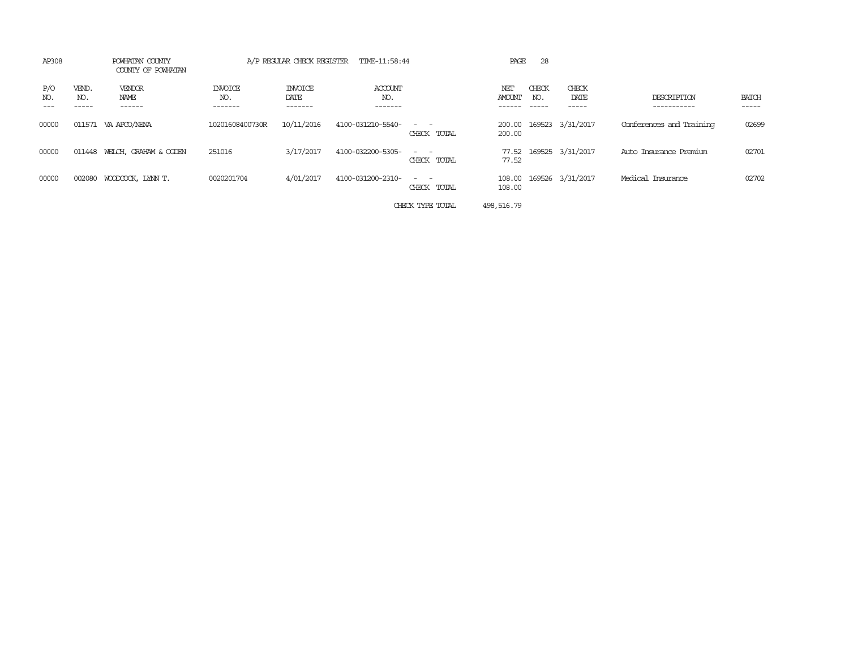| AP308                               | POWHATAN COUNTY<br>COUNTY OF POWHATAN |                                  | A/P REGULAR CHECK REGISTER        | TIME-11:58:44                    |                              | PAGE             | 28           |                         |                            |                       |
|-------------------------------------|---------------------------------------|----------------------------------|-----------------------------------|----------------------------------|------------------------------|------------------|--------------|-------------------------|----------------------------|-----------------------|
| P/O<br>VEND.<br>NO.<br>NO.<br>----- | <b>VENDOR</b><br>NAME<br>------       | <b>INVOICE</b><br>NO.<br>------- | <b>INVOICE</b><br>DATE<br>------- | <b>ACCOUNT</b><br>NO.<br>------- |                              | NET<br>AMOUNT    | CHECK<br>NO. | CHECK<br>DATE<br>------ | DESCRIPTION<br>----------- | <b>BATCH</b><br>----- |
| 00000                               | 011571 VA APCO/NENA                   | 10201608400730R                  | 10/11/2016                        | 4100-031210-5540-                | $ -$<br>CHECK TOTAL          | 200.00<br>200.00 |              | 169523 3/31/2017        | Conferences and Training   | 02699                 |
| 00000<br>011448                     | WELCH, GRAHAM & OGDEN                 | 251016                           | 3/17/2017                         | 4100-032200-5305-                | CHECK TOTAL                  | 77.52<br>77.52   |              | 169525 3/31/2017        | Auto Insurance Premium     | 02701                 |
| 00000<br>002080                     | WOODCOCK, LYNN T.                     | 0020201704                       | 4/01/2017                         | 4100-031200-2310-                | $\sim$ $-$<br>CHECK<br>TOTAL | 108.00<br>108.00 |              | 169526 3/31/2017        | Medical Insurance          | 02702                 |
|                                     |                                       |                                  |                                   |                                  | CHECK TYPE TOTAL             | 498,516.79       |              |                         |                            |                       |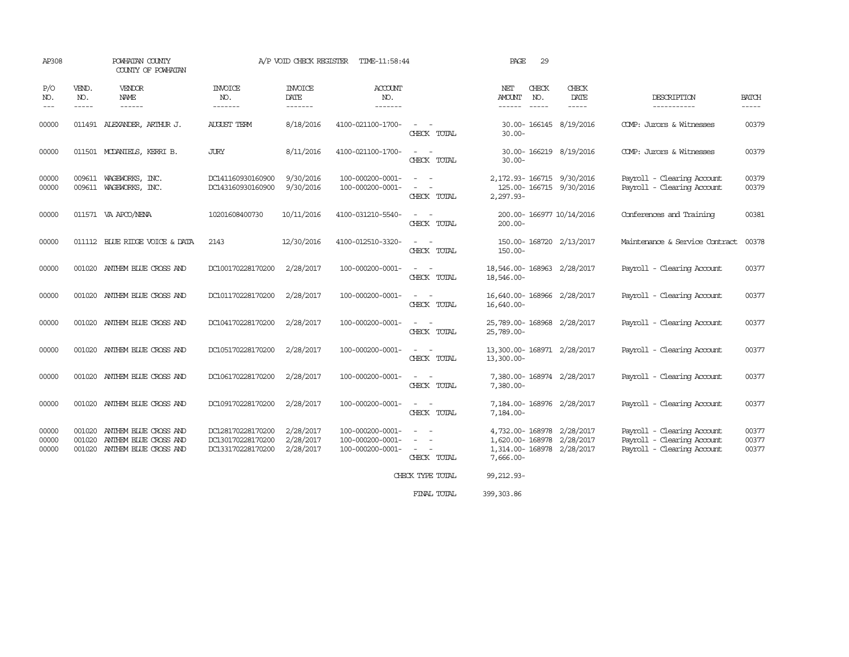| AP308                   | POWHATAN COUNTY<br>COUNTY OF POWHATAN |                                                                         | A/P VOID CHECK REGISTER<br>TIME-11:58:44                    |                                     |                                                          |                                                                                                                             | PAGE<br>29                                                                                                        |                        |                                                                                        |                         |  |  |  |
|-------------------------|---------------------------------------|-------------------------------------------------------------------------|-------------------------------------------------------------|-------------------------------------|----------------------------------------------------------|-----------------------------------------------------------------------------------------------------------------------------|-------------------------------------------------------------------------------------------------------------------|------------------------|----------------------------------------------------------------------------------------|-------------------------|--|--|--|
| P/O<br>NO.<br>$---$     | VEND.<br>NO.<br>-----                 | <b>VENDOR</b><br><b>NAME</b><br>------                                  | <b>INVOICE</b><br>NO.<br>--------                           | <b>INVOICE</b><br>DATE<br>-------   | <b>ACCOUNT</b><br>NO.<br>-------                         |                                                                                                                             | CHECK<br>NET<br>NO.<br>AMOUNT<br>------                                                                           | CHECK<br>DATE<br>----- | DESCRIPTION<br>-----------                                                             | <b>BATCH</b><br>-----   |  |  |  |
| 00000                   |                                       | 011491 ALEXANDER, ARTHUR J.                                             | <b>AUGUST TERM</b>                                          | 8/18/2016                           | 4100-021100-1700-                                        | $\sim$ 100 $\sim$<br>CHECK TOTAL                                                                                            | 30.00-166145 8/19/2016<br>$30.00 -$                                                                               |                        | COMP: Jurors & Witnesses                                                               | 00379                   |  |  |  |
| 00000                   |                                       | 011501 MCDANIELS, KERRI B.                                              | JURY                                                        | 8/11/2016                           | 4100-021100-1700-                                        | $\sim$<br>CHECK TOTAL                                                                                                       | 30.00-166219 8/19/2016<br>$30.00 -$                                                                               |                        | COMP: Jurors & Witnesses                                                               | 00379                   |  |  |  |
| 00000<br>00000          |                                       | 009611 WAGEWORKS, INC.<br>009611 WAGEWORKS, INC.                        | DC141160930160900<br>DC143160930160900                      | 9/30/2016<br>9/30/2016              | 100-000200-0001-<br>100-000200-0001-                     | $\sim$ $-$<br>$\sim$ 100 $\mu$<br>CHECK TOTAL                                                                               | 2, 172.93-166715 9/30/2016<br>125.00-166715 9/30/2016<br>$2,297.93-$                                              |                        | Payroll - Clearing Account<br>Payroll - Clearing Account                               | 00379<br>00379          |  |  |  |
| 00000                   |                                       | 011571 VA APCO/NENA                                                     | 10201608400730                                              | 10/11/2016                          | 4100-031210-5540-                                        | $\sim$ 100 $\mu$<br>CHECK TOTAL                                                                                             | 200.00- 166977 10/14/2016<br>$200.00 -$                                                                           |                        | Conferences and Training                                                               | 00381                   |  |  |  |
| 00000                   |                                       | 011112 BLUE RIDGE VOICE & DATA                                          | 2143                                                        | 12/30/2016                          | 4100-012510-3320-                                        | CHECK TOTAL                                                                                                                 | 150.00-168720 2/13/2017<br>$150.00 -$                                                                             |                        | Maintenance & Service Contract                                                         | 00378                   |  |  |  |
| 00000                   |                                       | 001020 ANTHEM BLUE CROSS AND                                            | DC100170228170200                                           | 2/28/2017                           | 100-000200-0001-                                         | $\frac{1}{2} \left( \frac{1}{2} \right) \left( \frac{1}{2} \right) = \frac{1}{2} \left( \frac{1}{2} \right)$<br>CHECK TOTAL | 18,546.00-168963 2/28/2017<br>18,546.00-                                                                          |                        | Payroll - Clearing Account                                                             | 00377                   |  |  |  |
| 00000                   |                                       | 001020 ANTHEM BLUE CROSS AND                                            | DC101170228170200                                           | 2/28/2017                           | 100-000200-0001-                                         | $\sim$ $ \sim$<br>CHECK TOTAL                                                                                               | 16,640.00-168966 2/28/2017<br>16,640.00-                                                                          |                        | Payroll - Clearing Account                                                             | 00377                   |  |  |  |
| 00000                   |                                       | 001020 ANTHEM BLUE CROSS AND                                            | DC104170228170200                                           | 2/28/2017                           | 100-000200-0001-                                         | $\frac{1}{2} \left( \frac{1}{2} \right) \left( \frac{1}{2} \right) = \frac{1}{2} \left( \frac{1}{2} \right)$<br>CHECK TOTAL | 25,789.00-168968 2/28/2017<br>25,789.00-                                                                          |                        | Payroll - Clearing Account                                                             | 00377                   |  |  |  |
| 00000                   |                                       | 001020 ANTHEM BLUE CROSS AND                                            | DC105170228170200                                           | 2/28/2017                           | 100-000200-0001-                                         | $\sim$ $ -$<br>CHECK TOTAL                                                                                                  | 13,300.00-168971 2/28/2017<br>13,300.00-                                                                          |                        | Payroll - Clearing Account                                                             | 00377                   |  |  |  |
| 00000                   |                                       | 001020 ANTHEM BLUE CROSS AND                                            | DC106170228170200                                           | 2/28/2017                           | 100-000200-0001-                                         | CHECK TOTAL                                                                                                                 | 7,380.00-168974 2/28/2017<br>$7,380.00 -$                                                                         |                        | Payroll - Clearing Account                                                             | 00377                   |  |  |  |
| 00000                   |                                       | 001020 ANTHEM BLUE CROSS AND                                            | DC109170228170200                                           | 2/28/2017                           | 100-000200-0001-                                         | CHECK TOTAL                                                                                                                 | 7,184.00-168976 2/28/2017<br>$7,184.00 -$                                                                         |                        | Payroll - Clearing Account                                                             | 00377                   |  |  |  |
| 00000<br>00000<br>00000 | 001020<br>001020<br>001020            | ANTHEM BLUE CROSS AND<br>ANIHEM BLUE CROSS AND<br>ANTHEM BLUE CROSS AND | DC128170228170200<br>DC130170228170200<br>DC133170228170200 | 2/28/2017<br>2/28/2017<br>2/28/2017 | 100-000200-0001-<br>100-000200-0001-<br>100-000200-0001- | $\overline{\phantom{a}}$<br>$\sim$<br>CHECK TOTAL<br>CHECK TYPE TOTAL                                                       | 4,732.00-168978 2/28/2017<br>1,620.00-168978 2/28/2017<br>1,314.00-168978 2/28/2017<br>$7,666.00 -$<br>99,212.93- |                        | Payroll - Clearing Account<br>Payroll - Clearing Account<br>Payroll - Clearing Account | 00377<br>00377<br>00377 |  |  |  |
|                         |                                       |                                                                         |                                                             |                                     |                                                          |                                                                                                                             |                                                                                                                   |                        |                                                                                        |                         |  |  |  |

FINAL TOTAL 399,303.86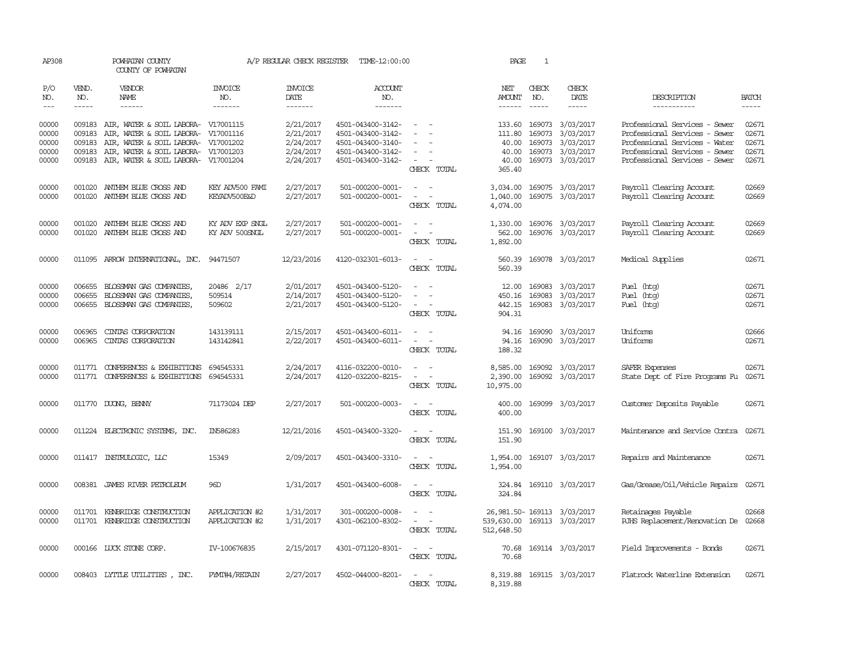| AP308                                     |                                                                                                                                                                                                                                                                                                                                                                                                                                                                                                     | POWHATAN COUNTY<br>COUNTY OF POWHATAN                                                                                                                                                                         |                                   | A/P REGULAR CHECK REGISTER                                    | TIME-12:00:00                                                                                         |                                                                                                                             | PAGE                                                      | $\mathbf{1}$     |                                                                                           |                                                                                                                                                                   |                                           |
|-------------------------------------------|-----------------------------------------------------------------------------------------------------------------------------------------------------------------------------------------------------------------------------------------------------------------------------------------------------------------------------------------------------------------------------------------------------------------------------------------------------------------------------------------------------|---------------------------------------------------------------------------------------------------------------------------------------------------------------------------------------------------------------|-----------------------------------|---------------------------------------------------------------|-------------------------------------------------------------------------------------------------------|-----------------------------------------------------------------------------------------------------------------------------|-----------------------------------------------------------|------------------|-------------------------------------------------------------------------------------------|-------------------------------------------------------------------------------------------------------------------------------------------------------------------|-------------------------------------------|
| P/O<br>NO.<br>$\qquad \qquad - -$         | VEND.<br>NO.<br>$\begin{tabular}{ccccc} \multicolumn{2}{c}{} & \multicolumn{2}{c}{} & \multicolumn{2}{c}{} & \multicolumn{2}{c}{} & \multicolumn{2}{c}{} & \multicolumn{2}{c}{} & \multicolumn{2}{c}{} & \multicolumn{2}{c}{} & \multicolumn{2}{c}{} & \multicolumn{2}{c}{} & \multicolumn{2}{c}{} & \multicolumn{2}{c}{} & \multicolumn{2}{c}{} & \multicolumn{2}{c}{} & \multicolumn{2}{c}{} & \multicolumn{2}{c}{} & \multicolumn{2}{c}{} & \multicolumn{2}{c}{} & \multicolumn{2}{c}{} & \mult$ | <b>VENDOR</b><br>NAME<br>------                                                                                                                                                                               | <b>INVOICE</b><br>NO.<br>-------  | <b>INVOICE</b><br>DATE<br>-------                             | <b>ACCOUNT</b><br>NO.<br>-------                                                                      |                                                                                                                             | NET<br>AMOUNT                                             | CHECK<br>NO.     | CHECK<br>DATE<br>-----                                                                    | DESCRIPTION<br>-----------                                                                                                                                        | <b>BATCH</b><br>$- - - - -$               |
| 00000<br>00000<br>00000<br>00000<br>00000 | 009183<br>009183<br>009183                                                                                                                                                                                                                                                                                                                                                                                                                                                                          | 009183 AIR, WATER & SOIL LABORA- V17001115<br>AIR, WATER & SOIL LABORA- V17001116<br>AIR, WATER & SOIL LABORA- V17001202<br>AIR, WATER & SOIL LABORA- V17001203<br>009183 AIR, WATER & SOIL LABORA- V17001204 |                                   | 2/21/2017<br>2/21/2017<br>2/24/2017<br>2/24/2017<br>2/24/2017 | 4501-043400-3142-<br>4501-043400-3142-<br>4501-043400-3140-<br>4501-043400-3142-<br>4501-043400-3142- | $\sim$<br>$\sim$<br>CHECK TOTAL                                                                                             | 111.80<br>40.00<br>40.00<br>40.00<br>365.40               | 169073<br>169073 | 133.60 169073 3/03/2017<br>3/03/2017<br>3/03/2017<br>169073 3/03/2017<br>169073 3/03/2017 | Professional Services - Sewer<br>Professional Services - Sewer<br>Professional Services - Water<br>Professional Services - Sewer<br>Professional Services - Sewer | 02671<br>02671<br>02671<br>02671<br>02671 |
| 00000<br>00000                            | 001020                                                                                                                                                                                                                                                                                                                                                                                                                                                                                              | ANTHEM BLUE CROSS AND<br>001020 ANTHEM BLUE CROSS AND                                                                                                                                                         | KEY ADV500 FAMI<br>KEYADV500E&D   | 2/27/2017<br>2/27/2017                                        | 501-000200-0001-<br>501-000200-0001-                                                                  | $\sim$<br>$\sim$<br>$\omega_{\rm{max}}$<br>CHECK TOTAL                                                                      | 3,034.00<br>1,040.00<br>4,074.00                          |                  | 169075 3/03/2017<br>169075 3/03/2017                                                      | Payroll Clearing Account<br>Payroll Clearing Account                                                                                                              | 02669<br>02669                            |
| 00000<br>00000                            | 001020                                                                                                                                                                                                                                                                                                                                                                                                                                                                                              | ANTHEM BLUE CROSS AND<br>001020 ANTHEM BLUE CROSS AND                                                                                                                                                         | KY ADV EXP SNGL<br>KY ADV 500SNGL | 2/27/2017<br>2/27/2017                                        | 501-000200-0001-<br>501-000200-0001-                                                                  | $\omega_{\rm{max}}$ , $\omega_{\rm{max}}$<br>$\overline{\phantom{a}}$<br>$\overline{\phantom{a}}$<br>CHECK TOTAL            | 1,330.00<br>562.00<br>1,892.00                            |                  | 169076 3/03/2017<br>169076 3/03/2017                                                      | Payroll Clearing Account<br>Payroll Clearing Account                                                                                                              | 02669<br>02669                            |
| 00000                                     |                                                                                                                                                                                                                                                                                                                                                                                                                                                                                                     | 011095 ARROW INTERNATIONAL, INC.                                                                                                                                                                              | 94471507                          | 12/23/2016                                                    | 4120-032301-6013-                                                                                     | $\sim$ $-$<br>CHECK TOTAL                                                                                                   | 560.39<br>560.39                                          |                  | 169078 3/03/2017                                                                          | Medical Supplies                                                                                                                                                  | 02671                                     |
| 00000<br>00000<br>00000                   | 006655<br>006655<br>006655                                                                                                                                                                                                                                                                                                                                                                                                                                                                          | BLOSSMAN GAS COMPANIES,<br>BLOSSMAN GAS COMPANIES,<br>BLOSSMAN GAS COMPANIES,                                                                                                                                 | 20486 2/17<br>509514<br>509602    | 2/01/2017<br>2/14/2017<br>2/21/2017                           | 4501-043400-5120-<br>4501-043400-5120-<br>4501-043400-5120-                                           | $\overline{\phantom{a}}$<br>CHECK TOTAL                                                                                     | 450.16<br>442.15<br>904.31                                |                  | 12.00 169083 3/03/2017<br>169083 3/03/2017<br>169083 3/03/2017                            | Fuel (htg)<br>Fuel (htg)<br>Fuel (htg)                                                                                                                            | 02671<br>02671<br>02671                   |
| 00000<br>00000                            | 006965<br>006965                                                                                                                                                                                                                                                                                                                                                                                                                                                                                    | CINIAS CORPORATION<br>CINTAS CORPORATION                                                                                                                                                                      | 143139111<br>143142841            | 2/15/2017<br>2/22/2017                                        | 4501-043400-6011-<br>4501-043400-6011-                                                                | $\overline{\phantom{a}}$<br>$\overline{\phantom{a}}$<br>$\overline{\phantom{a}}$<br>$\overline{\phantom{a}}$<br>CHECK TOTAL | 94.16<br>94.16<br>188.32                                  |                  | 169090 3/03/2017<br>169090 3/03/2017                                                      | Uniforms<br>Uniforms                                                                                                                                              | 02666<br>02671                            |
| 00000<br>00000                            | 011771                                                                                                                                                                                                                                                                                                                                                                                                                                                                                              | 011771 CONFERENCES & EXHIBITIONS 694545331<br>CONFERENCES & EXHIBITIONS                                                                                                                                       | 694545331                         | 2/24/2017<br>2/24/2017                                        | 4116-032200-0010-<br>4120-032200-8215-                                                                | $\overline{\phantom{a}}$<br>$\overline{\phantom{a}}$<br>$\overline{\phantom{a}}$<br>$\overline{\phantom{a}}$<br>CHECK TOTAL | 8,585.00<br>2,390.00<br>10,975.00                         |                  | 169092 3/03/2017<br>169092 3/03/2017                                                      | SAFER Expenses<br>State Dept of Fire Programs Fu                                                                                                                  | 02671<br>02671                            |
| 00000                                     |                                                                                                                                                                                                                                                                                                                                                                                                                                                                                                     | 011770 DUONG, BENNY                                                                                                                                                                                           | 71173024 DEP                      | 2/27/2017                                                     | 501-000200-0003-                                                                                      | CHECK TOTAL                                                                                                                 | 400.00<br>400.00                                          |                  | 169099 3/03/2017                                                                          | Customer Deposits Payable                                                                                                                                         | 02671                                     |
| 00000                                     |                                                                                                                                                                                                                                                                                                                                                                                                                                                                                                     | 011224 ELECTRONIC SYSTEMS, INC.                                                                                                                                                                               | IN586283                          | 12/21/2016                                                    | 4501-043400-3320-                                                                                     | $\frac{1}{2} \left( \frac{1}{2} \right) \left( \frac{1}{2} \right) = \frac{1}{2} \left( \frac{1}{2} \right)$<br>CHECK TOTAL | 151.90<br>151.90                                          |                  | 169100 3/03/2017                                                                          | Maintenance and Service Contra                                                                                                                                    | 02671                                     |
| 00000                                     |                                                                                                                                                                                                                                                                                                                                                                                                                                                                                                     | 011417 INSTRULOGIC, LLC                                                                                                                                                                                       | 15349                             | 2/09/2017                                                     | 4501-043400-3310-                                                                                     | $\overline{\phantom{a}}$<br>CHECK TOTAL                                                                                     | 1,954.00                                                  |                  | 1,954.00 169107 3/03/2017                                                                 | Repairs and Maintenance                                                                                                                                           | 02671                                     |
| 00000                                     |                                                                                                                                                                                                                                                                                                                                                                                                                                                                                                     | 008381 JAMES RIVER PETROLEUM                                                                                                                                                                                  | 96D                               | 1/31/2017                                                     | 4501-043400-6008-                                                                                     | $\overline{\phantom{0}}$<br>CHECK TOTAL                                                                                     | 324.84<br>324.84                                          |                  | 169110 3/03/2017                                                                          | Gas/Grease/Oil/Vehicle Repairs                                                                                                                                    | 02671                                     |
| 00000<br>00000                            |                                                                                                                                                                                                                                                                                                                                                                                                                                                                                                     | 011701 KENBRIDGE CONSTRUCTION<br>011701 KENBRIDGE CONSTRUCTION                                                                                                                                                | APPLICATION #2<br>APPLICATION #2  | 1/31/2017<br>1/31/2017                                        | 301-000200-0008-<br>4301-062100-8302-                                                                 | $\sim$<br>$\sim$<br>$\equiv$<br>$\sim$<br>CHECK TOTAL                                                                       | 26, 981.50 - 169113 3/03/2017<br>539,630.00<br>512,648.50 |                  | 169113 3/03/2017                                                                          | Retainages Payable<br>RJHS Replacement/Renovation De                                                                                                              | 02668<br>02668                            |
| 00000                                     |                                                                                                                                                                                                                                                                                                                                                                                                                                                                                                     | 000166 LUCK STONE CORP.                                                                                                                                                                                       | IV-100676835                      | 2/15/2017                                                     | 4301-071120-8301-                                                                                     | $\frac{1}{2} \left( \frac{1}{2} \right) \left( \frac{1}{2} \right) = \frac{1}{2} \left( \frac{1}{2} \right)$<br>CHECK TOTAL | 70.68<br>70.68                                            |                  | 169114 3/03/2017                                                                          | Field Improvements - Bonds                                                                                                                                        | 02671                                     |
| 00000                                     |                                                                                                                                                                                                                                                                                                                                                                                                                                                                                                     | 008403 LYTTLE UTILITIES, INC.                                                                                                                                                                                 | PYMT#4/RETAIN                     | 2/27/2017                                                     | 4502-044000-8201-                                                                                     | $\sim$ 100 $\sim$<br>CHECK TOTAL                                                                                            | 8,319.88<br>8,319.88                                      |                  | 169115 3/03/2017                                                                          | Flatrock Waterline Extension                                                                                                                                      | 02671                                     |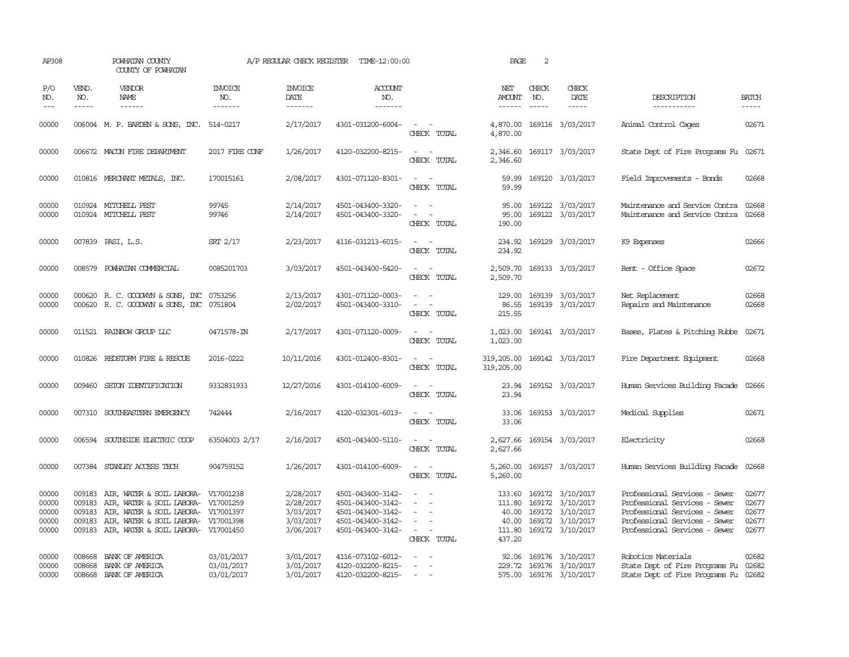| AP308                                     |                                      | POWHATAN COUNTY<br>COUNTY OF POWHATAN                                                                                                                                                                  |                                        | A/P REGULAR CHECK REGISTER                                    | TIME-12:00:00                                                                                         |                                                                                                                             | PAGE                                         | 2                             |                                                                                                         |                                                                                                                                                                   |                                           |
|-------------------------------------------|--------------------------------------|--------------------------------------------------------------------------------------------------------------------------------------------------------------------------------------------------------|----------------------------------------|---------------------------------------------------------------|-------------------------------------------------------------------------------------------------------|-----------------------------------------------------------------------------------------------------------------------------|----------------------------------------------|-------------------------------|---------------------------------------------------------------------------------------------------------|-------------------------------------------------------------------------------------------------------------------------------------------------------------------|-------------------------------------------|
| P/O<br>NO.<br>$\frac{1}{2}$               | VEND.<br>NO.<br>$- - - - -$          | VENDOR<br>NAME<br>$- - - - - -$                                                                                                                                                                        | <b>INVOICE</b><br>NO.<br>-------       | <b>INVOICE</b><br>DATE<br>-------                             | <b>ACCOUNT</b><br>NO.<br>-------                                                                      |                                                                                                                             | NET<br>AMOUNT<br>------                      | CHECK<br>NO.<br>$\frac{1}{2}$ | CHECK<br>DATE<br>$- - - - -$                                                                            | DESCRIPTION<br>-----------                                                                                                                                        | <b>BATCH</b><br>-----                     |
| 00000                                     |                                      | 006004 M. P. BARDEN & SONS, INC. 514-0217                                                                                                                                                              |                                        | 2/17/2017                                                     | 4301-031200-6004-                                                                                     | $\sim$ $ \sim$<br>CHECK TOTAL                                                                                               | 4,870.00<br>4,870.00                         |                               | 169116 3/03/2017                                                                                        | Animal Control Cages                                                                                                                                              | 02671                                     |
| 00000                                     |                                      | 006672 MACON FIRE DEPARIMENT                                                                                                                                                                           | 2017 FIRE CONF                         | 1/26/2017                                                     | 4120-032200-8215-                                                                                     | $\sim$<br>CHECK TOTAL                                                                                                       | 2,346.60                                     |                               | 2,346.60 169117 3/03/2017                                                                               | State Dept of Fire Programs Fu 02671                                                                                                                              |                                           |
| 00000                                     |                                      | 010816 MERCHANT METALS, INC.                                                                                                                                                                           | 170015161                              | 2/08/2017                                                     | 4301-071120-8301-                                                                                     | CHECK TOTAL                                                                                                                 | 59.99<br>59.99                               |                               | 169120 3/03/2017                                                                                        | Field Improvements - Bonds                                                                                                                                        | 02668                                     |
| 00000<br>00000                            |                                      | 010924 MITCHELL PEST<br>010924 MITCHELL PEST                                                                                                                                                           | 99745<br>99746                         | 2/14/2017<br>2/14/2017                                        | 4501-043400-3320-<br>4501-043400-3320-                                                                | $\sim$ $\sim$<br>$\overline{\phantom{a}}$<br>CHECK TOTAL                                                                    | 95.00<br>95.00<br>190.00                     |                               | 169122 3/03/2017<br>169122 3/03/2017                                                                    | Maintenance and Service Contra<br>Maintenance and Service Contra                                                                                                  | 02668<br>02668                            |
| 00000                                     |                                      | 007839 PASI, L.S.                                                                                                                                                                                      | SRT 2/17                               | 2/23/2017                                                     | 4116-031213-6015-                                                                                     | CHECK TOTAL                                                                                                                 | 234.92                                       |                               | 234.92 169129 3/03/2017                                                                                 | K9 Expenses                                                                                                                                                       | 02666                                     |
| 00000                                     |                                      | 008579 POWHATAN COMMERCIAL                                                                                                                                                                             | 0085201703                             | 3/03/2017                                                     | 4501-043400-5420-                                                                                     | $\frac{1}{2} \left( \frac{1}{2} \right) \left( \frac{1}{2} \right) = \frac{1}{2} \left( \frac{1}{2} \right)$<br>CHECK TOTAL | 2,509.70<br>2,509.70                         |                               | 169133 3/03/2017                                                                                        | Rent - Office Space                                                                                                                                               | 02672                                     |
| 00000<br>00000                            |                                      | 000620 R. C. GOODWYN & SONS, INC 0753256<br>000620 R. C. GOODWYN & SONS, INC 0751804                                                                                                                   |                                        | 2/13/2017<br>2/02/2017                                        | 4301-071120-0003-<br>4501-043400-3310-                                                                | $\sim$<br>CHECK TOTAL                                                                                                       | 129.00<br>215.55                             |                               | 169139 3/03/2017<br>86.55 169139 3/03/2017                                                              | Net Replacement<br>Repairs and Maintenance                                                                                                                        | 02668<br>02668                            |
| 00000                                     |                                      | 011521 RAINBOW GROUP LLC                                                                                                                                                                               | 0471578-IN                             | 2/17/2017                                                     | 4301-071120-0009-                                                                                     | $\sim$ $\sim$<br>CHECK TOTAL                                                                                                | 1,023.00<br>1,023.00                         |                               | 169141 3/03/2017                                                                                        | Bases, Plates & Pitching Rubbe                                                                                                                                    | 02671                                     |
| 00000                                     |                                      | 010826 REDSTORM FIRE & RESCUE                                                                                                                                                                          | 2016-0222                              | 10/11/2016                                                    | 4301-012400-8301-                                                                                     | $\sim$ $ -$<br>CHECK TOTAL                                                                                                  | 319,205.00 169142 3/03/2017<br>319,205.00    |                               |                                                                                                         | Fire Department Equipment                                                                                                                                         | 02668                                     |
| 00000                                     |                                      | 009460 SETON IDENTIFICATION                                                                                                                                                                            | 9332831933                             | 12/27/2016                                                    | 4301-014100-6009-                                                                                     | $\sim$ 10 $\sim$ 10 $\sim$<br>CHECK TOTAL                                                                                   | 23.94                                        |                               | 23.94 169152 3/03/2017                                                                                  | Human Services Building Facade 02666                                                                                                                              |                                           |
| 00000                                     |                                      | 007310 SOUTHEASTERN EMERGENCY                                                                                                                                                                          | 742444                                 | 2/16/2017                                                     | 4120-032301-6013-                                                                                     | CHECK TOTAL                                                                                                                 | 33.06<br>33.06                               |                               | 169153 3/03/2017                                                                                        | Medical Supplies                                                                                                                                                  | 02671                                     |
| 00000                                     |                                      | 006594 SOUTHSIDE ELECTRIC COOP                                                                                                                                                                         | 63504003 2/17                          | 2/16/2017                                                     | 4501-043400-5110-                                                                                     | $\sim$<br>CHECK TOTAL                                                                                                       | 2,627.66<br>2,627.66                         |                               | 169154 3/03/2017                                                                                        | Electricity                                                                                                                                                       | 02668                                     |
| 00000                                     |                                      | 007384 STANLEY ACCESS TECH                                                                                                                                                                             | 904759152                              | 1/26/2017                                                     | 4301-014100-6009-                                                                                     | $\frac{1}{2} \left( \frac{1}{2} \right) \left( \frac{1}{2} \right) = \frac{1}{2} \left( \frac{1}{2} \right)$<br>CHECK TOTAL | 5,260.00<br>5,260.00                         |                               | 169157 3/03/2017                                                                                        | Human Services Building Facade                                                                                                                                    | 02668                                     |
| 00000<br>00000<br>00000<br>00000<br>00000 | 009183<br>009183<br>009183<br>009183 | AIR, WATER & SOIL LABORA- V17001238<br>AIR, WATER & SOIL LABORA- V17001259<br>AIR, WATER & SOIL LABORA- V17001397<br>AIR, WATER & SOIL LABORA- V17001398<br>009183 AIR, WATER & SOIL LABORA- V17001450 |                                        | 2/28/2017<br>2/28/2017<br>3/03/2017<br>3/03/2017<br>3/06/2017 | 4501-043400-3142-<br>4501-043400-3142-<br>4501-043400-3142-<br>4501-043400-3142-<br>4501-043400-3142- | $\sim$<br>$\equiv$<br>$\equiv$<br>$\sim$<br>CHECK TOTAL                                                                     | 111.80<br>40.00<br>40.00<br>111.80<br>437.20 |                               | 133.60 169172 3/10/2017<br>169172 3/10/2017<br>169172 3/10/2017<br>169172 3/10/2017<br>169172 3/10/2017 | Professional Services - Sewer<br>Professional Services - Sewer<br>Professional Services - Sewer<br>Professional Services - Sewer<br>Professional Services - Sewer | 02677<br>02677<br>02677<br>02677<br>02677 |
| 00000<br>00000<br>00000                   | 008668                               | BANK OF AMERICA<br>008668 BANK OF AMERICA<br>008668 BANK OF AMERICA                                                                                                                                    | 03/01/2017<br>03/01/2017<br>03/01/2017 | 3/01/2017<br>3/01/2017<br>3/01/2017                           | 4116-073102-6012-<br>4120-032200-8215-<br>4120-032200-8215-                                           | $\equiv$<br>$\sim$ $ \sim$                                                                                                  |                                              |                               | 92.06 169176 3/10/2017<br>229.72 169176 3/10/2017<br>575.00 169176 3/10/2017                            | Robotics Materials<br>State Dept of Fire Programs Fu<br>State Dept of Fire Programs Fu                                                                            | 02682<br>02682<br>02682                   |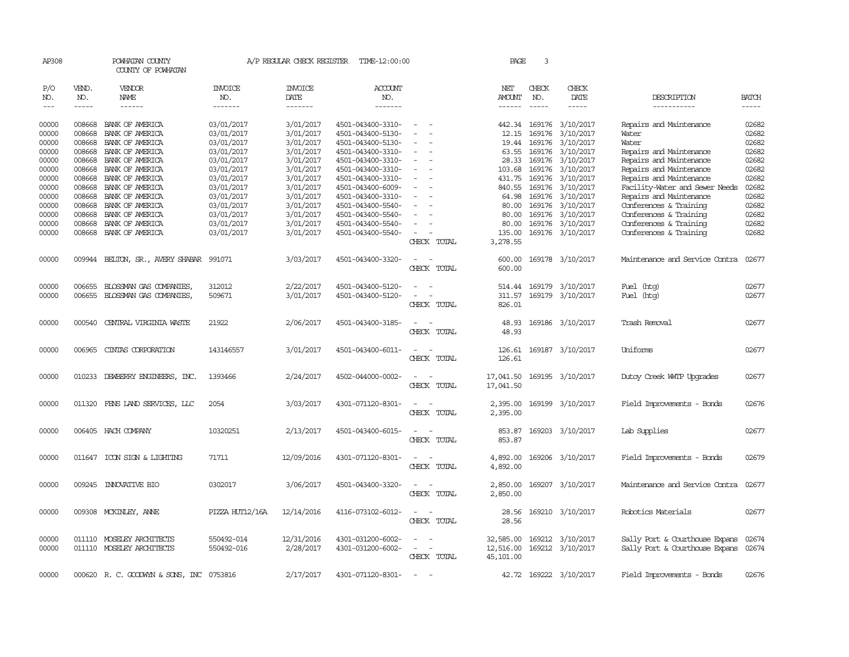| AP308          |                                                                                                                                                                                                                                                                                                                                                                                                                                                                                     | POWHATAN COUNTY<br>COUNTY OF POWHATAN                  |                          | A/P REGULAR CHECK REGISTER | TIME-12:00:00                          |                                         | PAGE                                | 3            |                                      |                                                                  |                |
|----------------|-------------------------------------------------------------------------------------------------------------------------------------------------------------------------------------------------------------------------------------------------------------------------------------------------------------------------------------------------------------------------------------------------------------------------------------------------------------------------------------|--------------------------------------------------------|--------------------------|----------------------------|----------------------------------------|-----------------------------------------|-------------------------------------|--------------|--------------------------------------|------------------------------------------------------------------|----------------|
| P/O<br>NO.     | VEND.<br>NO.                                                                                                                                                                                                                                                                                                                                                                                                                                                                        | VENDOR<br>NAME                                         | INVOICE<br>NO.           | INVOICE<br>DATE            | <b>ACCOUNT</b><br>NO.                  |                                         | NET<br>AMOUNT                       | CHECK<br>NO. | CHECK<br>DATE                        | DESCRIPTION                                                      | <b>BATCH</b>   |
| $---$          | $\begin{tabular}{ccccc} \multicolumn{2}{c}{} & \multicolumn{2}{c}{} & \multicolumn{2}{c}{} & \multicolumn{2}{c}{} & \multicolumn{2}{c}{} & \multicolumn{2}{c}{} & \multicolumn{2}{c}{} & \multicolumn{2}{c}{} & \multicolumn{2}{c}{} & \multicolumn{2}{c}{} & \multicolumn{2}{c}{} & \multicolumn{2}{c}{} & \multicolumn{2}{c}{} & \multicolumn{2}{c}{} & \multicolumn{2}{c}{} & \multicolumn{2}{c}{} & \multicolumn{2}{c}{} & \multicolumn{2}{c}{} & \multicolumn{2}{c}{} & \mult$ | $- - - - - -$                                          | -------                  | -------                    | -------                                |                                         | $- - - - - -$                       | $- - - - -$  | -----                                | -----------                                                      | -----          |
| 00000          | 008668                                                                                                                                                                                                                                                                                                                                                                                                                                                                              | BANK OF AMERICA                                        | 03/01/2017               | 3/01/2017                  | 4501-043400-3310-                      | $\sim$                                  |                                     |              | 442.34 169176 3/10/2017              | Repairs and Maintenance                                          | 02682          |
| 00000          | 008668                                                                                                                                                                                                                                                                                                                                                                                                                                                                              | BANK OF AMERICA                                        | 03/01/2017               | 3/01/2017                  | 4501-043400-5130-                      | $\sim$                                  | 12.15                               | 169176       | 3/10/2017                            | Water                                                            | 02682          |
| 00000          | 008668                                                                                                                                                                                                                                                                                                                                                                                                                                                                              | BANK OF AMERICA                                        | 03/01/2017               | 3/01/2017                  | 4501-043400-5130-                      |                                         | 19.44                               |              | 169176 3/10/2017                     | Water                                                            | 02682          |
| 00000          | 008668                                                                                                                                                                                                                                                                                                                                                                                                                                                                              | BANK OF AMERICA                                        | 03/01/2017               | 3/01/2017                  | 4501-043400-3310-                      | $\overline{\phantom{a}}$<br>$\sim$      | 63.55                               |              | 169176 3/10/2017                     | Repairs and Maintenance                                          | 02682          |
| 00000          | 008668<br>008668                                                                                                                                                                                                                                                                                                                                                                                                                                                                    | BANK OF AMERICA                                        | 03/01/2017               | 3/01/2017                  | 4501-043400-3310-                      |                                         | 28.33<br>103.68                     |              | 169176 3/10/2017                     | Repairs and Maintenance                                          | 02682          |
| 00000          | 008668                                                                                                                                                                                                                                                                                                                                                                                                                                                                              | BANK OF AMERICA                                        | 03/01/2017               | 3/01/2017<br>3/01/2017     | 4501-043400-3310-                      |                                         |                                     |              | 169176 3/10/2017<br>169176 3/10/2017 | Repairs and Maintenance                                          | 02682<br>02682 |
| 00000<br>00000 | 008668                                                                                                                                                                                                                                                                                                                                                                                                                                                                              | BANK OF AMERICA<br>BANK OF AMERICA                     | 03/01/2017<br>03/01/2017 | 3/01/2017                  | 4501-043400-3310-<br>4501-043400-6009- | $\overline{a}$                          | 431.75<br>840.55                    |              | 169176 3/10/2017                     | Repairs and Maintenance<br>Facility-Water and Sewer Needs        | 02682          |
| 00000          | 008668                                                                                                                                                                                                                                                                                                                                                                                                                                                                              | BANK OF AMERICA                                        | 03/01/2017               | 3/01/2017                  | 4501-043400-3310-                      |                                         | 64.98                               | 169176       | 3/10/2017                            | Repairs and Maintenance                                          | 02682          |
| 00000          | 008668                                                                                                                                                                                                                                                                                                                                                                                                                                                                              | BANK OF AMERICA                                        | 03/01/2017               | 3/01/2017                  | 4501-043400-5540-                      |                                         | 80.00                               |              | 169176 3/10/2017                     | Conferences & Training                                           | 02682          |
| 00000          | 008668                                                                                                                                                                                                                                                                                                                                                                                                                                                                              | BANK OF AMERICA                                        | 03/01/2017               | 3/01/2017                  | 4501-043400-5540-                      |                                         | 80.00                               |              | 169176 3/10/2017                     | Conferences & Training                                           | 02682          |
| 00000          | 008668                                                                                                                                                                                                                                                                                                                                                                                                                                                                              | BANK OF AMERICA                                        | 03/01/2017               | 3/01/2017                  | 4501-043400-5540-                      |                                         | 80.00                               |              | 169176 3/10/2017                     | Conferences & Training                                           | 02682          |
| 00000          |                                                                                                                                                                                                                                                                                                                                                                                                                                                                                     | 008668 BANK OF AMERICA                                 | 03/01/2017               | 3/01/2017                  | 4501-043400-5540-                      | $\overline{\phantom{a}}$                | 135.00                              |              | 169176 3/10/2017                     | Conferences & Training                                           | 02682          |
|                |                                                                                                                                                                                                                                                                                                                                                                                                                                                                                     |                                                        |                          |                            |                                        | CHECK TOTAL                             | 3,278.55                            |              |                                      |                                                                  |                |
|                |                                                                                                                                                                                                                                                                                                                                                                                                                                                                                     |                                                        |                          |                            |                                        |                                         |                                     |              |                                      |                                                                  |                |
| 00000          |                                                                                                                                                                                                                                                                                                                                                                                                                                                                                     | 009944 BELTON, SR., AVERY SHABAR                       | 991071                   | 3/03/2017                  | 4501-043400-3320-                      | CHECK TOTAL                             | 600.00<br>600.00                    |              | 169178 3/10/2017                     | Maintenance and Service Contra                                   | 02677          |
|                |                                                                                                                                                                                                                                                                                                                                                                                                                                                                                     |                                                        |                          |                            |                                        |                                         |                                     |              |                                      |                                                                  |                |
| 00000          | 006655                                                                                                                                                                                                                                                                                                                                                                                                                                                                              | BLOSSMAN GAS COMPANIES,                                | 312012                   | 2/22/2017                  | 4501-043400-5120-                      |                                         | 514.44                              | 169179       | 3/10/2017                            | Fuel (htg)                                                       | 02677          |
| 00000          | 006655                                                                                                                                                                                                                                                                                                                                                                                                                                                                              | BLOSSMAN GAS COMPANIES,                                | 509671                   | 3/01/2017                  | 4501-043400-5120-                      |                                         | 311.57                              |              | 169179 3/10/2017                     | Fuel (htg)                                                       | 02677          |
|                |                                                                                                                                                                                                                                                                                                                                                                                                                                                                                     |                                                        |                          |                            |                                        | CHECK TOTAL                             | 826.01                              |              |                                      |                                                                  |                |
| 00000          | 000540                                                                                                                                                                                                                                                                                                                                                                                                                                                                              | CENTRAL VIRGINIA WASTE                                 | 21922                    | 2/06/2017                  | 4501-043400-3185-                      | CHECK TOTAL                             | 48.93<br>48.93                      |              | 169186 3/10/2017                     | Trash Removal                                                    | 02677          |
| 00000          | 006965                                                                                                                                                                                                                                                                                                                                                                                                                                                                              | CINIAS CORPORATION                                     | 143146557                | 3/01/2017                  | 4501-043400-6011-                      | CHECK TOTAL                             | 126.61<br>126.61                    |              | 169187 3/10/2017                     | Uniforms                                                         | 02677          |
| 00000          |                                                                                                                                                                                                                                                                                                                                                                                                                                                                                     | 010233 DEWBERRY ENGINEERS, INC.                        | 1393466                  | 2/24/2017                  | 4502-044000-0002-                      | CHECK TOTAL                             | 17,041.50<br>17,041.50              |              | 169195 3/10/2017                     | Dutoy Creek WITP Upgrades                                        | 02677          |
| 00000          |                                                                                                                                                                                                                                                                                                                                                                                                                                                                                     | 011320 FENS LAND SERVICES, LLC                         | 2054                     | 3/03/2017                  | 4301-071120-8301-                      | $\overline{\phantom{a}}$<br>CHECK TOTAL | 2,395.00<br>2,395.00                |              | 169199 3/10/2017                     | Field Improvements - Bonds                                       | 02676          |
| 00000          |                                                                                                                                                                                                                                                                                                                                                                                                                                                                                     | 006405 HACH COMPANY                                    | 10320251                 | 2/13/2017                  | 4501-043400-6015-                      | $\overline{\phantom{a}}$<br>CHECK TOTAL | 853.87<br>853.87                    |              | 169203 3/10/2017                     | Lab Supplies                                                     | 02677          |
| 00000          |                                                                                                                                                                                                                                                                                                                                                                                                                                                                                     | 011647 ICON SIGN & LIGHTING                            | 71711                    | 12/09/2016                 | 4301-071120-8301-                      | $\overline{\phantom{a}}$<br>CHECK TOTAL | 4,892.00<br>4,892.00                |              | 169206 3/10/2017                     | Field Improvements - Bonds                                       | 02679          |
| 00000          |                                                                                                                                                                                                                                                                                                                                                                                                                                                                                     | 009245 INNOVATIVE BIO                                  | 0302017                  | 3/06/2017                  | 4501-043400-3320-                      | $\sim$<br>CHECK TOTAL                   | 2,850.00<br>2,850.00                |              | 169207 3/10/2017                     | Maintenance and Service Contra                                   | 02677          |
| 00000          |                                                                                                                                                                                                                                                                                                                                                                                                                                                                                     | 009308 MCKINLEY, ANNE                                  | PIZZA HUT12/16A          | 12/14/2016                 | 4116-073102-6012-                      | $\sim$<br>CHECK TOTAL                   | 28.56<br>28.56                      |              | 169210 3/10/2017                     | Robotics Materials                                               | 02677          |
| 00000<br>00000 |                                                                                                                                                                                                                                                                                                                                                                                                                                                                                     | 011110 MOSELEY ARCHITECTS<br>011110 MOSELEY ARCHITECTS | 550492-014<br>550492-016 | 12/31/2016<br>2/28/2017    | 4301-031200-6002-<br>4301-031200-6002- | $\overline{\phantom{a}}$<br>CHECK TOTAL | 32,585.00<br>12,516.00<br>45,101.00 | 169212       | 3/10/2017<br>169212 3/10/2017        | Sally Port & Courthouse Expans<br>Sally Port & Courthouse Expans | 02674<br>02674 |
| 00000          |                                                                                                                                                                                                                                                                                                                                                                                                                                                                                     | 000620 R. C. GOODWYN & SONS, INC 0753816               |                          | 2/17/2017                  | 4301-071120-8301-                      |                                         |                                     |              | 42.72 169222 3/10/2017               | Field Improvements - Bonds                                       | 02676          |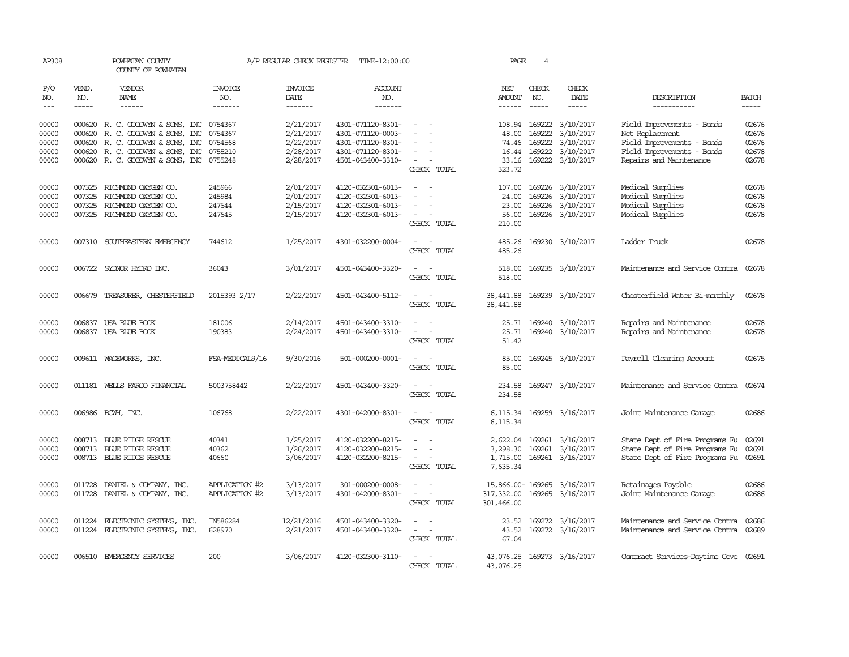| AP308               |                             | POWHATAN COUNTY<br>COUNTY OF POWHATAN  |                                  |                                   | A/P REGULAR CHECK REGISTER TIME-12:00:00 |                                                                                                              | PAGE                           | 4                           |                            |                                      |                             |
|---------------------|-----------------------------|----------------------------------------|----------------------------------|-----------------------------------|------------------------------------------|--------------------------------------------------------------------------------------------------------------|--------------------------------|-----------------------------|----------------------------|--------------------------------------|-----------------------------|
| P/O<br>NO.<br>$---$ | VEND.<br>NO.<br>$- - - - -$ | <b>VENDOR</b><br>NAME<br>$- - - - - -$ | <b>INVOICE</b><br>NO.<br>------- | <b>INVOICE</b><br>DATE<br>------- | <b>ACCOUNT</b><br>NO.<br>-------         |                                                                                                              | NET<br>AMOUNT<br>$- - - - - -$ | CHECK<br>NO.<br>$- - - - -$ | CHECK<br>DATE<br>-----     | DESCRIPTION<br>-----------           | <b>BATCH</b><br>$- - - - -$ |
| 00000               |                             | 000620 R. C. GOODWYN & SONS, INC       | 0754367                          | 2/21/2017                         | 4301-071120-8301-                        | $\sim$ $\sim$                                                                                                | 108.94                         |                             | 169222 3/10/2017           | Field Improvements - Bonds           | 02676                       |
| 00000               | 000620                      | R. C. GOODWYN & SONS, INC              | 0754367                          | 2/21/2017                         | 4301-071120-0003-                        |                                                                                                              | 48.00                          | 169222                      | 3/10/2017                  | Net Replacement                      | 02676                       |
| 00000               | 000620                      | R. C. GOODWYN & SONS, INC              | 0754568                          | 2/22/2017                         | 4301-071120-8301-                        |                                                                                                              | 74.46                          | 169222                      | 3/10/2017                  | Field Improvements - Bonds           | 02676                       |
| 00000               |                             | 000620 R. C. GOODWYN & SONS, INC       | 0755210                          | 2/28/2017                         | 4301-071120-8301-                        | $\sim$<br>$\sim$                                                                                             | 16.44                          | 169222                      | 3/10/2017                  | Field Improvements - Bonds           | 02678                       |
| 00000               |                             | 000620 R. C. GOODWYN & SONS, INC       | 0755248                          | 2/28/2017                         | 4501-043400-3310-                        | $\sim$                                                                                                       | 33.16                          |                             | 169222 3/10/2017           | Repairs and Maintenance              | 02678                       |
|                     |                             |                                        |                                  |                                   |                                          | CHECK TOTAL                                                                                                  | 323.72                         |                             |                            |                                      |                             |
| 00000               | 007325                      | RICHMOND OXYGEN CO.                    | 245966                           | 2/01/2017                         | 4120-032301-6013-                        |                                                                                                              | 107.00                         | 169226                      | 3/10/2017                  | Medical Supplies                     | 02678                       |
| 00000               | 007325                      | RICHMOND OXYGEN CO.                    | 245984                           | 2/01/2017                         | 4120-032301-6013-                        |                                                                                                              | 24.00                          | 169226                      | 3/10/2017                  | Medical Supplies                     | 02678                       |
| 00000               | 007325                      | RICHMOND OXYGEN CO.                    | 247644                           | 2/15/2017                         | 4120-032301-6013-                        |                                                                                                              | 23.00                          | 169226                      | 3/10/2017                  | Medical Supplies                     | 02678                       |
| 00000               | 007325                      | RICHMOND OXYGEN CO.                    | 247645                           | 2/15/2017                         | 4120-032301-6013-                        | $\overline{\phantom{a}}$                                                                                     | 56.00                          |                             | 169226 3/10/2017           | Medical Supplies                     | 02678                       |
|                     |                             |                                        |                                  |                                   |                                          | CHECK TOTAL                                                                                                  | 210.00                         |                             |                            |                                      |                             |
| 00000               |                             | 007310 SOUTHEASTERN EMERGENCY          | 744612                           | 1/25/2017                         | 4301-032200-0004-                        | $\sim$<br>CHECK TOTAL                                                                                        | 485.26<br>485.26               |                             | 169230 3/10/2017           | Ladder Truck                         | 02678                       |
|                     |                             |                                        |                                  |                                   |                                          |                                                                                                              |                                |                             |                            |                                      |                             |
| 00000               |                             | 006722 SYDNOR HYDRO INC.               | 36043                            | 3/01/2017                         | 4501-043400-3320-                        |                                                                                                              | 518.00                         |                             | 169235 3/10/2017           | Maintenance and Service Contra       | 02678                       |
|                     |                             |                                        |                                  |                                   |                                          | CHECK TOTAL                                                                                                  | 518.00                         |                             |                            |                                      |                             |
| 00000               | 006679                      | TREASURER, CHESTERFIELD                | 2015393 2/17                     | 2/22/2017                         | 4501-043400-5112-                        | $\sim$                                                                                                       | 38,441.88                      |                             | 169239 3/10/2017           | Chesterfield Water Bi-monthly        | 02678                       |
|                     |                             |                                        |                                  |                                   |                                          | CHECK TOTAL                                                                                                  | 38,441.88                      |                             |                            |                                      |                             |
|                     |                             |                                        |                                  |                                   |                                          |                                                                                                              |                                |                             |                            |                                      |                             |
| 00000               |                             | 006837 USA BLUE BOOK                   | 181006<br>190383                 | 2/14/2017                         | 4501-043400-3310-                        | $\sim$<br>$\sim$                                                                                             | 25.71                          |                             | 169240 3/10/2017           | Repairs and Maintenance              | 02678                       |
| 00000               |                             | 006837 USA BLUE BOOK                   |                                  | 2/24/2017                         | 4501-043400-3310-                        | CHECK TOTAL                                                                                                  | 25.71<br>51.42                 |                             | 169240 3/10/2017           | Repairs and Maintenance              | 02678                       |
|                     |                             |                                        |                                  |                                   |                                          |                                                                                                              |                                |                             |                            |                                      |                             |
| 00000               |                             | 009611 WAGEWORKS, INC.                 | FSA-MEDICAL9/16                  | 9/30/2016                         | 501-000200-0001-                         | $\sim$                                                                                                       | 85.00                          |                             | 169245 3/10/2017           | Payroll Clearing Account             | 02675                       |
|                     |                             |                                        |                                  |                                   |                                          | CHECK TOTAL                                                                                                  | 85.00                          |                             |                            |                                      |                             |
| 00000               |                             | 011181 WELLS FARGO FINANCIAL           | 5003758442                       | 2/22/2017                         | 4501-043400-3320-                        |                                                                                                              | 234.58                         |                             | 169247 3/10/2017           | Maintenance and Service Contra       | 02674                       |
|                     |                             |                                        |                                  |                                   |                                          | CHECK TOTAL                                                                                                  | 234.58                         |                             |                            |                                      |                             |
| 00000               |                             | 006986 BCWH, INC.                      | 106768                           | 2/22/2017                         | 4301-042000-8301-                        | $\sim$ $ \sim$                                                                                               |                                |                             | 6, 115.34 169259 3/16/2017 | Joint Maintenance Garage             | 02686                       |
|                     |                             |                                        |                                  |                                   |                                          | CHECK TOTAL                                                                                                  | 6,115.34                       |                             |                            |                                      |                             |
| 00000               |                             | 008713 BLUE RIDGE RESCUE               | 40341                            | 1/25/2017                         | 4120-032200-8215-                        |                                                                                                              | 2,622.04                       |                             | 169261 3/16/2017           | State Dept of Fire Programs Fu       | 02691                       |
| 00000               |                             | 008713 BLUE RIDGE RESCUE               | 40362                            | 1/26/2017                         | 4120-032200-8215-                        | $\equiv$<br>$\overline{\phantom{a}}$                                                                         | 3,298.30                       |                             | 169261 3/16/2017           | State Dept of Fire Programs Fu       | 02691                       |
| 00000               |                             | 008713 BLUE RIDGE RESCUE               | 40660                            | 3/06/2017                         | 4120-032200-8215-                        | $\equiv$                                                                                                     | 1,715.00                       |                             | 169261 3/16/2017           | State Dept of Fire Programs Fu       | 02691                       |
|                     |                             |                                        |                                  |                                   |                                          | CHECK TOTAL                                                                                                  | 7,635.34                       |                             |                            |                                      |                             |
| 00000               | 011728                      | DANIEL & COMPANY, INC.                 | APPLICATION #2                   | 3/13/2017                         | 301-000200-0008-                         |                                                                                                              |                                |                             | 15,866.00-169265 3/16/2017 | Retainages Payable                   | 02686                       |
| 00000               |                             | 011728 DANIEL & COMPANY, INC.          | APPLICATION #2                   | 3/13/2017                         | 4301-042000-8301-                        | $\frac{1}{2} \left( \frac{1}{2} \right) \left( \frac{1}{2} \right) = \frac{1}{2} \left( \frac{1}{2} \right)$ | 317,332.00                     |                             | 169265 3/16/2017           | Joint Maintenance Garage             | 02686                       |
|                     |                             |                                        |                                  |                                   |                                          | CHECK TOTAL                                                                                                  | 301,466.00                     |                             |                            |                                      |                             |
| 00000               | 011224                      | ELECTRONIC SYSTEMS, INC.               | IN586284                         | 12/21/2016                        | 4501-043400-3320-                        |                                                                                                              | 23.52                          |                             | 169272 3/16/2017           | Maintenance and Service Contra       | 02686                       |
| 00000               |                             | 011224 ELECTRONIC SYSTEMS, INC.        | 628970                           | 2/21/2017                         | 4501-043400-3320-                        | $\sim$ 10 $\sim$                                                                                             | 43.52                          |                             | 169272 3/16/2017           | Maintenance and Service Contra       | 02689                       |
|                     |                             |                                        |                                  |                                   |                                          | CHECK TOTAL                                                                                                  | 67.04                          |                             |                            |                                      |                             |
| 00000               |                             | 006510 EMERGENCY SERVICES              | 200                              | 3/06/2017                         | 4120-032300-3110-                        |                                                                                                              |                                |                             | 43,076.25 169273 3/16/2017 | Contract Services-Daytime Cove 02691 |                             |
|                     |                             |                                        |                                  |                                   |                                          | CHECK TOTAL                                                                                                  | 43,076.25                      |                             |                            |                                      |                             |
|                     |                             |                                        |                                  |                                   |                                          |                                                                                                              |                                |                             |                            |                                      |                             |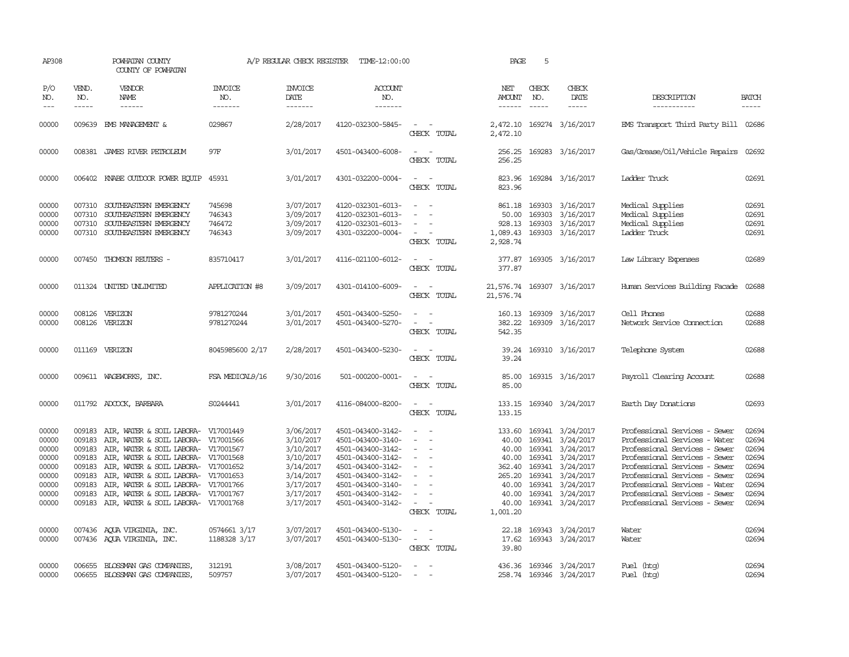| AP308                                                                         |                                      | POWHATAN COUNTY<br>COUNTY OF POWHATAN                                                                                                                                                                                                                                                                                                                                                          |                                      |                                                                                                                   | A/P REGULAR CHECK REGISTER TIME-12:00:00                                                                                                                                                  |                                                                                                                                                                                       | PAGE                                                                                         | 5                             |                                                                                                                                                                                  |                                                                                                                                                                                                                                                                                                       |                                                                               |
|-------------------------------------------------------------------------------|--------------------------------------|------------------------------------------------------------------------------------------------------------------------------------------------------------------------------------------------------------------------------------------------------------------------------------------------------------------------------------------------------------------------------------------------|--------------------------------------|-------------------------------------------------------------------------------------------------------------------|-------------------------------------------------------------------------------------------------------------------------------------------------------------------------------------------|---------------------------------------------------------------------------------------------------------------------------------------------------------------------------------------|----------------------------------------------------------------------------------------------|-------------------------------|----------------------------------------------------------------------------------------------------------------------------------------------------------------------------------|-------------------------------------------------------------------------------------------------------------------------------------------------------------------------------------------------------------------------------------------------------------------------------------------------------|-------------------------------------------------------------------------------|
| P/O<br>NO.<br>$\qquad \qquad - -$                                             | VEND.<br>NO.<br>$- - - - -$          | VENDOR<br>NAME<br>$- - - - - -$                                                                                                                                                                                                                                                                                                                                                                | INVOICE<br>NO.<br>-------            | <b>INVOICE</b><br>DATE<br>-------                                                                                 | <b>ACCOUNT</b><br>NO.<br>-------                                                                                                                                                          |                                                                                                                                                                                       | NET<br>AMOUNT<br>------                                                                      | CHECK<br>NO.<br>$\frac{1}{2}$ | CHECK<br>DATE<br>$- - - - -$                                                                                                                                                     | DESCRIPTION<br>-----------                                                                                                                                                                                                                                                                            | <b>BATCH</b><br>-----                                                         |
| 00000                                                                         |                                      | 009639 EMS MANAGEMENT &                                                                                                                                                                                                                                                                                                                                                                        | 029867                               | 2/28/2017                                                                                                         | 4120-032300-5845-                                                                                                                                                                         | $\sim$ $ \sim$<br>CHECK TOTAL                                                                                                                                                         | 2,472.10                                                                                     |                               | 2,472.10 169274 3/16/2017                                                                                                                                                        | EMS Transport Third Party Bill 02686                                                                                                                                                                                                                                                                  |                                                                               |
| 00000                                                                         |                                      | 008381 JAMES RIVER PETROLEUM                                                                                                                                                                                                                                                                                                                                                                   | 97F                                  | 3/01/2017                                                                                                         | 4501-043400-6008-                                                                                                                                                                         | $\frac{1}{2} \left( \frac{1}{2} \right) \left( \frac{1}{2} \right) = \frac{1}{2} \left( \frac{1}{2} \right)$<br>CHECK TOTAL                                                           | 256.25<br>256.25                                                                             |                               | 169283 3/16/2017                                                                                                                                                                 | Gas/Grease/0il/Vehicle Repairs                                                                                                                                                                                                                                                                        | 02692                                                                         |
| 00000                                                                         |                                      | 006402 KNABE OUTDOOR POWER EQUIP                                                                                                                                                                                                                                                                                                                                                               | 45931                                | 3/01/2017                                                                                                         | 4301-032200-0004-                                                                                                                                                                         | $\sim$ $ \sim$<br>CHECK TOTAL                                                                                                                                                         | 823.96<br>823.96                                                                             |                               | 169284 3/16/2017                                                                                                                                                                 | Ladder Truck                                                                                                                                                                                                                                                                                          | 02691                                                                         |
| 00000<br>00000<br>00000<br>00000                                              | 007310                               | 007310 SOUTHEASTERN EMERGENCY<br>SOUTHEASTERN EMERGENCY<br>007310 SOUTHEASTERN EMERGENCY<br>007310 SOUTHEASTERN EMERGENCY                                                                                                                                                                                                                                                                      | 745698<br>746343<br>746472<br>746343 | 3/07/2017<br>3/09/2017<br>3/09/2017<br>3/09/2017                                                                  | 4120-032301-6013-<br>4120-032301-6013-<br>4120-032301-6013-<br>4301-032200-0004-                                                                                                          | $\sim$<br>$\sim$<br>CHECK TOTAL                                                                                                                                                       | 50.00<br>1,089.43<br>2,928.74                                                                |                               | 861.18 169303 3/16/2017<br>169303 3/16/2017<br>928.13 169303 3/16/2017<br>169303 3/16/2017                                                                                       | Medical Supplies<br>Medical Supplies<br>Medical Supplies<br>Ladder Truck                                                                                                                                                                                                                              | 02691<br>02691<br>02691<br>02691                                              |
| 00000                                                                         |                                      | 007450 THOMSON REUTERS -                                                                                                                                                                                                                                                                                                                                                                       | 835710417                            | 3/01/2017                                                                                                         | 4116-021100-6012-                                                                                                                                                                         | $\sim$ 100 $\mu$<br>$\overline{\phantom{a}}$<br>CHECK TOTAL                                                                                                                           | 377.87                                                                                       |                               | 377.87 169305 3/16/2017                                                                                                                                                          | Law Library Expenses                                                                                                                                                                                                                                                                                  | 02689                                                                         |
| 00000                                                                         |                                      | 011324 UNITED UNLIMITED                                                                                                                                                                                                                                                                                                                                                                        | APPLICATION #8                       | 3/09/2017                                                                                                         | 4301-014100-6009-                                                                                                                                                                         | $\sim$ $ \sim$<br>CHECK TOTAL                                                                                                                                                         | 21,576.74 169307 3/16/2017<br>21,576.74                                                      |                               |                                                                                                                                                                                  | Human Services Building Facade                                                                                                                                                                                                                                                                        | 02688                                                                         |
| 00000<br>00000                                                                |                                      | 008126 VERIZON<br>008126 VERIZON                                                                                                                                                                                                                                                                                                                                                               | 9781270244<br>9781270244             | 3/01/2017<br>3/01/2017                                                                                            | 4501-043400-5250-<br>4501-043400-5270-                                                                                                                                                    | $\sim$<br>$\sim$<br>$\sim$<br>CHECK TOTAL                                                                                                                                             | 382.22<br>542.35                                                                             |                               | 160.13 169309 3/16/2017<br>169309 3/16/2017                                                                                                                                      | Cell Phones<br>Network Service Connection                                                                                                                                                                                                                                                             | 02688<br>02688                                                                |
| 00000                                                                         |                                      | 011169 VERIZON                                                                                                                                                                                                                                                                                                                                                                                 | 8045985600 2/17                      | 2/28/2017                                                                                                         | 4501-043400-5230-                                                                                                                                                                         | CHECK TOTAL                                                                                                                                                                           | 39.24<br>39.24                                                                               |                               | 169310 3/16/2017                                                                                                                                                                 | Telephone System                                                                                                                                                                                                                                                                                      | 02688                                                                         |
| 00000                                                                         |                                      | 009611 WAGEWORKS, INC.                                                                                                                                                                                                                                                                                                                                                                         | FSA MEDICAL9/16                      | 9/30/2016                                                                                                         | 501-000200-0001-                                                                                                                                                                          | $\sim$<br>$\overline{\phantom{a}}$<br>CHECK TOTAL                                                                                                                                     | 85.00<br>85.00                                                                               |                               | 169315 3/16/2017                                                                                                                                                                 | Payroll Clearing Account                                                                                                                                                                                                                                                                              | 02688                                                                         |
| 00000                                                                         |                                      | 011792 ADCOCK, BARBARA                                                                                                                                                                                                                                                                                                                                                                         | S0244441                             | 3/01/2017                                                                                                         | 4116-084000-8200-                                                                                                                                                                         | CHECK TOTAL                                                                                                                                                                           | 133.15<br>133.15                                                                             |                               | 169340 3/24/2017                                                                                                                                                                 | Earth Day Donations                                                                                                                                                                                                                                                                                   | 02693                                                                         |
| 00000<br>00000<br>00000<br>00000<br>00000<br>00000<br>00000<br>00000<br>00000 | 009183<br>009183<br>009183<br>009183 | 009183 AIR, WATER & SOIL LABORA- V17001449<br>AIR, WATER & SOIL LABORA- V17001566<br>AIR, WATER & SOIL LABORA- V17001567<br>009183 AIR, WATER & SOIL LABORA- V17001568<br>009183 AIR, WATER & SOIL LABORA- V17001652<br>009183 AIR, WATER & SOIL LABORA- V17001653<br>AIR, WATER & SOIL LABORA- V17001766<br>AIR, WATER & SOIL LABORA- V17001767<br>009183 AIR, WATER & SOIL LABORA- V17001768 |                                      | 3/06/2017<br>3/10/2017<br>3/10/2017<br>3/10/2017<br>3/14/2017<br>3/14/2017<br>3/17/2017<br>3/17/2017<br>3/17/2017 | 4501-043400-3142-<br>4501-043400-3140-<br>4501-043400-3142-<br>4501-043400-3142-<br>4501-043400-3142-<br>4501-043400-3142-<br>4501-043400-3140-<br>4501-043400-3142-<br>4501-043400-3142- | $\overline{\phantom{a}}$<br>$\overline{\phantom{a}}$<br>$\sim$<br>$\sim$<br>$\overline{\phantom{a}}$<br>$\overline{\phantom{a}}$<br>$\overline{\phantom{a}}$<br>$\sim$<br>CHECK TOTAL | 133.60<br>40.00<br>40.00<br>40.00<br>362.40<br>265.20<br>40.00<br>40.00<br>40.00<br>1,001.20 |                               | 169341 3/24/2017<br>169341 3/24/2017<br>169341 3/24/2017<br>169341 3/24/2017<br>169341 3/24/2017<br>169341 3/24/2017<br>169341 3/24/2017<br>169341 3/24/2017<br>169341 3/24/2017 | Professional Services - Sewer<br>Professional Services - Water<br>Professional Services - Sewer<br>Professional Services - Sewer<br>Professional Services - Sewer<br>Professional Services - Sewer<br>Professional Services - Water<br>Professional Services - Sewer<br>Professional Services - Sewer | 02694<br>02694<br>02694<br>02694<br>02694<br>02694<br>02694<br>02694<br>02694 |
| 00000<br>00000                                                                |                                      | 007436 AQUA VIRGINIA, INC.<br>007436 AQUA VIRGINIA, INC.                                                                                                                                                                                                                                                                                                                                       | 0574661 3/17<br>1188328 3/17         | 3/07/2017<br>3/07/2017                                                                                            | 4501-043400-5130-<br>4501-043400-5130-                                                                                                                                                    | $\sim$<br>$\sim$ $ -$<br>CHECK TOTAL                                                                                                                                                  | 39.80                                                                                        |                               | 22.18 169343 3/24/2017<br>17.62 169343 3/24/2017                                                                                                                                 | Water<br>Water                                                                                                                                                                                                                                                                                        | 02694<br>02694                                                                |
| 00000<br>00000                                                                | 006655<br>006655                     | BLOSSMAN GAS COMPANIES<br>BLOSSMAN GAS COMPANIES                                                                                                                                                                                                                                                                                                                                               | 312191<br>509757                     | 3/08/2017<br>3/07/2017                                                                                            | 4501-043400-5120-<br>4501-043400-5120-                                                                                                                                                    | $\overline{a}$<br>$\sim$                                                                                                                                                              |                                                                                              |                               | 436.36 169346 3/24/2017<br>258.74 169346 3/24/2017                                                                                                                               | Fuel (htg)<br>Fuel (htq)                                                                                                                                                                                                                                                                              | 02694<br>02694                                                                |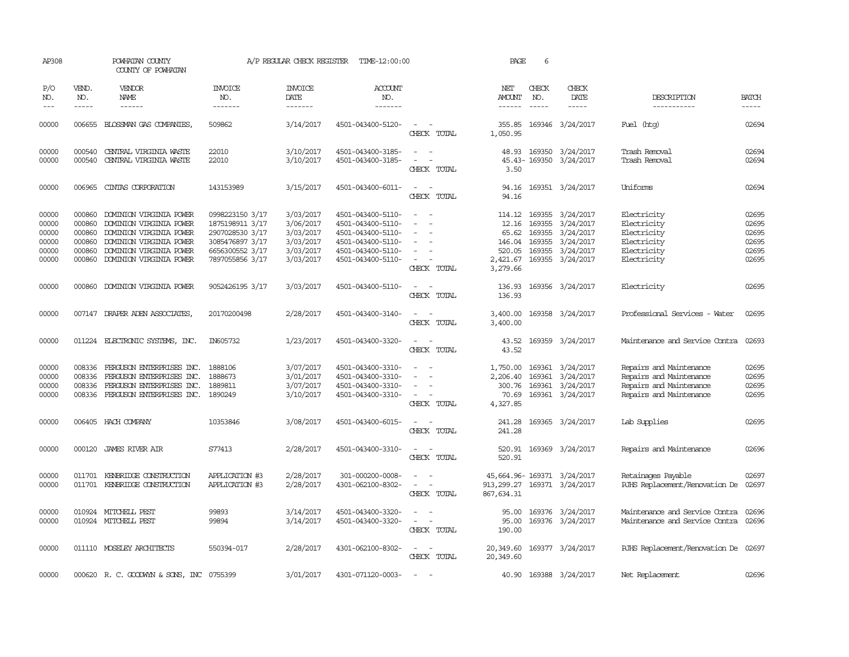| AP308                                              |                                                | POWHATAN COUNTY<br>COUNTY OF POWHATAN                                                                                                                                 |                                                                                                                | A/P REGULAR CHECK REGISTER                                                 | TIME-12:00:00                                                                                                              |                                                                                                                                                                                     | PAGE                                                       | 6            |                                                                                                                                                                                                                                                                                                                                                                                                                                                                                             |                                                                                                          |                                                    |
|----------------------------------------------------|------------------------------------------------|-----------------------------------------------------------------------------------------------------------------------------------------------------------------------|----------------------------------------------------------------------------------------------------------------|----------------------------------------------------------------------------|----------------------------------------------------------------------------------------------------------------------------|-------------------------------------------------------------------------------------------------------------------------------------------------------------------------------------|------------------------------------------------------------|--------------|---------------------------------------------------------------------------------------------------------------------------------------------------------------------------------------------------------------------------------------------------------------------------------------------------------------------------------------------------------------------------------------------------------------------------------------------------------------------------------------------|----------------------------------------------------------------------------------------------------------|----------------------------------------------------|
| P/O<br>NO.                                         | VEND.<br>NO.<br>$- - - - -$                    | VENDOR<br>NAME                                                                                                                                                        | <b>INVOICE</b><br>NO.<br>-------                                                                               | <b>INVOICE</b><br>DATE<br>-------                                          | <b>ACCOUNT</b><br>NO.<br>-------                                                                                           |                                                                                                                                                                                     | NET<br><b>AMOUNT</b><br>------                             | CHECK<br>NO. | CHECK<br>DATE<br>$\frac{1}{2} \left( \frac{1}{2} \right) \left( \frac{1}{2} \right) \left( \frac{1}{2} \right) \left( \frac{1}{2} \right) \left( \frac{1}{2} \right) \left( \frac{1}{2} \right) \left( \frac{1}{2} \right) \left( \frac{1}{2} \right) \left( \frac{1}{2} \right) \left( \frac{1}{2} \right) \left( \frac{1}{2} \right) \left( \frac{1}{2} \right) \left( \frac{1}{2} \right) \left( \frac{1}{2} \right) \left( \frac{1}{2} \right) \left( \frac{1}{2} \right) \left( \frac$ | DESCRIPTION<br>-----------                                                                               | <b>BATCH</b><br>-----                              |
| 00000                                              | 006655                                         | BLOSSMAN GAS COMPANIES                                                                                                                                                | 509862                                                                                                         | 3/14/2017                                                                  | 4501-043400-5120-                                                                                                          | $\overline{\phantom{a}}$<br>CHECK TOTAL                                                                                                                                             | 355.85<br>1,050.95                                         |              | 169346 3/24/2017                                                                                                                                                                                                                                                                                                                                                                                                                                                                            | Fuel (htg)                                                                                               | 02694                                              |
| 00000<br>00000                                     | 000540<br>000540                               | CENTRAL VIRGINIA WASTE<br>CENTRAL VIRGINIA WASTE                                                                                                                      | 22010<br>22010                                                                                                 | 3/10/2017<br>3/10/2017                                                     | 4501-043400-3185-<br>4501-043400-3185-                                                                                     | $\frac{1}{2} \left( \frac{1}{2} \right) \left( \frac{1}{2} \right) = \frac{1}{2} \left( \frac{1}{2} \right)$<br>$\overline{\phantom{a}}$<br>$\overline{\phantom{a}}$<br>CHECK TOTAL | 3.50                                                       |              | 48.93 169350 3/24/2017<br>45.43-169350 3/24/2017                                                                                                                                                                                                                                                                                                                                                                                                                                            | Trash Removal<br>Trash Removal                                                                           | 02694<br>02694                                     |
| 00000                                              | 006965                                         | CINIAS CORPORATION                                                                                                                                                    | 143153989                                                                                                      | 3/15/2017                                                                  | 4501-043400-6011-                                                                                                          | $\sim$<br>CHECK TOTAL                                                                                                                                                               | 94.16<br>94.16                                             |              | 169351 3/24/2017                                                                                                                                                                                                                                                                                                                                                                                                                                                                            | Uniforms                                                                                                 | 02694                                              |
| 00000<br>00000<br>00000<br>00000<br>00000<br>00000 | 000860<br>000860<br>000860<br>000860<br>000860 | DOMINION VIRGINIA POWER<br>DOMINION VIRGINIA POWER<br>DOMINION VIRGINIA POWER<br>DOMINION VIRGINIA POWER<br>DOMINION VIRGINIA POWER<br>000860 DOMINION VIRGINIA POWER | 0998223150 3/17<br>1875198911 3/17<br>2907028530 3/17<br>3085476897 3/17<br>6656300552 3/17<br>7897055856 3/17 | 3/03/2017<br>3/06/2017<br>3/03/2017<br>3/03/2017<br>3/03/2017<br>3/03/2017 | 4501-043400-5110-<br>4501-043400-5110-<br>4501-043400-5110-<br>4501-043400-5110-<br>4501-043400-5110-<br>4501-043400-5110- | $\sim$<br>$\sim$ $-$<br>CHECK TOTAL                                                                                                                                                 | 114.12<br>12.16<br>65.62<br>520.05<br>2,421.67<br>3,279.66 |              | 169355 3/24/2017<br>169355 3/24/2017<br>169355 3/24/2017<br>146.04 169355 3/24/2017<br>169355 3/24/2017<br>169355 3/24/2017                                                                                                                                                                                                                                                                                                                                                                 | Electricity<br>Electricity<br>Electricity<br>Electricity<br>Electricity<br>Electricity                   | 02695<br>02695<br>02695<br>02695<br>02695<br>02695 |
| 00000                                              |                                                | 000860 DOMINION VIRGINIA POWER                                                                                                                                        | 9052426195 3/17                                                                                                | 3/03/2017                                                                  | 4501-043400-5110-                                                                                                          | $\sim$<br>CHECK TOTAL                                                                                                                                                               | 136.93<br>136.93                                           |              | 169356 3/24/2017                                                                                                                                                                                                                                                                                                                                                                                                                                                                            | Electricity                                                                                              | 02695                                              |
| 00000                                              |                                                | 007147 DRAPER ADEN ASSOCIATES                                                                                                                                         | 20170200498                                                                                                    | 2/28/2017                                                                  | 4501-043400-3140-                                                                                                          | $\sim$<br>$\sim$<br>CHECK TOTAL                                                                                                                                                     | 3,400.00<br>3,400.00                                       |              | 169358 3/24/2017                                                                                                                                                                                                                                                                                                                                                                                                                                                                            | Professional Services - Water                                                                            | 02695                                              |
| 00000                                              |                                                | 011224 ELECTRONIC SYSTEMS, INC.                                                                                                                                       | IN605732                                                                                                       | 1/23/2017                                                                  | 4501-043400-3320-                                                                                                          | $\equiv$<br>CHECK TOTAL                                                                                                                                                             | 43.52<br>43.52                                             |              | 169359 3/24/2017                                                                                                                                                                                                                                                                                                                                                                                                                                                                            | Maintenance and Service Contra                                                                           | 02693                                              |
| 00000<br>00000<br>00000<br>00000                   | 008336<br>008336<br>008336                     | FERGUSON ENTERPRISES INC.<br>FERGUSON ENTERPRISES INC.<br>FERGUSON ENTERPRISES INC.<br>008336 FERGUSON ENTERPRISES INC.                                               | 1888106<br>1888673<br>1889811<br>1890249                                                                       | 3/07/2017<br>3/01/2017<br>3/07/2017<br>3/10/2017                           | 4501-043400-3310-<br>4501-043400-3310-<br>4501-043400-3310-<br>4501-043400-3310-                                           | $\overline{\phantom{a}}$<br>$\sim$<br>CHECK TOTAL                                                                                                                                   | 1,750.00<br>2,206.40<br>300.76<br>4,327.85                 |              | 169361 3/24/2017<br>169361 3/24/2017<br>169361 3/24/2017<br>70.69 169361 3/24/2017                                                                                                                                                                                                                                                                                                                                                                                                          | Repairs and Maintenance<br>Repairs and Maintenance<br>Repairs and Maintenance<br>Repairs and Maintenance | 02695<br>02695<br>02695<br>02695                   |
| 00000                                              |                                                | 006405 HACH COMPANY                                                                                                                                                   | 10353846                                                                                                       | 3/08/2017                                                                  | 4501-043400-6015-                                                                                                          | $\frac{1}{2} \left( \frac{1}{2} \right) \left( \frac{1}{2} \right) = \frac{1}{2} \left( \frac{1}{2} \right)$<br>CHECK TOTAL                                                         | 241.28<br>241.28                                           |              | 169365 3/24/2017                                                                                                                                                                                                                                                                                                                                                                                                                                                                            | Lab Supplies                                                                                             | 02695                                              |
| 00000                                              | 000120                                         | <b>JAMES RIVER AIR</b>                                                                                                                                                | S77413                                                                                                         | 2/28/2017                                                                  | 4501-043400-3310-                                                                                                          | CHECK TOTAL                                                                                                                                                                         | 520.91<br>520.91                                           |              | 169369 3/24/2017                                                                                                                                                                                                                                                                                                                                                                                                                                                                            | Repairs and Maintenance                                                                                  | 02696                                              |
| 00000<br>00000                                     |                                                | 011701 KENBRIDGE CONSTRUCTION<br>011701 KENBRIDGE CONSTRUCTION                                                                                                        | APPLICATION #3<br>APPLICATION #3                                                                               | 2/28/2017<br>2/28/2017                                                     | 301-000200-0008-<br>4301-062100-8302-                                                                                      | $\sim$ $ -$<br>CHECK TOTAL                                                                                                                                                          | 913, 299.27 169371 3/24/2017<br>867, 634.31                |              | 45,664.96-169371 3/24/2017                                                                                                                                                                                                                                                                                                                                                                                                                                                                  | Retainages Payable<br>RJHS Replacement/Renovation De                                                     | 02697<br>02697                                     |
| 00000<br>00000                                     |                                                | 010924 MITCHELL PEST<br>010924 MITCHELL PEST                                                                                                                          | 99893<br>99894                                                                                                 | 3/14/2017<br>3/14/2017                                                     | 4501-043400-3320-<br>4501-043400-3320-                                                                                     | $\sim$<br>$\sim$<br>CHECK TOTAL                                                                                                                                                     | 95.00<br>95.00<br>190.00                                   |              | 169376 3/24/2017<br>169376 3/24/2017                                                                                                                                                                                                                                                                                                                                                                                                                                                        | Maintenance and Service Contra<br>Maintenance and Service Contra 02696                                   | 02696                                              |
| 00000                                              |                                                | 011110 MOSELEY ARCHITECTS                                                                                                                                             | 550394-017                                                                                                     | 2/28/2017                                                                  | 4301-062100-8302-                                                                                                          | $\frac{1}{2} \left( \frac{1}{2} \right) \left( \frac{1}{2} \right) = \frac{1}{2} \left( \frac{1}{2} \right)$<br>CHECK TOTAL                                                         | 20,349.60<br>20,349.60                                     |              | 169377 3/24/2017                                                                                                                                                                                                                                                                                                                                                                                                                                                                            | RJHS Replacement/Renovation De 02697                                                                     |                                                    |
| 00000                                              |                                                | 000620 R. C. GOODWYN & SONS, INC 0755399                                                                                                                              |                                                                                                                | 3/01/2017                                                                  | 4301-071120-0003-                                                                                                          | $\sim$                                                                                                                                                                              |                                                            |              | 40.90 169388 3/24/2017                                                                                                                                                                                                                                                                                                                                                                                                                                                                      | Net Replacement                                                                                          | 02696                                              |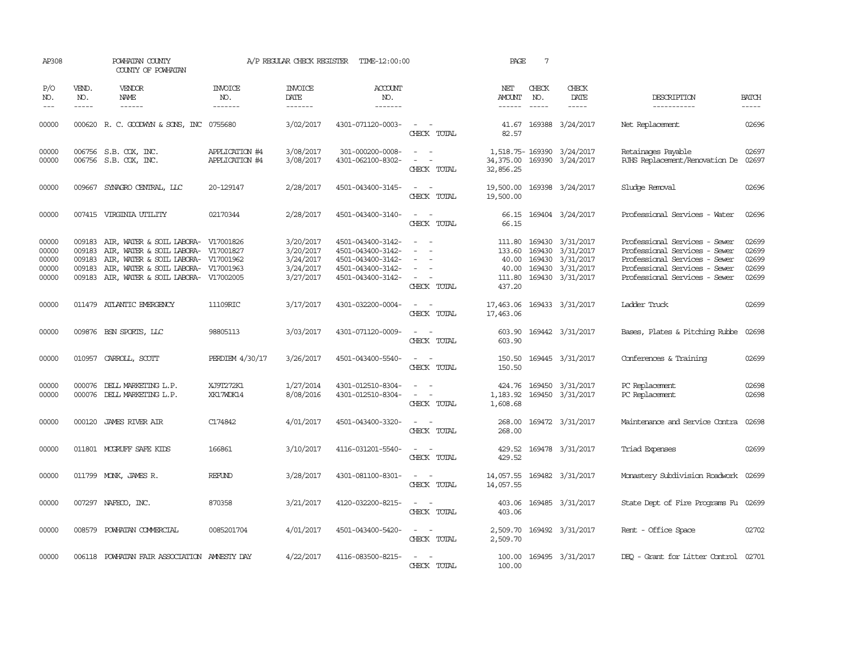| AP308                                     |                                      | POWHATAN COUNTY<br>COUNTY OF POWHATAN                                                                                                                                                                  |                                   |                                                               | A/P REGULAR CHECK REGISTER TIME-12:00:00                                                              |                                                                                                                                          | PAGE                                | 7            |                                                                                                                                                                                                                                            |                                                                                                                                                                   |                                           |
|-------------------------------------------|--------------------------------------|--------------------------------------------------------------------------------------------------------------------------------------------------------------------------------------------------------|-----------------------------------|---------------------------------------------------------------|-------------------------------------------------------------------------------------------------------|------------------------------------------------------------------------------------------------------------------------------------------|-------------------------------------|--------------|--------------------------------------------------------------------------------------------------------------------------------------------------------------------------------------------------------------------------------------------|-------------------------------------------------------------------------------------------------------------------------------------------------------------------|-------------------------------------------|
| P/O<br>NO.<br>$\frac{1}{2}$               | VEND.<br>NO.<br>$\frac{1}{2}$        | VENDOR<br>NAME<br>$- - - - - -$                                                                                                                                                                        | <b>INVOICE</b><br>NO.<br>-------- | INVOICE<br>DATE<br>-------                                    | <b>ACCOUNT</b><br>NO.                                                                                 |                                                                                                                                          | NET<br>AMOUNT<br>------             | CHECK<br>NO. | <b>CHECK</b><br>DATE<br>$\begin{tabular}{ccccc} \multicolumn{2}{c }{\multicolumn{2}{c }{\multicolumn{2}{c }{\multicolumn{2}{c}}{\hspace{-2.2cm}}}} & \multicolumn{2}{c }{\multicolumn{2}{c }{\hspace{-2.2cm}}\end{tabular}} \end{tabular}$ | DESCRIPTION<br>-----------                                                                                                                                        | <b>BATCH</b><br>$- - - - -$               |
| 00000                                     |                                      | 000620 R. C. GOODWYN & SONS, INC 0755680                                                                                                                                                               |                                   | 3/02/2017                                                     | 4301-071120-0003-                                                                                     | $ -$<br>CHECK TOTAL                                                                                                                      | 82.57                               |              | 41.67 169388 3/24/2017                                                                                                                                                                                                                     | Net Replacement                                                                                                                                                   | 02696                                     |
| 00000<br>00000                            |                                      | 006756 S.B. COX, INC.<br>006756 S.B. COX, INC.                                                                                                                                                         | APPLICATION #4<br>APPLICATION #4  | 3/08/2017<br>3/08/2017                                        | 301-000200-0008-<br>4301-062100-8302-                                                                 | $\overline{\phantom{a}}$<br>$\sim$<br>$\sim$ $ -$<br>CHECK TOTAL                                                                         | 32,856.25                           |              | 1,518.75-169390 3/24/2017<br>34,375.00 169390 3/24/2017                                                                                                                                                                                    | Retainages Payable<br>RJHS Replacement/Renovation De 02697                                                                                                        | 02697                                     |
| 00000                                     |                                      | 009667 SYNAGRO CENTRAL, LLC                                                                                                                                                                            | 20-129147                         | 2/28/2017                                                     | 4501-043400-3145-                                                                                     | $\sim$ 100 $\sim$<br>CHECK TOTAL                                                                                                         | 19,500.00                           |              | 19,500.00 169398 3/24/2017                                                                                                                                                                                                                 | Sludge Removal                                                                                                                                                    | 02696                                     |
| 00000                                     |                                      | 007415 VIRGINIA UTILITY                                                                                                                                                                                | 02170344                          | 2/28/2017                                                     | 4501-043400-3140-                                                                                     | $\sim$ $ -$<br>CHECK TOTAL                                                                                                               | 66.15                               |              | 66.15 169404 3/24/2017                                                                                                                                                                                                                     | Professional Services - Water                                                                                                                                     | 02696                                     |
| 00000<br>00000<br>00000<br>00000<br>00000 | 009183<br>009183<br>009183<br>009183 | AIR, WATER & SOIL LABORA- V17001826<br>AIR, WATER & SOIL LABORA- V17001827<br>AIR, WATER & SOIL LABORA- V17001962<br>AIR, WATER & SOIL LABORA- V17001963<br>009183 AIR, WATER & SOIL LABORA- V17002005 |                                   | 3/20/2017<br>3/20/2017<br>3/24/2017<br>3/24/2017<br>3/27/2017 | 4501-043400-3142-<br>4501-043400-3142-<br>4501-043400-3142-<br>4501-043400-3142-<br>4501-043400-3142- | $\overline{\phantom{a}}$<br>CHECK TOTAL                                                                                                  | 133.60<br>40.00<br>111.80<br>437.20 |              | 111.80 169430 3/31/2017<br>169430 3/31/2017<br>40.00 169430 3/31/2017<br>169430 3/31/2017<br>169430 3/31/2017                                                                                                                              | Professional Services - Sewer<br>Professional Services - Sewer<br>Professional Services - Sewer<br>Professional Services - Sewer<br>Professional Services - Sewer | 02699<br>02699<br>02699<br>02699<br>02699 |
| 00000                                     |                                      | 011479 ATLANTIC EMERGENCY                                                                                                                                                                              | 11109RIC                          | 3/17/2017                                                     | 4301-032200-0004-                                                                                     | $\frac{1}{2} \left( \frac{1}{2} \right) \left( \frac{1}{2} \right) \left( \frac{1}{2} \right) \left( \frac{1}{2} \right)$<br>CHECK TOTAL | 17,463.06                           |              | 17,463.06 169433 3/31/2017                                                                                                                                                                                                                 | Ladder Truck                                                                                                                                                      | 02699                                     |
| 00000                                     |                                      | 009876 BSN SPORTS, LLC                                                                                                                                                                                 | 98805113                          | 3/03/2017                                                     | 4301-071120-0009-                                                                                     | $\omega_{\rm{max}}$ and $\omega_{\rm{max}}$<br>CHECK TOTAL                                                                               | 603.90                              |              | 603.90 169442 3/31/2017                                                                                                                                                                                                                    | Bases, Plates & Pitching Rubbe 02698                                                                                                                              |                                           |
| 00000                                     |                                      | 010957 CARROLL, SCOTT                                                                                                                                                                                  | PERDIEM 4/30/17                   | 3/26/2017                                                     | 4501-043400-5540-                                                                                     | $\sim$<br>CHECK TOTAL                                                                                                                    | 150.50<br>150.50                    |              | 169445 3/31/2017                                                                                                                                                                                                                           | Conferences & Training                                                                                                                                            | 02699                                     |
| 00000<br>00000                            |                                      | 000076 DELL MARKETING L.P.<br>000076 DELL MARKETING L.P.                                                                                                                                               | XJ9T272K1<br>XK17WDK14            | 1/27/2014<br>8/08/2016                                        | 4301-012510-8304-<br>4301-012510-8304-                                                                | $\sim$ $ \sim$<br>$\sim$ $ -$<br>CHECK TOTAL                                                                                             | 1,608.68                            |              | 424.76 169450 3/31/2017<br>1,183.92 169450 3/31/2017                                                                                                                                                                                       | PC Replacement<br>PC Replacement                                                                                                                                  | 02698<br>02698                            |
| 00000                                     |                                      | 000120 JAMES RIVER AIR                                                                                                                                                                                 | C174842                           | 4/01/2017                                                     | 4501-043400-3320-                                                                                     | $\frac{1}{2} \left( \frac{1}{2} \right) \left( \frac{1}{2} \right) \left( \frac{1}{2} \right)$<br>CHECK TOTAL                            | 268.00                              |              | 268.00 169472 3/31/2017                                                                                                                                                                                                                    | Maintenance and Service Contra 02698                                                                                                                              |                                           |
| 00000                                     |                                      | 011801 MCCRUFF SAFE KIDS                                                                                                                                                                               | 166861                            | 3/10/2017                                                     | 4116-031201-5540-                                                                                     | $\sim$ 100 $\sim$<br>CHECK TOTAL                                                                                                         | 429.52                              |              | 429.52 169478 3/31/2017                                                                                                                                                                                                                    | Triad Expenses                                                                                                                                                    | 02699                                     |
| 00000                                     |                                      | 011799 MONK, JAMES R.                                                                                                                                                                                  | REFUND                            | 3/28/2017                                                     | 4301-081100-8301-                                                                                     | $\sim$ $ -$<br>CHECK TOTAL                                                                                                               | 14,057.55<br>14,057.55              |              | 169482 3/31/2017                                                                                                                                                                                                                           | Monastery Subdivision Roadwork 02699                                                                                                                              |                                           |
| 00000                                     |                                      | 007297 NAFECO, INC.                                                                                                                                                                                    | 870358                            | 3/21/2017                                                     | 4120-032200-8215-                                                                                     | $\sim$ $ -$<br>CHECK TOTAL                                                                                                               | 403.06<br>403.06                    |              | 169485 3/31/2017                                                                                                                                                                                                                           | State Dept of Fire Programs Fu 02699                                                                                                                              |                                           |
| 00000                                     | 008579                               | POWHATAN COMMERCIAL                                                                                                                                                                                    | 0085201704                        | 4/01/2017                                                     | 4501-043400-5420-                                                                                     | $\sim$ $ \sim$<br>CHECK TOTAL                                                                                                            | 2,509.70<br>2,509.70                |              | 169492 3/31/2017                                                                                                                                                                                                                           | Rent - Office Space                                                                                                                                               | 02702                                     |
| 00000                                     |                                      | 006118 POWHATAN FAIR ASSOCIATION AMNESTY DAY                                                                                                                                                           |                                   | 4/22/2017                                                     | 4116-083500-8215-                                                                                     | $\sim$ $ -$<br>CHECK TOTAL                                                                                                               | 100.00<br>100.00                    |              | 169495 3/31/2017                                                                                                                                                                                                                           | DEO - Grant for Litter Control 02701                                                                                                                              |                                           |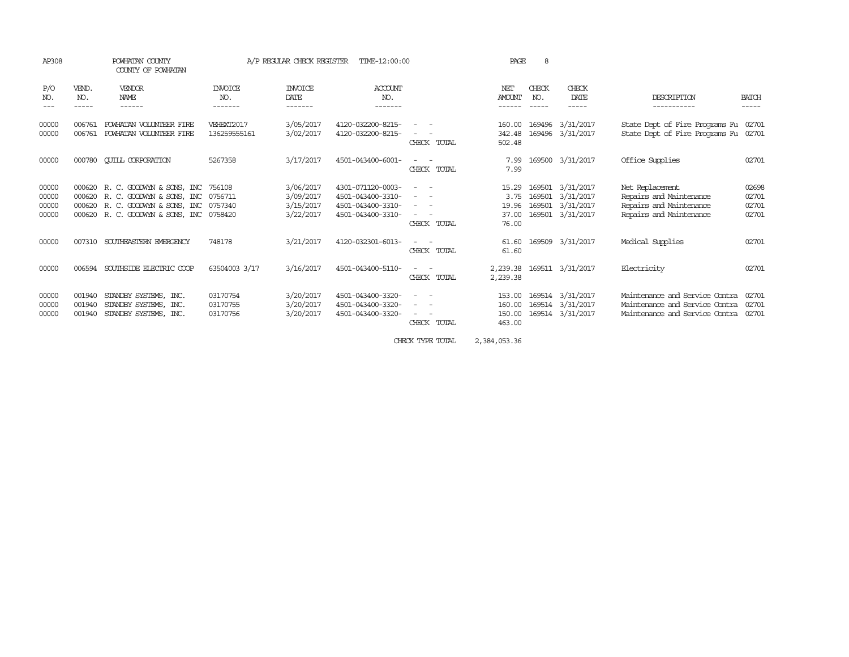| AP308                            |                            | POWHATAN COUNTY<br>COUNTY OF POWHATAN                                                                                                                                       |                                  | A/P REGULAR CHECK REGISTER                       | TIME-12:00:00                                                                    |                                                                                                                                                                                                                                                                                                           | PAGE                                     | 8            |                                                                              |                                                                                                    |                                  |
|----------------------------------|----------------------------|-----------------------------------------------------------------------------------------------------------------------------------------------------------------------------|----------------------------------|--------------------------------------------------|----------------------------------------------------------------------------------|-----------------------------------------------------------------------------------------------------------------------------------------------------------------------------------------------------------------------------------------------------------------------------------------------------------|------------------------------------------|--------------|------------------------------------------------------------------------------|----------------------------------------------------------------------------------------------------|----------------------------------|
| P/O<br>NO.                       | VEND.<br>NO.<br>-----      | VENDOR<br><b>NAME</b><br>------                                                                                                                                             | <b>INVOICE</b><br>NO.<br>------- | <b>INVOICE</b><br>DATE<br>-------                | <b>ACCOUNT</b><br>NO.<br>--------                                                |                                                                                                                                                                                                                                                                                                           | NET<br><b>AMOUNT</b>                     | CHECK<br>NO. | CHECK<br>DATE<br>-----                                                       | DESCRIPTION<br>-----------                                                                         | <b>BATCH</b><br>-----            |
| 00000<br>00000                   | 006761<br>006761           | POWHATAN VOLUNTEER FIRE<br>POWHATAN VOLUNTEER FIRE                                                                                                                          | VEHEXT2017<br>136259555161       | 3/05/2017<br>3/02/2017                           | 4120-032200-8215-<br>4120-032200-8215-                                           | CHECK TOTAL                                                                                                                                                                                                                                                                                               | 160.00<br>342.48<br>502.48               |              | 169496 3/31/2017<br>169496 3/31/2017                                         | State Dept of Fire Programs Fu<br>State Dept of Fire Programs Fu 02701                             | 02701                            |
| 00000                            | 000780                     | <b>CUILL CORPORATION</b>                                                                                                                                                    | 5267358                          | 3/17/2017                                        | 4501-043400-6001-                                                                | CHECK TOTAL                                                                                                                                                                                                                                                                                               | 7.99<br>7.99                             |              | 169500 3/31/2017                                                             | Office Supplies                                                                                    | 02701                            |
| 00000<br>00000<br>00000<br>00000 |                            | 000620 R. C. GOODWYN & SONS, INC 756108<br>000620 R. C. GOODWYN & SONS, INC 0756711<br>000620 R. C. GOODWYN & SONS, INC 0757340<br>000620 R. C. GOODWYN & SONS, INC 0758420 |                                  | 3/06/2017<br>3/09/2017<br>3/15/2017<br>3/22/2017 | 4301-071120-0003-<br>4501-043400-3310-<br>4501-043400-3310-<br>4501-043400-3310- | $ -$<br>CHECK TOTAL                                                                                                                                                                                                                                                                                       | 15.29<br>3.75<br>19.96<br>37.00<br>76.00 |              | 169501 3/31/2017<br>169501 3/31/2017<br>169501 3/31/2017<br>169501 3/31/2017 | Net Replacement<br>Repairs and Maintenance<br>Repairs and Maintenance<br>Repairs and Maintenance   | 02698<br>02701<br>02701<br>02701 |
| 00000                            | 007310                     | SOUTHEASTERN EMERGENCY                                                                                                                                                      | 748178                           | 3/21/2017                                        | 4120-032301-6013-                                                                | CHECK TOTAL                                                                                                                                                                                                                                                                                               | 61.60<br>61.60                           |              | 169509 3/31/2017                                                             | Medical Supplies                                                                                   | 02701                            |
| 00000                            | 006594                     | SOUTHSIDE ELECTRIC COOP                                                                                                                                                     | 63504003 3/17                    | 3/16/2017                                        | 4501-043400-5110-                                                                | CHECK TOTAL                                                                                                                                                                                                                                                                                               | 2,239.38<br>2,239.38                     |              | 169511 3/31/2017                                                             | Electricity                                                                                        | 02701                            |
| 00000<br>00000<br>00000          | 001940<br>001940<br>001940 | STANDBY SYSTEMS, INC.<br>STANDBY SYSTEMS, INC.<br>STANDBY SYSTEMS, INC.                                                                                                     | 03170754<br>03170755<br>03170756 | 3/20/2017<br>3/20/2017<br>3/20/2017              | 4501-043400-3320-<br>4501-043400-3320-<br>4501-043400-3320-                      | $\frac{1}{2} \left( \frac{1}{2} \right) \left( \frac{1}{2} \right) \left( \frac{1}{2} \right) \left( \frac{1}{2} \right)$<br>$\frac{1}{2} \left( \frac{1}{2} \right) \left( \frac{1}{2} \right) \left( \frac{1}{2} \right) \left( \frac{1}{2} \right)$<br>$ -$<br>$\overline{\phantom{a}}$<br>CHECK TOTAL | 153.00<br>160.00<br>150.00<br>463.00     |              | 169514 3/31/2017<br>169514 3/31/2017<br>169514 3/31/2017                     | Maintenance and Service Contra<br>Maintenance and Service Contra<br>Maintenance and Service Contra | 02701<br>02701<br>02701          |

CHECK TYPE TOTAL 2,384,053.36